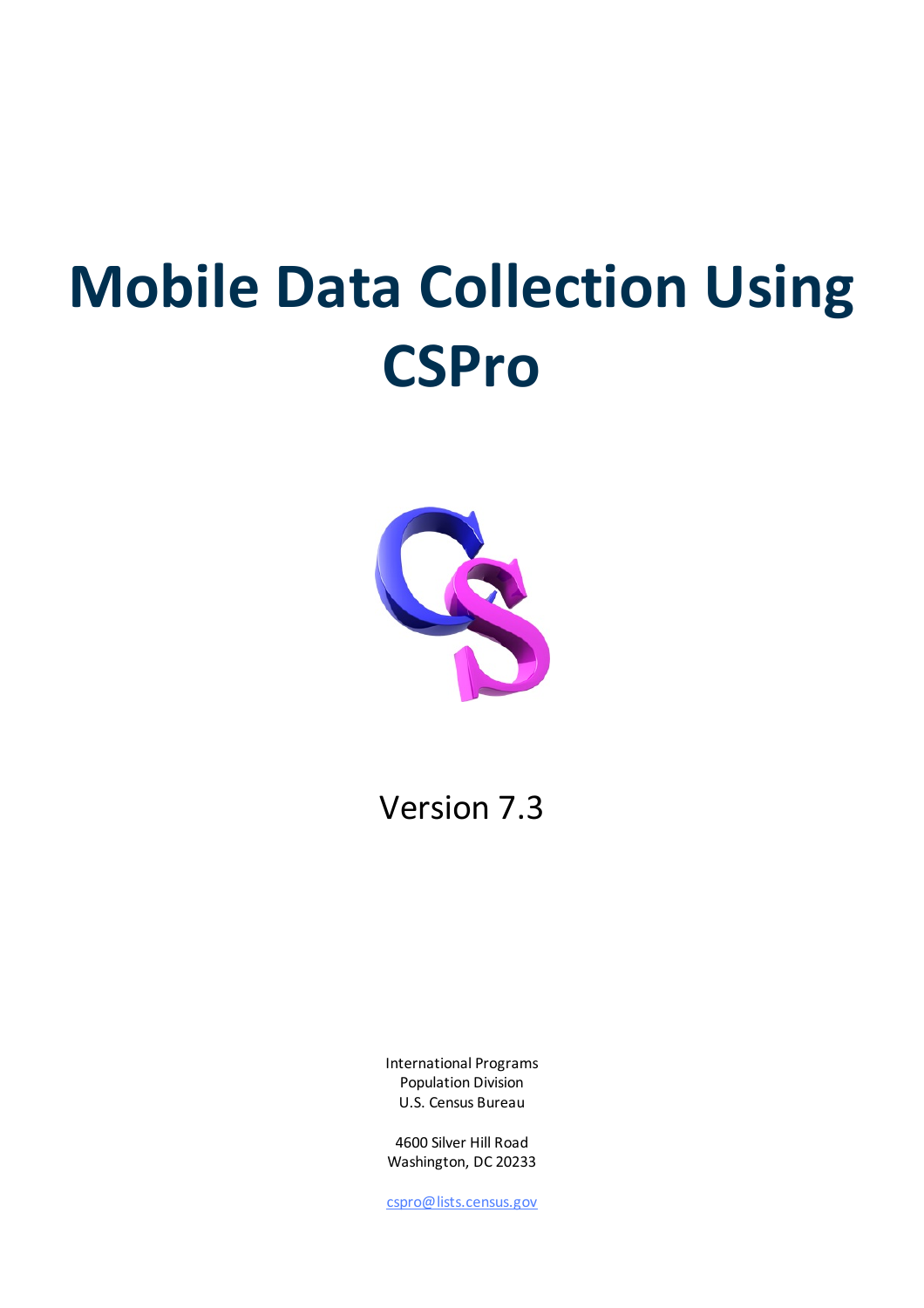# **Mobile Data Collection Using CSPro**



### Version 7.3

International Programs Population Division U.S. Census Bureau

4600 Silver Hill Road Washington, DC 20233

[cspro@lists.census.gov](mailto:cspro@lists.census.gov)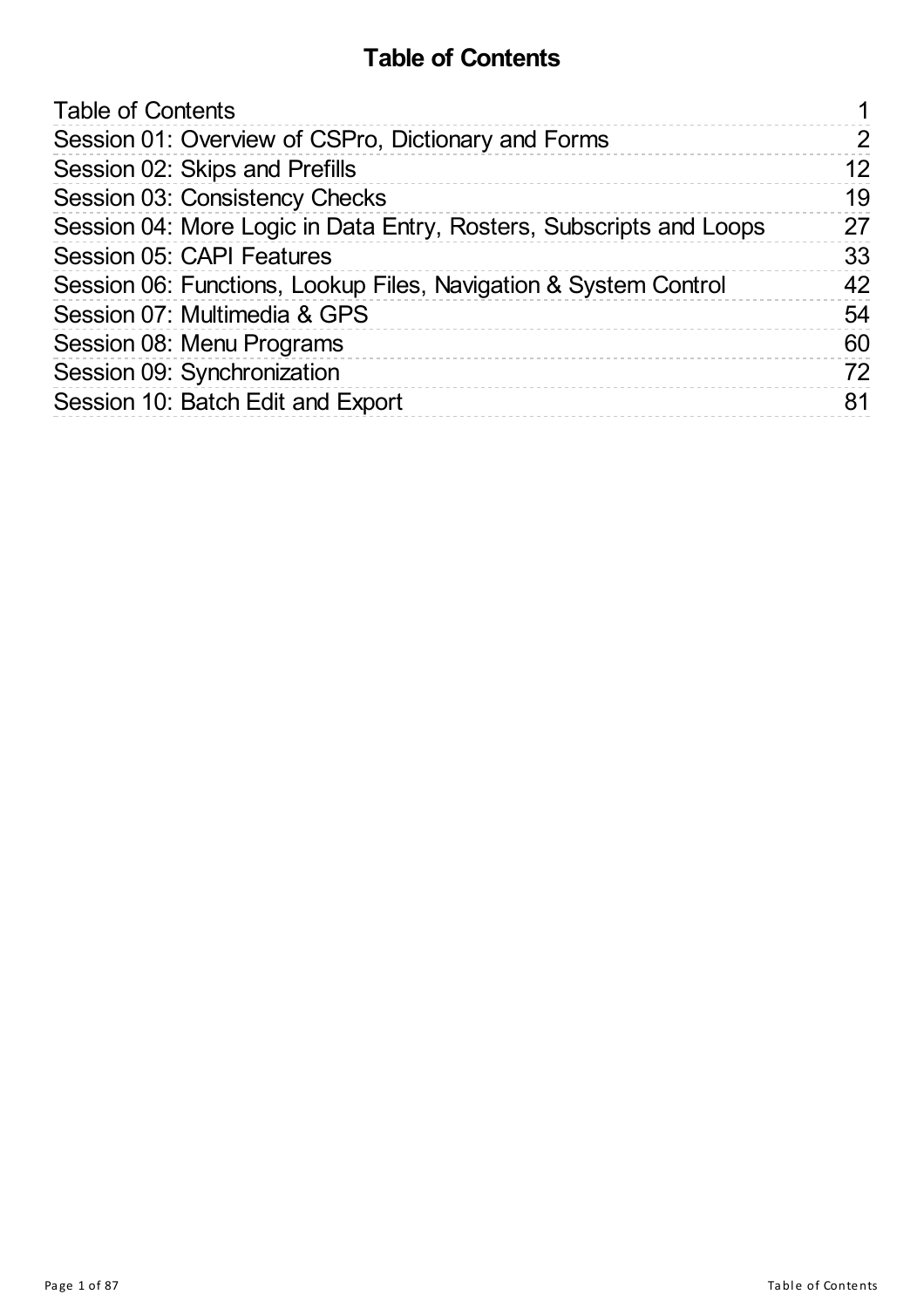### **Table of Contents**

<span id="page-1-0"></span>

| <b>Table of Contents</b>                                            |               |
|---------------------------------------------------------------------|---------------|
| Session 01: Overview of CSPro, Dictionary and Forms                 | $\mathcal{P}$ |
| Session 02: Skips and Prefills                                      | 12            |
| Session 03: Consistency Checks                                      | 19            |
| Session 04: More Logic in Data Entry, Rosters, Subscripts and Loops | 27            |
| <b>Session 05: CAPI Features</b>                                    | 33            |
| Session 06: Functions, Lookup Files, Navigation & System Control    | 42            |
| Session 07: Multimedia & GPS                                        | 54            |
| Session 08: Menu Programs                                           | 60            |
| Session 09: Synchronization                                         | 72            |
| Session 10: Batch Edit and Export                                   | 81            |
|                                                                     |               |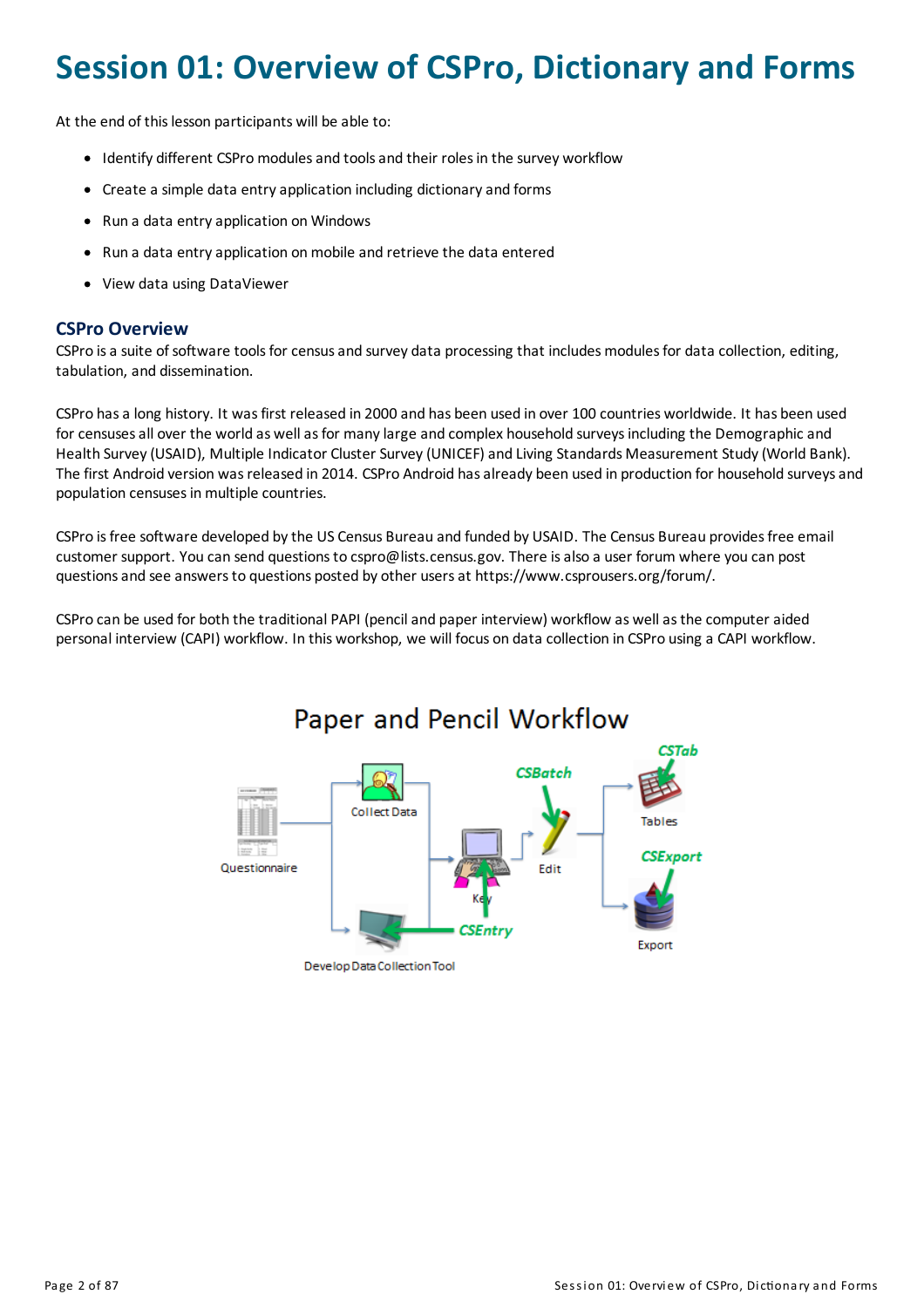### <span id="page-2-0"></span>**Session 01: Overview of CSPro, Dictionary and Forms**

At the end of this lesson participants will be able to:

- Identify different CSPro modules and tools and their roles in the survey workflow
- Create a simple data entry application including dictionary and forms
- Run a data entry application on Windows
- Run a data entry application on mobile and retrieve the data entered
- View data using DataViewer

#### **CSPro Overview**

CSPro is a suite of software tools for census and survey data processing that includes modules for data collection, editing, tabulation, and dissemination.

CSPro hasa long history. It wasfirst released in 2000 and has been used in over 100 countries worldwide. It has been used for censuses all over the world as well as for many large and complex household surveys including the Demographic and Health Survey (USAID), Multiple Indicator Cluster Survey (UNICEF) and Living Standards Measurement Study (World Bank). The first Android version was released in 2014. CSPro Android has already been used in production for household surveys and population censuses in multiple countries.

CSPro isfree software developed bythe US Census Bureau and funded by USAID. The Census Bureau providesfree email customer support. You can send questionsto cspro@lists.census.gov. There isalso a user forum where you can post questionsand see answersto questions posted by other usersat https://www.csprousers.org/forum/.

CSPro can be used for both the traditional PAPI (penciland paper interview) workflow as wellasthe computeraided personal interview (CAPI) workflow. In this workshop, we will focus on data collection in CSPro using a CAPI workflow.



#### Page 2 of 87 Session 01: Overview of CSPro, Dictionary and Forms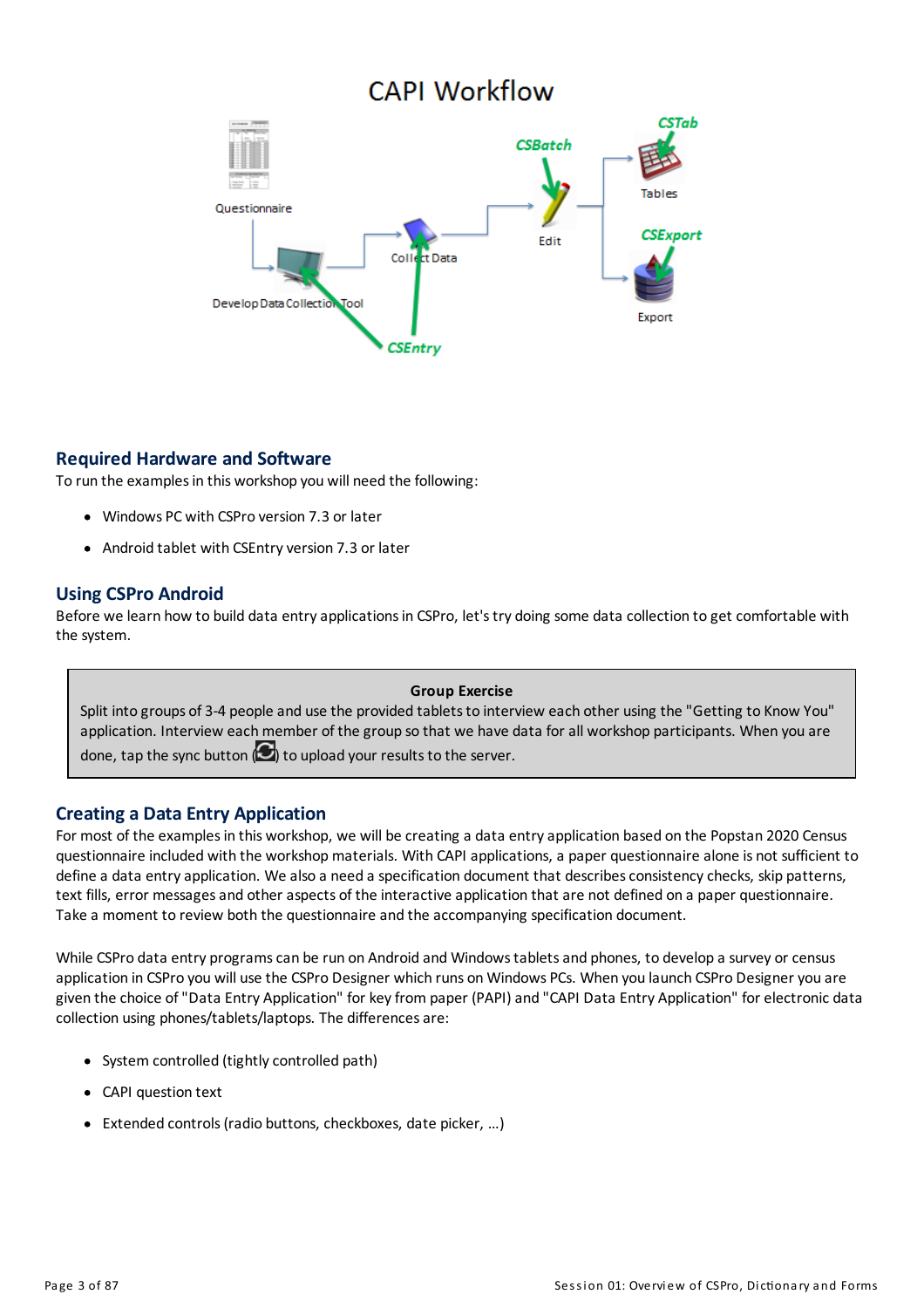### **CAPI Workflow**



#### **Required Hardware and Software**

To run the examples in this workshop you will need the following:

- Windows PC with CSPro version 7.3 or later
- Android tablet with CSEntry version 7.3 or later

#### **Using CSPro Android**

Before we learn how to build data entry applications in CSPro, let's try doing some data collection to get comfortable with the system.

#### **Group Exercise**

Split into groups of 3-4 people and use the provided tablets to interview each other using the "Getting to Know You" application. Interview each member of the group so that we have data for all workshop participants. When you are done, tap the sync button  $\left( \bigcup \right)$  to upload your results to the server.

#### **Creating a Data Entry Application**

For most of the examples in this workshop, we will be creating a data entry application based on the Popstan 2020 Census questionnaire included with the workshop materials. With CAPI applications, a paper questionnaire alone is not sufficient to define a data entry application. We also a need a specification document that describes consistency checks, skip patterns, text fills, error messages and other aspects of the interactive application that are not defined on a paper questionnaire. Take a moment to review both the questionnaire and the accompanying specification document.

While CSPro data entry programs can be run on Android and Windows tablets and phones, to develop a survey or census application in CSPro you will use the CSPro Designer which runs on Windows PCs. When you launch CSPro Designer you are given the choice of "Data Entry Application" for keyfrom paper (PAPI)and "CAPI Data Entry Application" for electronic data collection using phones/tablets/laptops. The differences are:

- System controlled (tightly controlled path)
- CAPI question text
- Extended controls(radio buttons, checkboxes, date picker, …)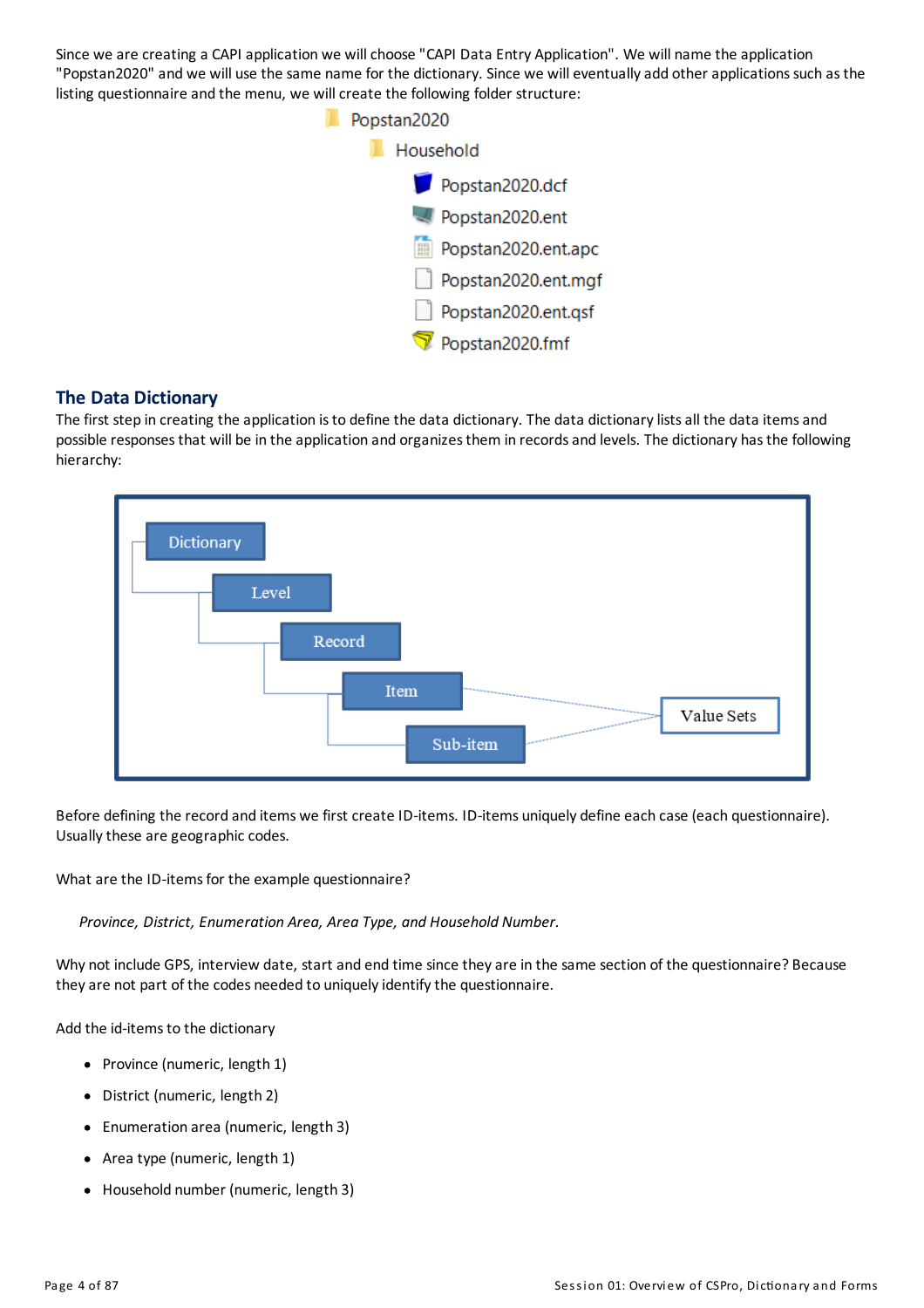Since we are creating a CAPI application we will choose "CAPI Data Entry Application". We will name the application "Popstan2020" and we will use the same name for the dictionary. Since we will eventually add other applications such as the listing questionnaire and the menu, we will create the following folder structure:



#### **The Data Dictionary**

The first step in creating the application is to define the data dictionary. The data dictionary lists all the data items and possible responses that will be in the application and organizes them in records and levels. The dictionary has the following hierarchy:



Before defining the record and items we first create ID-items. ID-items uniquely define each case (each questionnaire). Usually these are geographic codes.

What are the ID-items for the example questionnaire?

*Province, District, Enumeration Area, Area Type, and Household Number.*

Why not include GPS, interview date, start and end time since theyare in the same section of the questionnaire? Because they are not part of the codes needed to uniquely identify the questionnaire.

Add the id-items to the dictionary

- Province (numeric, length 1)
- District (numeric, length 2)
- Enumeration area (numeric, length 3)
- Area type (numeric, length 1)
- Household number (numeric, length 3)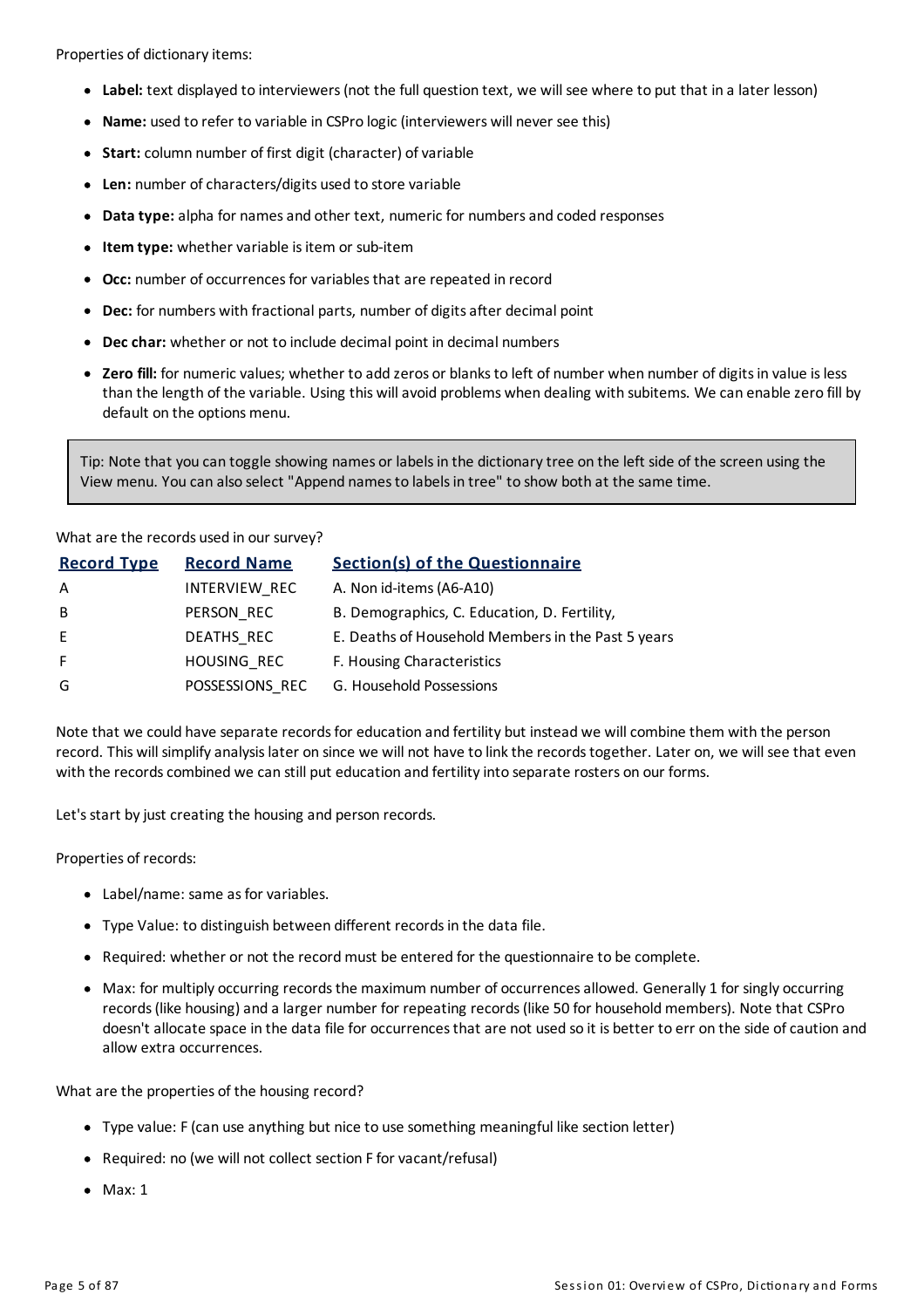Properties of dictionary items:

- **Label:** text displayed to interviewers(not the full question text, we will see where to put that in a later lesson)
- **Name:** used to refer to variable in CSPro logic (interviewers will never see this)
- Start: column number of first digit (character) of variable
- Len: number of characters/digits used to store variable
- **Data type:** alpha for names and other text, numeric for numbers and coded responses
- **Item type:** whether variable is item or sub-item
- **Occ:** number of occurrences for variables that are repeated in record
- **Dec:** for numbers with fractional parts, number of digits after decimal point
- **Dec char:** whether or not to include decimal point in decimal numbers
- **Exero fill:** for numeric values; whether to add zeros or blanks to left of number when number of digits in value is less than the length of the variable. Using this willavoid problems when dealing with subitems. We can enable zero fill by default on the options menu.

Tip: Note that you can toggle showing names or labels in the dictionary tree on the left side of the screen using the View menu. You can also select "Append namesto labelsin tree" to show both at the same time.

#### What are the records used in our survey?

| <b>Record Type</b> | <b>Record Name</b> | <b>Section(s) of the Questionnaire</b>             |
|--------------------|--------------------|----------------------------------------------------|
| A                  | INTERVIEW_REC      | A. Non id-items (A6-A10)                           |
| B                  | PERSON REC         | B. Demographics, C. Education, D. Fertility,       |
| E                  | DEATHS REC         | E. Deaths of Household Members in the Past 5 years |
| F.                 | HOUSING REC        | F. Housing Characteristics                         |
| G                  | POSSESSIONS REC    | G. Household Possessions                           |

Note that we could have separate records for education and fertility but instead we will combine them with the person record. This will simplify analysis later on since we will not have to link the records together. Later on, we will see that even with the records combined we can still put education and fertility into separate rosters on our forms.

Let's start by just creating the housing and person records.

Properties of records:

- Label/name: same as for variables.
- Type Value: to distinguish between different records in the data file.
- Required: whether or not the record must be entered for the questionnaire to be complete.
- Max: for multiply occurring records the maximum number of occurrences allowed. Generally 1 for singly occurring records (like housing) and a larger number for repeating records (like 50 for household members). Note that CSPro doesn't allocate space in the data file for occurrences that are not used so it is better to err on the side of caution and allow extra occurrences.

What are the properties of the housing record?

- Type value: F(can use anything but nice to use something meaningful like section letter)
- Required: no (we will not collect section F for vacant/refusal)
- $•$  Max: 1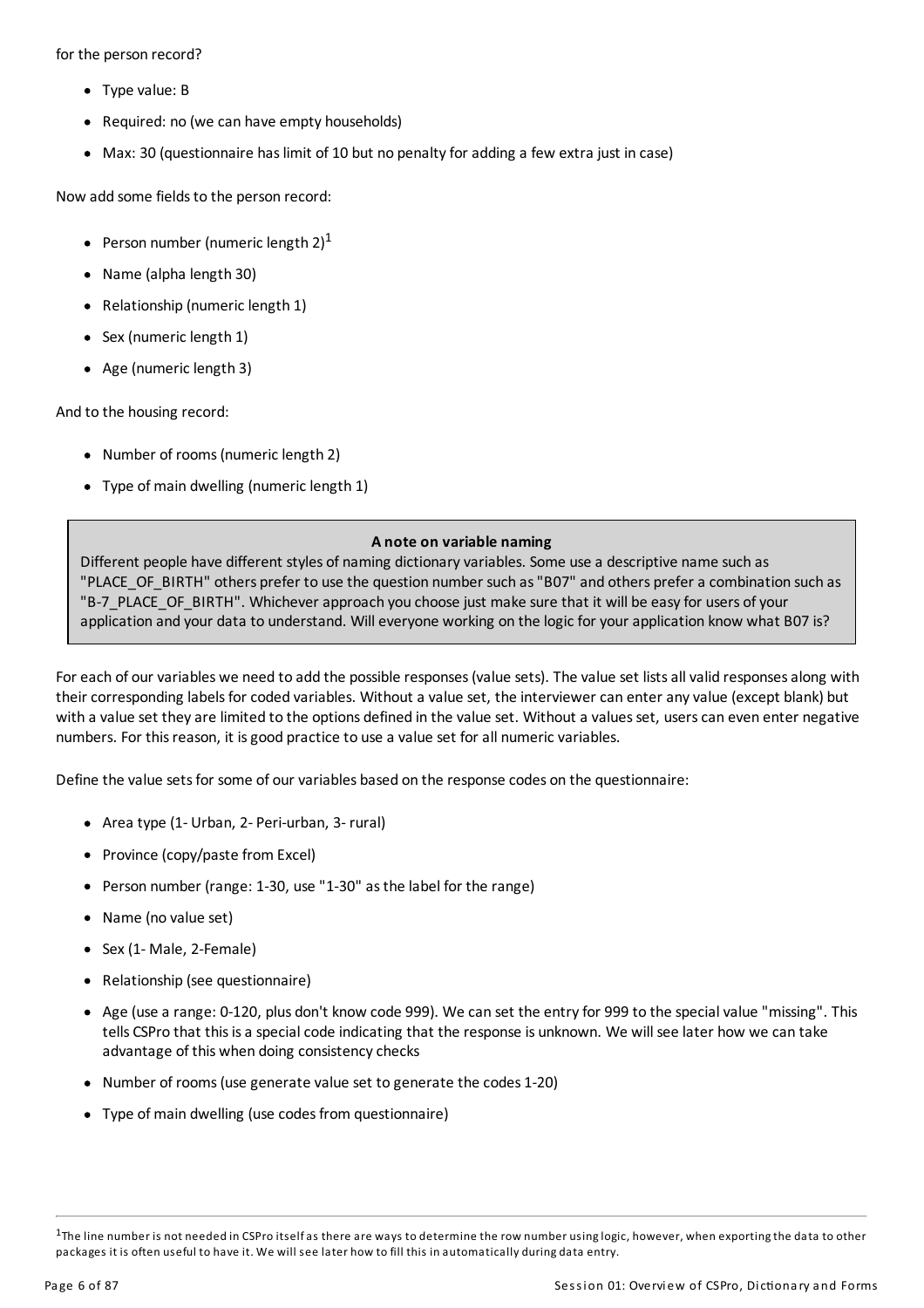for the person record?

- Type value: B
- Required: no (we can have empty households)
- Max: 30 (questionnaire has limit of 10 but no penalty for adding a few extra just in case)

Now add some fields to the person record:

- Person number (numeric length 2) $^{\text{1}}$
- Name (alpha length 30)
- Relationship (numeric length 1)
- Sex (numeric length 1)
- Age (numeric length 3)

And to the housing record:

- Number of rooms(numeric length 2)
- Type of main dwelling (numeric length 1)

#### **A note on variable naming**

Different people have different styles of naming dictionary variables. Some use a descriptive name such as "PLACE\_OF\_BIRTH" others prefer to use the question number such as"B07" and others prefera combination such as "B-7\_PLACE\_OF\_BIRTH". Whichever approach you choose just make sure that it will be easy for users of your application and your data to understand. Will everyone working on the logic for your application know what B07 is?

For each of our variables we need to add the possible responses (value sets). The value set lists all valid responses along with their corresponding labels for coded variables. Without a value set, the interviewer can enter any value (except blank) but with a value set they are limited to the options defined in the value set. Without a values set, users can even enter negative numbers. For thisreason, it isgood practice to use a value set forall numeric variables.

Define the value sets for some of our variables based on the response codes on the questionnaire:

- Area type (1- Urban, 2- Peri-urban, 3- rural)
- Province (copy/paste from Excel)
- Person number (range: 1-30, use "1-30" asthe label for the range)
- Name (no value set)
- Sex (1-Male, 2-Female)
- Relationship (see questionnaire)
- Age (use a range: 0-120, plus don't know code 999). We can set the entryfor 999 to the specialvalue "missing". This tells CSPro that this is a special code indicating that the response is unknown. We will see later how we can take advantage of this when doing consistency checks
- Number of rooms(use generate value set to generate the codes 1-20)
- Type of main dwelling (use codes from questionnaire)

 $1$ The line number is not needed in CSPro itselfas there are ways to determine the row number using logic, however, when exporting the data to other packages it is often useful to have it. We will see later how to fill this in automatically during data entry.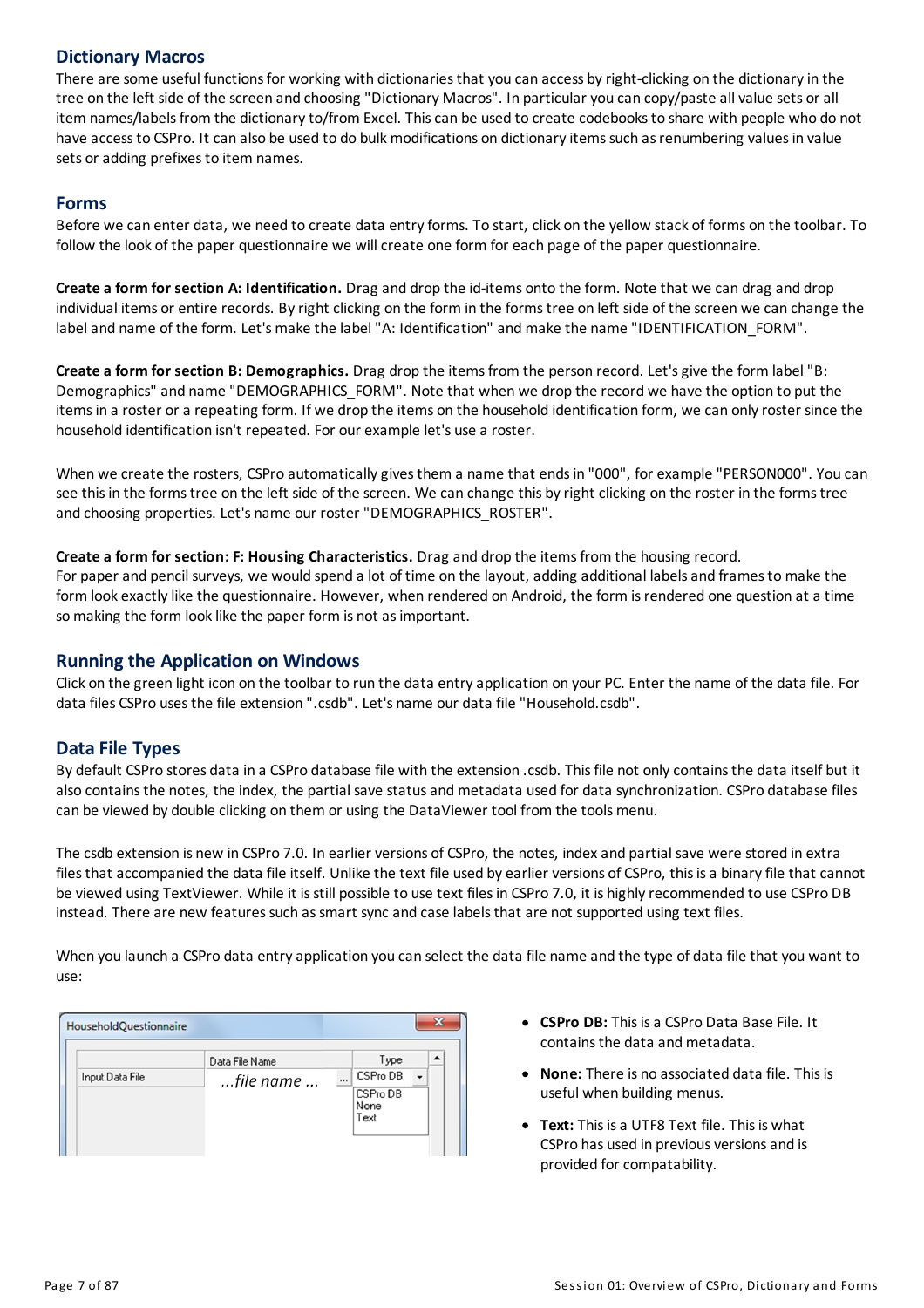#### **Dictionary Macros**

There are some useful functions for working with dictionaries that you can access by right-clicking on the dictionary in the tree on the left side of the screen and choosing "Dictionary Macros". In particular you can copy/paste all value sets or all item names/labels from the dictionary to/from Excel. This can be used to create codebooks to share with people who do not have access to CSPro. It can also be used to do bulk modifications on dictionary items such as renumbering values in value sets or adding prefixes to item names.

#### **Forms**

Before we can enter data, we need to create data entryforms. To start, click on the yellow stack of forms on the toolbar. To follow the look of the paper questionnaire we will create one form for each page of the paper questionnaire.

**Create a formfor section A: Identification.** Drag and drop the id-items onto the form. Note that we can drag and drop individual items or entire records. By right clicking on the form in the forms tree on left side of the screen we can change the label and name of the form. Let's make the label "A: Identification" and make the name "IDENTIFICATION\_FORM".

**Create a formfor section B: Demographics.** Drag drop the itemsfrom the person record. Let'sgive the form label "B: Demographics" and name "DEMOGRAPHICS\_FORM". Note that when we drop the record we have the option to put the itemsin a roster ora repeating form. If we drop the items on the household identification form, we can onlyroster since the household identification isn't repeated. For our example let's use a roster.

When we create the rosters, CSPro automaticallygivesthem a name that endsin "000", for example "PERSON000". You can see this in the forms tree on the left side of the screen. We can change this by right clicking on the roster in the forms tree and choosing properties. Let's name our roster "DEMOGRAPHICS\_ROSTER".

**Create a formfor section: F: Housing Characteristics.** Drag and drop the itemsfrom the housing record.

For paper and pencil surveys, we would spend a lot of time on the layout, adding additional labels and frames to make the form look exactlylike the questionnaire. However, when rendered on Android, the form isrendered one question at a time so making the form look like the paper form is not as important.

#### **Runningthe Application on Windows**

Click on the green light icon on the toolbar to run the data entryapplication on your PC. Enter the name of the data file. For data files CSPro usesthe file extension ".csdb". Let's name our data file "Household.csdb".

#### **Data File Types**

By default CSPro stores data in a CSPro database file with the extension .csdb. Thisfile not onlycontainsthe data itself but it also contains the notes, the index, the partial save status and metadata used for data synchronization. CSPro database files can be viewed by double clicking on them or using the DataViewer tool from the tools menu.

The csdb extension is new in CSPro 7.0. In earlier versions of CSPro, the notes, indexand partial save were stored in extra files that accompanied the data file itself. Unlike the text file used by earlier versions of CSPro, this is a binary file that cannot be viewed using TextViewer. While it is still possible to use text files in CSPro 7.0, it is highly recommended to use CSPro DB instead. There are new features such as smart sync and case labels that are not supported using text files.

When you launch a CSPro data entry application you can select the data file name and the type of data file that you want to use:

|                 | Data File Name |          | Type                     |  |
|-----------------|----------------|----------|--------------------------|--|
| Input Data File | file name      | $\cdots$ | CSPro DB                 |  |
|                 |                |          | CSPro DB<br>None<br>Text |  |

- **CSPro DB:**Thisisa CSPro Data Base File. It contains the data and metadata.
- **None:**There is no associated data file. Thisis useful when building menus.
- **Text:** This is a UTF8 Text file. This is what CSPro has used in previous versions and is provided for compatability.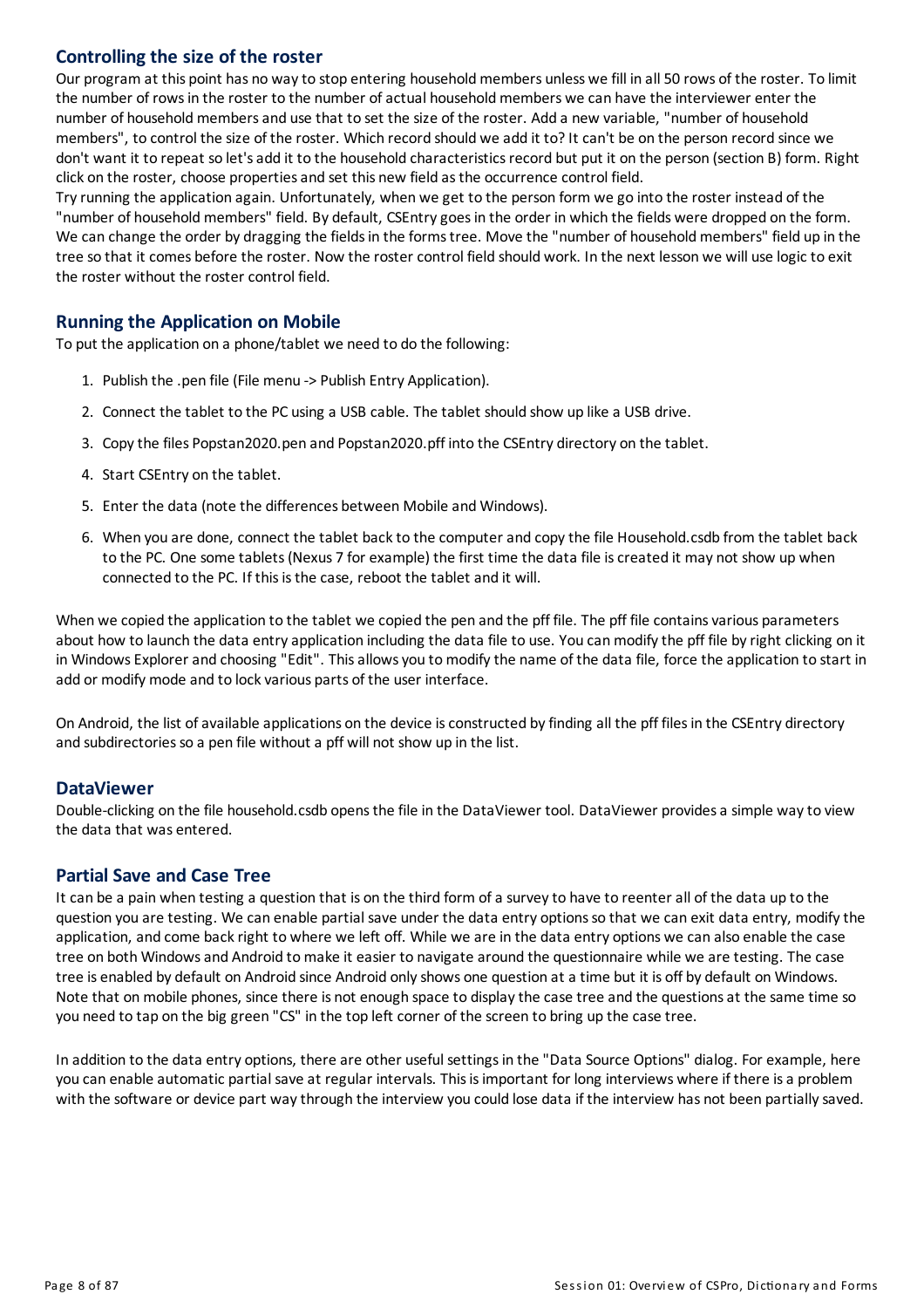#### **Controllingthe size of the roster**

Our program at this point has no wayto stop entering householdmembers unless we fill in all 50 rows of the roster. To limit the number of rows in the roster to the number of actual household members we can have the interviewer enter the number of householdmembersand use that to set the size of the roster. Add a new variable, "number of household members", to control the size of the roster. Which record should we add it to? It can't be on the person record since we don't want it to repeat so let's add it to the household characteristics record but put it on the person (section B) form. Right click on the roster, choose properties and set this new field as the occurrence control field.

Tryrunning the application again. Unfortunately, when we get to the person form we go into the roster instead of the "number of household members" field. By default, CSEntry goes in the order in which the fields were dropped on the form. We can change the order by dragging the fields in the forms tree. Move the "number of household members" field up in the tree so that it comes before the roster. Now the roster control field should work. In the next lesson we will use logic to exit the roster without the roster control field.

#### **Running the Application on Mobile**

To put the application on a phone/tablet we need to do the following:

- 1. Publish the .pen file (File menu -> Publish Entry Application).
- 2. Connect the tablet to the PC using a USB cable. The tablet should show up like a USB drive.
- 3. Copythe files Popstan2020.pen and Popstan2020.pff into the CSEntry directory on the tablet.
- 4. Start CSEntry on the tablet.
- 5. Enter the data (note the differences between Mobile and Windows).
- 6. When you are done, connect the tablet back to the computer and copy the file Household.csdb from the tablet back to the PC. One some tablets(Nexus 7 for example) the first time the data file iscreated it may not show up when connected to the PC. If this is the case, reboot the tablet and it will.

When we copied the application to the tablet we copied the pen and the pff file. The pff file contains various parameters about how to launch the data entry application including the data file to use. You can modify the pff file by right clicking on it in Windows Explorer and choosing "Edit". This allows you to modify the name of the data file, force the application to start in add or modify mode and to lock various parts of the user interface.

On Android, the list of available applications on the device is constructed by finding all the pff files in the CSEntry directory and subdirectories so a pen file without a pff will not show up in the list.

#### **DataViewer**

Double-clicking on the file household.csdb opens the file in the DataViewer tool. DataViewer provides a simple way to view the data that was entered.

#### **Partial Save and Case Tree**

It can be a pain when testing a question that is on the third form of a survey to have to reenter all of the data up to the question you are testing. We can enable partial save under the data entry optionsso that we can exit data entry, modifythe application, and come backright to where we left off. While we are in the data entry options we can also enable the case tree on both Windowsand Android tomake it easier to navigate around the questionnaire while we are testing. The case tree is enabled by default on Android since Android onlyshows one question at a time but it is off by default on Windows. Note that on mobile phones, since there is not enough space to display the case tree and the questions at the same time so you need to tap on the big green "CS" in the top left corner of the screen to bring up the case tree.

In addition to the data entry options, there are other useful settings in the "Data Source Options" dialog. For example, here you can enable automatic partial save at regular intervals. Thisisimportant for long interviews where if there isa problem with the software or device part way through the interview you could lose data if the interview has not been partially saved.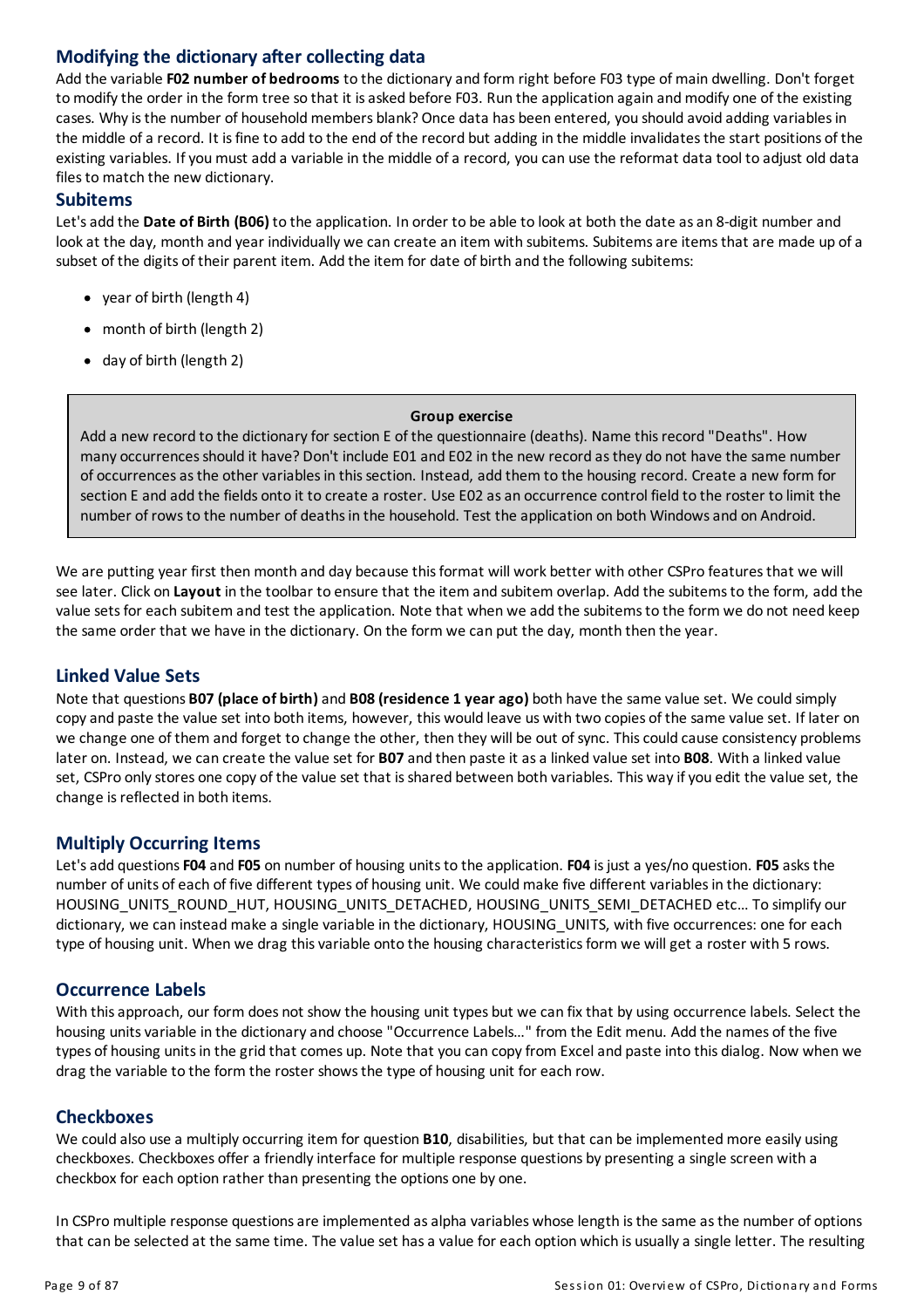#### **Modifyingthe dictionary after collecting data**

Add the variable **F02 number of bedrooms** to the dictionaryand form right before F03 type of main dwelling. Don't forget to modify the order in the form tree so that it is asked before F03. Run the application again and modify one of the existing cases. Why is the number of household members blank? Once data has been entered, you should avoid adding variables in the middle of a record. It is fine to add to the end of the record but adding in the middle invalidates the start positions of the existing variables. If you must add a variable in the middle of a record, you can use the reformat data tool to adjust old data files to match the new dictionary.

#### **Subitems**

Let'sadd the **Date of Birth (B06)** to the application. In order to be able to lookat both the date asan 8-digit numberand look at the day, month and year individually we can create an item with subitems. Subitems are items that are made up of a subset of the digits of their parent item. Add the item for date of birth and the following subitems:

- year of birth (length 4)
- month of birth (length 2)
- day of birth (length 2)

#### **Group exercise**

Add a new record to the dictionary for section E of the questionnaire (deaths). Name this record "Deaths". How many occurrencesshould it have? Don't include E01 and E02 in the new record asthey do not have the same number of occurrencesasthe other variablesin thissection. Instead, add them to the housing record. Create a new form for section E and add the fields onto it to create a roster. Use E02 as an occurrence control field to the roster to limit the number of rows to the number of deaths in the household. Test the application on both Windows and on Android.

We are putting year first then month and day because this format will work better with other CSPro features that we will see later. Click on **Layout** in the toolbar to ensure that the item and subitem overlap. Add the subitemsto the form, add the value setsfor each subitem and test the application. Note that when we add the subitemsto the form we do not need keep the same order that we have in the dictionary. On the form we can put the day, month then the year.

#### **Linked Value Sets**

Note that questions **B07 (place of birth)**and **B08 (residence 1 year ago)** both have the same value set. We could simply copyand paste the value set into both items, however, this would leave us with two copies of the same value set. If later on we change one of them and forget to change the other, then they will be out of sync. Thiscould cause consistency problems later on. Instead, we can create the value set for **B07** and then paste it asa linked value set into **B08**. With a linked value set, CSPro only stores one copy of the value set that is shared between both variables. This way if you edit the value set, the change is reflected in both items.

#### **Multiply Occurring Items**

Let'sadd questions**F04** and **F05** on number of housing unitsto the application. **F04** isjust a yes/no question. **F05** asksthe number of units of each of five different types of housing unit. We could make five different variables in the dictionary: HOUSING\_UNITS\_ROUND\_HUT, HOUSING\_UNITS\_DETACHED, HOUSING\_UNITS\_SEMI\_DETACHED etc... To simplify our dictionary, we can instead make a single variable in the dictionary, HOUSING UNITS, with five occurrences: one for each type of housing unit. When we drag this variable onto the housing characteristics form we will get a roster with 5 rows.

#### **Occurrence Labels**

With this approach, our form does not show the housing unit types but we can fix that by using occurrence labels. Select the housing units variable in the dictionary and choose "Occurrence Labels..." from the Edit menu. Add the names of the five types of housing units in the grid that comes up. Note that you can copy from Excel and paste into this dialog. Now when we drag the variable to the form the roster showsthe type of housing unit for each row.

#### **Checkboxes**

We could also use a multiply occurring item for question **B10**, disabilities, but that can be implementedmore easily using checkboxes. Checkboxes offera friendlyinterface for multiple response questions by presenting a single screen with a checkbox for each option rather than presenting the options one by one.

In CSPro multiple response questions are implemented as alpha variables whose length is the same as the number of options that can be selected at the same time. The value set has a value for each option which is usually a single letter. The resulting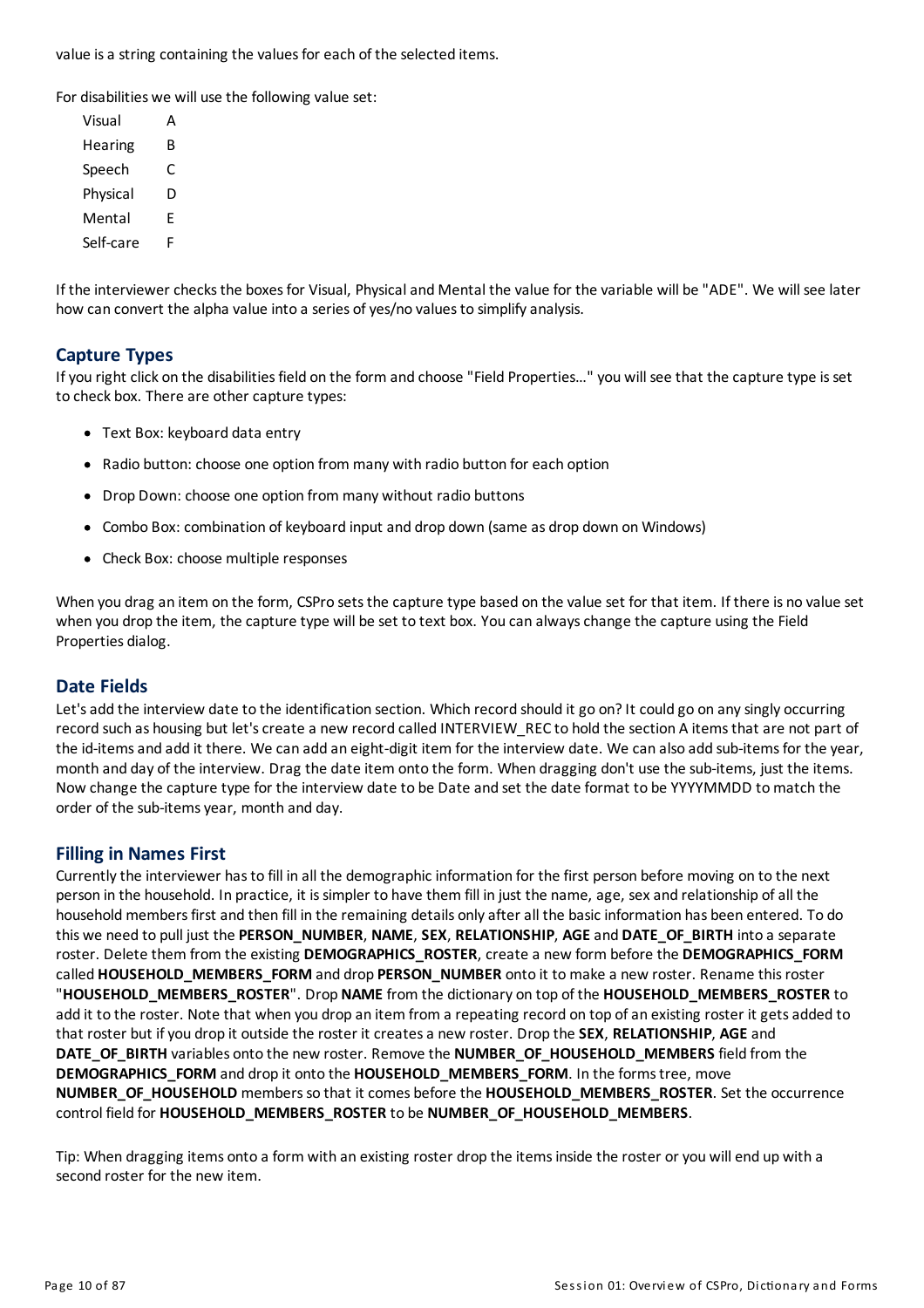value is a string containing the values for each of the selected items.

For disabilities we will use the following value set:

| Visual    |   |
|-----------|---|
| Hearing   | B |
| Speech    | C |
| Physical  | D |
| Mental    | F |
| Self-care | F |

If the interviewer checks the boxes for Visual, Physical and Mental the value for the variable will be "ADE". We will see later how can convert the alpha value into a series of yes/no values to simplify analysis.

#### **Capture Types**

Ifyou right click on the disabilitiesfield on the form and choose "Field Properties…" you will see that the capture type isset to check box. There are other capture types:

- Text Box: keyboard data entry
- Radio button: choose one option from many with radio button for each option
- Drop Down: choose one option from many without radio buttons
- Combo Box: combination of keyboard input and drop down (same as drop down on Windows)
- Check Box: choose multiple responses

When you drag an item on the form, CSPro sets the capture type based on the value set for that item. If there is no value set when you drop the item, the capture type will be set to text box. You can alwayschange the capture using the Field Properties dialog.

#### **Date Fields**

Let's add the interview date to the identification section. Which record should it go on? It could go on any singly occurring record such as housing but let's create a new record called INTERVIEW\_REC to hold the section A items that are not part of the id-items and add it there. We can add an eight-digit item for the interview date. We can also add sub-items for the year, month and day of the interview. Drag the date item onto the form. When dragging don't use the sub-items, just the items. Now change the capture type for the interview date to be Date and set the date format to be YYYYMMDD tomatch the order of the sub-itemsyear, month and day.

#### **Fillingin Names First**

Currentlythe interviewer hasto fill in all the demographic information for the first person before moving on to the next person in the household. In practice, it is simpler to have them fill in just the name, age, sex and relationship of all the household members first and then fill in the remaining details only after all the basic information has been entered. To do this we need to pull just the **PERSON\_NUMBER**, **NAME**, **SEX**, **RELATIONSHIP**, **AGE**and **DATE\_OF\_BIRTH** into a separate roster. Delete them from the existing **DEMOGRAPHICS\_ROSTER**, create a new form before the **DEMOGRAPHICS\_FORM** called **HOUSEHOLD\_MEMBERS\_FORM** and drop **PERSON\_NUMBER** onto it tomake a new roster. Rename thisroster "**HOUSEHOLD\_MEMBERS\_ROSTER**". Drop **NAME**from the dictionary on top of the **HOUSEHOLD\_MEMBERS\_ROSTER** to add it to the roster. Note that when you drop an item from a repeating record on top of an existing roster it gets added to that roster but ifyou drop it outside the roster it createsa new roster. Drop the **SEX**, **RELATIONSHIP**, **AGE**and **DATE\_OF\_BIRTH** variables onto the new roster. Remove the **NUMBER\_OF\_HOUSEHOLD\_MEMBERS** field from the **DEMOGRAPHICS\_FORM** and drop it onto the **HOUSEHOLD\_MEMBERS\_FORM**. In the formstree, move **NUMBER\_OF\_HOUSEHOLD** membersso that it comes before the **HOUSEHOLD\_MEMBERS\_ROSTER**. Set the occurrence control field for **HOUSEHOLD\_MEMBERS\_ROSTER** to be **NUMBER\_OF\_HOUSEHOLD\_MEMBERS**.

Tip: When dragging items onto a form with an existing roster drop the itemsinside the roster or you will end up with a second roster for the new item.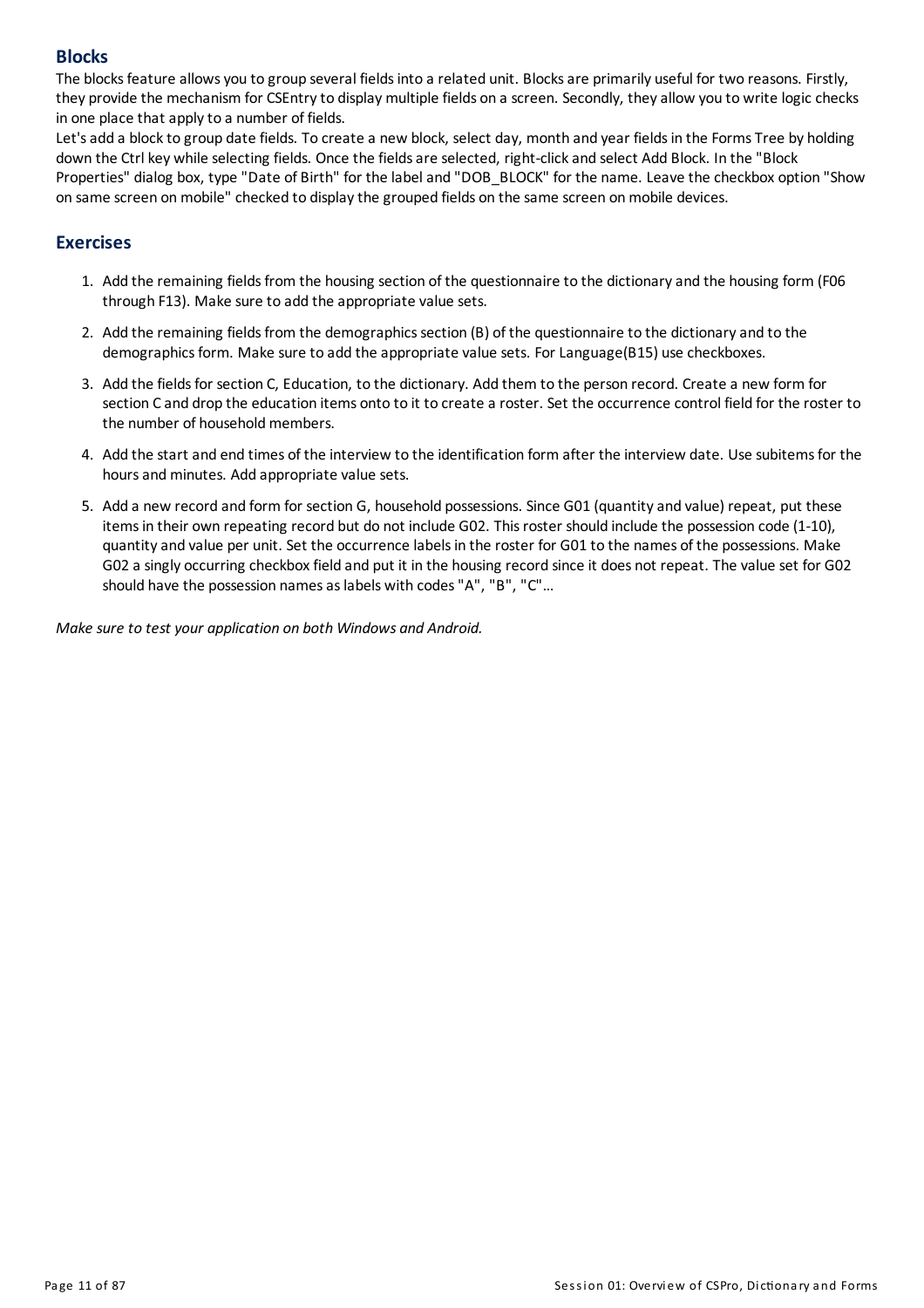#### **Blocks**

The blocks feature allows you to group several fields into a related unit. Blocks are primarily useful for two reasons. Firstly, they provide the mechanism for CSEntryto displaymultiple fields on a screen. Secondly, theyallow you to write logic checks in one place that apply to a number of fields.

Let's add a block to group date fields. To create a new block, select day, month and year fields in the Forms Tree by holding down the Ctrl key while selecting fields. Once the fields are selected, right-click and select Add Block. In the "Block Properties" dialog box, type "Date of Birth" for the label and "DOB\_BLOCK" for the name. Leave the checkbox option "Show on same screen on mobile" checked to display the grouped fields on the same screen on mobile devices.

#### **Exercises**

- 1. Add the remaining fields from the housing section of the questionnaire to the dictionary and the housing form (F06 through F13). Make sure to add the appropriate value sets.
- 2. Add the remaining fields from the demographics section (B) of the questionnaire to the dictionary and to the demographics form. Make sure to add the appropriate value sets. For Language(B15) use checkboxes.
- 3. Add the fields for section C, Education, to the dictionary. Add them to the person record. Create a new form for section C and drop the education items onto to it to create a roster. Set the occurrence control field for the roster to the number of household members.
- 4. Add the start and end times of the interview to the identification form after the interview date. Use subitemsfor the hours and minutes. Add appropriate value sets.
- 5. Add a new record and form for section G, household possessions. Since G01 (quantityand value) repeat, put these itemsin their own repeating record but do not include G02. Thisroster should include the possession code (1-10), quantityand value per unit. Set the occurrence labelsin the roster for G01 to the names of the possessions. Make G02 a singly occurring checkbox field and put it in the housing record since it does not repeat. The value set for G02 should have the possession names as labels with codes "A", "B", "C"...

*Make sure to test your application on both Windows and Android.*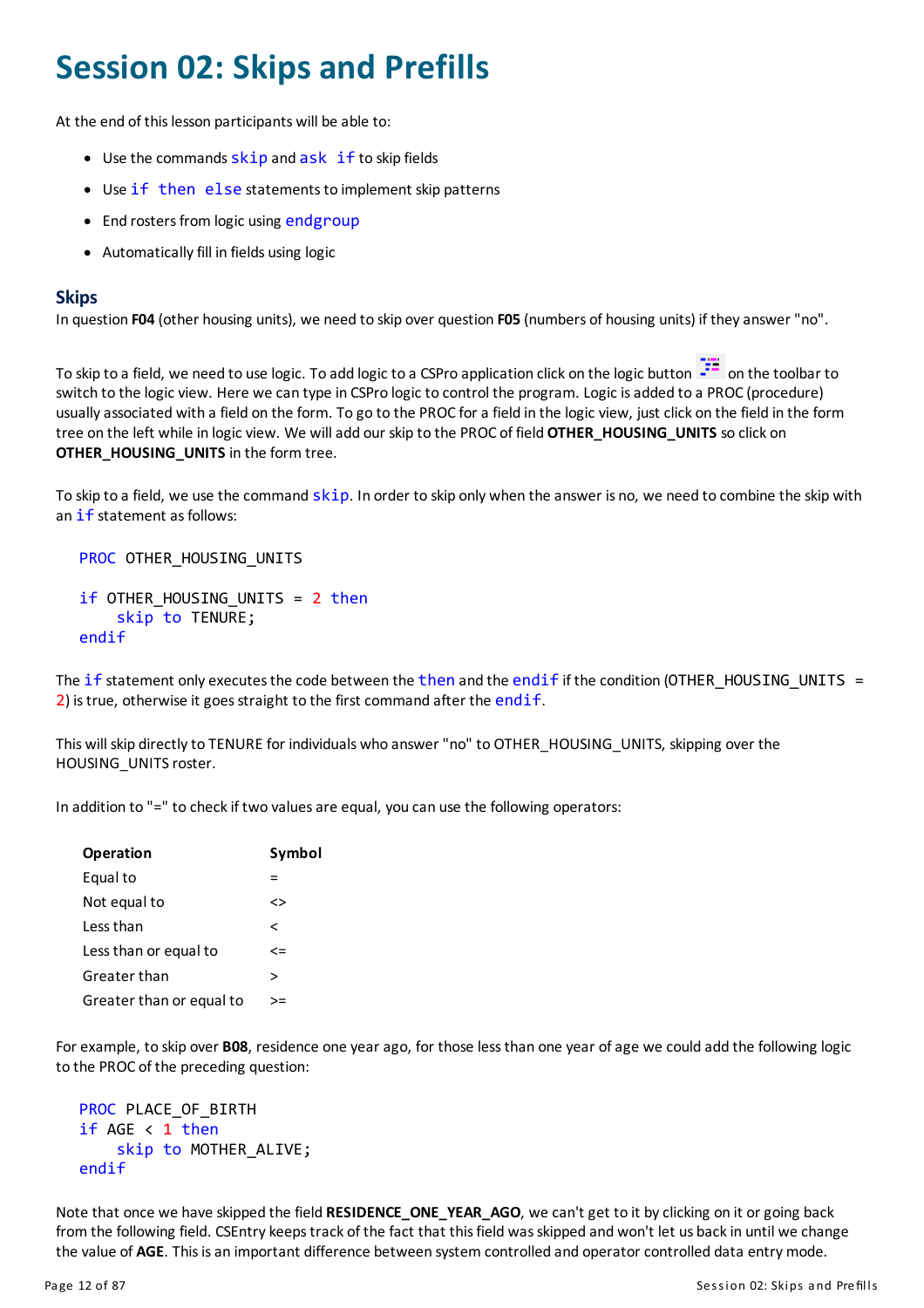## <span id="page-12-0"></span>**Session 02: Skips and Prefills**

At the end of this lesson participants will be able to:

- $\bullet$  Use the commands skip and ask if to skip fields
- Use if then else statements to implement skip patterns
- End rosters from logic using endgroup
- Automatically fill in fields using logic

#### **Skips**

In question **F04** (other housing units), we need to skip over question **F05** (numbers of housing units) if theyanswer "no".

To skip to a field, we need to use logic. To add logic to a CSPro application click on the logic button  $\frac{1}{1}$  on the toolbar to switch to the logic view. Here we can type in CSPro logic to control the program. Logic is added to a PROC (procedure) usuallyassociated with a field on the form. To go to the PROC fora field in the logic view, just click on the field in the form tree on the left while in logic view. We willadd our skip to the PROC of field **OTHER\_HOUSING\_UNITS** so click on **OTHER\_HOUSING\_UNITS** in the form tree.

To skip to a field, we use the command skip. In order to skip only when the answer is no, we need to combine the skip with an if statement as follows:

PROC OTHER\_HOUSING\_UNITS

```
if OTHER_HOUSING_UNITS = 2 then
    skip to TENURE;
endif
```
The if statement only executes the code between the then and the endif if the condition (OTHER\_HOUSING\_UNITS = 2) is true, otherwise it goes straight to the first command after the endif.

This will skip directly to TENURE for individuals who answer "no" to OTHER\_HOUSING\_UNITS, skipping over the HOUSING UNITS roster.

In addition to "=" to check if two values are equal, you can use the following operators:

| <b>Operation</b>         | Symbol |
|--------------------------|--------|
| Equal to                 |        |
| Not equal to             | <>     |
| Less than                | ≺      |
| Less than or equal to    | <=     |
| Greater than             | ↘      |
| Greater than or equal to | >=     |

For example, to skip over **B08**, residence one yearago, for those lessthan one year ofage we could add the following logic to the PROC of the preceding question:

```
PROC PLACE OF BIRTH
if AGE < 1 then
    skip to MOTHER_ALIVE;
endif
```
Note that once we have skipped the field **RESIDENCE\_ONE\_YEAR\_AGO**, we can't get to it byclicking on it orgoing back from the following field. CSEntry keeps track of the fact that this field was skipped and won't let us back in until we change the value of AGE. This is an important difference between system controlled and operator controlled data entry mode.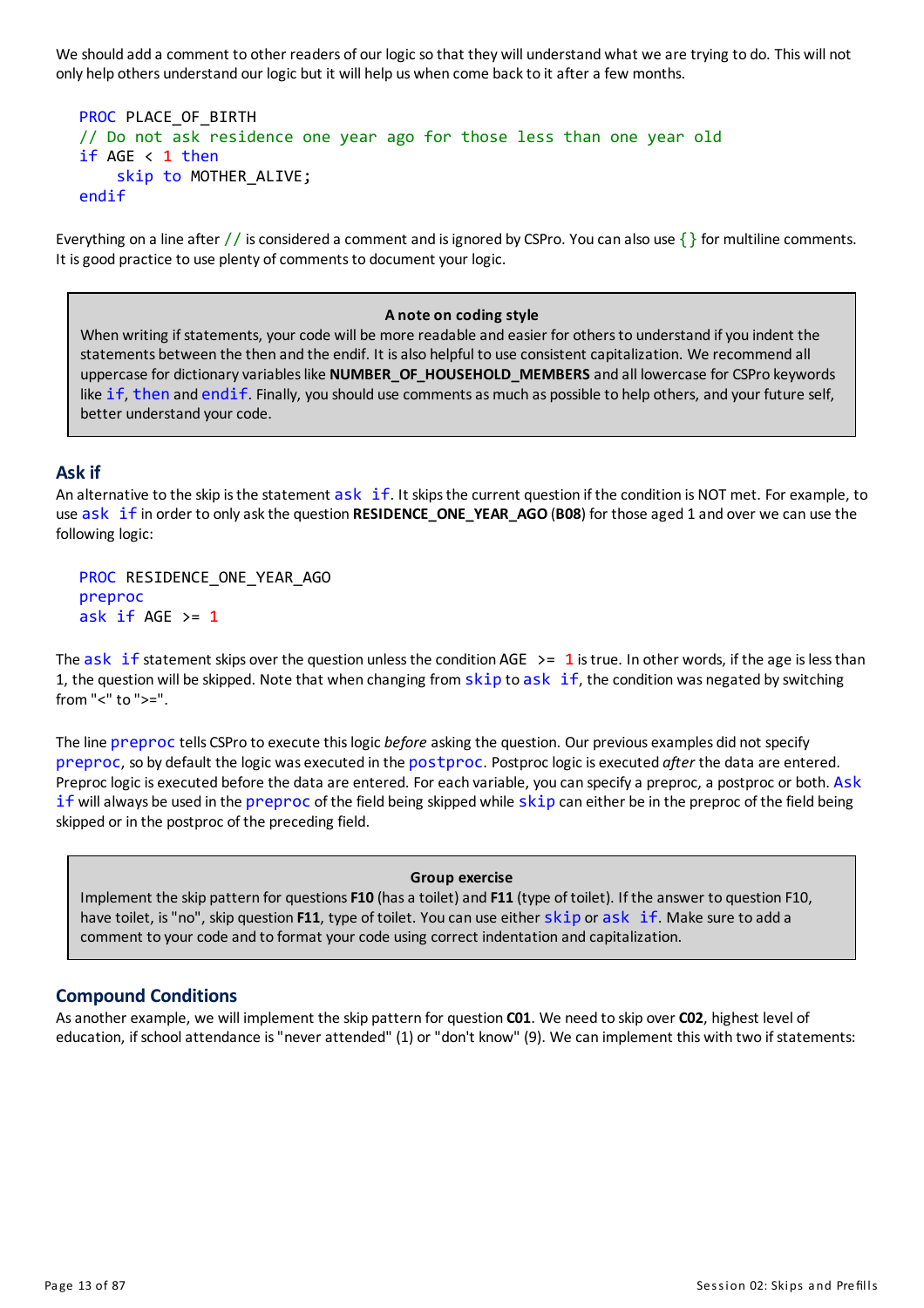We should add a comment to other readers of our logic so that they will understand what we are trying to do. This will not only help others understand our logic but it will help us when come backto it aftera few months.

```
PROC PLACE OF BIRTH
// Do not ask residence one year ago for those less than one year old
if AGE < 1 then
    skip to MOTHER_ALIVE;
endif
```
Everything on a line after // is considered a comment and is ignored by CSPro. You can also use  $\{\}$  for multiline comments. It is good practice to use plenty of comments to document your logic.

#### **A note on coding style**

When writing if statements, your code will be more readable and easier for others to understand if you indent the statements between the then and the endif. It isalso helpful to use consistent capitalization. We recommend all uppercase for dictionaryvariableslike **NUMBER\_OF\_HOUSEHOLD\_MEMBERS** and all lowercase for CSPro keywords like if, then and endif. Finally, you should use comments as much as possible to help others, and your future self, better understand your code.

#### **Askif**

An alternative to the skip is the statement  $ask$  if. It skips the current question if the condition is NOT met. For example, to use ask if in order to onlyaskthe question **RESIDENCE\_ONE\_YEAR\_AGO** (**B08**) for those aged 1 and over we can use the following logic:

PROC RESIDENCE ONE YEAR AGO preproc ask if  $AGE$  >= 1

The ask if statement skips over the question unless the condition AGE  $\ge$  = 1 is true. In other words, if the age is less than 1, the question will be skipped. Note that when changing from  $skip$  to ask if, the condition was negated by switching from "<" to ">=".

The line preproc tells CSPro to execute thislogic *before* asking the question. Our previous examples did not specify preproc, so by default the logic was executed in the postproc. Postproc logic is executed *after* the data are entered. Preproc logic is executed before the data are entered. For each variable, you can specifya preproc, a postproc or both. Ask if will always be used in the preproc of the field being skipped while skip can either be in the preproc of the field being skipped or in the postproc of the preceding field.

#### **Group exercise**

Implement the skip pattern for questions F10 (has a toilet) and F11 (type of toilet). If the answer to question F10, have toilet, is"no", skip question **F11**, type of toilet. You can use either skip or ask if. Make sure to add a comment to your code and to format your code using correct indentation and capitalization.

#### **Compound Conditions**

Asanother example, we will implement the skip pattern for question **C01**. We need to skip over **C02**, highest level of education, if school attendance is "never attended" (1) or "don't know" (9). We can implement this with two if statements: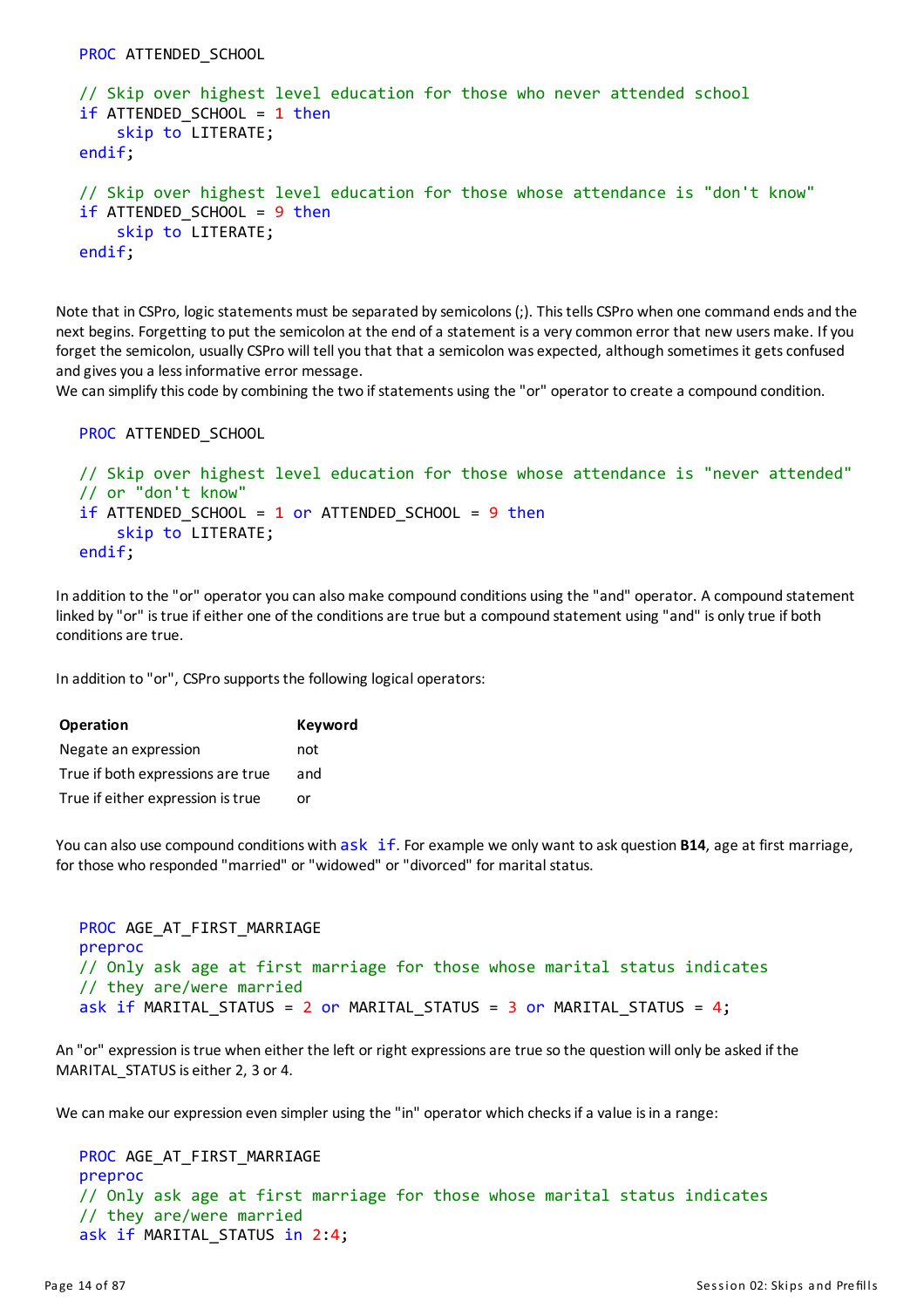```
PROC ATTENDED SCHOOL
```

```
// Skip over highest level education for those who never attended school
if ATTENDED SCHOOL = 1 then
    skip to LITERATE;
endif;
// Skip over highest level education for those whose attendance is "don't know"
if ATTENDED SCHOOL = 9 then
    skip to LITERATE;
endif;
```
Note that in CSPro, logic statements must be separated by semicolons (;). This tells CSPro when one command ends and the next begins. Forgetting to put the semicolon at the end of a statement is a very common error that new users make. If you forget the semicolon, usually CSPro will tell you that that a semicolon was expected, although sometimes it gets confused and gives you a less informative error message.

We can simplify this code by combining the two if statements using the "or" operator to create a compound condition.

```
PROC ATTENDED_SCHOOL
```

```
// Skip over highest level education for those whose attendance is "never attended"
// or "don't know"
if ATTENDED SCHOOL = 1 or ATTENDED SCHOOL = 9 then
    skip to LITERATE;
endif;
```
In addition to the "or" operator you can alsomake compound conditions using the "and" operator. A compound statement linked by "or" is true if either one of the conditions are true but a compound statement using "and" is only true if both conditions are true.

In addition to "or", CSPro supports the following logical operators:

| <b>Operation</b>                  | <b>Keyword</b> |
|-----------------------------------|----------------|
| Negate an expression              | not            |
| True if both expressions are true | and            |
| True if either expression is true | nr             |

You can also use compound conditions with ask if. For example we only want to ask question **B14**, age at first marriage, for those who responded "married" or "widowed" or "divorced" for marital status.

```
PROC AGE AT FIRST MARRIAGE
preproc
// Only ask age at first marriage for those whose marital status indicates
// they are/were married
ask if MARITAL STATUS = 2 or MARITAL STATUS = 3 or MARITAL STATUS = 4;
```
An "or" expression istrue when either the left or right expressionsare true so the question will only be asked if the MARITAL STATUS is either 2, 3 or 4.

We can make our expression even simpler using the "in" operator which checks if a value is in a range:

```
PROC AGE AT FIRST MARRIAGE
preproc
// Only ask age at first marriage for those whose marital status indicates
// they are/were married
ask if MARITAL STATUS in 2:4;
```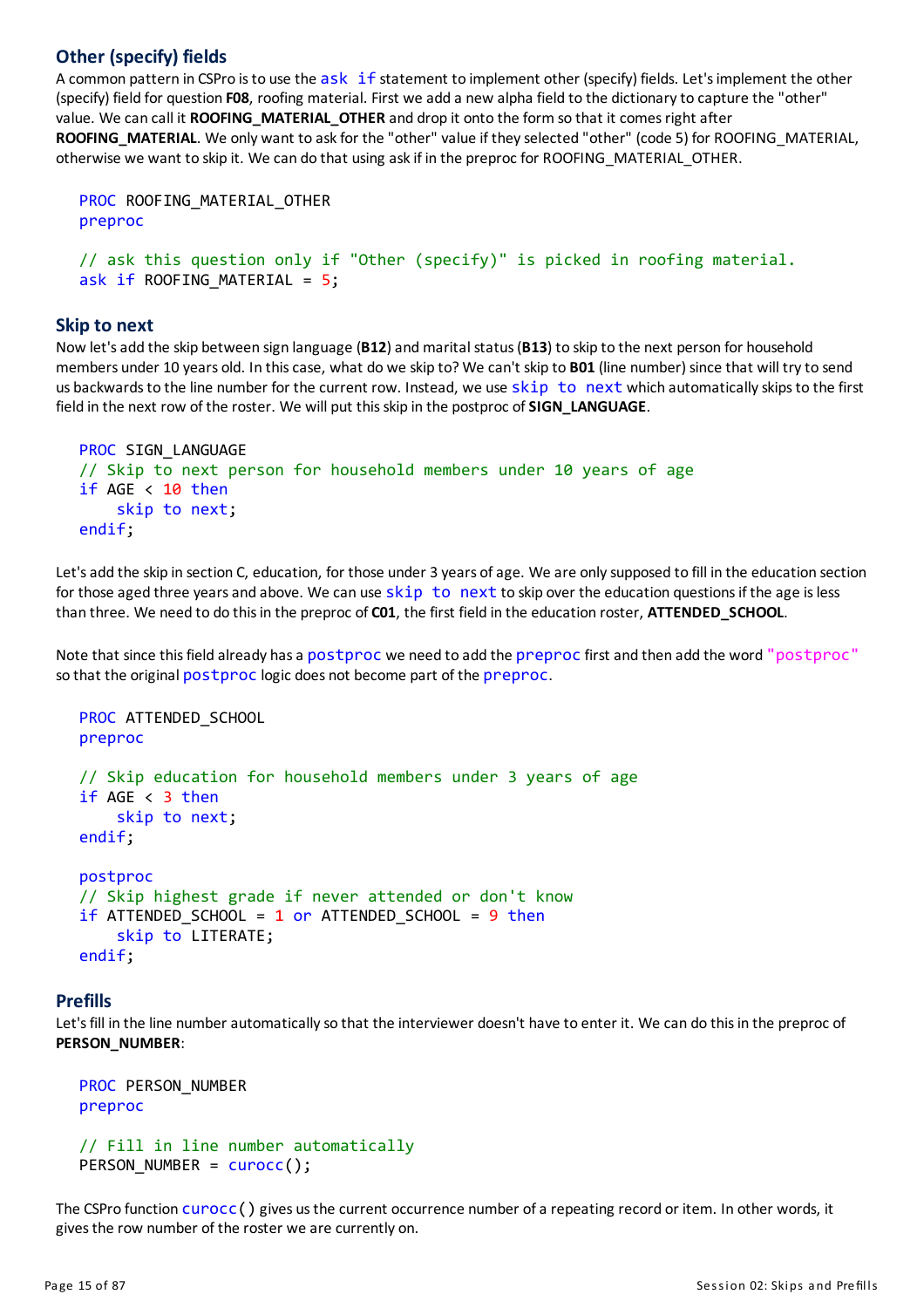#### **Other (specify) fields**

A common pattern in CSPro is to use the ask if statement to implement other (specify) fields. Let's implement the other (specify) field for question **F08**, roofing material. First we add a new alpha field to the dictionaryto capture the "other" value. We can call it **ROOFING\_MATERIAL\_OTHER** and drop it onto the form so that it comesright after ROOFING\_MATERIAL. We only want to ask for the "other" value if they selected "other" (code 5) for ROOFING\_MATERIAL, otherwise we want to skip it. We can do that using askif in the preproc for ROOFING\_MATERIAL\_OTHER.

```
PROC ROOFING MATERIAL OTHER
preproc
```

```
// ask this question only if "Other (specify)" is picked in roofing material.
ask if ROOFING MATERIAL = 5;
```
#### **Skip to next**

Now let's add the skip between sign language (B12) and marital status (B13) to skip to the next person for household members under 10 years old. In thiscase, what do we skip to? We can't skip to **B01** (line number) since that will tryto send us backwards to the line number for the current row. Instead, we use skip to next which automatically skips to the first field in the next row of the roster. We will put thisskip in the postproc of**SIGN\_LANGUAGE**.

```
PROC SIGN LANGUAGE
// Skip to next person for household members under 10 years of age
if AGE < 10 then
    skip to next;
endif;
```
Let's add the skip in section C, education, for those under 3 years of age. We are only supposed to fill in the education section for those aged three years and above. We can use  $skip$  to next to skip over the education questions if the age is less than three. We need to do thisin the preproc of **C01**, the first field in the education roster, **ATTENDED\_SCHOOL**.

Note that since thisfield already hasa postproc we need to add the preproc first and then add the word "postproc" so that the original postproc logic does not become part of the preproc.

```
PROC ATTENDED SCHOOL
preproc
// Skip education for household members under 3 years of age
if AGE < 3 then
    skip to next;
endif;
postproc
// Skip highest grade if never attended or don't know
if ATTENDED SCHOOL = 1 or ATTENDED SCHOOL = 9 then
    skip to LITERATE;
endif;
```
#### **Prefills**

Let's fill in the line number automatically so that the interviewer doesn't have to enter it. We can do this in the preproc of **PERSON\_NUMBER**:

```
PROC PERSON_NUMBER
preproc
// Fill in line number automatically
PERSON_NUMBER = curocc();
```
The CSPro function curocc () gives us the current occurrence number of a repeating record or item. In other words, it gives the row number of the roster we are currently on.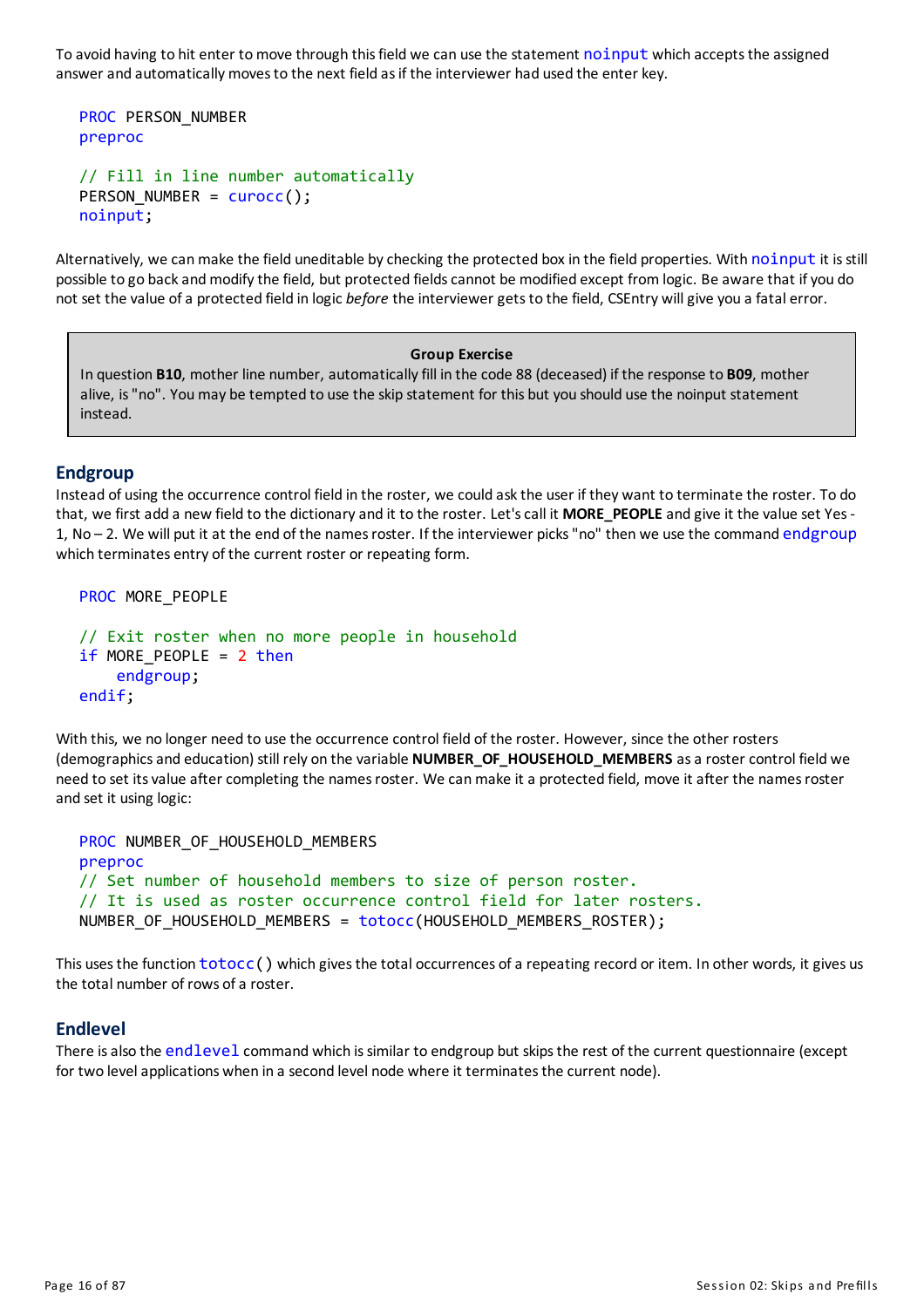To avoid having to hit enter to move through this field we can use the statement noinput which accepts the assigned answer and automatically moves to the next field as if the interviewer had used the enter key.

```
PROC PERSON_NUMBER
preproc
```

```
// Fill in line number automatically
PERSON_NUMBER = curocc();
noinput;
```
Alternatively, we can make the field uneditable by checking the protected box in the field properties. With noinput it is still possible to go back and modify the field, but protected fields cannot be modified except from logic. Be aware that if you do not set the value ofa protected field in logic *before* the interviewergetsto the field, CSEntry willgive you a fatal error.

#### **Group Exercise**

In question **B10**, mother line number, automaticallyfill in the code 88 (deceased) if the response to **B09**, mother alive, is"no". Youmay be tempted to use the skip statement for this but you should use the noinput statement instead.

#### **Endgroup**

Instead of using the occurrence control field in the roster, we could askthe user if they want to terminate the roster. To do that, we first add a new field to the dictionaryand it to the roster. Let'scall it **MORE\_PEOPLE**and give it the value set Yes-1, No - 2. We will put it at the end of the names roster. If the interviewer picks "no" then we use the command endgroup which terminates entry of the current roster or repeating form.

```
PROC MORE PEOPLE
// Exit roster when no more people in household
if MORE PEOPLE = 2 then
    endgroup;
endif;
```
With this, we no longer need to use the occurrence control field of the roster. However, since the other rosters (demographicsand education) still rely on the variable **NUMBER\_OF\_HOUSEHOLD\_MEMBERS** asa roster control field we need to set its value after completing the names roster. We can make it a protected field, move it after the names roster and set it using logic:

```
PROC NUMBER OF HOUSEHOLD MEMBERS
preproc
// Set number of household members to size of person roster.
// It is used as roster occurrence control field for later rosters.
NUMBER_OF_HOUSEHOLD_MEMBERS = totocc(HOUSEHOLD_MEMBERS_ROSTER);
```
This uses the function  $totocc()$  which gives the total occurrences of a repeating record or item. In other words, it gives us the total number of rows of a roster.

#### **Endlevel**

There is also the endlevel command which is similar to endgroup but skips the rest of the current questionnaire (except for two level applications when in a second level node where it terminates the current node).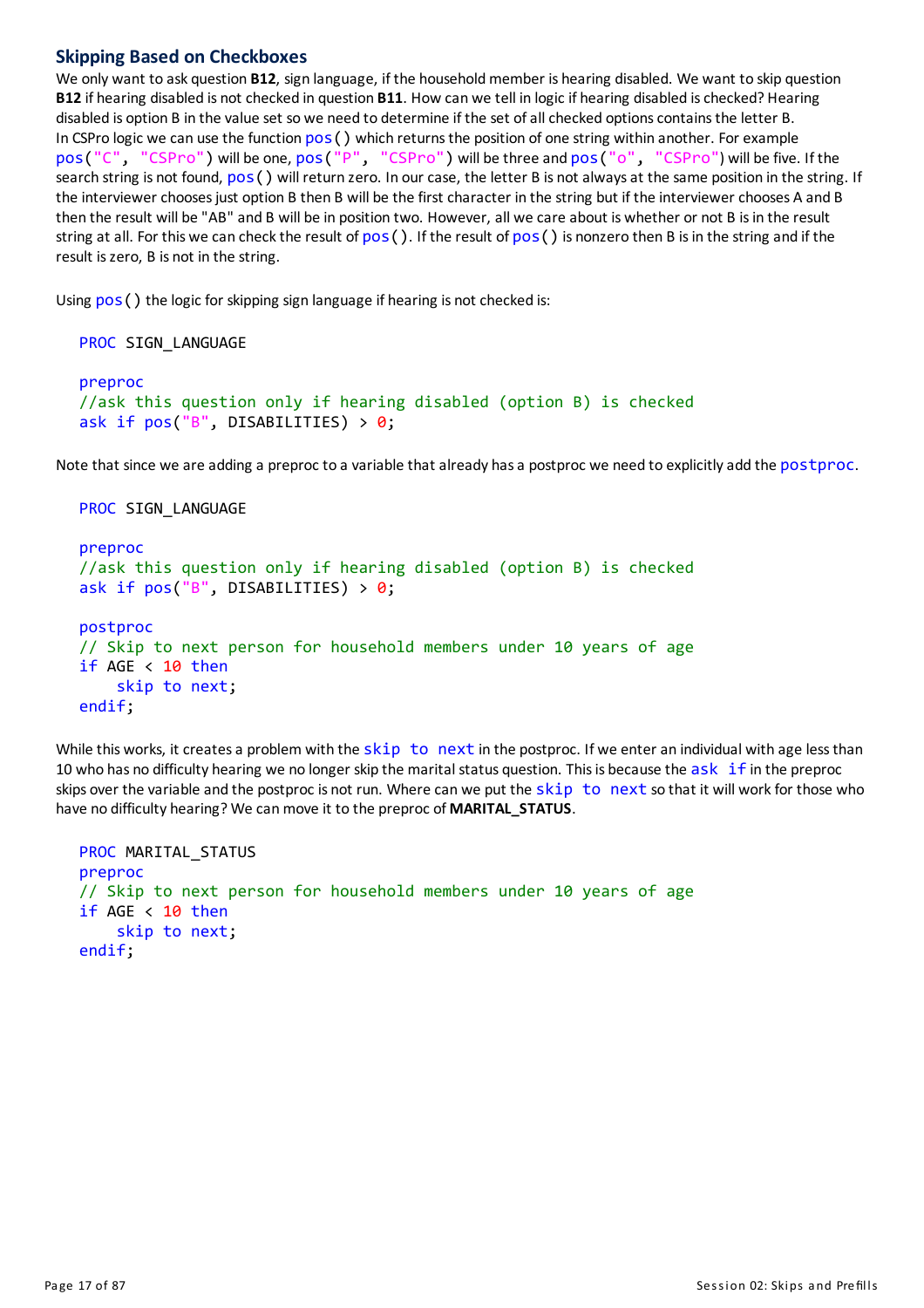#### **Skipping Based on Checkboxes**

We only want to ask question **B12**, sign language, if the household member is hearing disabled. We want to skip question **B12** if hearing disabled is not checked in question **B11**. How can we tell in logic if hearing disabled ischecked? Hearing disabled is option B in the value set so we need to determine if the set of all checked options contains the letter B. In CSPro logic we can use the function  $pos()$  which returns the position of one string within another. For example pos("C", "CSPro") will be one, pos("P", "CSPro") will be three and pos("o", "CSPro") will be five. If the search string is not found,  $pos()$  will return zero. In our case, the letter B is not always at the same position in the string. If the interviewer choosesjust option B then B will be the first character in the string but if the interviewer chooses A and B then the result will be "AB" and B will be in position two. However, all we care about is whether or not B isin the result string at all. For this we can check the result of  $pos()$ . If the result of  $pos()$  is nonzero then B is in the string and if the result iszero, B is not in the string.

Using  $pos()$  the logic for skipping sign language if hearing is not checked is:

```
PROC SIGN LANGUAGE
preproc
//ask this question only if hearing disabled (option B) is checked
ask if pos("B", DISABILITYS) > 0;
```
Note that since we are adding a preproc to a variable that already has a postproc we need to explicitly add the postproc.

```
PROC SIGN LANGUAGE
preproc
//ask this question only if hearing disabled (option B) is checked
ask if pos("B", DISABILITYS) > 0;postproc
// Skip to next person for household members under 10 years of age
if AGE < 10 then
    skip to next;
endif;
```
While this works, it creates a problem with the skip to next in the postproc. If we enter an individual with age less than 10 who has no difficulty hearing we no longer skip the marital status question. This is because the ask if in the preproc skips over the variable and the postproc is not run. Where can we put the  $skip$  to next so that it will work for those who have no difficulty hearing? We canmove it to the preproc of **MARITAL\_STATUS**.

```
PROC MARITAL_STATUS
preproc
// Skip to next person for household members under 10 years of age
if AGE \langle 10 then
    skip to next;
endif;
```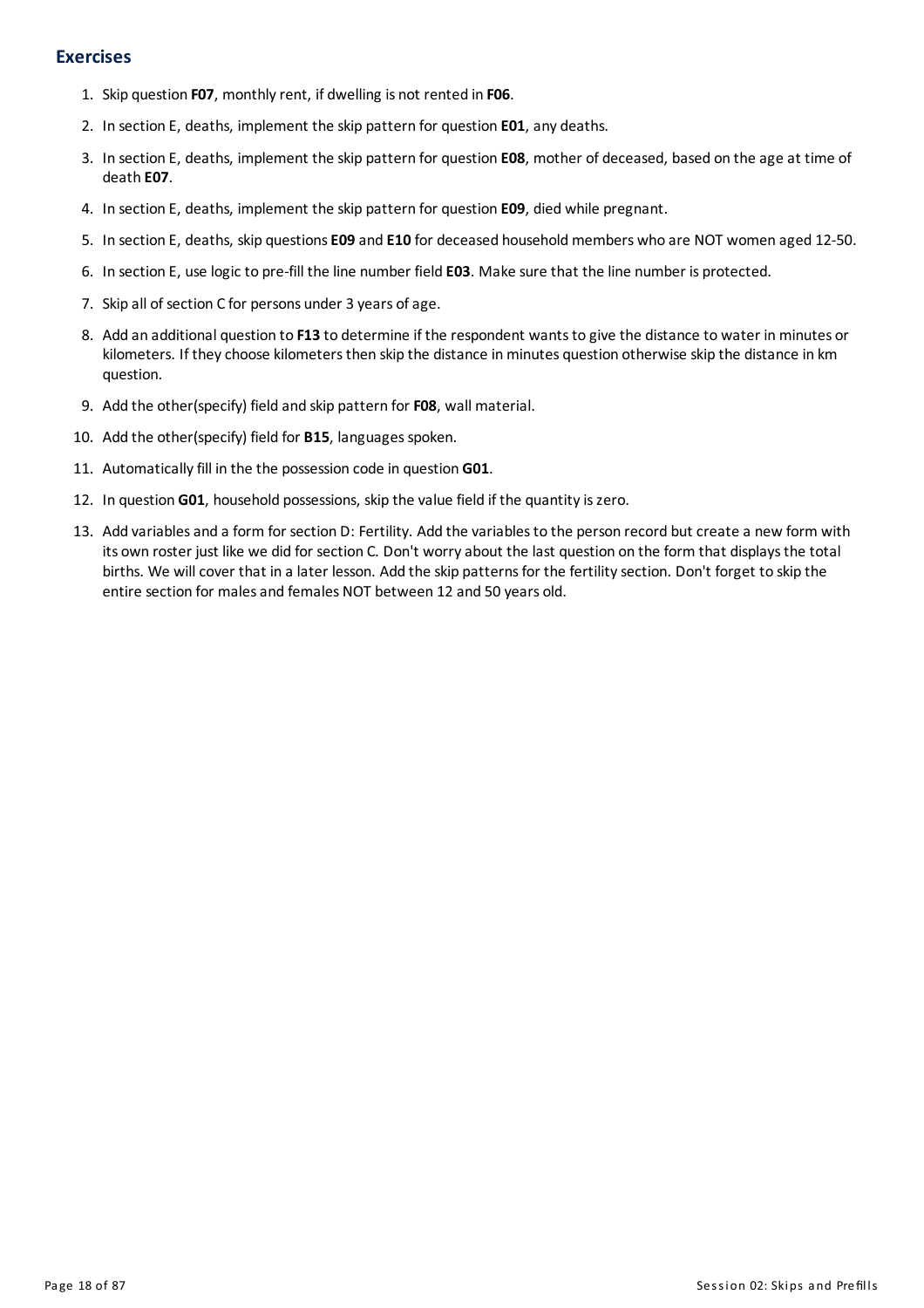#### **Exercises**

- 1. Skip question **F07**, monthlyrent, if dwelling is not rented in **F06**.
- 2. In section E, deaths, implement the skip pattern for question **E01**, any deaths.
- 3. In section E, deaths, implement the skip pattern for question **E08**, mother of deceased, based on the age at time of death **E07**.
- 4. In section E, deaths, implement the skip pattern for question **E09**, died while pregnant.
- 5. In section E, deaths, skip questions**E09** and **E10** for deceased householdmembers who are NOT women aged 12-50.
- 6. In section E, use logic to pre-fill the line number field **E03**. Make sure that the line number is protected.
- 7. Skip all of section C for persons under 3 years of age.
- 8. Add an additional question to **F13** to determine if the respondent wantsto give the distance to water inminutes or kilometers. If they choose kilometers then skip the distance in minutes question otherwise skip the distance in km question.
- 9. Add the other(specify) field and skip pattern for **F08**, wall material.
- 10. Add the other(specify) field for **B15**, languages spoken.
- 11. Automaticallyfill in the the possession code in question **G01**.
- 12. In question G01, household possessions, skip the value field if the quantity is zero.
- 13. Add variables and a form for section D: Fertility. Add the variables to the person record but create a new form with its own roster just like we did for section C. Don't worry about the last question on the form that displays the total births. We will cover that in a later lesson. Add the skip patterns for the fertility section. Don't forget to skip the entire section for males and females NOT between 12 and 50 years old.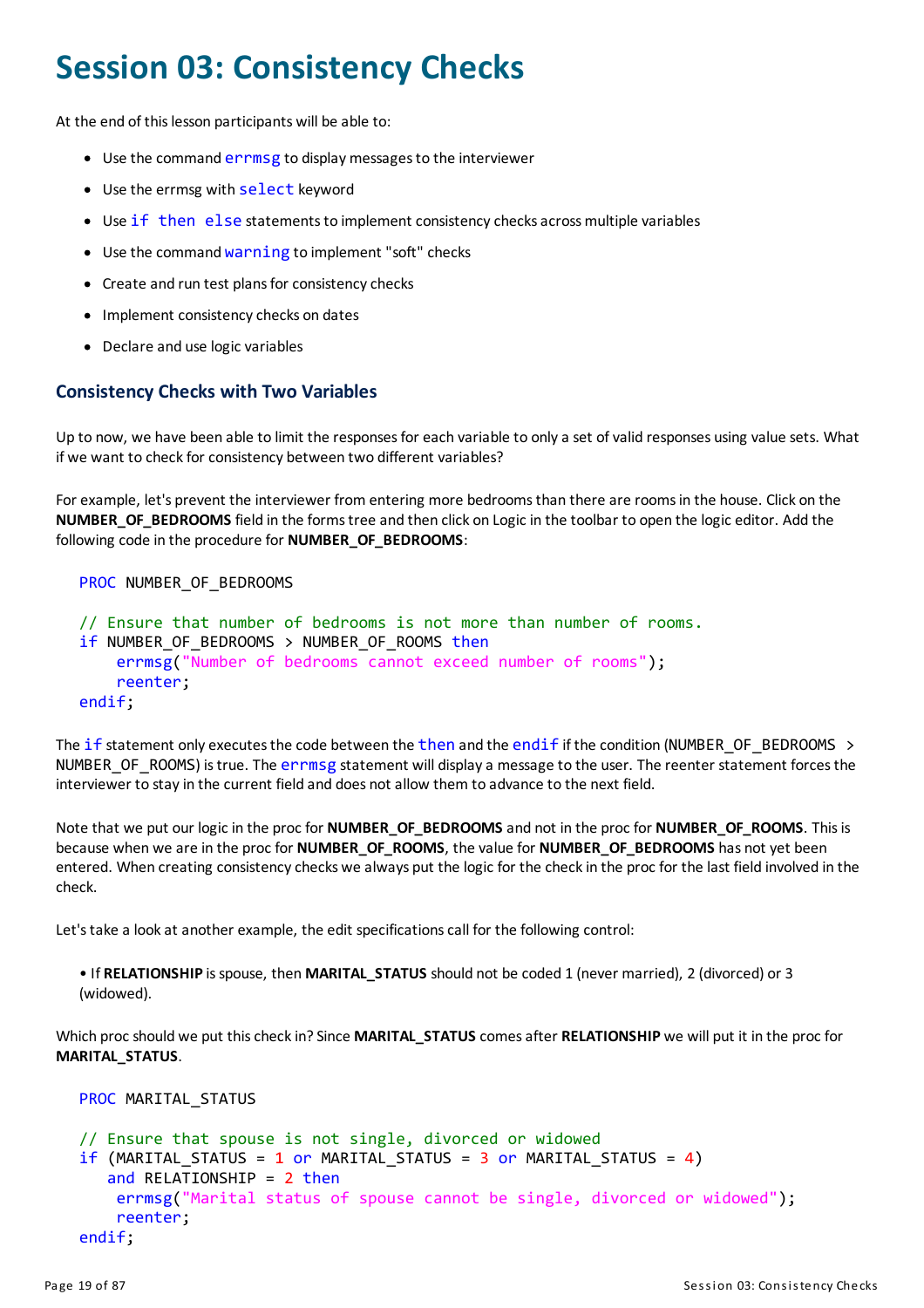### <span id="page-19-0"></span>**Session 03: Consistency Checks**

At the end of this lesson participants will be able to:

- Use the command errmsg to display messages to the interviewer
- Use the errmsg with select keyword
- Use if then else statements to implement consistency checks across multiple variables
- Use the command warning to implement "soft" checks
- Create and run test plans for consistency checks
- Implement consistency checks on dates
- Declare and use logic variables

#### **Consistency Checks with Two Variables**

Up to now, we have been able to limit the responses for each variable to only a set of valid responses using value sets. What if we want to check for consistency between two different variables?

For example, let's prevent the interviewer from entering more bedroomsthan there are roomsin the house. Click on the **NUMBER\_OF\_BEDROOMS** field in the formstree and then click on Logic in the toolbar to open the logic editor. Add the following code in the procedure for **NUMBER\_OF\_BEDROOMS**:

PROC NUMBER OF BEDROOMS

```
// Ensure that number of bedrooms is not more than number of rooms.
if NUMBER OF BEDROOMS > NUMBER OF ROOMS then
    errmsg("Number of bedrooms cannot exceed number of rooms");
    reenter;
endif;
```
The if statement only executes the code between the then and the endif if the condition (NUMBER\_OF\_BEDROOMS  $\rightarrow$ NUMBER OF ROOMS) is true. The errmsg statement will display a message to the user. The reenter statement forces the interviewer to stayin the current field and does not allow them to advance to the next field.

Note that we put our logic in the proc for **NUMBER\_OF\_BEDROOMS** and not in the proc for **NUMBER\_OF\_ROOMS**. Thisis because when we are in the proc for **NUMBER\_OF\_ROOMS**, the value for **NUMBER\_OF\_BEDROOMS** has not yet been entered. When creating consistency checks we always put the logic for the check in the proc for the last field involved in the check.

Let's take a look at another example, the edit specifications call for the following control:

```
• If RELATIONSHIP isspouse, then MARITAL_STATUS should not be coded 1 (never married), 2 (divorced) or 3
(widowed).
```
Which proc should we put this check in? Since **MARITAL STATUS** comes after **RELATIONSHIP** we will put it in the proc for **MARITAL\_STATUS**.

```
PROC MARITAL STATUS
```

```
// Ensure that spouse is not single, divorced or widowed
if (MARITAL STATUS = 1 or MARITAL STATUS = 3 or MARITAL STATUS = 4)
   and RELATIONSHIP = 2 then
    errmsg("Marital status of spouse cannot be single, divorced or widowed");
    reenter;
endif;
```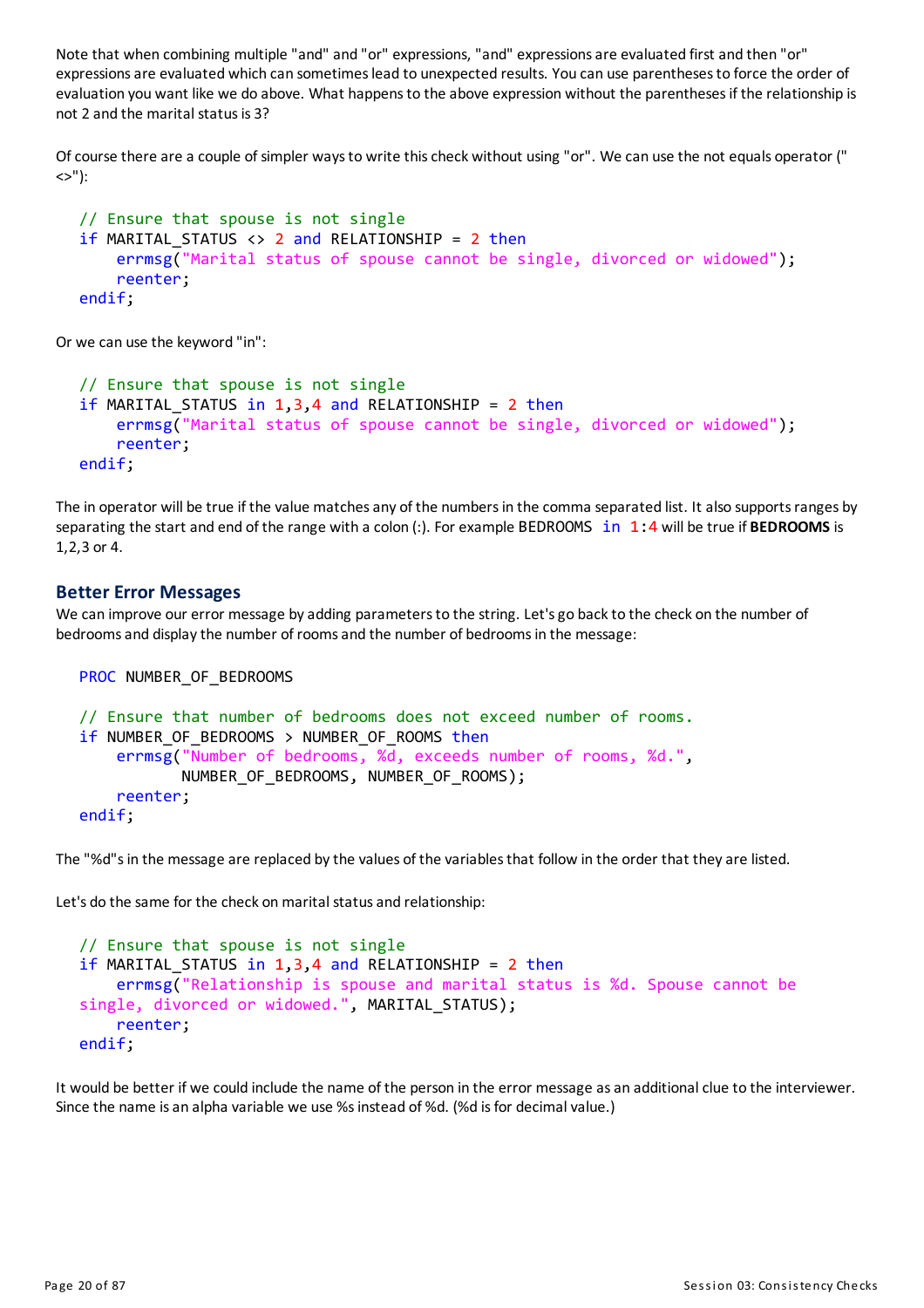Note that when combining multiple "and" and "or" expressions, "and" expressionsare evaluated first and then "or" expressions are evaluated which can sometimes lead to unexpected results. You can use parentheses to force the order of evaluation you want like we do above. What happens to the above expression without the parentheses if the relationship is not 2 and the marital status is 3?

Ofcourse there are a couple of simpler waysto write thischeck without using "or". We can use the not equals operator (" <>"):

```
// Ensure that spouse is not single
if MARITAL STATUS \langle \rangle 2 and RELATIONSHIP = 2 then
    errmsg("Marital status of spouse cannot be single, divorced or widowed");
    reenter;
endif;
```
Or we can use the keyword "in":

```
// Ensure that spouse is not single
if MARITAL STATUS in 1,3,4 and RELATIONSHIP = 2 then
    errmsg("Marital status of spouse cannot be single, divorced or widowed");
    reenter;
endif;
```
The in operator will be true if the value matches any of the numbers in the comma separated list. It also supports ranges by separating the start and end of the range with a colon (:). For example BEDROOMS in 1:4 will be true if **BEDROOMS** is 1,2,3 or 4.

#### **Better Error Messages**

We can improve our error message by adding parameters to the string. Let's go back to the check on the number of bedrooms and display the number of rooms and the number of bedrooms in the message:

```
PROC NUMBER OF BEDROOMS
```

```
// Ensure that number of bedrooms does not exceed number of rooms.
if NUMBER OF BEDROOMS > NUMBER OF ROOMS then
    errmsg("Number of bedrooms, %d, exceeds number of rooms, %d.",
           NUMBER OF BEDROOMS, NUMBER OF ROOMS);
    reenter;
endif;
```
The "%d"s in the message are replaced by the values of the variables that follow in the order that they are listed.

Let's do the same for the check on marital status and relationship:

```
// Ensure that spouse is not single
if MARITAL STATUS in 1,3,4 and RELATIONSHIP = 2 then
    errmsg("Relationship is spouse and marital status is %d. Spouse cannot be
single, divorced or widowed.", MARITAL STATUS);
    reenter;
endif;
```
It would be better if we could include the name of the person in the error message as an additional clue to the interviewer. Since the name is an alpha variable we use %s instead of %d. (%d is for decimal value.)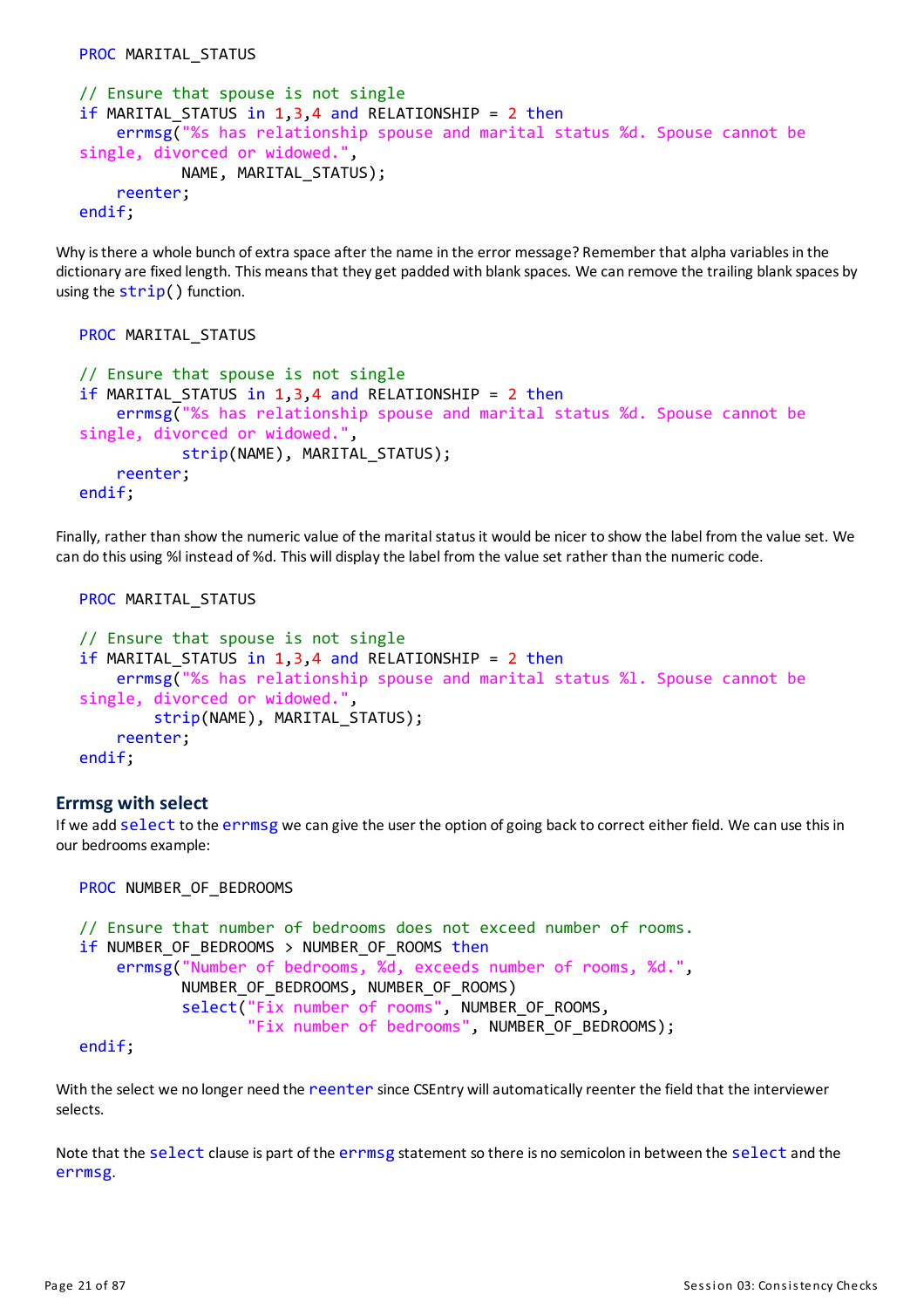```
PROC MARITAL STATUS
```

```
// Ensure that spouse is not single
if MARITAL STATUS in 1,3,4 and RELATIONSHIP = 2 then
    errmsg("%s has relationship spouse and marital status %d. Spouse cannot be
single, divorced or widowed."
           NAME, MARITAL_STATUS);
    reenter;
endif;
```
Why is there a whole bunch of extra space after the name in the error message? Remember that alpha variables in the dictionary are fixed length. This means that they get padded with blank spaces. We can remove the trailing blank spaces by using the  $strip()$  function.

```
PROC MARITAL STATUS
// Ensure that spouse is not single
if MARITAL STATUS in 1,3,4 and RELATIONSHIP = 2 then
    errmsg("%s has relationship spouse and marital status %d. Spouse cannot be
single, divorced or widowed."
           strip(NAME), MARITAL STATUS);
    reenter;
endif;
```
Finally, rather than show the numeric value of the marital statusit would be nicer to show the label from the value set. We can do this using %l instead of %d. This will displaythe label from the value set rather than the numeric code.

```
PROC MARITAL STATUS
// Ensure that spouse is not single
if MARITAL STATUS in 1,3,4 and RELATIONSHIP = 2 then
    errmsg("%s has relationship spouse and marital status %l. Spouse cannot be
single, divorced or widowed.",
        strip(NAME), MARITAL STATUS);
    reenter;
endif;
```
#### **Errmsg with select**

If we add select to the errmsg we can give the user the option of going back to correct either field. We can use this in our bedrooms example:

```
PROC NUMBER OF BEDROOMS
```

```
// Ensure that number of bedrooms does not exceed number of rooms.
if NUMBER OF BEDROOMS > NUMBER OF ROOMS then
    errmsg("Number of bedrooms, %d, exceeds number of rooms, %d.",
           NUMBER OF BEDROOMS, NUMBER OF ROOMS)
           select("Fix number of rooms", NUMBER_OF_ROOMS,
                  "Fix number of bedrooms", NUMBER_OF_BEDROOMS);
```
endif;

With the select we no longer need the reenter since CSEntry will automatically reenter the field that the interviewer selects.

Note that the select clause is part of the errmsg statement so there is no semicolon in between the select and the errmsg.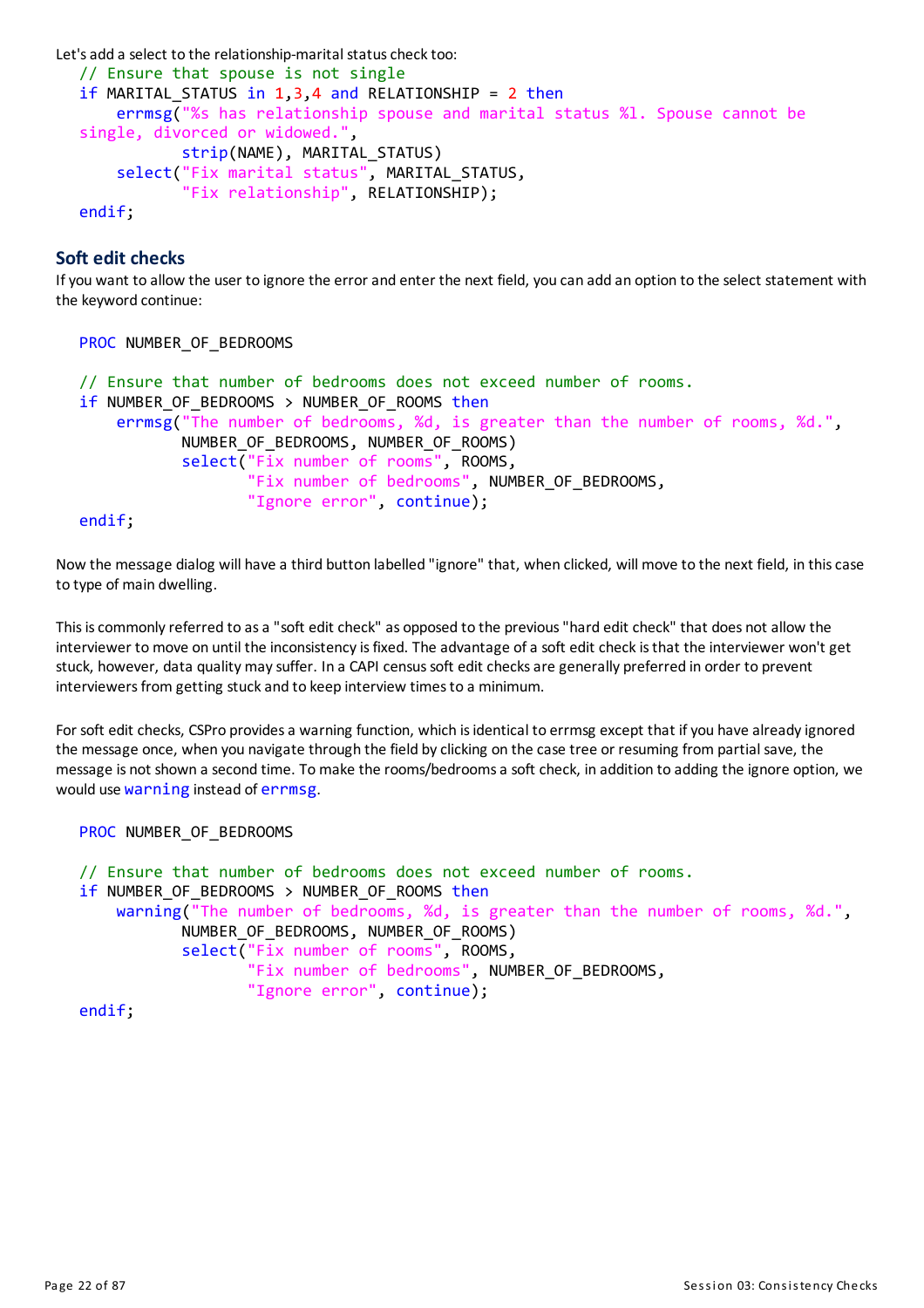```
Let's add a select to the relationship-marital status check too:
```

```
// Ensure that spouse is not single
if MARITAL STATUS in 1,3,4 and RELATIONSHIP = 2 then
    errmsg("%s has relationship spouse and marital status %l. Spouse cannot be
single, divorced or widowed.",
           strip(NAME), MARITAL_STATUS)
    select("Fix marital status", MARITAL_STATUS,
           "Fix relationship", RELATIONSHIP);
endif;
```
**Soft edit checks**

Ifyou want to allow the user to ignore the errorand enter the next field, you can add an option to the select statement with the keyword continue:

```
PROC NUMBER OF BEDROOMS
// Ensure that number of bedrooms does not exceed number of rooms.
if NUMBER OF BEDROOMS > NUMBER OF ROOMS then
    errmsg("The number of bedrooms, %d, is greater than the number of rooms, %d.",
           NUMBER_OF_BEDROOMS, NUMBER_OF_ROOMS)
           select("Fix number of rooms", ROOMS,
                  "Fix number of bedrooms", NUMBER_OF_BEDROOMS,
                  "Ignore error", continue);
```
endif;

Now the message dialog will have a third button labelled "ignore" that, when clicked, will move to the next field, in thiscase to type of main dwelling.

Thisiscommonlyreferred to asa "soft edit check" as opposed to the previous"hard edit check" that does not allow the interviewer to move on until the inconsistency is fixed. The advantage of a soft edit check is that the interviewer won't get stuck, however, data qualitymaysuffer. In a CAPI censussoft edit checksare generally preferred in order to prevent interviewers from getting stuck and to keep interview times to a minimum.

For soft edit checks, CSPro provides a warning function, which is identical to errmsg except that if you have already ignored the message once, when you navigate through the field byclicking on the case tree or resuming from partial save, the message is not shown a second time. To make the rooms/bedrooms a soft check, in addition to adding the ignore option, we would use warning instead of errmsg.

```
PROC NUMBER_OF_BEDROOMS
```

```
// Ensure that number of bedrooms does not exceed number of rooms.
if NUMBER OF BEDROOMS > NUMBER OF ROOMS then
   warning("The number of bedrooms, %d, is greater than the number of rooms, %d.",
           NUMBER_OF_BEDROOMS, NUMBER_OF_ROOMS)
           select("Fix number of rooms", ROOMS,
                  "Fix number of bedrooms", NUMBER_OF_BEDROOMS,
                  "Ignore error", continue);
```
endif;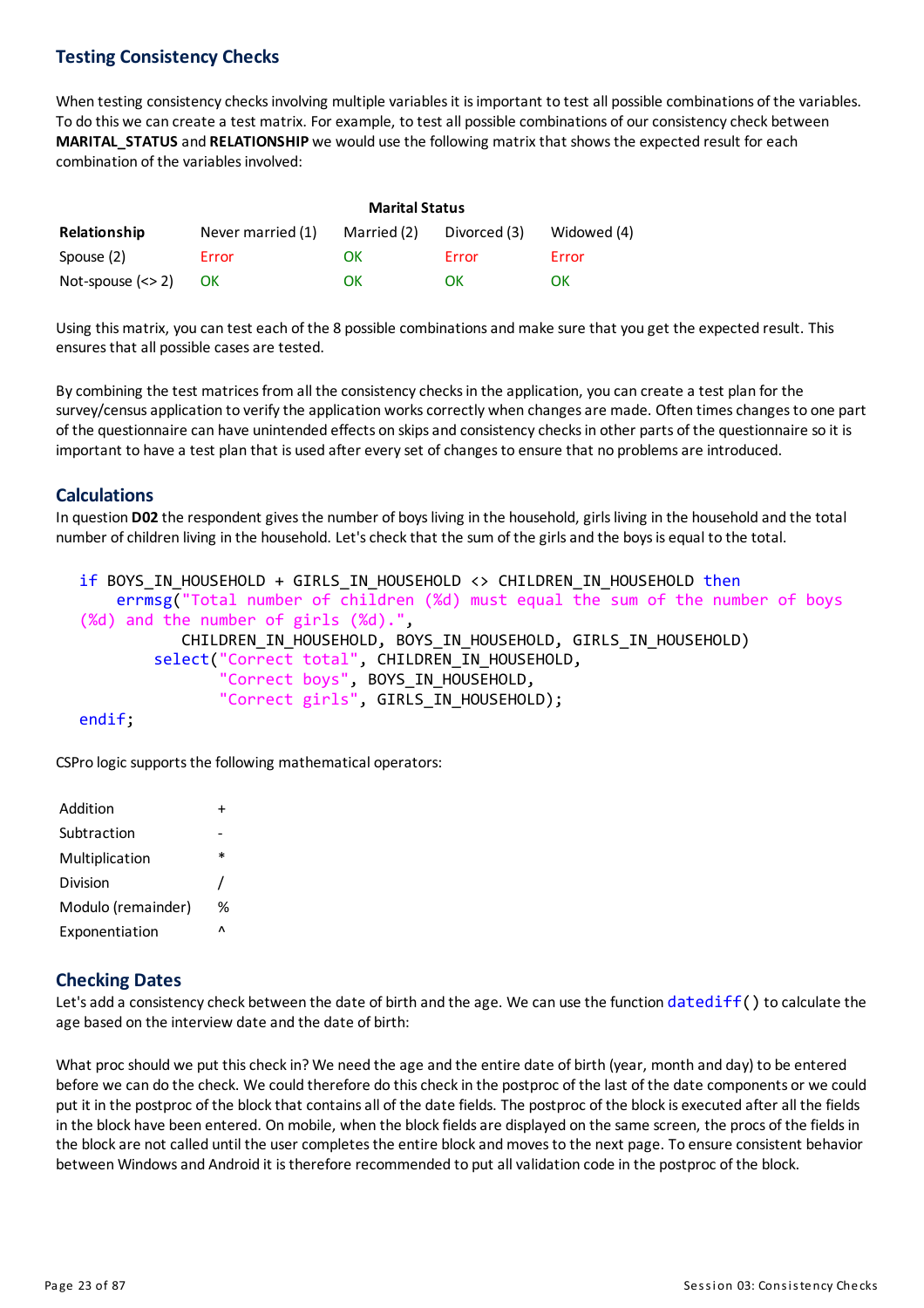#### **Testing Consistency Checks**

When testing consistency checks involving multiple variables it is important to test all possible combinations of the variables. To do this we can create a test matrix. For example, to test all possible combinations of our consistencycheck between **MARITAL\_STATUS** and **RELATIONSHIP** we would use the following matrix that showsthe expected result for each combination of the variables involved:

|                     | <b>Marital Status</b> |             |              |             |
|---------------------|-----------------------|-------------|--------------|-------------|
| <b>Relationship</b> | Never married (1)     | Married (2) | Divorced (3) | Widowed (4) |
| Spouse (2)          | Error                 | OK          | Error        | Error       |
| Not-spouse $(<$ 2)  | <b>OK</b>             | ΩK          | OК           | OK          |

Using this matrix, you can test each of the 8 possible combinations and make sure that you get the expected result. This ensures that all possible cases are tested.

By combining the test matrices from all the consistency checks in the application, you can create a test plan for the survey/census application to verify the application works correctly when changes are made. Often times changes to one part of the questionnaire can have unintended effects on skips and consistency checks in other parts of the questionnaire so it is important to have a test plan that is used after every set of changes to ensure that no problems are introduced.

#### **Calculations**

In question **D02** the respondent gives the number of boys living in the household, girls living in the household and the total number of children living in the household. Let's check that the sum of the girls and the boys is equal to the total.

```
if BOYS_IN_HOUSEHOLD + GIRLS_IN_HOUSEHOLD <> CHILDREN_IN_HOUSEHOLD then
    errmsg("Total number of children (%d) must equal the sum of the number of boys
(%d) and the number of girls (%d).",
           CHILDREN_IN_HOUSEHOLD, BOYS_IN_HOUSEHOLD, GIRLS_IN_HOUSEHOLD)
        select("Correct total", CHILDREN_IN_HOUSEHOLD,
                "Correct boys", BOYS_IN_HOUSEHOLD,
               "Correct girls", GIRLS_IN_HOUSEHOLD);
```
endif;

CSPro logic supports the following mathematical operators:

| Addition           |        |
|--------------------|--------|
| Subtraction        |        |
| Multiplication     | $\ast$ |
| Division           |        |
| Modulo (remainder) | %      |
| Exponentiation     | Λ      |
|                    |        |

#### **Checking Dates**

Let's add a consistency check between the date of birth and the age. We can use the function  $datediff()$  to calculate the age based on the interview date and the date of birth:

What proc should we put this check in? We need the age and the entire date of birth (year, month and day) to be entered before we can do the check. We could therefore do this check in the postproc of the last of the date components or we could put it in the postproc of the block that contains all of the date fields. The postproc of the block is executed after all the fields in the block have been entered. On mobile, when the block fields are displayed on the same screen, the procs of the fields in the block are not called until the user completes the entire block and moves to the next page. To ensure consistent behavior between Windows and Android it is therefore recommended to put all validation code in the postproc of the block.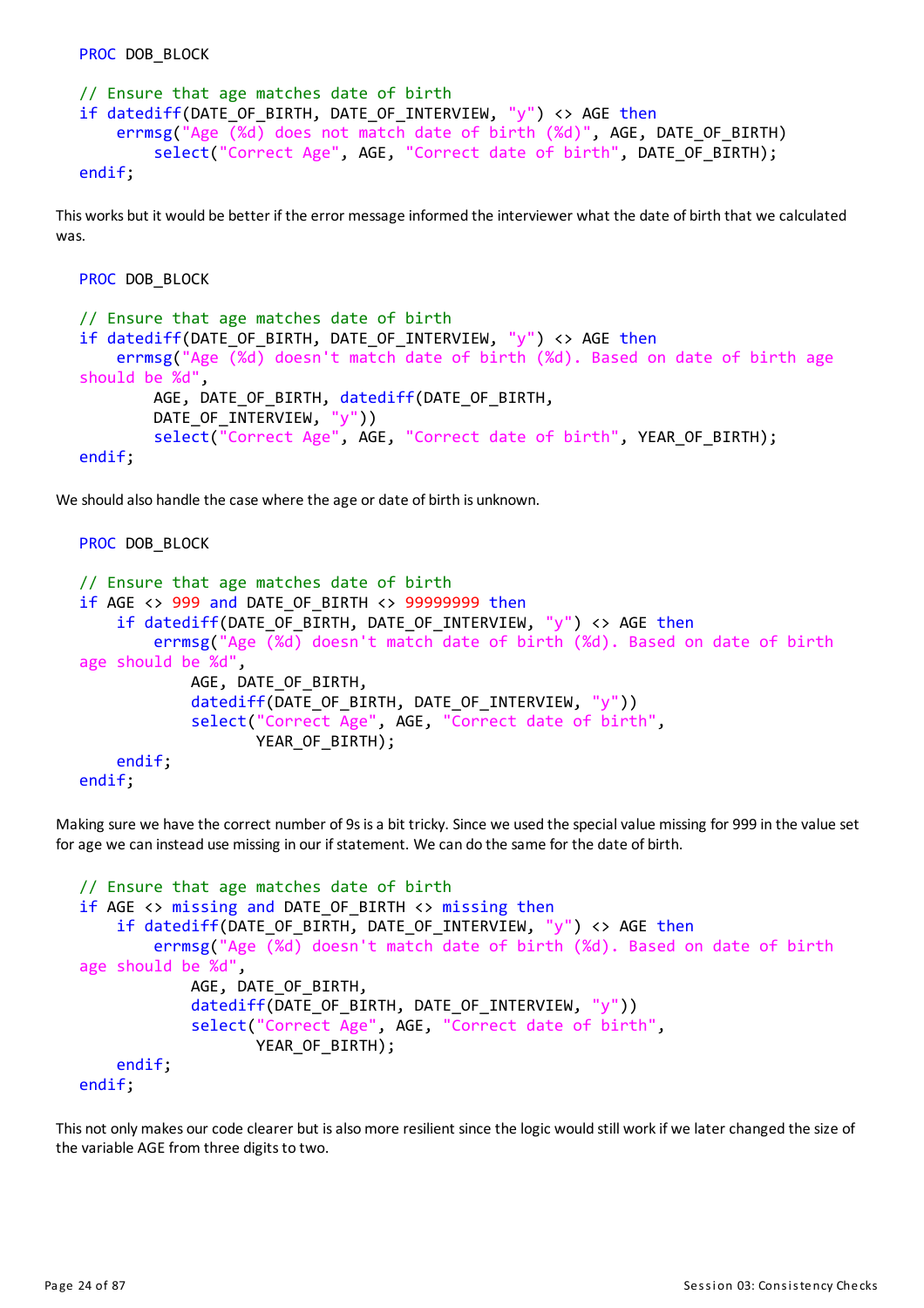```
// Ensure that age matches date of birth
if datediff(DATE OF BIRTH, DATE OF INTERVIEW, "y") <> AGE then
    errmsg("Age (%d) does not match date of birth (%d)", AGE, DATE OF BIRTH)
        select("Correct Age", AGE, "Correct date of birth", DATE OF BIRTH);
endif;
```
This works but it would be better if the error message informed the interviewer what the date of birth that we calculated was.

```
PROC DOB BLOCK
```
PROC DOB BLOCK

```
// Ensure that age matches date of birth
if datediff(DATE OF BIRTH, DATE OF INTERVIEW, "y") <> AGE then
    errmsg("Age (%d) doesn't match date of birth (%d). Based on date of birth age
should be %d",
        AGE, DATE_OF_BIRTH, datediff(DATE_OF_BIRTH,
        DATE OF INTERVIEW, "y"))
        select("Correct Age", AGE, "Correct date of birth", YEAR OF BIRTH);
endif;
```
We should also handle the case where the age or date of birth is unknown.

```
PROC DOB BLOCK
// Ensure that age matches date of birth
if AGE <> 999 and DATE_OF_BIRTH <> 99999999 then
    if datediff(DATE OF BIRTH, DATE OF INTERVIEW, "y") <> AGE then
        errmsg("Age (%d) doesn't match date of birth (%d). Based on date of birth
age should be %d",
            AGE, DATE OF BIRTH,
            datediff(DATE OF BIRTH, DATE OF INTERVIEW, "y"))
            select("Correct Age", AGE, "Correct date of birth",
                   YEAR_OF_BIRTH);
    endif;
endif;
```
Making sure we have the correct number of 9s is a bit tricky. Since we used the special value missing for 999 in the value set for age we can instead use missing in our if statement. We can do the same for the date of birth.

```
// Ensure that age matches date of birth
if AGE <> missing and DATE_OF_BIRTH <> missing then
    if datediff(DATE OF BIRTH, DATE OF INTERVIEW, "y") <> AGE then
        errmsg("Age (%d) doesn't match date of birth (%d). Based on date of birth
age should be %d",
            AGE, DATE_OF_BIRTH,
            datediff(DATE OF BIRTH, DATE OF INTERVIEW, "y"))
            select("Correct Age", AGE, "Correct date of birth",
                   YEAR OF BIRTH);
   endif;
endif;
```
This not only makes our code clearer but is also more resilient since the logic would still work if we later changed the size of the variable AGE from three digits to two.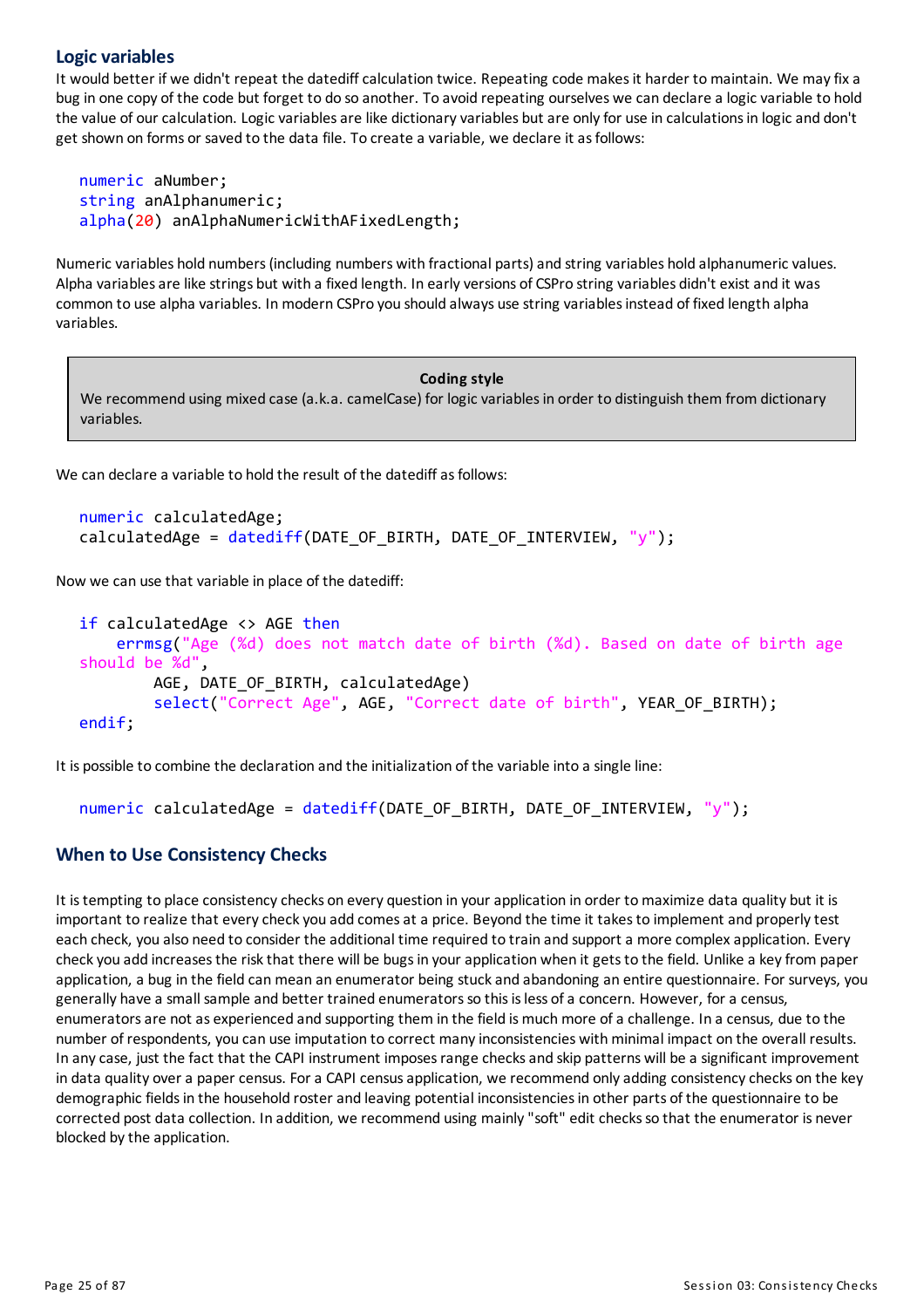#### **Logic variables**

It would better if we didn't repeat the datediff calculation twice. Repeating code makes it harder to maintain. We may fix a bug in one copy of the code but forget to do so another. To avoid repeating ourselves we can declare a logic variable to hold the value of our calculation. Logic variables are like dictionary variables but are only for use in calculations in logic and don't get shown on forms or saved to the data file. To create a variable, we declare it asfollows:

```
numeric aNumber;
string anAlphanumeric;
alpha(20) anAlphaNumericWithAFixedLength;
```
Numeric variables hold numbers(including numbers with fractional parts)and string variables hold alphanumeric values. Alpha variables are like strings but with a fixed length. In early versions of CSPro string variables didn't exist and it was common to use alpha variables. Inmodern CSPro you should always use string variablesinstead of fixed length alpha variables.

#### **Coding style**

We recommend using mixed case (a.k.a. camelCase) for logic variablesin order to distinguish them from dictionary variables.

We can declare a variable to hold the result of the datediff as follows:

```
numeric calculatedAge;
calculatedAge = datediff(DATE_OF_BIRTH, DATE_OF_INTERVIEW, "y");
```
Now we can use that variable in place of the datediff:

```
if calculatedAge <> AGE then
    errmsg("Age (%d) does not match date of birth (%d). Based on date of birth age
should be %d",
       AGE, DATE_OF_BIRTH, calculatedAge)
        select("Correct Age", AGE, "Correct date of birth", YEAR_OF_BIRTH);
endif;
```
It is possible to combine the declaration and the initialization of the variable into a single line:

```
numeric calculatedAge = datediff(DATE_OF_BIRTH, DATE_OF_INTERVIEW, "y");
```
#### **When to Use Consistency Checks**

It is tempting to place consistency checks on every question in your application in order to maximize data quality but it is important to realize that every check you add comes at a price. Beyond the time it takes to implement and properly test each check, you also need to consider the additional time required to train and support a more complex application. Every check you add increases the risk that there will be bugs in your application when it gets to the field. Unlike a key from paper application, a bug in the field can mean an enumerator being stuck and abandoning an entire questionnaire. For surveys, you generally have a small sample and better trained enumeratorsso thisisless ofa concern. However, fora census, enumeratorsare not as experienced and supporting them in the field ismuchmore ofa challenge. In a census, due to the number of respondents, you can use imputation to correct many inconsistencies with minimal impact on the overall results. In any case, just the fact that the CAPI instrument imposes range checks and skip patterns will be a significant improvement in data quality over a paper census. For a CAPI census application, we recommend only adding consistency checks on the key demographic fieldsin the household rosterand leaving potential inconsistenciesin other parts of the questionnaire to be corrected post data collection. In addition, we recommend using mainly"soft" edit checksso that the enumerator is never blocked by the application.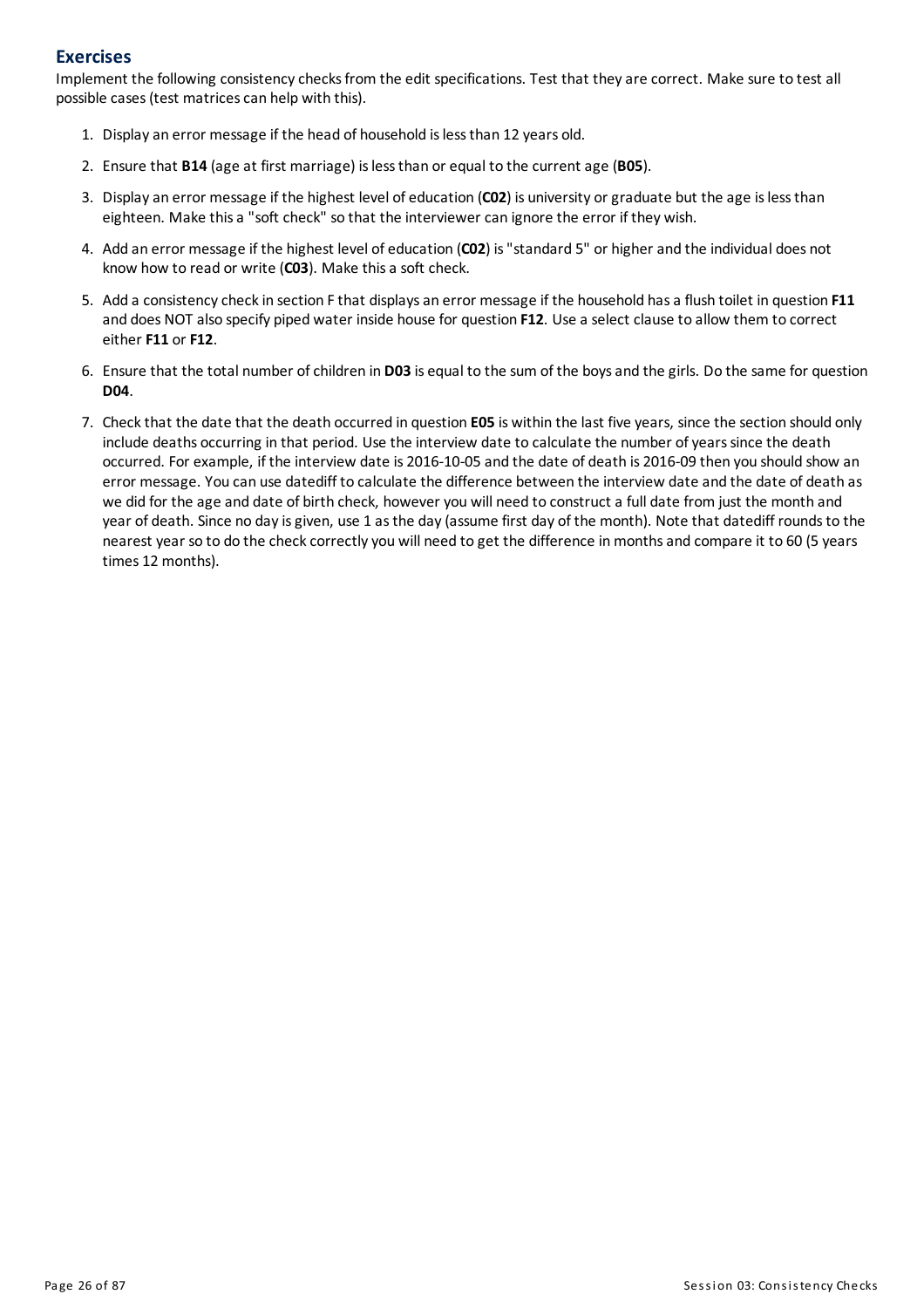#### **Exercises**

Implement the following consistency checks from the edit specifications. Test that they are correct. Make sure to test all possible cases (test matrices can help with this).

- 1. Displayan error message if the head of household islessthan 12 years old.
- 2. Ensure that **B14** (age at first marriage) islessthan or equal to the current age (**B05**).
- 3. Displayan error message if the highest level of education (**C02**) is university orgraduate but the age islessthan eighteen. Make thisa "soft check" so that the interviewer can ignore the error if they wish.
- 4. Add an error message if the highest level of education (**C02**) is"standard 5" or higherand the individual does not know how to read or write (**C03**). Make thisa soft check.
- 5. Add a consistencycheckin section Fthat displaysan error message if the household hasa flush toilet in question **F11** and does NOTalso specify piped water inside house for question **F12**. Use a select clause to allow them to correct either **F11** or **F12**.
- 6. Ensure that the total number ofchildren in **D03** is equal to the sum of the boysand the girls. Do the same for question **D04**.
- 7. Checkthat the date that the death occurred in question **E05** is within the last five years, since the section should only include deaths occurring in that period. Use the interview date to calculate the number of years since the death occurred. For example, if the interview date is 2016-10-05 and the date of death is 2016-09 then you should show an error message. You can use datediff to calculate the difference between the interview date and the date of death as we did for the age and date of birth check, however you will need to construct a full date from just the month and year of death. Since no day is given, use 1 as the day (assume first day of the month). Note that datediff rounds to the nearest year so to do the check correctly you will need to get the difference in months and compare it to 60 (5 years times 12 months).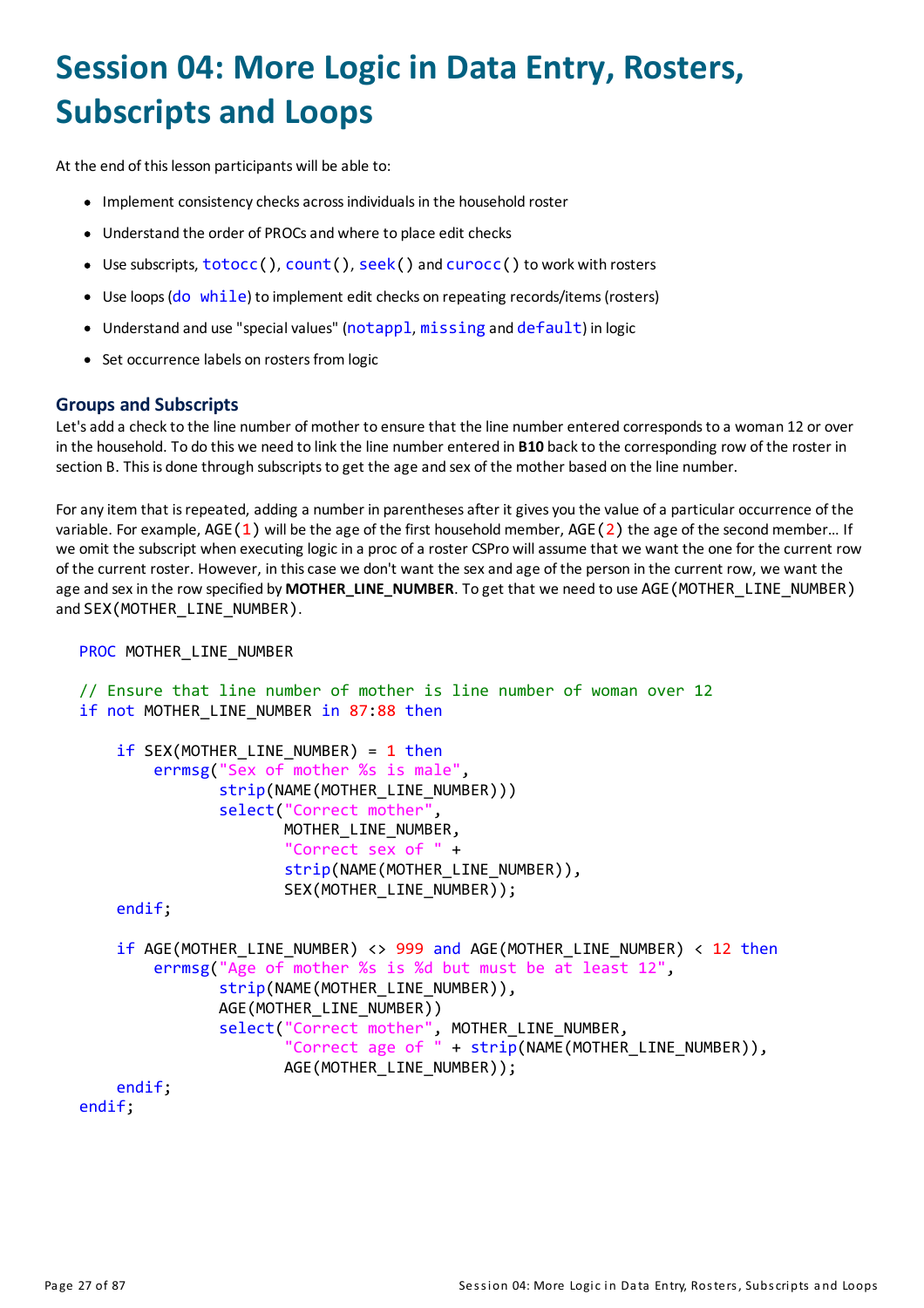# <span id="page-27-0"></span>**Session 04: More Logic in Data Entry, Rosters, Subscripts and Loops**

At the end of this lesson participants will be able to:

- Implement consistency checks across individuals in the household roster
- Understand the order of PROCsand where to place edit checks
- Use subscripts, totocc(), count(), seek() and curocc() to work with rosters
- Use loops (do while) to implement edit checks on repeating records/items (rosters)
- Understand and use "special values" (notappl, missing and default) in logic
- Set occurrence labels on rosters from logic

#### **Groups and Subscripts**

Let's add a check to the line number of mother to ensure that the line number entered corresponds to a woman 12 or over in the household. To do this we need to linkthe line number entered in **B10** backto the corresponding row of the roster in section B. This is done through subscripts to get the age and sex of the mother based on the line number.

Foranyitem that isrepeated, adding a number in parenthesesafter it givesyou the value ofa particular occurrence of the variable. For example, AGE(1) will be the age of the first household member, AGE(2) the age of the second member... If we omit the subscript when executing logic in a proc of a roster CSPro will assume that we want the one for the current row of the current roster. However, in thiscase we don't want the sexand age of the person in the current row, we want the age and sex in the row specified by **MOTHER\_LINE\_NUMBER**. To get that we need to use AGE (MOTHER LINE NUMBER) and SEX(MOTHER LINE NUMBER).

```
PROC MOTHER LINE NUMBER
```

```
// Ensure that line number of mother is line number of woman over 12
if not MOTHER LINE NUMBER in 87:88 then
    if SEX(MOTHER_LINE_NUMBER) = 1 then
        errmsg("Sex of mother %s is male",
               strip(NAME(MOTHER LINE NUMBER)))
               select("Correct mother",
                      MOTHER LINE NUMBER,
                      "Correct sex of " +
                      strip(NAME(MOTHER LINE NUMBER)),
                      SEX(MOTHER_LINE_NUMBER));
    endif;
    if AGE(MOTHER_LINE_NUMBER) <> 999 and AGE(MOTHER_LINE_NUMBER) < 12 then
        errmsg("Age of mother %s is %d but must be at least 12",
               strip(NAME(MOTHER LINE NUMBER)),
               AGE(MOTHER_LINE_NUMBER))
               select("Correct mother", MOTHER_LINE_NUMBER,
                      "Correct age of " + strip(NAME(MOTHER_LINE_NUMBER)),
                      AGE(MOTHER_LINE_NUMBER));
    endif;
endif;
```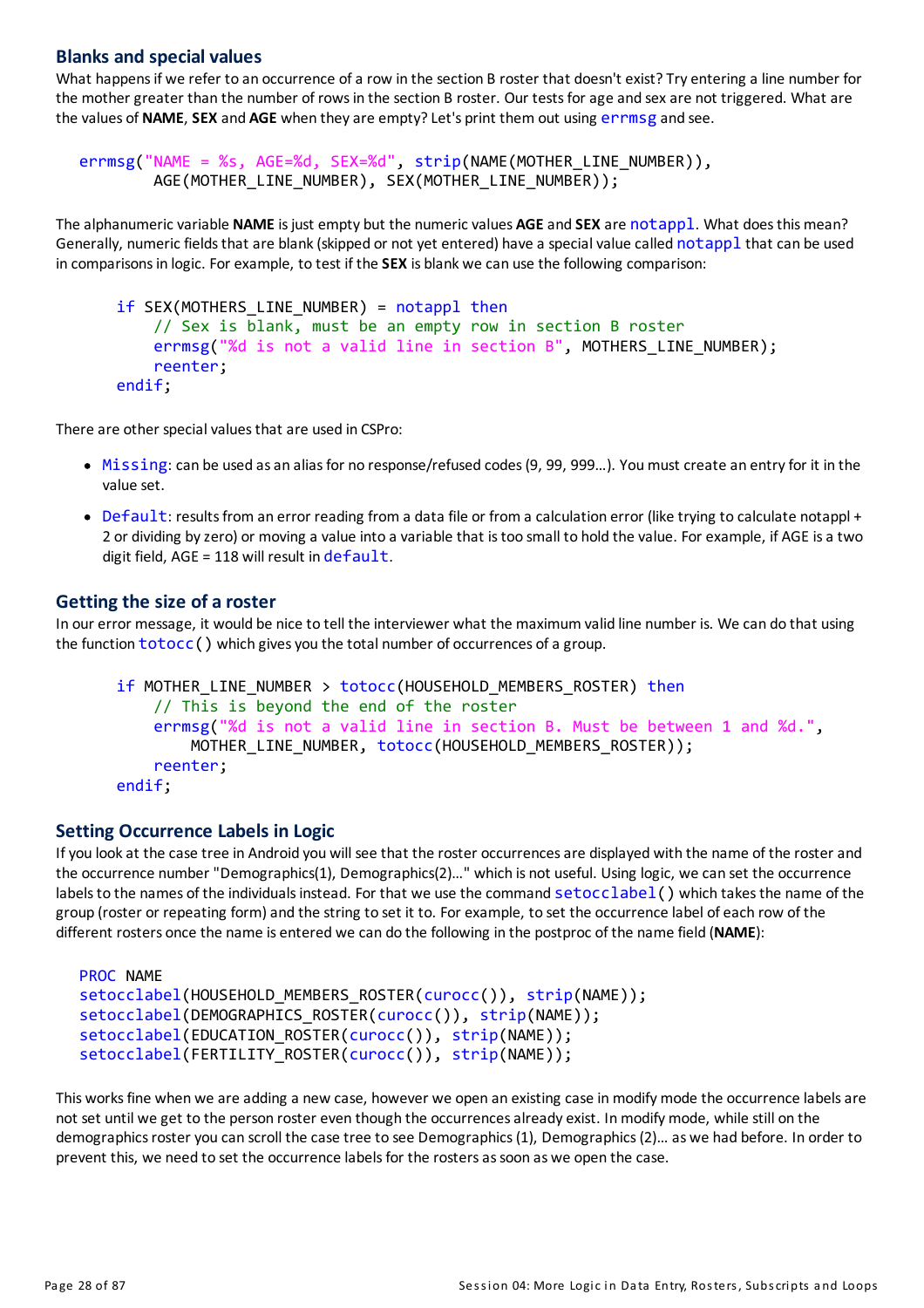#### **Blanks and special values**

What happens if we refer to an occurrence of a row in the section B roster that doesn't exist? Try entering a line number for the mother greater than the number of rows in the section B roster. Our tests for age and sex are not triggered. What are the values of **NAME**, **SEX** and **AGE** when theyare empty?Let's print them out using errmsg and see.

```
errmsg("NAME = %s, AGE=%d, SEX=%d", strip(NAME(MOTHER_LINE_NUMBER)),
        AGE(MOTHER_LINE_NUMBER), SEX(MOTHER_LINE_NUMBER));
```
The alphanumeric variable **NAME**isjust empty but the numeric values **AGE**and **SEX** are notappl. What doesthismean? Generally, numeric fields that are blank (skipped or not yet entered) have a special value called notappl that can be used in comparisonsin logic. For example, to test if the **SEX** is blank we can use the following comparison:

```
if SEX(MOTHERS LINE NUMBER) = notappl then
    // Sex is blank, must be an empty row in section B roster
    errmsg("%d is not a valid line in section B", MOTHERS_LINE_NUMBER);
    reenter;
endif;
```
There are other special values that are used in CSPro:

- $\bullet$  Missing: can be used as an alias for no response/refused codes (9, 99, 999...). You must create an entry for it in the value set.
- Default: results from an error reading from a data file or from a calculation error (like trying to calculate notappl + 2 or dividing byzero) or moving a value into a variable that istoo small to hold the value. For example, if AGEisa two digit field,  $AGE = 118$  will result in  $default$ .

#### **Gettingthe size of a roster**

In our error message, it would be nice to tell the interviewer what the maximum valid line number is. We can do that using the function  $\text{totoc}($ ) which gives you the total number of occurrences of a group.

```
if MOTHER LINE NUMBER > totocc(HOUSEHOLD MEMBERS ROSTER) then
    // This is beyond the end of the roster
    errmsg("%d is not a valid line in section B. Must be between 1 and %d.",
        MOTHER_LINE_NUMBER, totocc(HOUSEHOLD_MEMBERS_ROSTER));
    reenter;
endif;
```
#### **Setting Occurrence Labels in Logic**

Ifyou lookat the case tree in Android you will see that the roster occurrencesare displayed with the name of the rosterand the occurrence number "Demographics(1), Demographics(2)…" which is not useful. Using logic, we can set the occurrence labels to the names of the individuals instead. For that we use the command  $setoc์2abel()$  which takes the name of the group (roster or repeating form) and the string to set it to. For example, to set the occurrence label of each row of the different rosters once the name is entered we can do the following in the postproc of the name field (**NAME**):

```
PROC NAME
setocclabel(HOUSEHOLD_MEMBERS_ROSTER(curocc()), strip(NAME));
setocclabel(DEMOGRAPHICS ROSTER(curocc()), strip(NAME));
setocclabel(EDUCATION_ROSTER(curocc()), strip(NAME));
setocclabel(FERTILITY_ROSTER(curocc()), strip(NAME));
```
This works fine when we are adding a new case, however we open an existing case in modify mode the occurrence labels are not set until we get to the person roster even though the occurrences already exist. In modify mode, while still on the demographics roster you can scroll the case tree to see Demographics (1). Demographics (2)… as we had before. In order to prevent this, we need to set the occurrence labels for the rosters as soon as we open the case.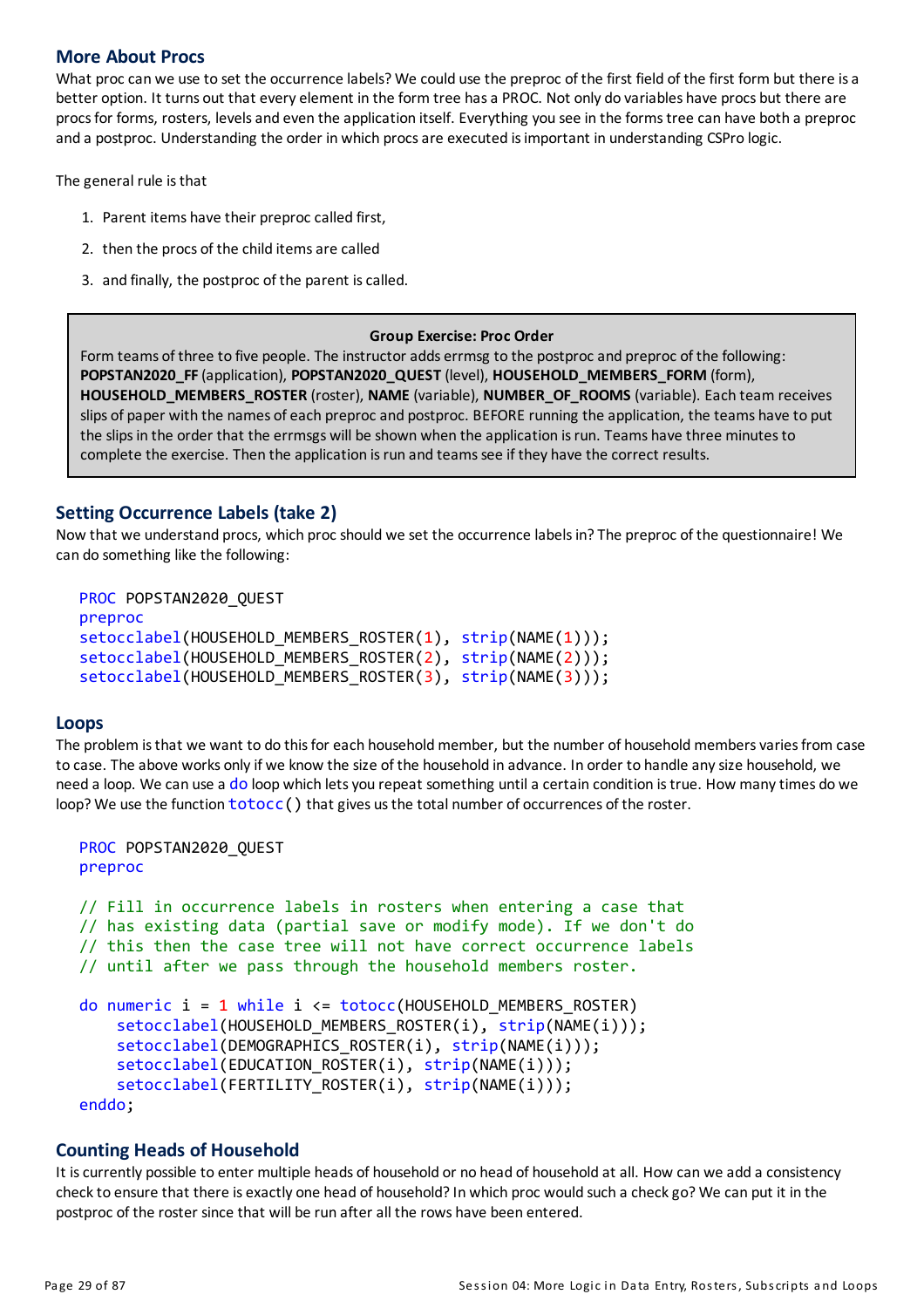#### **More About Procs**

What proc can we use to set the occurrence labels? We could use the preproc of the first field of the first form but there is a better option. It turns out that every element in the form tree hasa PROC. Not only do variables have procs but there are procsfor forms, rosters, levelsand even the application itself. Everything you see in the formstree can have both a preproc and a postproc. Understanding the order in which procsare executed isimportant in understanding CSPro logic.

The general rule isthat

- 1. Parent items have their preproc called first,
- 2. then the procs of the child items are called
- 3. and finally, the postproc of the parent iscalled.

#### **Group Exercise: Proc Order**

Form teams of three to five people. The instructor adds errmsg to the postproc and preproc of the following: **POPSTAN2020\_FF**(application), **POPSTAN2020\_QUEST** (level), **HOUSEHOLD\_MEMBERS\_FORM** (form), **HOUSEHOLD\_MEMBERS\_ROSTER** (roster), **NAME**(variable), **NUMBER\_OF\_ROOMS** (variable). Each team receives slips of paper with the names of each preproc and postproc. BEFORE running the application, the teams have to put the slips in the order that the errmsgs will be shown when the application is run. Teams have three minutes to complete the exercise. Then the application is run and teams see if they have the correct results.

#### **Setting Occurrence Labels (take 2)**

Now that we understand procs, which proc should we set the occurrence labelsin?The preproc of the questionnaire! We can do something like the following:

```
PROC POPSTAN2020_QUEST
preproc
setocclabel(HOUSEHOLD MEMBERS ROSTER(1), strip(NAME(1)));
setocclabel(HOUSEHOLD MEMBERS ROSTER(2), strip(NAME(2)));
setocclabel(HOUSEHOLD MEMBERS ROSTER(3), strip(NAME(3)));
```
#### **Loops**

The problem is that we want to do this for each household member, but the number of household members varies from case to case. The above works onlyif we know the size of the household in advance. In order to handle anysize household, we need a loop. We can use a do loop which lets you repeat something until a certain condition is true. How many times do we loop? We use the function  $totocc()$  that gives us the total number of occurrences of the roster.

```
PROC POPSTAN2020_QUEST
preproc
// Fill in occurrence labels in rosters when entering a case that
// has existing data (partial save or modify mode). If we don't do
// this then the case tree will not have correct occurrence labels
// until after we pass through the household members roster.
do numeric i = 1 while i \leq 1 totocc(HOUSEHOLD MEMBERS ROSTER)
    setocclabel(HOUSEHOLD_MEMBERS_ROSTER(i), strip(NAME(i)));
    setocclabel(DEMOGRAPHICS ROSTER(i), strip(NAME(i)));
    setocclabel(EDUCATION_ROSTER(i), strip(NAME(i)));
    setocclabel(FERTILITY_ROSTER(i), strip(NAME(i)));
enddo;
```
#### **Counting Heads of Household**

It iscurrently possible to enter multiple heads of household or no head of household at all. How can we add a consistency check to ensure that there is exactly one head of household? In which proc would such a check go? We can put it in the postproc of the roster since that will be run afterall the rows have been entered.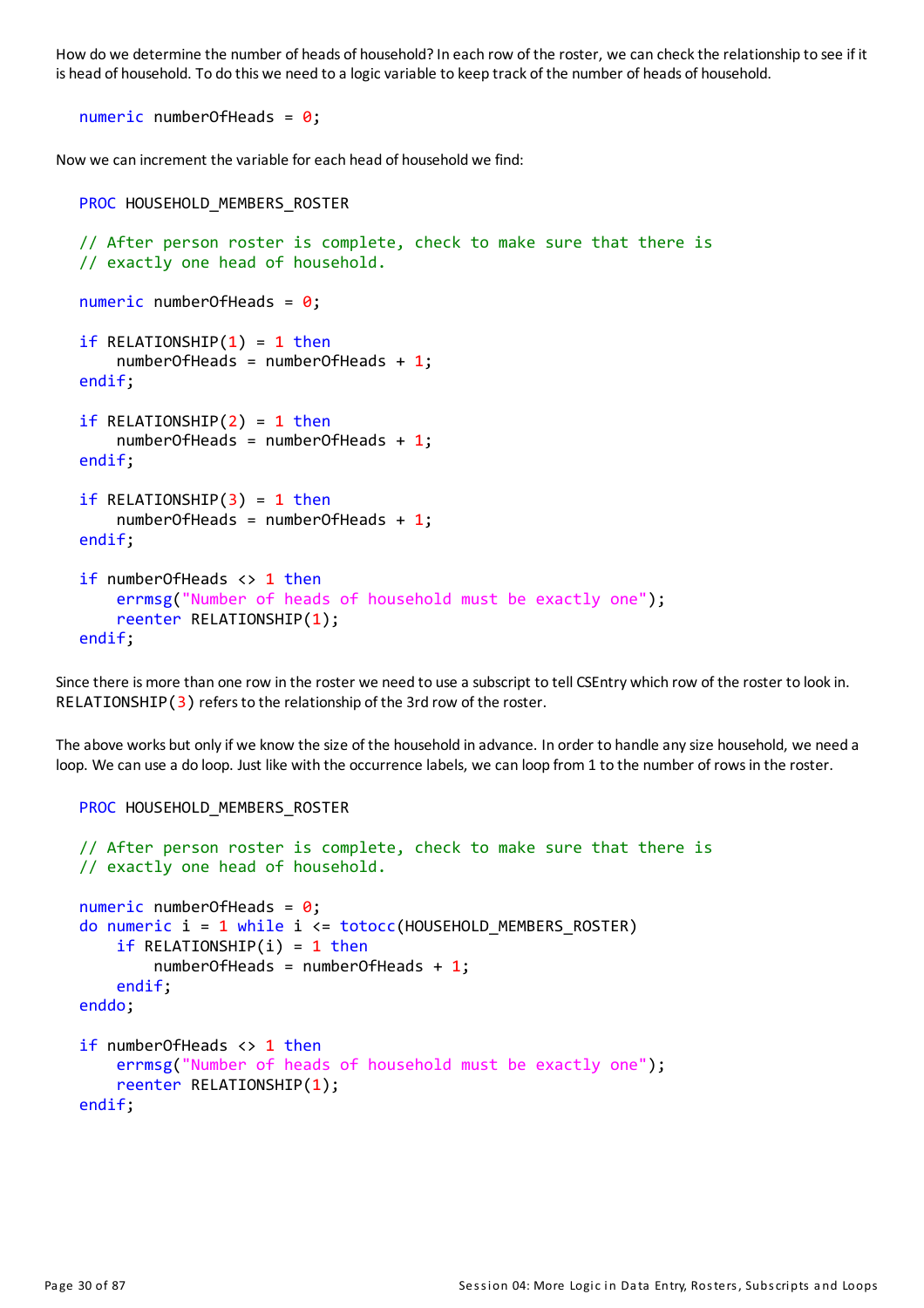How do we determine the number of heads of household? In each row of the roster, we can check the relationship to see if it is head of household. To do this we need to a logic variable to keep track of the number of heads of household.

numeric numberOfHeads =  $0$ ;

Now we can increment the variable for each head of household we find:

```
PROC HOUSEHOLD MEMBERS ROSTER
// After person roster is complete, check to make sure that there is
// exactly one head of household.
numeric numberOfHeads = 0;
if RELATIONSHIP(1) = 1 then
    numberOfHeads = numberOfHeads + 1;endif;
if RELATIONSHIP(2) = 1 then
    numberOfHeads = numberOfHeads + 1;endif;
if RELATIONSHIP(3) = 1 thennumberOfHeads = numberOfHeads + 1;endif;
if numberOfHeads <> 1 then
    errmsg("Number of heads of household must be exactly one");
    reenter RELATIONSHIP(1);
endif;
```
Since there is more than one row in the roster we need to use a subscript to tell CSEntry which row of the roster to look in. RELATIONSHIP $(3)$  refers to the relationship of the 3rd row of the roster.

The above works but onlyif we know the size of the household in advance. In order to handle anysize household, we need a loop. We can use a do loop. Just like with the occurrence labels, we can loop from 1 to the number of rows in the roster.

```
PROC HOUSEHOLD MEMBERS ROSTER
// After person roster is complete, check to make sure that there is
// exactly one head of household.
numeric numberOfHeads = 0;
do numeric i = 1 while i <= totocc(HOUSEHOLD_MEMBERS_ROSTER)
    if RELATIONSHIP(i) = 1 thennumberOfHeads = numberOfHeads + 1;endif;
enddo;
if numberOfHeads <> 1 then
    errmsg("Number of heads of household must be exactly one");
    reenter RELATIONSHIP(1);
endif;
```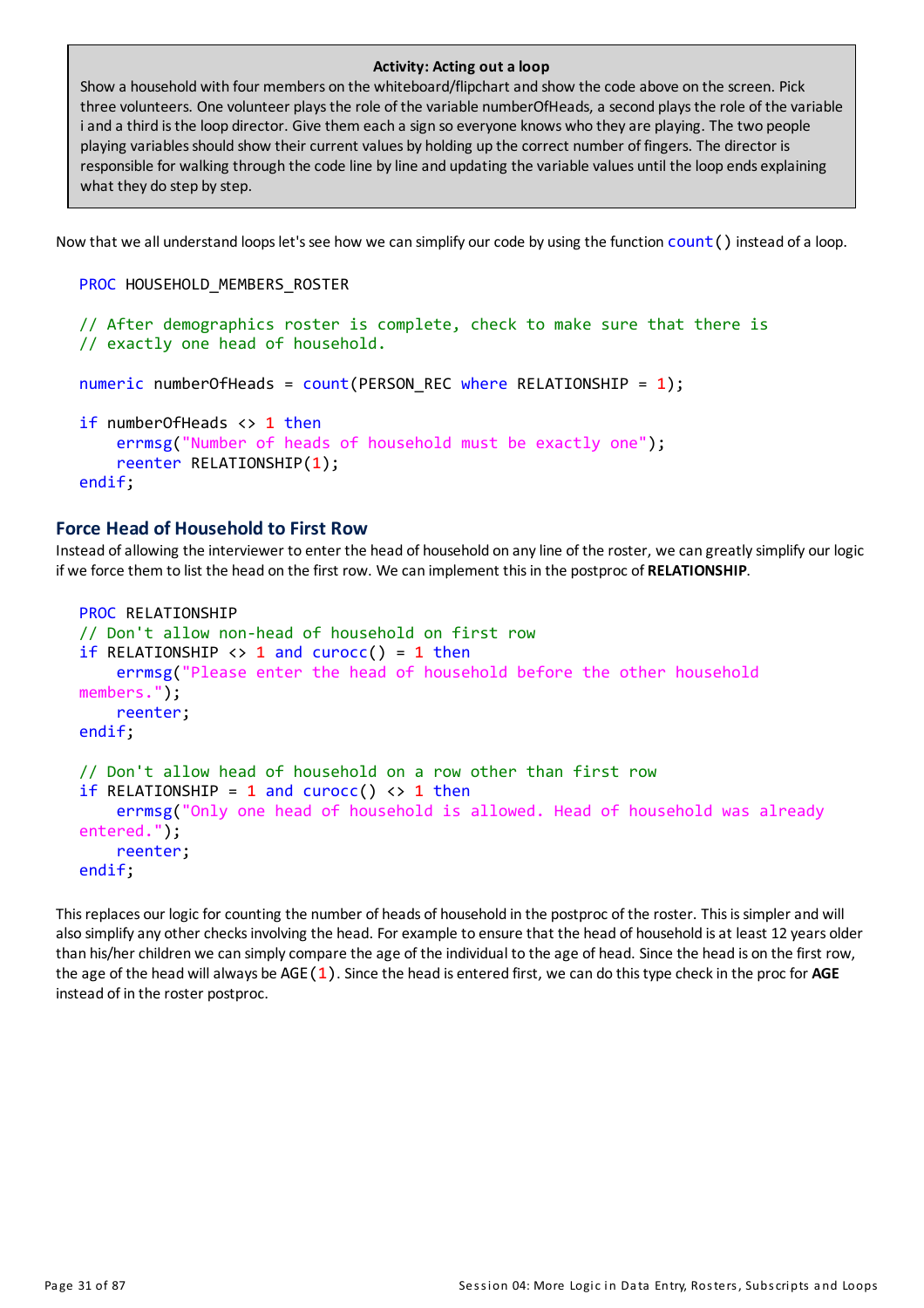#### **Activity: Acting out a loop**

Show a household with four members on the whiteboard/flipchart and show the code above on the screen. Pick three volunteers. One volunteer playsthe role of the variable numberOfHeads, a second playsthe role of the variable i and a third is the loop director. Give them each a sign so everyone knows who they are playing. The two people playing variablesshould show their current values by holding up the correct number of fingers. The director is responsible for walking through the code line byline and updating the variable values until the loop ends explaining what they do step by step.

Now that we all understand loops let's see how we can simplify our code by using the function count () instead of a loop.

```
PROC HOUSEHOLD MEMBERS ROSTER
```

```
// After demographics roster is complete, check to make sure that there is
// exactly one head of household.
numeric numberOfHeads = count(PERSON\_REC where RELATIONSHIP = 1);
if numberOfHeads <> 1 then
    errmsg("Number of heads of household must be exactly one");
    reenter RELATIONSHIP(1);
endif;
```
#### **Force Head of Household to First Row**

Instead of allowing the interviewer to enter the head of household on any line of the roster, we can greatly simplify our logic if we force them to list the head on the first row. We can implement thisin the postproc of **RELATIONSHIP**.

```
PROC RELATIONSHIP
// Don't allow non-head of household on first row
if RELATIONSHIP \langle \rangle 1 and curocc() = 1 then
    errmsg("Please enter the head of household before the other household
members.");
    reenter;
endif;
// Don't allow head of household on a row other than first row
if RELATIONSHIP = 1 and curocc() \leftrightarrow 1 then
    errmsg("Only one head of household is allowed. Head of household was already
entered.");
    reenter;
endif;
```
This replaces our logic for counting the number of heads of household in the postproc of the roster. This is simpler and will also simplify any other checks involving the head. For example to ensure that the head of household is at least 12 years older than his/her children we can simplycompare the age of the individual to the age of head. Since the head is on the first row, the age of the head willalways be AGE(1). Since the head is entered first, we can do thistype checkin the proc for **AGE** instead of in the roster postproc.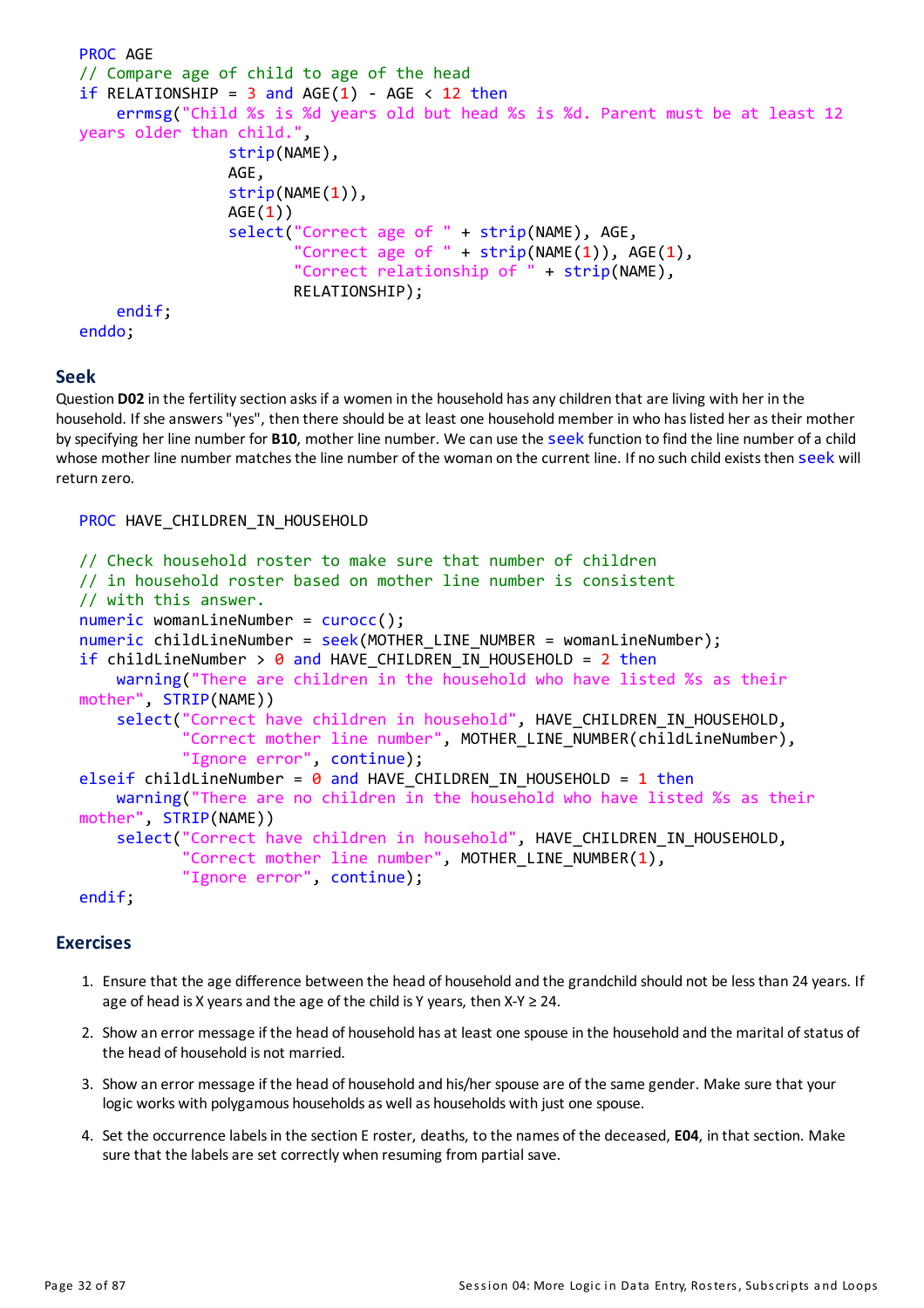```
PROC AGE
// Compare age of child to age of the head
if RELATIONSHIP = 3 and AGE(1) - AGE < 12 then
    errmsg("Child %s is %d years old but head %s is %d. Parent must be at least 12
years older than child.",
                strip(NAME),
                AGE,
                strip(NAME(1)),
                AGE(1))
                select("Correct age of " + strip(NAME), AGE,
                        Correct age of " + strip(NAME(1)), AGE(1),
                       "Correct relationship of " + strip(NAME),
                       RELATIONSHIP);
    endif;
enddo;
```
#### **Seek**

Question D02 in the fertility section asks if a women in the household has any children that are living with her in the household. If she answers "yes", then there should be at least one household member in who has listed her as their mother byspecifying her line number for **B10**, mother line number. We can use the seek function to find the line number ofa child whose mother line number matches the line number of the woman on the current line. If no such child exists then seek will return zero.

#### PROC HAVE CHILDREN IN HOUSEHOLD

```
// Check household roster to make sure that number of children
// in household roster based on mother line number is consistent
// with this answer.
numeric womanLineNumber = curocc();
numeric childLineNumber = seek(MOTHER LINE NUMBER = womanLineNumber);
if childLineNumber > \theta and HAVE CHILDREN IN HOUSEHOLD = 2 then
    warning("There are children in the household who have listed %s as their
mother", STRIP(NAME))
    select("Correct have children in household", HAVE CHILDREN IN HOUSEHOLD,
            'Correct mother line number", MOTHER LINE NUMBER(childLineNumber),
           "Ignore error", continue);
elseif childLineNumber = \theta and HAVE CHILDREN IN HOUSEHOLD = 1 then
   warning("There are no children in the household who have listed %s as their
mother", STRIP(NAME))
    select("Correct have children in household", HAVE_CHILDREN_IN_HOUSEHOLD,
           "Correct mother line number", MOTHER LINE NUMBER(1),
           "Ignore error", continue);
```
#### endif;

#### **Exercises**

- 1. Ensure that the age difference between the head of household and the grandchild should not be lessthan 24 years. If age of head is X years and the age of the child is Y years, then  $X-Y \geq 24$ .
- 2. Show an error message if the head of household has at least one spouse in the household and the marital of status of the head of household is not married.
- 3. Show an error message if the head of household and his/her spouse are of the same gender. Make sure that your logic works with polygamous households as well as households with just one spouse.
- 4. Set the occurrence labelsin the section Eroster, deaths, to the names of the deceased, **E04**, in that section. Make sure that the labels are set correctly when resuming from partial save.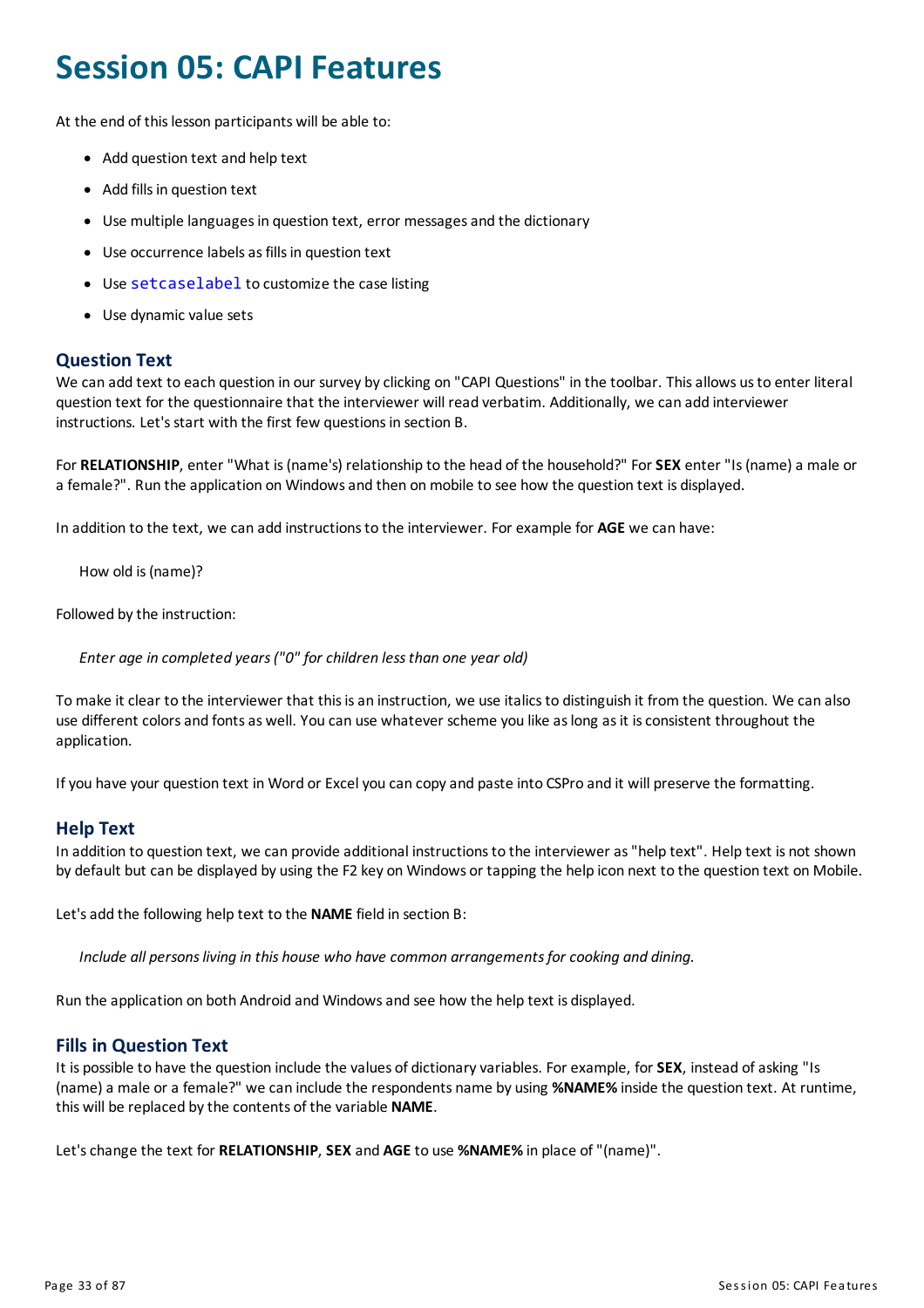### <span id="page-33-0"></span>**Session 05: CAPI Features**

At the end of this lesson participants will be able to:

- Add question text and help text
- Add fills in question text
- Use multiple languages in question text, error messages and the dictionary
- Use occurrence labels as fills in question text
- Use setcaselabel to customize the case listing
- Use dynamic value sets

#### **Question Text**

We can add text to each question in our survey by clicking on "CAPI Questions" in the toolbar. This allows us to enter literal question text for the questionnaire that the interviewer will read verbatim. Additionally, we can add interviewer instructions. Let's start with the first few questions in section B.

For **RELATIONSHIP**, enter "What is(name's) relationship to the head of the household?" For**SEX** enter "Is(name)a male or a female?". Run the application on Windowsand then onmobile to see how the question text is displayed.

In addition to the text, we can add instructionsto the interviewer. For example for **AGE** we can have:

How old is(name)?

Followed by the instruction:

*Enter age in completed years("0" for children lessthan one year old)*

Tomake it clear to the interviewer that thisisan instruction, we use italicsto distinguish it from the question. We can also use different colors and fonts as well. You can use whatever scheme you like as long as it is consistent throughout the application.

If you have your question text in Word or Excel you can copy and paste into CSPro and it will preserve the formatting.

#### **Help Text**

In addition to question text, we can provide additional instructions to the interviewer as "help text". Help text is not shown by default but can be displayed by using the F2 key on Windows or tapping the help icon next to the question text onMobile.

Let'sadd the following help text to the **NAME**field in section B:

*Include all personsliving in this house who have common arrangementsfor cooking and dining.*

Run the application on both Android and Windowsand see how the help text is displayed.

#### **Fills in Question Text**

It is possible to have the question include the values of dictionary variables. For example, for **SEX**, instead of asking "Is (name)a male ora female?" we can include the respondents name by using **%NAME%** inside the question text. At runtime, this will be replaced bythe contents of the variable **NAME**.

Let'schange the text for **RELATIONSHIP**, **SEX** and **AGE**to use **%NAME%** in place of "(name)".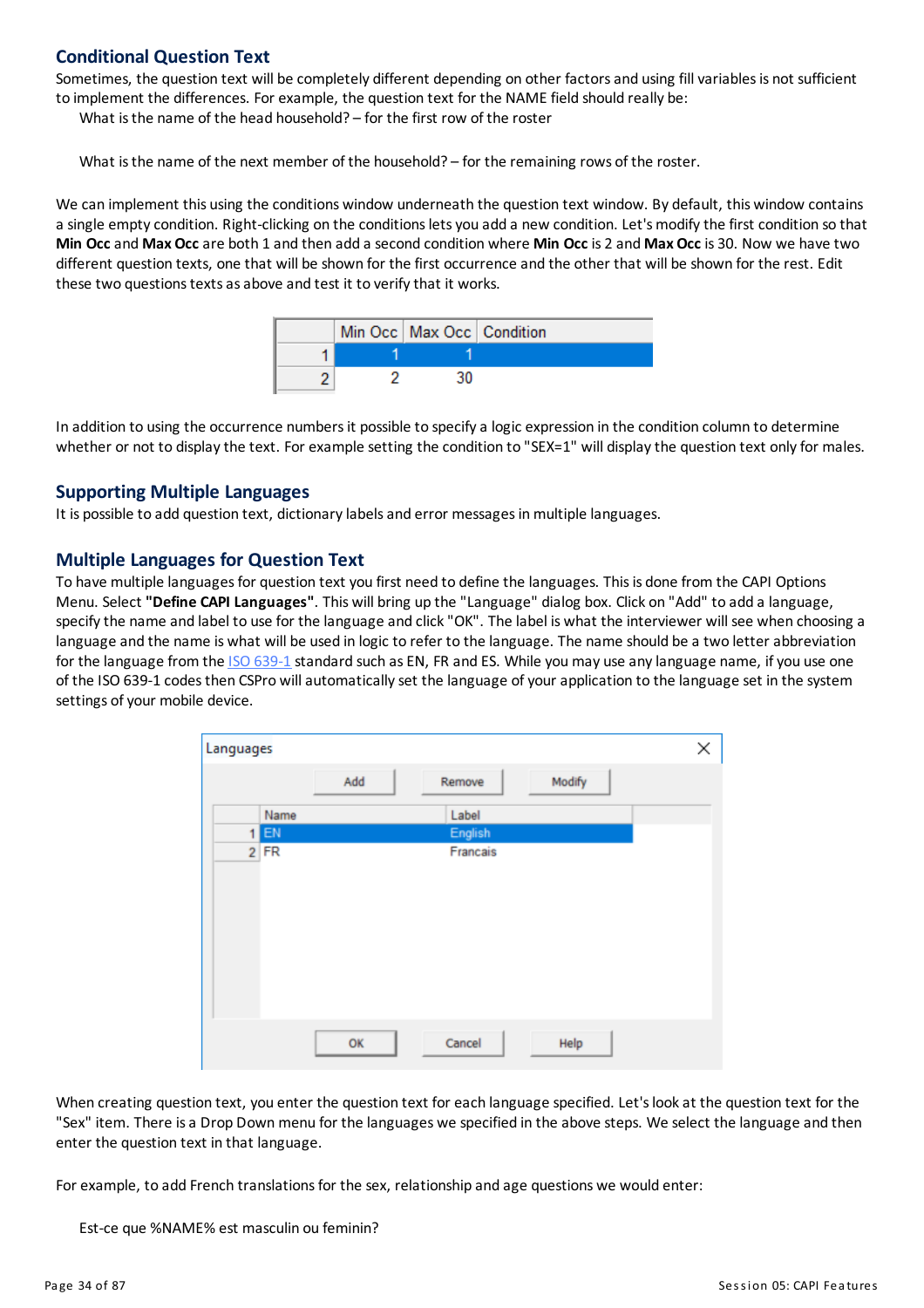#### **Conditional Question Text**

Sometimes, the question text will be completely different depending on other factors and using fill variables is not sufficient to implement the differences. For example, the question text for the NAMEfield should really be:

What is the name of the head household? – for the first row of the roster

What is the name of the next member of the household? – for the remaining rows of the roster.

We can implement this using the conditions window underneath the question text window. By default, this window contains a single empty condition. Right-clicking on the conditions lets you add a new condition. Let's modify the first condition so that **Min Occ**and **Max Occ**are both 1 and then add a second condition where **Min Occ** is 2 and **Max Occ** is 30. Now we have two different question texts, one that will be shown for the first occurrence and the other that will be shown for the rest. Edit these two questions texts as above and test it to verify that it works.

|  | Min Occ   Max Occ   Condition |  |
|--|-------------------------------|--|
|  |                               |  |
|  |                               |  |

In addition to using the occurrence numbersit possible to specifya logic expression in the condition column to determine whether or not to display the text. For example setting the condition to "SEX=1" will display the question text only for males.

#### **Supporting Multiple Languages**

It is possible to add question text, dictionary labels and error messages in multiple languages.

#### **Multiple Languages for Question Text**

To have multiple languagesfor question text you first need to define the languages. Thisis done from the CAPI Options Menu. Select **"Define CAPI Languages"**. This will bring up the "Language" dialog box. Click on "Add" to add a language, specify the name and label to use for the language and click "OK". The label is what the interviewer will see when choosing a language and the name is what will be used in logic to refer to the language. The name should be a two letter abbreviation for the language from the ISO [639-1](https://www.loc.gov/standards/iso639-2/php/code_list.php) standard such as EN, FR and ES. While you may use any language name, if you use one of the ISO 639-1 codesthen CSPro willautomaticallyset the language ofyourapplication to the language set in the system settings of your mobile device.

| Languages |        |     |          |        | Χ |
|-----------|--------|-----|----------|--------|---|
|           |        | Add | Remove   | Modify |   |
|           | Name   |     | Label    |        |   |
|           | $1$ EN |     | English  |        |   |
|           | $2$ FR |     | Francais |        |   |
|           |        |     |          |        |   |
|           |        |     |          |        |   |
|           |        |     |          |        |   |
|           |        |     |          |        |   |
|           |        |     |          |        |   |
|           |        |     |          |        |   |
|           |        |     |          |        |   |
|           |        |     |          |        |   |
|           |        | OK  | Cancel   | Help   |   |

When creating question text, you enter the question text for each language specified. Let'slookat the question text for the "Sex" item. There is a Drop Down menu for the languages we specified in the above steps. We select the language and then enter the question text in that language.

For example, to add French translations for the sex, relationship and age questions we would enter:

Est-ce que %NAME% est masculin ou feminin?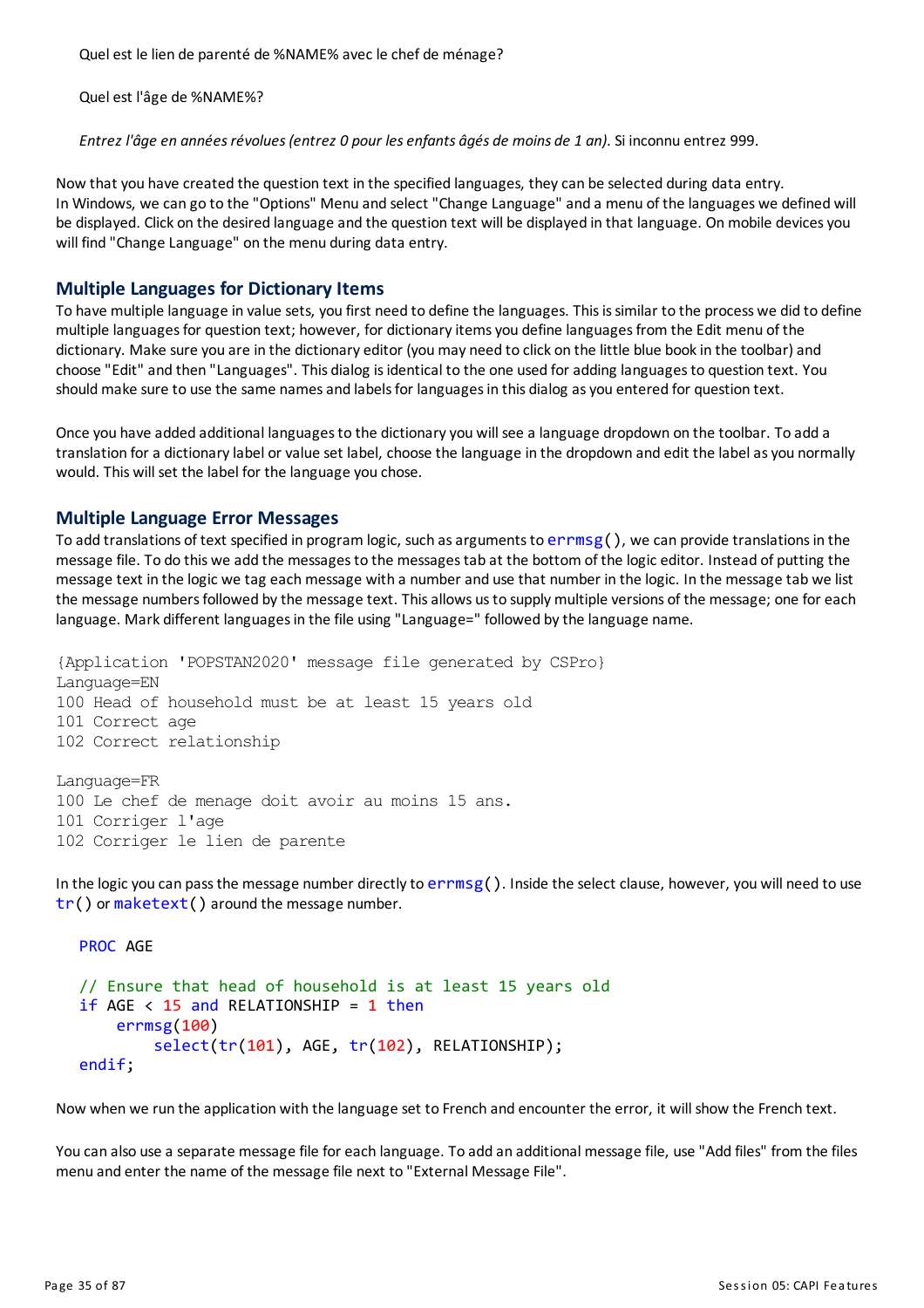Quel est le lien de parenté de %NAME% avec le chef de ménage?

Quel est l'âge de %NAME%?

*Entrez l'âge en annéesrévolues(entrez 0 pour lesenfants âgés de moins de 1 an)*. Si inconnu entrez 999.

Now that you have created the question text in the specified languages, theycan be selected during data entry. In Windows, we can go to the "Options" Menu and select "Change Language" and a menu of the languages we defined will be displayed. Click on the desired language and the question text will be displayed in that language. On mobile devices you will find "Change Language" on the menu during data entry.

#### **Multiple Languages for Dictionary Items**

To have multiple language in value sets, you first need to define the languages. Thisissimilar to the process we did to define multiple languages for question text; however, for dictionary items you define languages from the Edit menu of the dictionary. Make sure you are in the dictionary editor (you may need to click on the little blue book in the toolbar) and choose "Edit" and then "Languages". This dialog isidentical to the one used foradding languagesto question text. You should make sure to use the same names and labels for languages in this dialog as you entered for question text.

Once you have added additional languagesto the dictionaryyou will see a language dropdown on the toolbar. To add a translation for a dictionary label or value set label, choose the language in the dropdown and edit the label as you normally would. This will set the label for the language you chose.

#### **Multiple Language Error Messages**

To add translations of text specified in program logic, such as arguments to  $\text{errmsg}()$ , we can provide translations in the message file. To do this we add the messagesto the messagestab at the bottom of the logic editor. Instead of putting the message text in the logic we tag each message with a number and use that number in the logic. In the message tab we list the message numbersfollowed bythe message text. Thisallows usto supplymultiple versions of the message; one for each language. Mark different languages in the file using "Language=" followed by the language name.

{Application 'POPSTAN2020' message file generated by CSPro} Language=EN 100 Head of household must be at least 15 years old 101 Correct age 102 Correct relationship Language=FR

100 Le chef de menage doit avoir au moins 15 ans. 101 Corriger l'age 102 Corriger le lien de parente

In the logic you can pass the message number directly to  $\epsilon$ rmsg(). Inside the select clause, however, you will need to use tr() or maketext() around the message number.

```
PROC AGE
// Ensure that head of household is at least 15 years old
if AGE < 15 and RELATIONSHIP = 1 then
    errmsg(100)
        select(tr(101), AGE, tr(102), RELATIONSHIP);
endif;
```
Now when we run the application with the language set to French and encounter the error, it will show the French text.

You can also use a separate message file for each language. To add an additional message file, use "Add files" from the files menu and enter the name of the message file next to "External Message File".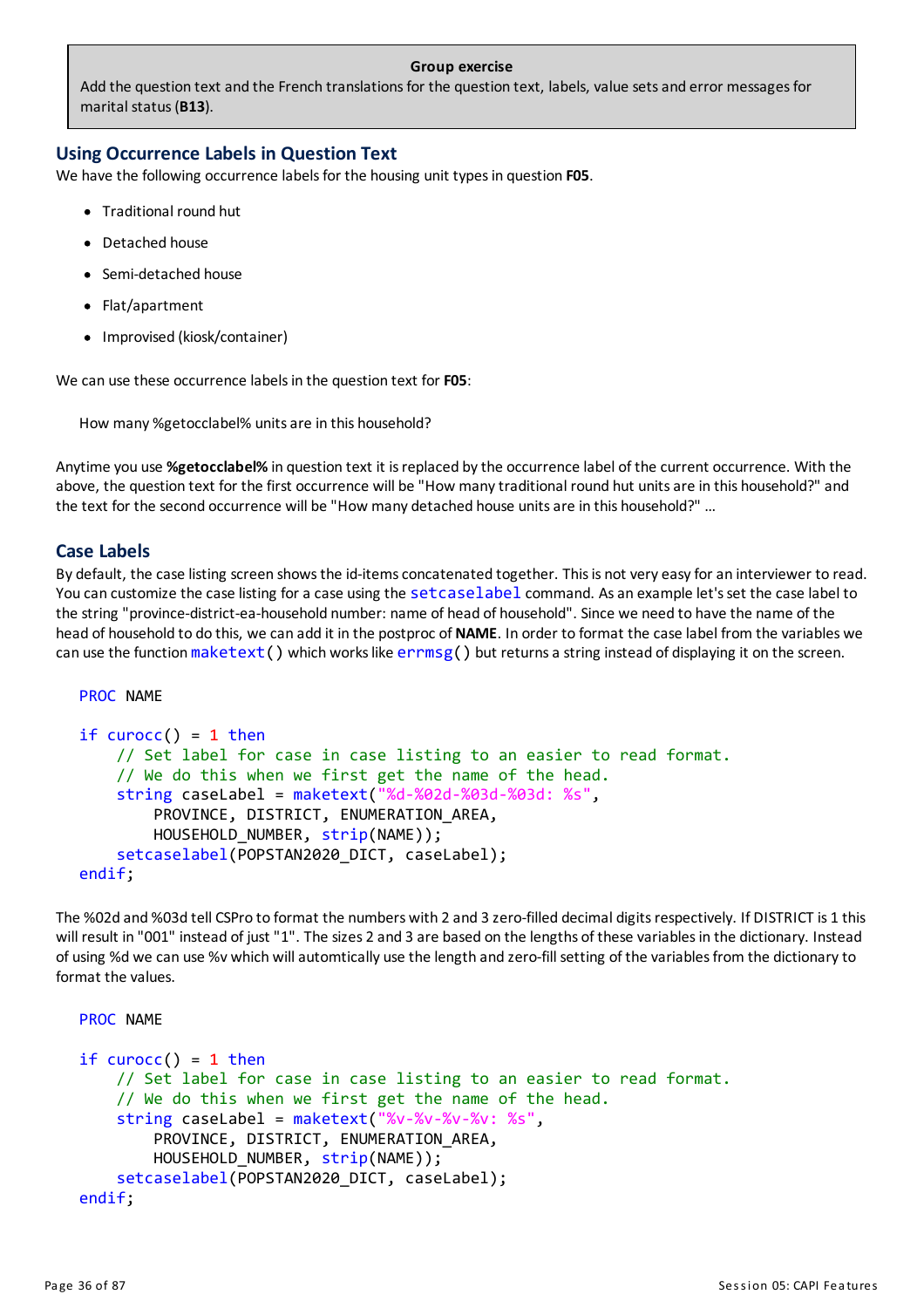#### **Group exercise**

Add the question text and the French translations for the question text, labels, value sets and error messages for marital status(**B13**).

# **Using Occurrence Labels in Question Text**

We have the following occurrence labels for the housing unit types in question F05.

- Traditional round hut
- Detached house
- Semi-detached house
- Flat/apartment
- Improvised (kiosk/container)

We can use these occurrence labels in the question text for **F05**:

How many %getocclabel% unitsare in this household?

Anytime you use **%getocclabel%** in question text it isreplaced bythe occurrence label of the current occurrence. With the above, the question text for the first occurrence will be "How many traditional round hut units are in this household?" and the text for the second occurrence will be "How many detached house unitsare in this household?" …

#### **Case Labels**

By default, the case listing screen showsthe id-itemsconcatenated together. Thisis not very easyforan interviewer to read. You can customize the case listing for a case using the setcaselabel command. As an example let's set the case label to the string "province-district-ea-household number: name of head of household". Since we need to have the name of the head of household to do this, we can add it in the postproc of **NAME**. In order to format the case label from the variables we can use the function maketext() which works like errmsg() but returns a string instead of displaying it on the screen.

#### PROC NAME

```
if curocc() = 1 then
    // Set label for case in case listing to an easier to read format.
    // We do this when we first get the name of the head.
    string caseLabel = maketext("%d-%02d-%03d-%03d: %s",
        PROVINCE, DISTRICT, ENUMERATION_AREA,
       HOUSEHOLD NUMBER, strip(NAME));
    setcaselabel(POPSTAN2020_DICT, caseLabel);
endif;
```
The %02d and %03d tell CSPro to format the numbers with 2 and 3 zero-filled decimal digitsrespectively. If DISTRICTis 1 this will result in "001" instead of just "1". The sizes 2 and 3 are based on the lengths of these variablesin the dictionary. Instead of using %d we can use %v which will automtically use the length and zero-fill setting of the variables from the dictionary to format the values.

```
PROC NAME
if curocc() = 1 then
    // Set label for case in case listing to an easier to read format.
    // We do this when we first get the name of the head.
    string caseLabel = maketext("%v-%v-%v-%v: %s",
        PROVINCE, DISTRICT, ENUMERATION_AREA,
        HOUSEHOLD NUMBER, strip(NAME));
    setcaselabel(POPSTAN2020_DICT, caseLabel);
endif;
```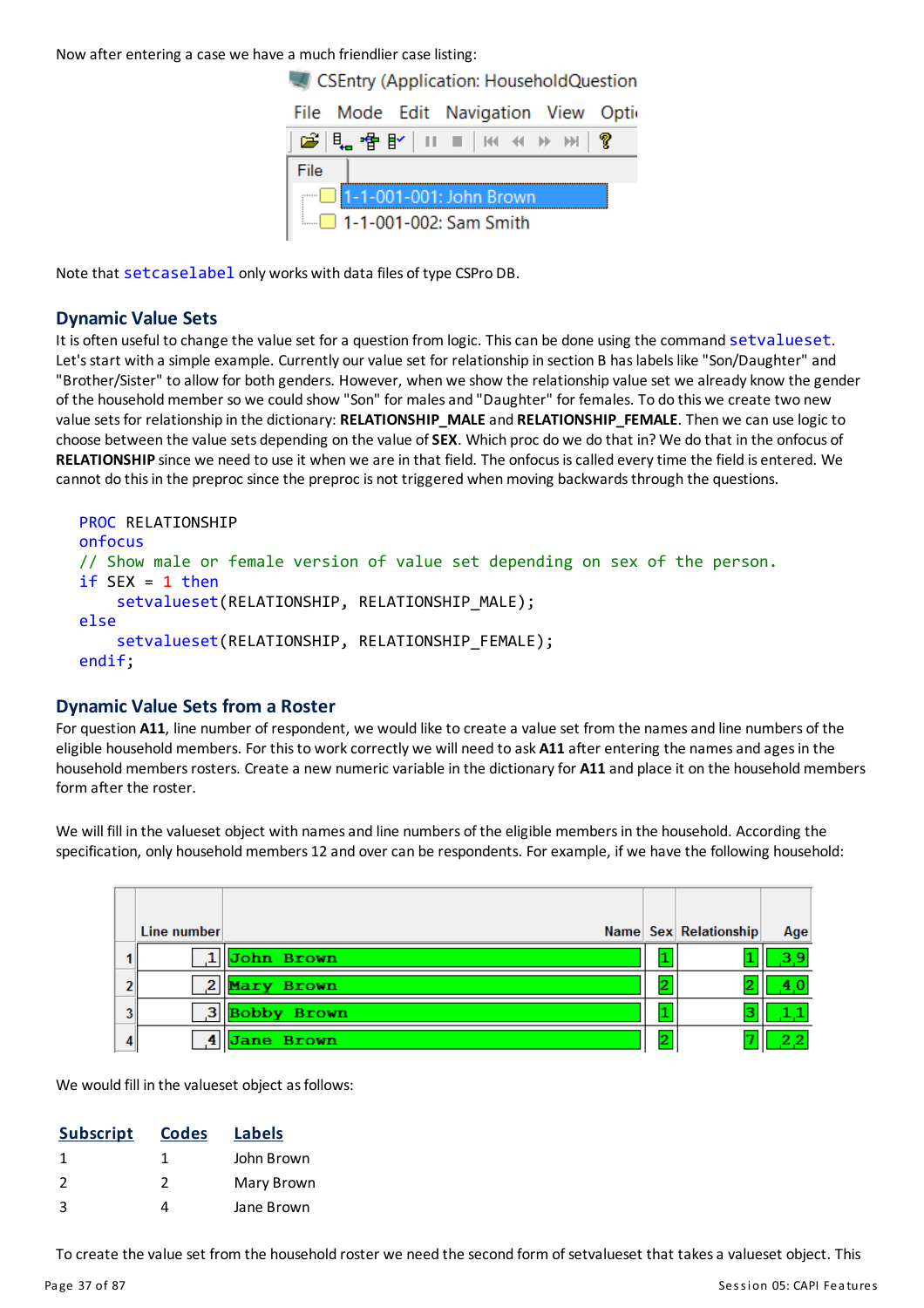Now after entering a case we have a much friendlier case listing:



Note that setcaselabel only works with data files of type CSPro DB.

## **Dynamic Value Sets**

It is often useful to change the value set for a question from logic. This can be done using the command setvalueset. Let's start with a simple example. Currently our value set for relationship in section B has labels like "Son/Daughter" and "Brother/Sister" to allow for both genders. However, when we show the relationship value set we already know the gender of the householdmember so we could show "Son" for malesand "Daughter" for females. To do this we create two new value setsfor relationship in the dictionary: **RELATIONSHIP\_MALE**and **RELATIONSHIP\_FEMALE**. Then we can use logic to choose between the value sets depending on the value of**SEX**. Which proc do we do that in? We do that in the onfocus of **RELATIONSHIP** since we need to use it when we are in that field. The onfocusiscalled everytime the field is entered. We cannot do this in the preproc since the preproc is not triggered when moving backwards through the questions.

```
PROC RELATIONSHIP
onfocus
// Show male or female version of value set depending on sex of the person.
if SEX = 1 then
    setvalueset(RELATIONSHIP, RELATIONSHIP MALE);
else
    setvalueset(RELATIONSHIP, RELATIONSHIP_FEMALE);
endif;
```
#### **Dynamic Value Sets from a Roster**

For question A11, line number of respondent, we would like to create a value set from the names and line numbers of the eligible household members. For this to work correctly we will need to ask A11 after entering the names and ages in the household members rosters. Create a new numeric variable in the dictionary for A11 and place it on the household members form after the roster.

We will fill in the valueset object with names and line numbers of the eligible members in the household. According the specification, only household members 12 and over can be respondents. For example, if we have the following household:

|   | Line number  |                             | Name Sex Relationship | Age |
|---|--------------|-----------------------------|-----------------------|-----|
|   |              | 1   <mark>John Brown</mark> |                       |     |
|   | $\mathbf{2}$ | Mary Brown                  |                       |     |
|   | 3            | <b>Bobby Brown</b>          | ว<br>ت                |     |
| 4 |              | <b>Jane Brown</b>           |                       |     |

We would fill in the valueset object as follows:

| <b>Subscript</b> | <b>Codes</b> | <b>Labels</b> |
|------------------|--------------|---------------|
| -1               |              | John Brown    |
| $\mathcal{L}$    | 2            | Mary Brown    |
| 3                |              | Jane Brown    |

To create the value set from the household roster we need the second form of setvalueset that takesa valueset object. This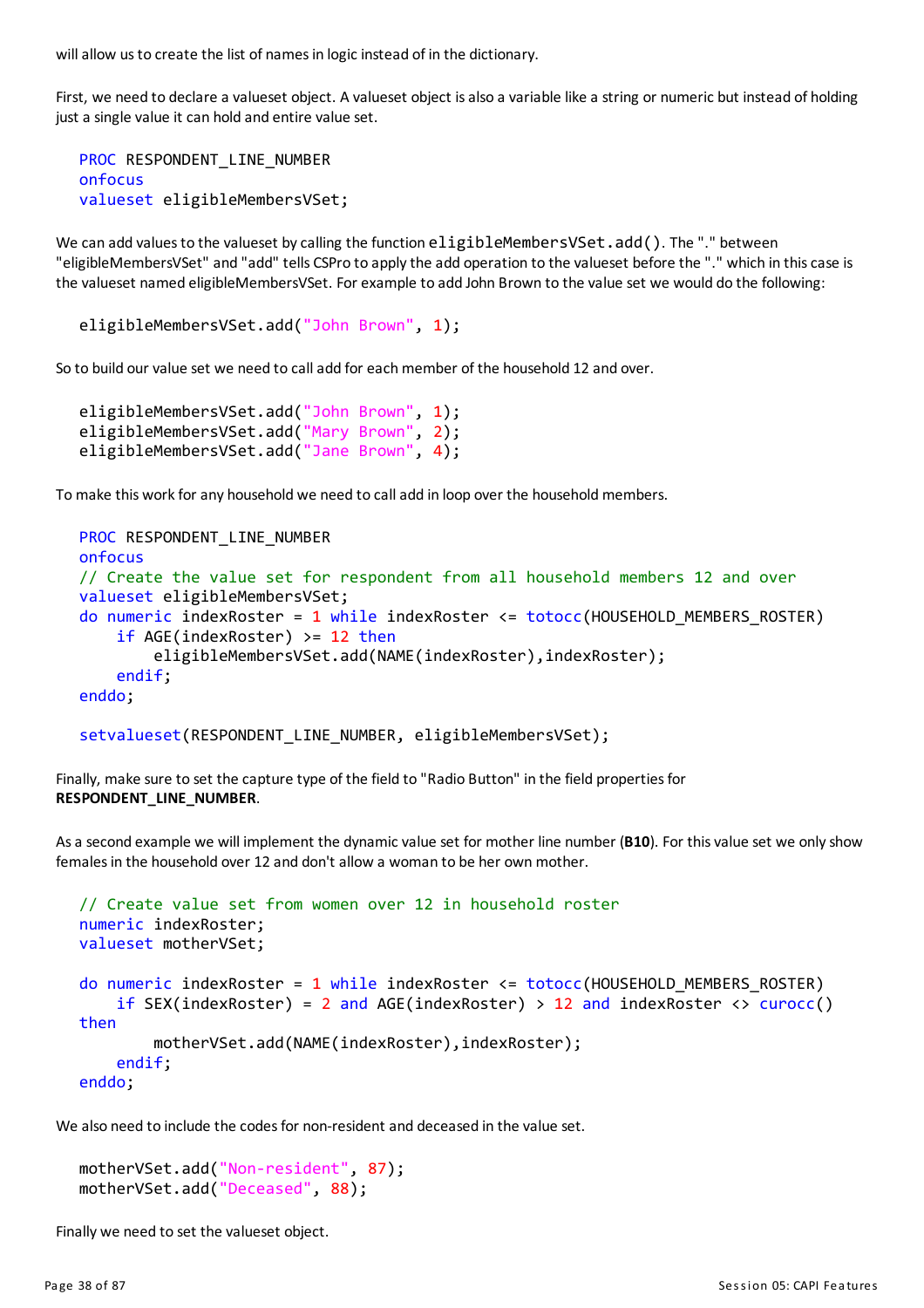will allow us to create the list of names in logic instead of in the dictionary.

First, we need to declare a valueset object. A valueset object is also a variable like a string or numeric but instead of holding just a single value it can hold and entire value set.

```
PROC RESPONDENT_LINE_NUMBER
onfocus
valueset eligibleMembersVSet;
```
We can add values to the valueset by calling the function eligibleMembersVSet.add(). The "." between "eligibleMembersVSet" and "add" tells CSPro to applythe add operation to the valueset before the "." which in thiscase is the valueset named eligibleMembersVSet. For example to add John Brown to the value set we would do the following:

```
eligibleMembersVSet.add("John Brown", 1);
```
So to build our value set we need to call add for each member of the household 12 and over.

```
eligibleMembersVSet.add("John Brown", 1);
eligibleMembersVSet.add("Mary Brown", 2);
eligibleMembersVSet.add("Jane Brown", 4);
```
To make this work for any household we need to call add in loop over the household members.

```
PROC RESPONDENT_LINE_NUMBER
onfocus
// Create the value set for respondent from all household members 12 and over
valueset eligibleMembersVSet;
do numeric indexRoster = 1 while indexRoster \leq totocc(HOUSEHOLD MEMBERS ROSTER)
    if AGE(indexRoster) >= 12 then
        eligibleMembersVSet.add(NAME(indexRoster), indexRoster);
    endif;
enddo;
```

```
setvalueset(RESPONDENT LINE NUMBER, eligibleMembersVSet);
```
Finally, make sure to set the capture type of the field to "Radio Button" in the field propertiesfor **RESPONDENT\_LINE\_NUMBER**.

Asa second example we will implement the dynamic value set for mother line number (**B10**). For thisvalue set we onlyshow females in the household over 12 and don't allow a woman to be her own mother.

```
// Create value set from women over 12 in household roster
numeric indexRoster;
valueset motherVSet;
do numeric indexRoster = 1 while indexRoster \leq totocc(HOUSEHOLD MEMBERS ROSTER)
    if SEX(indexRoster) = 2 and AGE(indexRoster) > 12 and indexRoster <> curocc()
then
        motherVSet.add(NAME(indexRoster), indexRoster);
    endif;
enddo;
```
We also need to include the codes for non-resident and deceased in the value set.

```
motherVSet.add("Non-resident", 87);
motherVSet.add("Deceased", 88);
```
Finally we need to set the valueset object.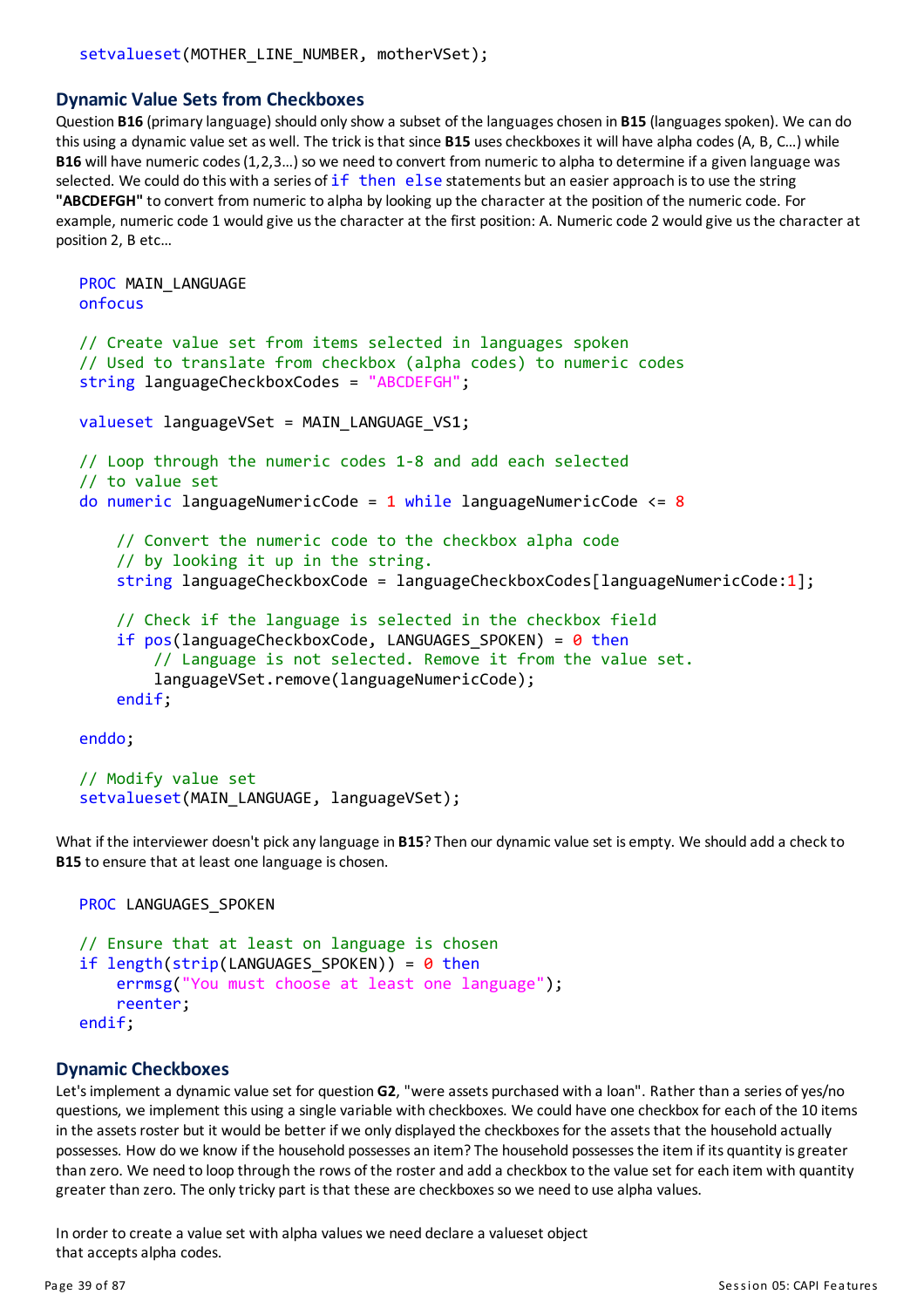#### **Dynamic Value Sets from Checkboxes**

Question **B16** (primarylanguage) should onlyshow a subset of the languageschosen in **B15** (languagesspoken). We can do this using a dynamic value set as well. The trick is that since **B15** uses checkboxes it will have alpha codes (A, B, C...) while **B16** will have numeric codes (1,2,3...) so we need to convert from numeric to alpha to determine if a given language was selected. We could do this with a series of  $if$  then else statements but an easier approach is to use the string **"ABCDEFGH"**to convert from numeric to alpha bylooking up the characterat the position of the numeric code. For example, numeric code 1 would give us the character at the first position: A. Numeric code 2 would give us the character at position 2, B etc…

```
PROC MAIN LANGUAGE
onfocus
// Create value set from items selected in languages spoken
// Used to translate from checkbox (alpha codes) to numeric codes
string languageCheckboxCodes = "ABCDEFGH";
valueset languageVSet = MAIN_LANGUAGE_VS1;
// Loop through the numeric codes 1-8 and add each selected
// to value set
do numeric languageNumericCode = 1 while languageNumericCode <= 8
    // Convert the numeric code to the checkbox alpha code
    // by looking it up in the string.
    string languageCheckboxCode = languageCheckboxCodes[languageNumericCode:1];
    // Check if the language is selected in the checkbox field
    if pos(languageCheckboxCode, LANGUAGES SPOKEN) = \theta then
        // Language is not selected. Remove it from the value set.
        languageVSet.remove(languageNumericCode);
    endif;
enddo;
```

```
// Modify value set
setvalueset(MAIN_LANGUAGE, languageVSet);
```
What if the interviewer doesn't pick any language in **B15**? Then our dynamic value set is empty. We should add a check to **B15** to ensure that at least one language is chosen.

```
PROC LANGUAGES SPOKEN
```

```
// Ensure that at least on language is chosen
if length(strip(LANGUAGES_SPOKEN)) = 0 then
    errmsg("You must choose at least one language");
    reenter;
endif;
```
#### **Dynamic Checkboxes**

Let'simplement a dynamic value set for question **G2**, "were assets purchased with a loan". Rather than a series ofyes/no questions, we implement this using a single variable with checkboxes. We could have one checkbox for each of the 10 items in the assets roster but it would be better if we only displayed the checkboxes for the assets that the household actually possesses. How do we know if the household possesses an item? The household possesses the item if its quantity is greater than zero. We need to loop through the rows of the rosterand add a checkbox to the value set for each item with quantity greater than zero. The only tricky part is that these are checkboxes so we need to use alpha values.

In order to create a value set with alpha values we need declare a valueset object that accepts alpha codes.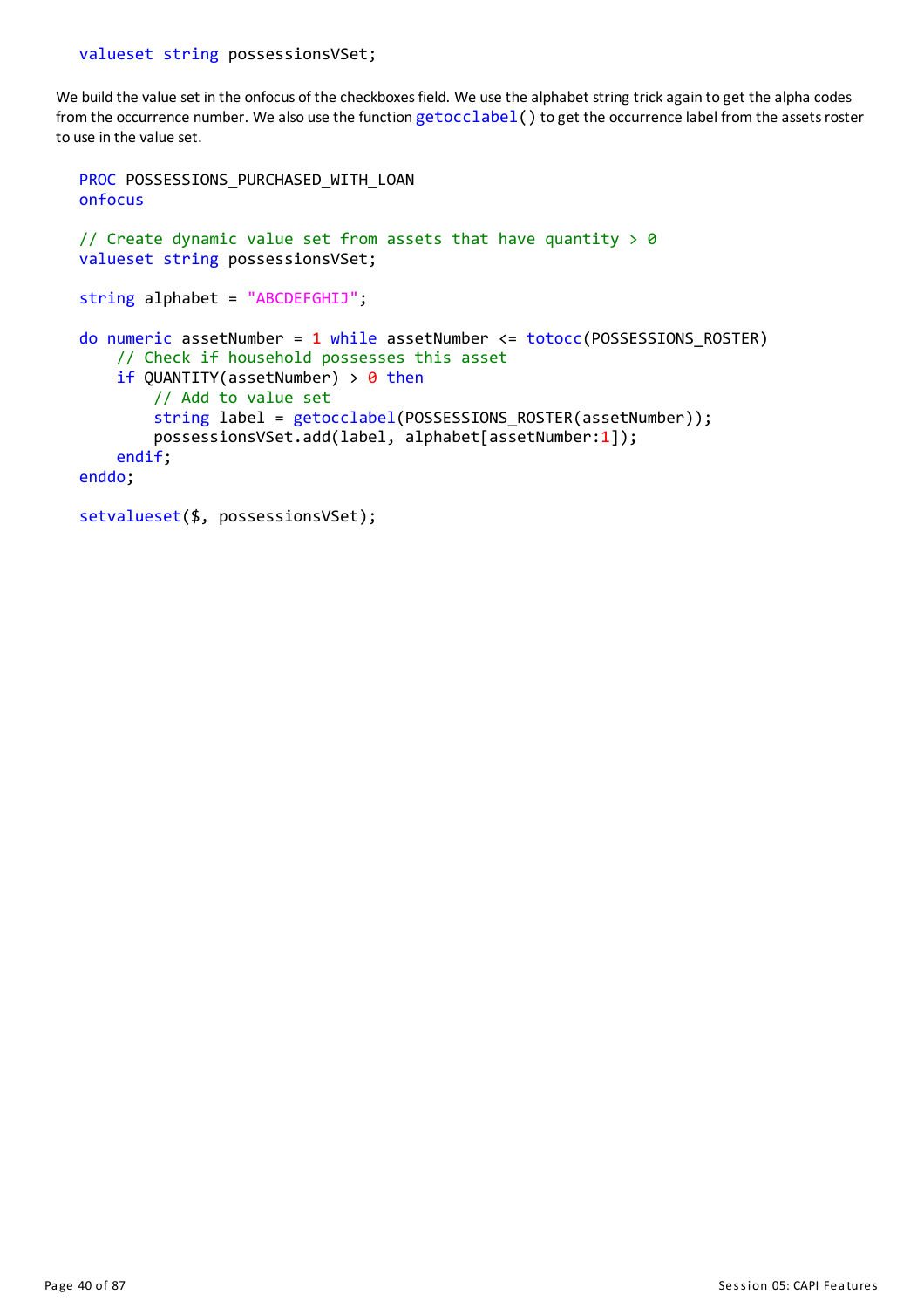We build the value set in the onfocus of the checkboxes field. We use the alphabet string trick again to get the alpha codes from the occurrence number. We also use the function  $getocclabel()$  to get the occurrence label from the assets roster to use in the value set.

```
PROC POSSESSIONS PURCHASED WITH LOAN
onfocus
// Create dynamic value set from assets that have quantity > 0valueset string possessionsVSet;
string alphabet = "ABCDEFGHIJ";
do numeric assetNumber = 1 while assetNumber <= totocc(POSSESSIONS_ROSTER)
    // Check if household possesses this asset
    if QUANTITY(assetNumber) > \theta then
        // Add to value set
        string label = getocclabel(POSSESSIONS ROSTER(assetNumber));
        possessionsVSet.add(label, alphabet[assetNumber:1]);
    endif;
enddo;
setvalueset($, possessionsVSet);
```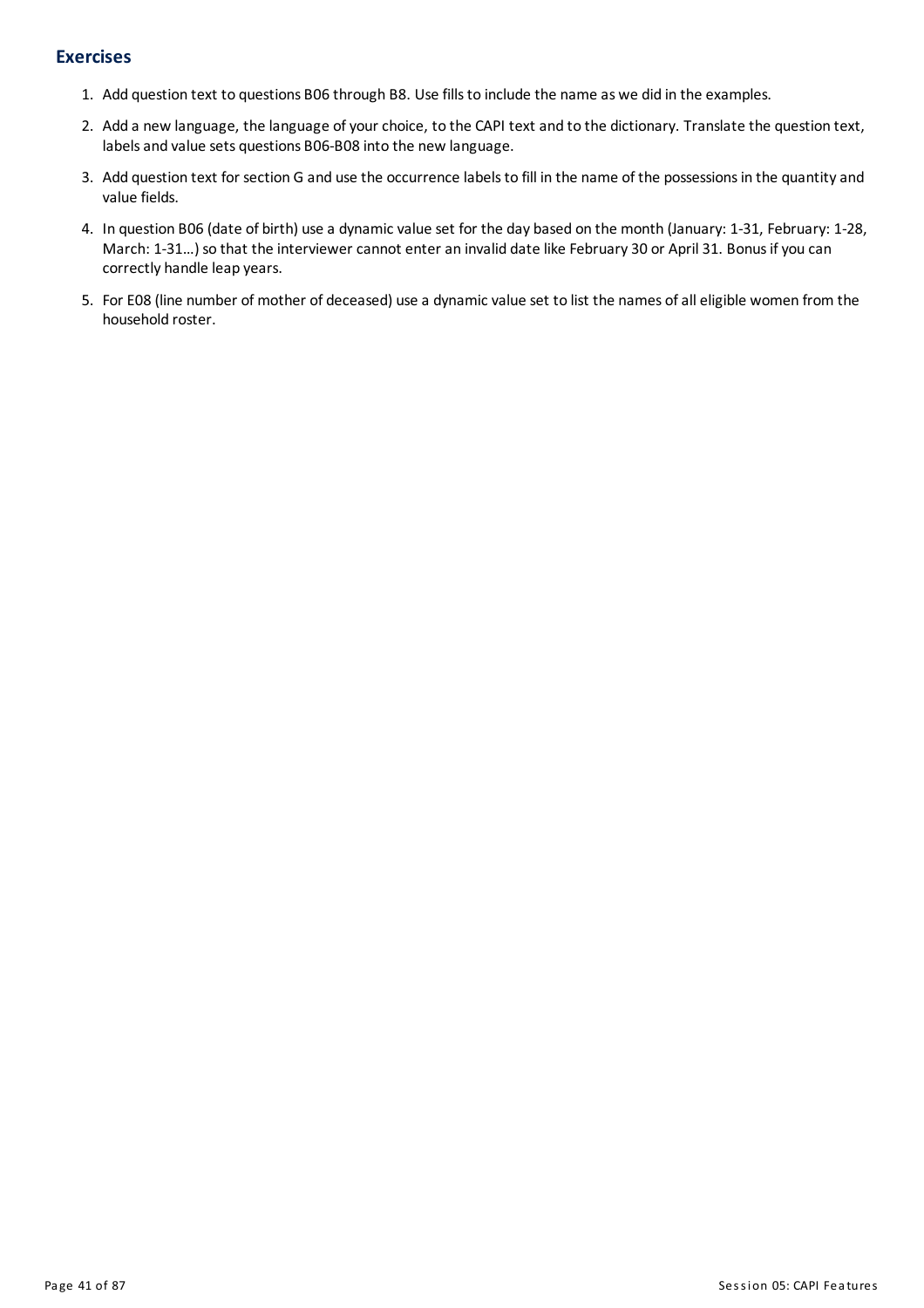# **Exercises**

- 1. Add question text to questions B06 through B8. Use fillsto include the name as we did in the examples.
- 2. Add a new language, the language of your choice, to the CAPI text and to the dictionary. Translate the question text, labels and value sets questions B06-B08 into the new language.
- 3. Add question text for section G and use the occurrence labels to fill in the name of the possessions in the quantity and value fields.
- 4. In question B06 (date of birth) use a dynamic value set for the day based on the month (January: 1-31, February: 1-28, March: 1-31...) so that the interviewer cannot enter an invalid date like February 30 or April 31. Bonus if you can correctly handle leap years.
- 5. For E08 (line number of mother of deceased) use a dynamic value set to list the names of all eligible women from the household roster.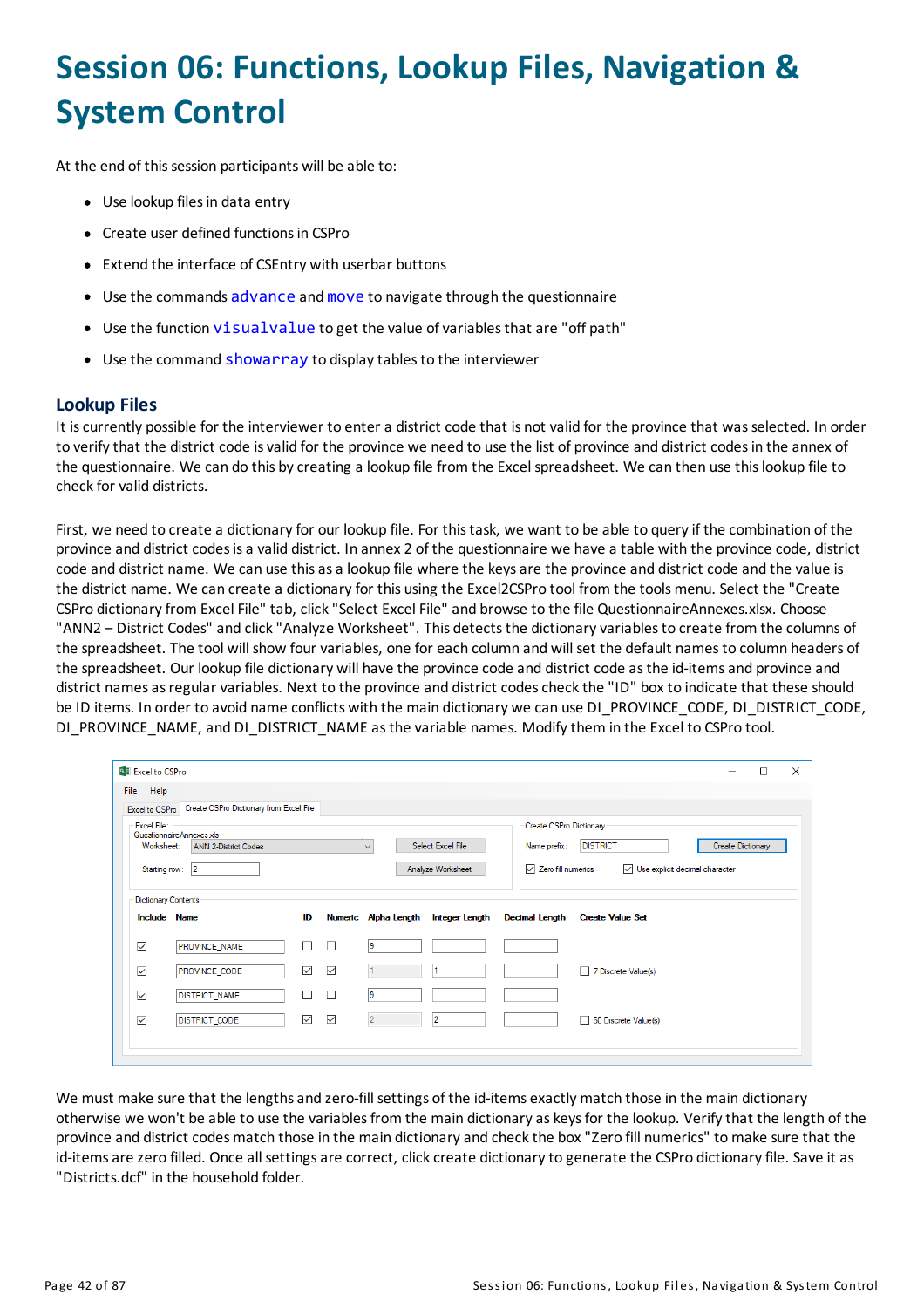# **Session 06: Functions, Lookup Files, Navigation & System Control**

At the end of this session participants will be able to:

- Use lookup files in data entry
- Create user defined functions in CSPro
- Extend the interface of CSEntry with userbar buttons
- Use the commands advance and move to navigate through the questionnaire
- Use the function visualvalue to get the value of variables that are "off path"
- Use the command showarray to display tables to the interviewer

## **Lookup Files**

It iscurrently possible for the interviewer to entera district code that is not valid for the province that wasselected. In order to verify that the district code is valid for the province we need to use the list of province and district codes in the annex of the questionnaire. We can do this by creating a lookup file from the Excel spreadsheet. We can then use this lookup file to check for valid districts.

First, we need to create a dictionary for our lookup file. For this task, we want to be able to query if the combination of the province and district codesisa valid district. In annex 2 of the questionnaire we have a table with the province code, district code and district name. We can use this as a lookup file where the keys are the province and district code and the value is the district name. We can create a dictionary for this using the Excel2CSPro tool from the tools menu. Select the "Create CSPro dictionary from Excel File" tab, click "Select Excel File" and browse to the file QuestionnaireAnnexes.xlsx. Choose "ANN2 - District Codes" and click "Analyze Worksheet". This detects the dictionary variables to create from the columns of the spreadsheet. The tool will show four variables, one for each column and will set the default namesto column headers of the spreadsheet. Our lookup file dictionary will have the province code and district code as the id-items and province and district names as regular variables. Next to the province and district codes check the "ID" box to indicate that these should be ID items. In order to avoid name conflicts with the main dictionary we can use DI\_PROVINCE\_CODE, DI\_DISTRICT\_CODE, DI\_PROVINCE\_NAME, and DI\_DISTRICT\_NAME as the variable names. Modify them in the Excel to CSPro tool.

| <b>BII</b> Excel to CSPro  |                                                        |              |              |                      |                   |                               |                         | -                              | □                        | $\times$ |
|----------------------------|--------------------------------------------------------|--------------|--------------|----------------------|-------------------|-------------------------------|-------------------------|--------------------------------|--------------------------|----------|
| Help<br>File               |                                                        |              |              |                      |                   |                               |                         |                                |                          |          |
|                            | Excel to CSPro Create CSPro Dictionary from Excel File |              |              |                      |                   |                               |                         |                                |                          |          |
|                            | Excel File:<br>Questionnaire Annexes xls               |              |              |                      |                   | Create CSPro Dictionary       |                         |                                |                          |          |
| Worksheet:                 | <b>ANN 2-District Codes</b>                            |              |              | $\checkmark$         | Select Excel File | Name prefix:                  | <b>DISTRICT</b>         |                                | <b>Create Dictionary</b> |          |
| Starting row: 2            |                                                        |              |              |                      | Analyze Worksheet | $\sqrt{ }$ Zero fill numerics |                         | Use explicit decimal character |                          |          |
|                            |                                                        |              |              |                      |                   |                               |                         |                                |                          |          |
| <b>Dictionary Contents</b> |                                                        |              |              |                      |                   |                               |                         |                                |                          |          |
|                            | <b>Include Name</b>                                    | ID           |              | Numeric Alpha Length | Integer Length    | <b>Decimal Length</b>         | <b>Create Value Set</b> |                                |                          |          |
| $\checkmark$               | <b>PROVINCE NAME</b>                                   | □            | $\Box$       | 19                   |                   |                               |                         |                                |                          |          |
| $\checkmark$               | PROVINCE_CODE                                          | $\checkmark$ | $\checkmark$ |                      |                   |                               | 7 Discrete Value(s)     |                                |                          |          |
| $\checkmark$               | <b>DISTRICT_NAME</b>                                   | □            | $\Box$       | 19                   |                   |                               |                         |                                |                          |          |
| $\checkmark$               | <b>DISTRICT_CODE</b>                                   | $\checkmark$ | $\checkmark$ | $\overline{2}$       | 12                |                               | 60 Discrete Value(s)    |                                |                          |          |
|                            |                                                        |              |              |                      |                   |                               |                         |                                |                          |          |
|                            |                                                        |              |              |                      |                   |                               |                         |                                |                          |          |

We must make sure that the lengths and zero-fill settings of the id-items exactly match those in the main dictionary otherwise we won't be able to use the variables from the main dictionary as keys for the lookup. Verify that the length of the province and district codesmatch those in the main dictionaryand checkthe box "Zero fill numerics" tomake sure that the id-items are zero filled. Once all settings are correct, click create dictionary to generate the CSPro dictionary file. Save it as "Districts.dcf" in the household folder.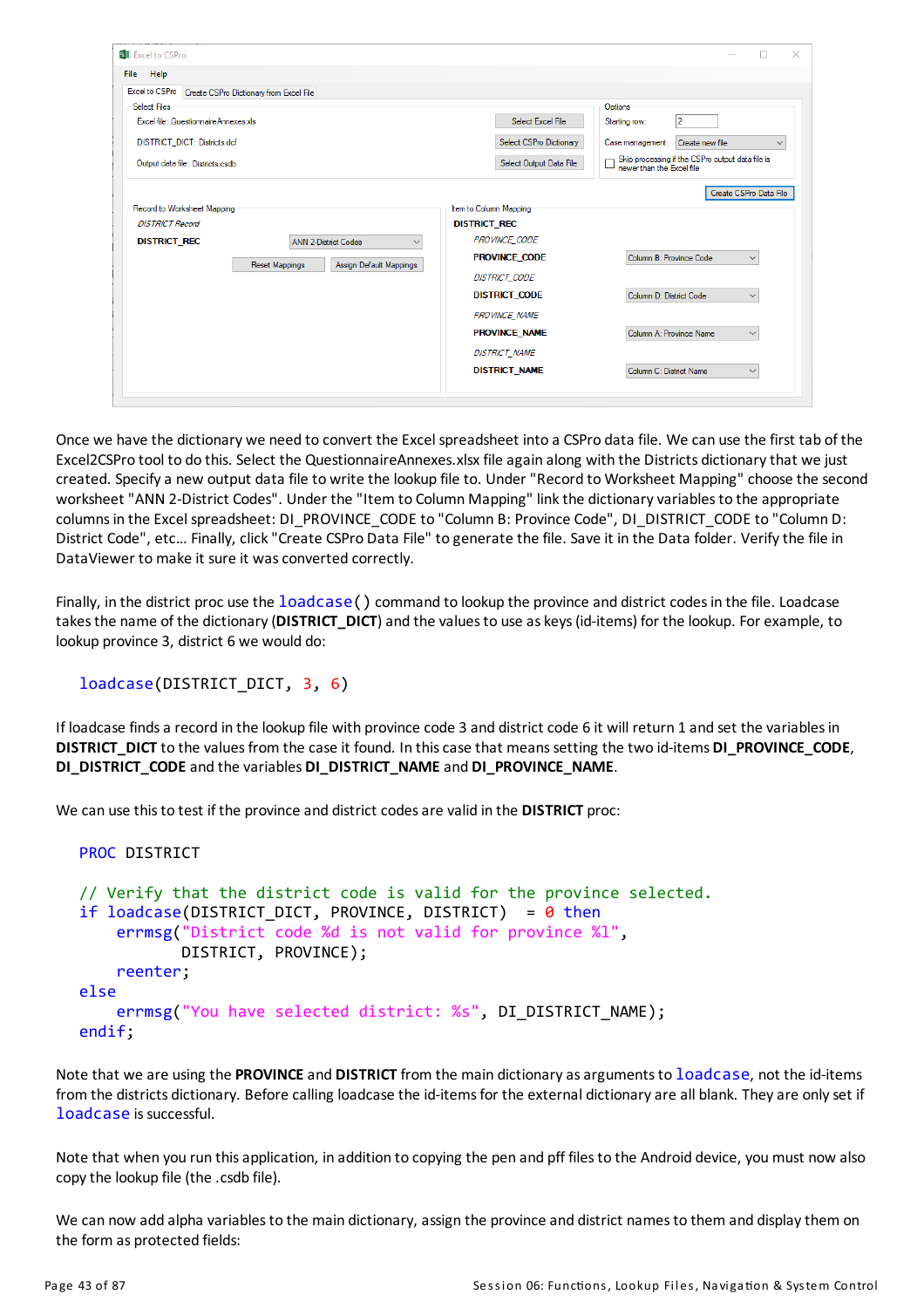| <b>Bill</b> Excel to CSPro                                             |                                                  |                         | $\times$                                                                      |
|------------------------------------------------------------------------|--------------------------------------------------|-------------------------|-------------------------------------------------------------------------------|
| Help<br>File                                                           |                                                  |                         |                                                                               |
| Excel to CSPro Create CSPro Dictionary from Excel File<br>Select Files |                                                  |                         | Options                                                                       |
| Excel file: QuestionnaireAnnexes.xls                                   |                                                  | Select Excel File       | 2<br>Starting row:                                                            |
| DISTRICT_DICT: Districts.dcf                                           |                                                  | Select CSPro Dictionary | Case management:<br>Create new file<br>$\checkmark$                           |
| Output data file: Districts.csdb                                       |                                                  | Select Output Data File | Skip processing if the CSPro output data file is<br>newer than the Excel file |
|                                                                        |                                                  |                         | Create CSPro Data File                                                        |
| Record to Worksheet Mapping                                            |                                                  | Item to Column Mapping  |                                                                               |
| <b>DISTRICT Record</b>                                                 |                                                  | <b>DISTRICT REC</b>     |                                                                               |
| <b>DISTRICT REC</b>                                                    | <b>ANN 2-District Codes</b><br>$\checkmark$      | <b>PROVINCE CODE</b>    |                                                                               |
|                                                                        | <b>Reset Mappings</b><br>Assign Default Mappings | <b>PROVINCE CODE</b>    | Column B: Province Code<br>$\checkmark$                                       |
|                                                                        |                                                  | <b>DISTRICT_CODE</b>    |                                                                               |
|                                                                        |                                                  | <b>DISTRICT CODE</b>    | Column D: District Code<br>$\checkmark$                                       |
|                                                                        |                                                  | <b>PROVINCE NAME</b>    |                                                                               |
|                                                                        |                                                  | <b>PROVINCE NAME</b>    | Column A: Province Name<br>$\checkmark$                                       |
|                                                                        |                                                  | <b>DISTRICT_NAME</b>    |                                                                               |
|                                                                        |                                                  | <b>DISTRICT_NAME</b>    | Column C: District Name<br>$\checkmark$                                       |
|                                                                        |                                                  |                         |                                                                               |

Once we have the dictionary we need to convert the Excel spreadsheet into a CSPro data file. We can use the first tab of the Excel2CSPro tool to do this. Select the QuestionnaireAnnexes.xlsx file again along with the Districts dictionarythat we just created. Specifya new output data file to write the lookup file to. Under "Record to Worksheet Mapping" choose the second worksheet "ANN 2-District Codes". Under the "Item to Column Mapping" link the dictionary variables to the appropriate columns in the Excel spreadsheet: DI\_PROVINCE\_CODE to "Column B: Province Code", DI\_DISTRICT\_CODE to "Column D: District Code", etc… Finally, click"Create CSPro Data File" to generate the file. Save it in the Data folder. Verifythe file in DataViewer to make it sure it was converted correctly.

Finally, in the district proc use the loadcase () command to lookup the province and district codes in the file. Loadcase takes the name of the dictionary (DISTRICT\_DICT) and the values to use as keys (id-items) for the lookup. For example, to lookup province 3, district 6 we would do:

```
loadcase(DISTRICT_DICT, 3, 6)
```
If loadcase finds a record in the lookup file with province code 3 and district code 6 it will return 1 and set the variables in **DISTRICT\_DICT** to the valuesfrom the case it found. In thiscase that meanssetting the two id-items **DI\_PROVINCE\_CODE**, **DI\_DISTRICT\_CODE**and the variables **DI\_DISTRICT\_NAME**and **DI\_PROVINCE\_NAME**.

We can use thisto test if the province and district codesare valid in the **DISTRICT** proc:

```
PROC DISTRICT
// Verify that the district code is valid for the province selected.
if loadcase(DISTRICT DICT, PROVINCE, DISTRICT) = \theta then
    errmsg("District code %d is not valid for province %l",
           DISTRICT, PROVINCE);
    reenter;
else
    errmsg("You have selected district: %s", DI_DISTRICT_NAME);
endif;
```
Note that we are using the **PROVINCE**and **DISTRICT** from the main dictionaryasargumentsto loadcase, not the id-items from the districts dictionary. Before calling loadcase the id-items for the external dictionary are all blank. They are only set if loadcase is successful.

Note that when you run this application, in addition to copying the pen and pff files to the Android device, you must now also copythe lookup file (the .csdb file).

We can now add alpha variables to the main dictionary, assign the province and district names to them and display them on the form as protected fields: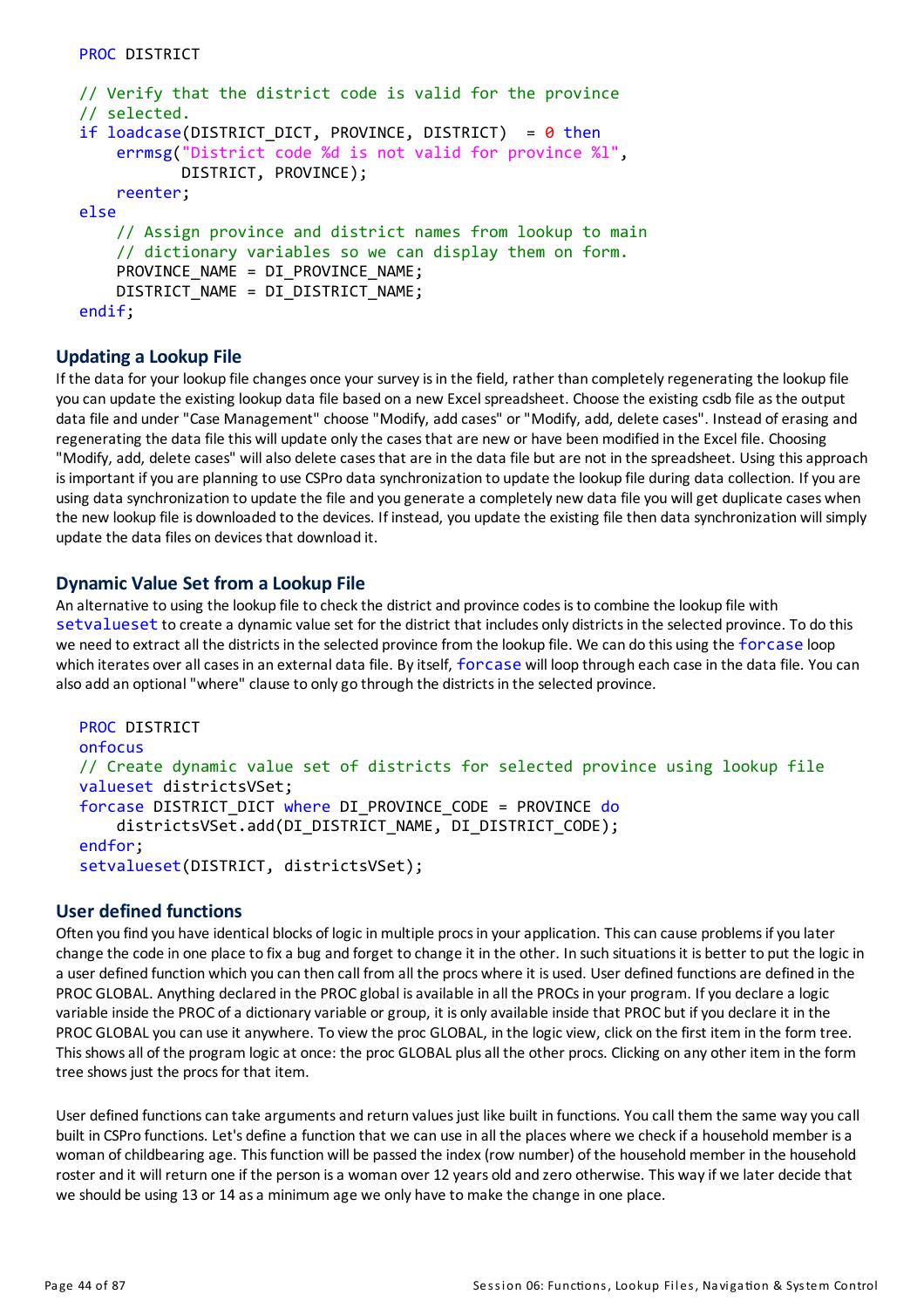```
// Verify that the district code is valid for the province
// selected.
if loadcase(DISTRICT DICT, PROVINCE, DISTRICT) = \theta then
    errmsg("District code %d is not valid for province %l",
           DISTRICT, PROVINCE);
    reenter;
else
    // Assign province and district names from lookup to main
    // dictionary variables so we can display them on form.
    PROVINCE NAME = DI PROVINCE NAME;
    DISTRICT_NAME = DI_DISTRICT_NAME;
endif;
```
#### **Updating a Lookup File**

If the data for your lookup file changes once your survey is in the field, rather than completely regenerating the lookup file you can update the existing lookup data file based on a new Excel spreadsheet. Choose the existing csdb file asthe output data file and under "Case Management" choose "Modify, add cases" or "Modify, add, delete cases". Instead of erasing and regenerating the data file this will update only the cases that are new or have been modified in the Excel file. Choosing "Modify, add, delete cases" will also delete cases that are in the data file but are not in the spreadsheet. Using this approach isimportant ifyou are planning to use CSPro data synchronization to update the lookup file during data collection. Ifyou are using data synchronization to update the file and you generate a completely new data file you willget duplicate cases when the new lookup file is downloaded to the devices. If instead, you update the existing file then data synchronization will simply update the data files on devicesthat download it.

#### **Dynamic Value Set from a Lookup File**

An alternative to using the lookup file to check the district and province codes is to combine the lookup file with setvalueset to create a dynamic value set for the district that includes only districtsin the selected province. To do this we need to extract all the districts in the selected province from the lookup file. We can do this using the forcase loop which iterates over all cases in an external data file. By itself, forcase will loop through each case in the data file. You can also add an optional "where" clause to onlygo through the districtsin the selected province.

```
PROC DISTRICT
onfocus
// Create dynamic value set of districts for selected province using lookup file
valueset districtsVSet;
forcase DISTRICT_DICT where DI_PROVINCE_CODE = PROVINCE do
    districtsVSet.add(DI_DISTRICT_NAME, DI_DISTRICT_CODE);
endfor;
setvalueset(DISTRICT, districtsVSet);
```
## **User defined functions**

Often you find you have identical blocks of logic in multiple procs in your application. This can cause problems if you later change the code in one place to fixa bug and forget to change it in the other. In such situationsit is better to put the logic in a user defined function which you can then call from all the procs where it is used. User defined functionsare defined in the PROC GLOBAL. Anything declared in the PROC global is available in all the PROCs in your program. If you declare a logic variable inside the PROC of a dictionary variable or group, it is only available inside that PROC but if you declare it in the PROC GLOBAL you can use it anywhere. To view the proc GLOBAL, in the logic view, click on the first item in the form tree. This shows all of the program logic at once: the proc GLOBAL plus all the other procs. Clicking on any other item in the form tree shows just the procs for that item.

User defined functions can take arguments and return values just like built in functions. You call them the same way you call built in CSPro functions. Let's define a function that we can use in all the places where we check if a household member is a woman of childbearing age. This function will be passed the index (row number) of the household member in the household roster and it will return one if the person is a woman over 12 years old and zero otherwise. This way if we later decide that we should be using 13 or 14 as a minimum age we only have to make the change in one place.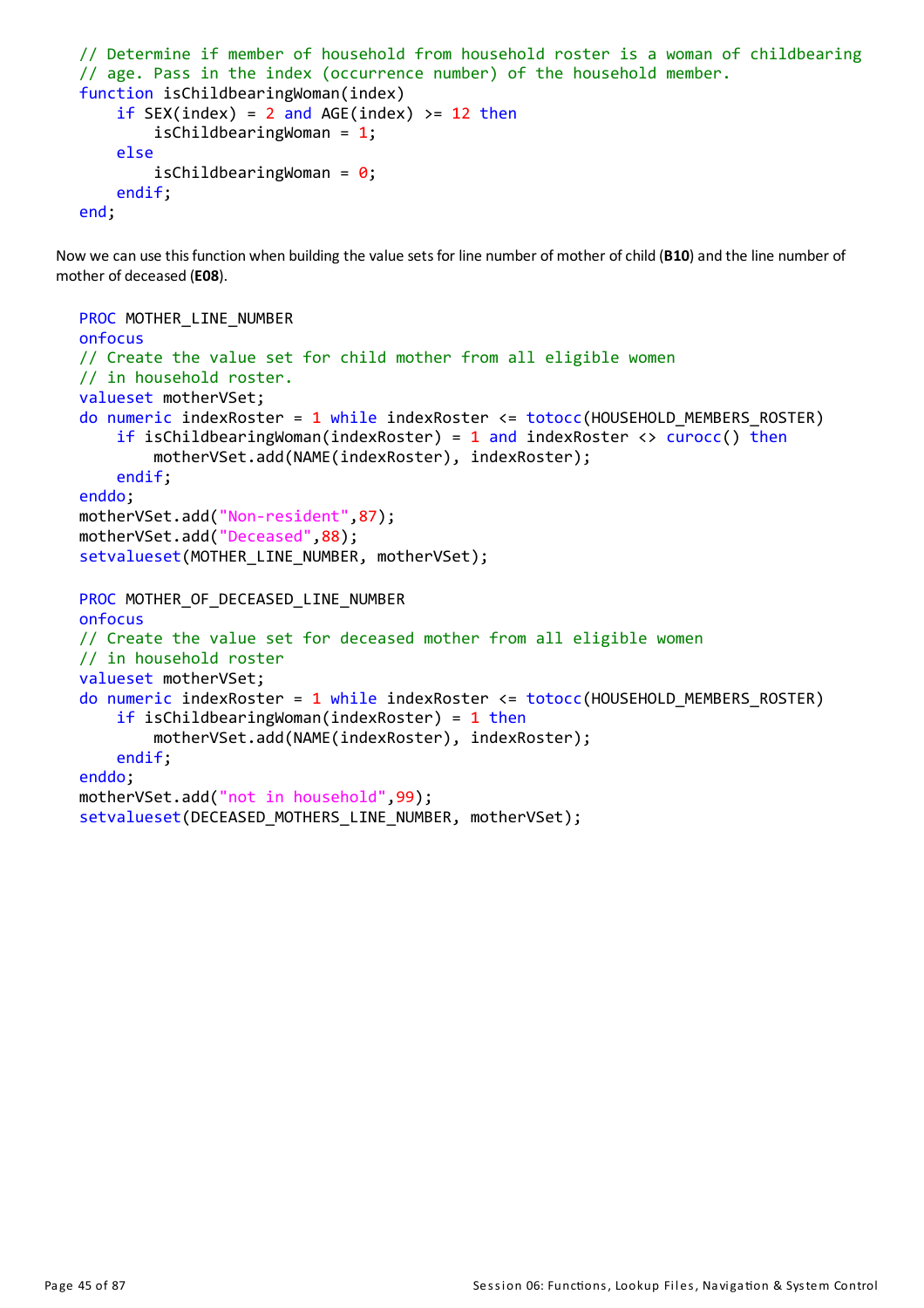```
// Determine if member of household from household roster is a woman of childbearing
// age. Pass in the index (occurrence number) of the household member.
function isChildbearingWoman(index)
    if SEX(index) = 2 and AGE(index) >= 12 then
        isChildbearingWoman = 1;
    else
        isChildbearingWoman = \theta;
    endif;
end;
```
Now we can use this function when building the value sets for line number of mother of child (B10) and the line number of mother of deceased (**E08**).

```
PROC MOTHER LINE NUMBER
onfocus
// Create the value set for child mother from all eligible women
// in household roster.
valueset motherVSet;
do numeric indexRoster = 1 while indexRoster \leq totocc(HOUSEHOLD MEMBERS ROSTER)
    if isChildbearingWoman(indexRoster) = 1 and indexRoster <> curocc() then
        motherVSet.add(NAME(indexRoster), indexRoster);
    endif;
enddo;
motherVSet.add("Non-resident",87);
motherVSet.add("Deceased",88);
setvalueset(MOTHER LINE NUMBER, motherVSet);
PROC MOTHER_OF_DECEASED_LINE_NUMBER
onfocus
// Create the value set for deceased mother from all eligible women
// in household roster
valueset motherVSet;
do numeric indexRoster = 1 while indexRoster <= totocc(HOUSEHOLD_MEMBERS_ROSTER)
    if isChildbearingWoman(indexRoster) = 1 then
        motherVSet.add(NAME(indexRoster), indexRoster);
    endif;
enddo;
motherVSet.add("not in household",99);
setvalueset(DECEASED MOTHERS LINE NUMBER, motherVSet);
```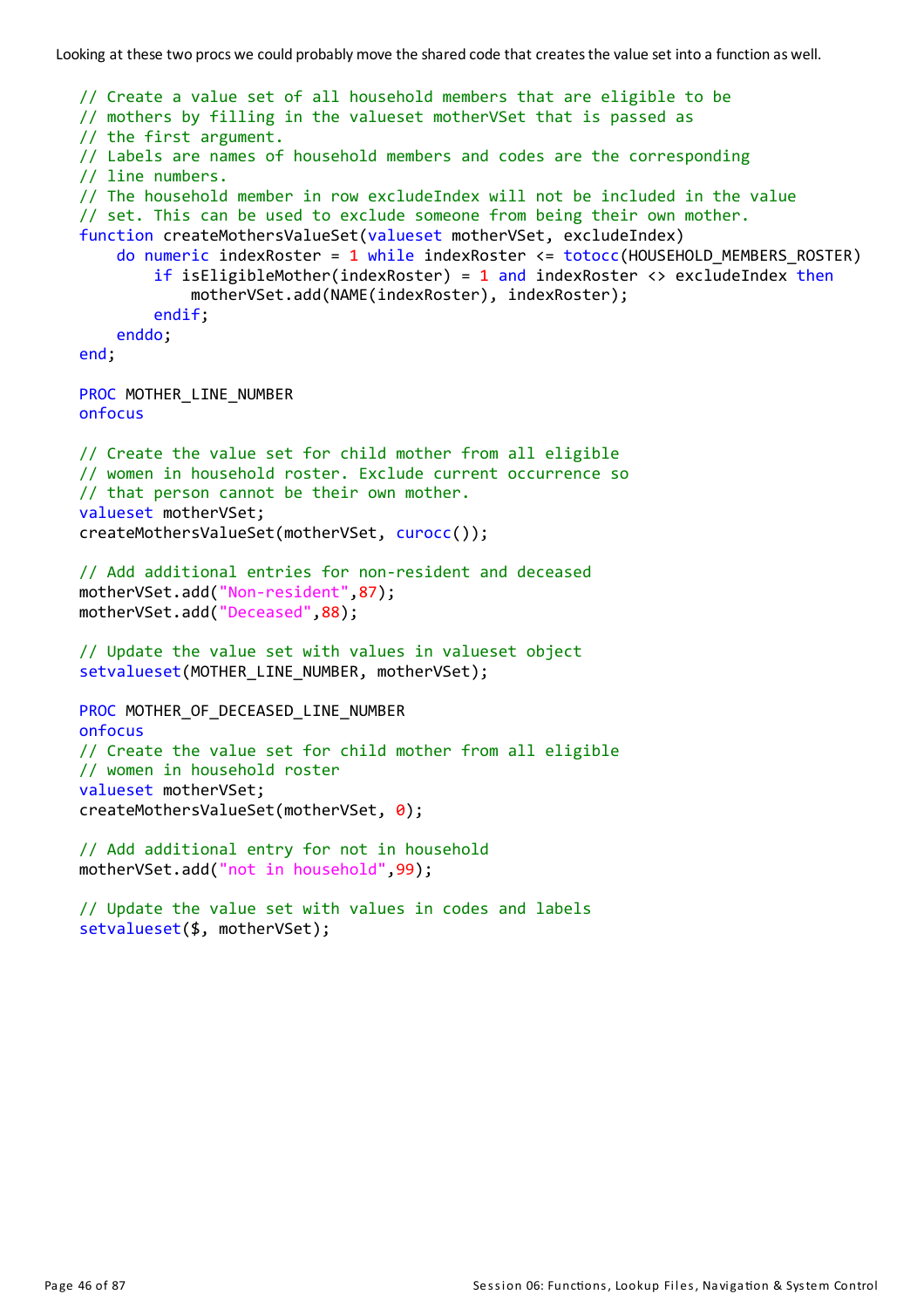```
// Create a value set of all household members that are eligible to be
// mothers by filling in the valueset motherVSet that is passed as
// the first argument.
// Labels are names of household members and codes are the corresponding
// line numbers.
// The household member in row excludeIndex will not be included in the value
// set. This can be used to exclude someone from being their own mother.
function createMothersValueSet(valueset motherVSet, excludeIndex)
    do numeric indexRoster = 1 while indexRoster \leq totocc(HOUSEHOLD MEMBERS ROSTER)
        if isEligibleMother(indexRoster) = 1 and indexRoster \langle \rangle excludeIndex then
            motherVSet.add(NAME(indexRoster), indexRoster);
        endif;
    enddo;
end;
PROC MOTHER LINE NUMBER
onfocus
// Create the value set for child mother from all eligible
// women in household roster. Exclude current occurrence so
// that person cannot be their own mother.
valueset motherVSet;
createMothersValueSet(motherVSet, curocc());
// Add additional entries for non-resident and deceased
motherVSet.add("Non-resident",87);
motherVSet.add("Deceased",88);
// Update the value set with values in valueset object
setvalueset(MOTHER LINE NUMBER, motherVSet);
PROC MOTHER OF DECEASED LINE NUMBER
onfocus
// Create the value set for child mother from all eligible
// women in household roster
valueset motherVSet;
createMothersValueSet(motherVSet, 0);
// Add additional entry for not in household
motherVSet.add("not in household",99);
// Update the value set with values in codes and labels
setvalueset($, motherVSet);
```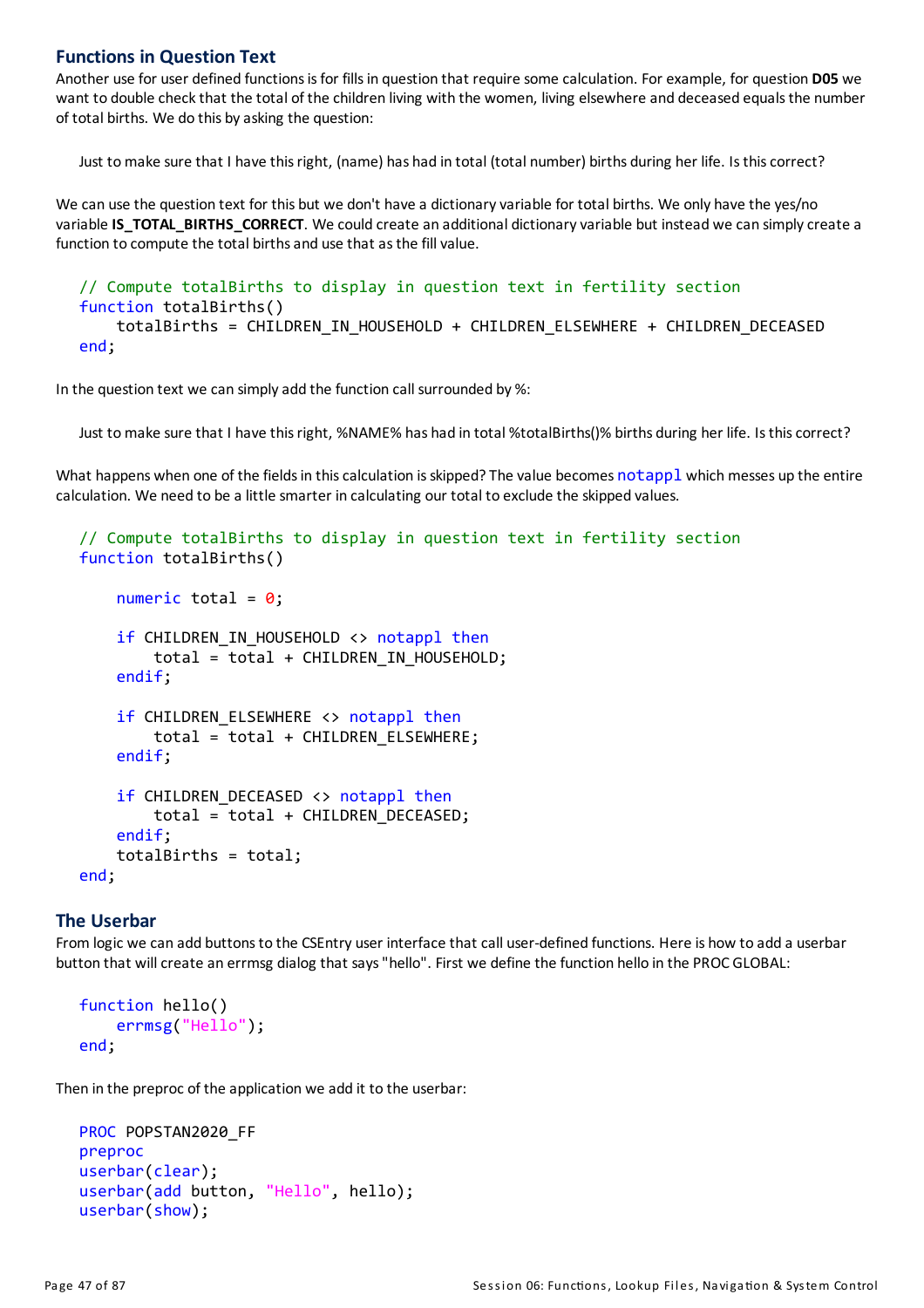#### **Functions in Question Text**

Another use for user defined functionsisfor fillsin question that require some calculation. For example, for question **D05** we want to double check that the total of the children living with the women, living elsewhere and deceased equals the number of total births. We do this by asking the question:

Just tomake sure that I have thisright, (name) has had in total (total number) births during her life. Isthiscorrect?

We can use the question text for this but we don't have a dictionary variable for total births. We only have the yes/no variable **IS\_TOTAL\_BIRTHS\_CORRECT**. We could create an additional dictionaryvariable but instead we can simplycreate a function to compute the total births and use that as the fill value.

```
// Compute totalBirths to display in question text in fertility section
function totalBirths()
    totalBirths = CHILDREN_IN_HOUSEHOLD + CHILDREN_ELSEWHERE + CHILDREN_DECEASED
end;
```
In the question text we can simplyadd the function call surrounded by %:

Just to make sure that I have this right, %NAME% has had in total %totalBirths()% births during her life. Is this correct?

What happens when one of the fields in this calculation is skipped? The value becomes notappl which messes up the entire calculation. We need to be a little smarter in calculating our total to exclude the skipped values.

```
// Compute totalBirths to display in question text in fertility section
function totalBirths()
    numeric total = 0;
    if CHILDREN IN HOUSEHOLD <> notappl then
        total = total + CHILDREN IN HOUSEHOLD;
    endif;
    if CHILDREN_ELSEWHERE <> notappl then
        total = total + CHILDREN_ELSEWHERE;
    endif;
    if CHILDREN DECEASED <> notappl then
        total = total + CHILDREN_DECEASED;
    endif;
    totalBirths = total;
```
end;

#### **The Userbar**

From logic we can add buttons to the CSEntry user interface that call user-defined functions. Here is how to add a userbar button that will create an errmsg dialog that says "hello". First we define the function hello in the PROC GLOBAL:

```
function hello()
    errmsg("Hello");
end;
```
Then in the preproc of the application we add it to the userbar:

```
PROC POPSTAN2020 FF
preproc
userbar(clear);
userbar(add button, "Hello", hello);
userbar(show);
```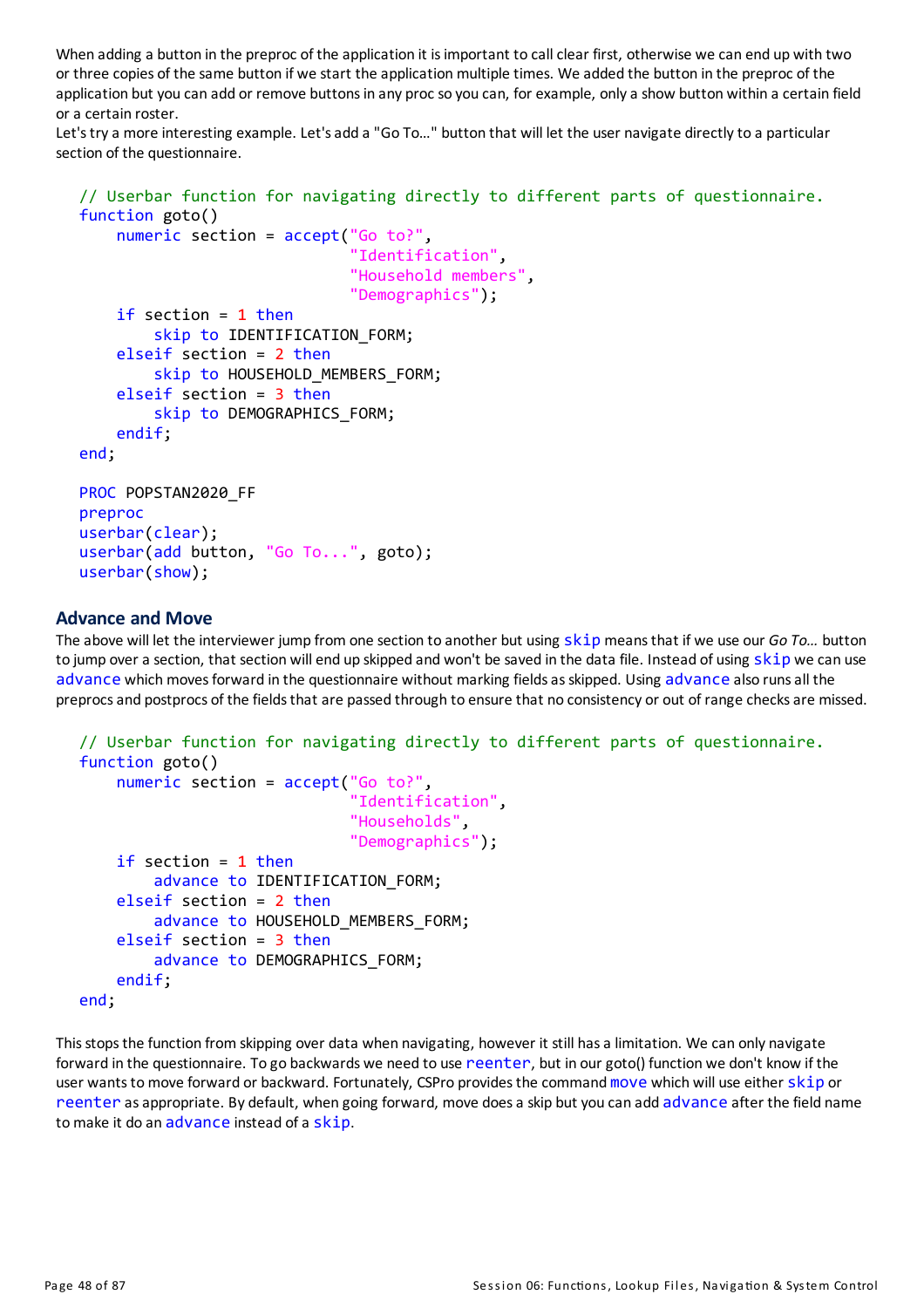When adding a button in the preproc of the application it is important to call clear first, otherwise we can end up with two or three copies of the same button if we start the application multiple times. We added the button in the preproc of the application but you can add or remove buttons in any proc so you can, for example, only a show button within a certain field ora certain roster.

Let's try a more interesting example. Let's add a "Go To..." button that will let the user navigate directly to a particular section of the questionnaire.

```
// Userbar function for navigating directly to different parts of questionnaire.
function goto()
    numeric section = accept("Go to?",
                              "Identification",
                              "Household members",
                              "Demographics");
    if section = 1 then
        skip to IDENTIFICATION FORM;
    elseif section = 2 then
        skip to HOUSEHOLD MEMBERS FORM;
    elseif section = 3 then
        skip to DEMOGRAPHICS FORM;
    endif;
end;
PROC POPSTAN2020 FF
preproc
userbar(clear);
userbar(add button, "Go To...", goto);
userbar(show);
```
#### **Advance and Move**

The above will let the interviewer jump from one section to another but using skip meansthat if we use our *Go To…* button to jump over a section, that section will end up skipped and won't be saved in the data file. Instead of using skip we can use advance which moves forward in the questionnaire without marking fields as skipped. Using advance also runs all the preprocs and postprocs of the fields that are passed through to ensure that no consistency or out of range checks are missed.

```
// Userbar function for navigating directly to different parts of questionnaire.
function goto()
    numeric section = accept("Go to?",
                               'Identification",
                              "Households",
                              "Demographics");
    if section = 1 then
        advance to IDENTIFICATION_FORM;
    elseif section = 2 then
        advance to HOUSEHOLD_MEMBERS_FORM;
    elseif section = 3 then
        advance to DEMOGRAPHICS FORM;
    endif;
end;
```
This stops the function from skipping over data when navigating, however it still has a limitation. We can only navigate forward in the questionnaire. To go backwards we need to use reenter, but in our goto() function we don't know if the user wants to move forward or backward. Fortunately, CSPro provides the command move which will use either skip or reenter asappropriate. By default, when going forward, move doesa skip but you can add advance after the field name to make it do an advance instead of a skip.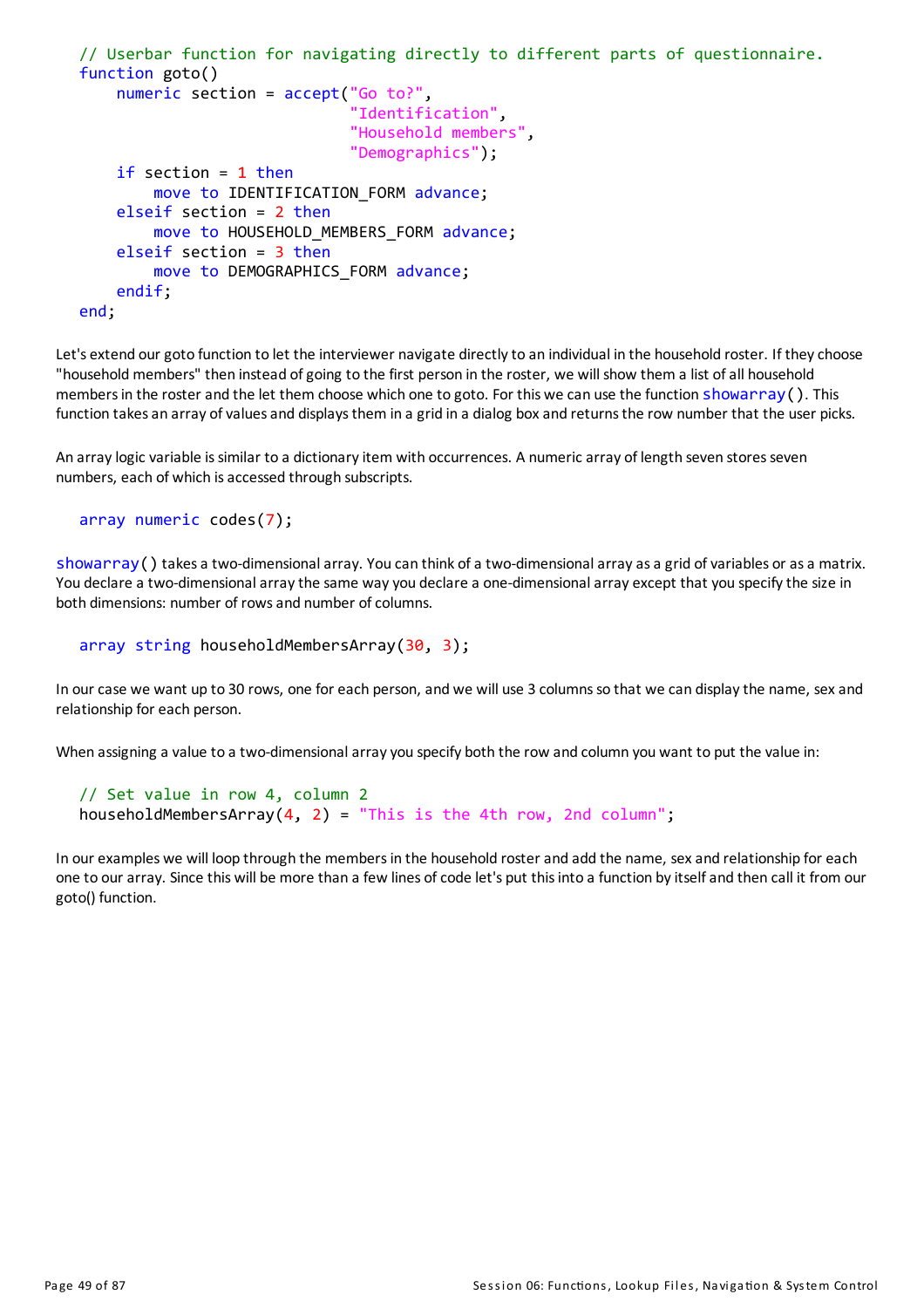```
// Userbar function for navigating directly to different parts of questionnaire.
function goto()
    numeric section = accept("Go to?",
                              "Identification",
                              "Household members",
                              "Demographics");
    if section = 1 then
        move to IDENTIFICATION_FORM advance;
    elseif section = 2 then
        move to HOUSEHOLD MEMBERS FORM advance;
    elseif section = 3 then
        move to DEMOGRAPHICS FORM advance;
    endif;
end;
```
Let's extend our goto function to let the interviewer navigate directly to an individual in the household roster. If they choose "household members" then instead of going to the first person in the roster, we will show them a list of all household members in the roster and the let them choose which one to goto. For this we can use the function showarray(). This function takes an array of values and displays them in a grid in a dialog box and returns the row number that the user picks.

An array logic variable is similar to a dictionary item with occurrences. A numeric array of length seven stores seven numbers, each of which is accessed through subscripts.

```
array numeric codes(7);
```
showarray() takes a two-dimensional array. You can think of a two-dimensional array as a grid of variables or as a matrix. You declare a two-dimensional array the same way you declare a one-dimensional array except that you specify the size in both dimensions: number of rows and number of columns.

array string householdMembersArray(30, 3);

In our case we want up to 30 rows, one for each person, and we will use 3 columns so that we can display the name, sex and relationship for each person.

When assigning a value to a two-dimensional array you specify both the row and column you want to put the value in:

```
// Set value in row 4, column 2
householdMembersArray(4, 2) = "This is the 4th row, 2nd column";
```
In our examples we will loop through the membersin the household rosterand add the name, sexand relationship for each one to our array. Since this will be more than a few lines of code let's put this into a function by itself and then call it from our goto() function.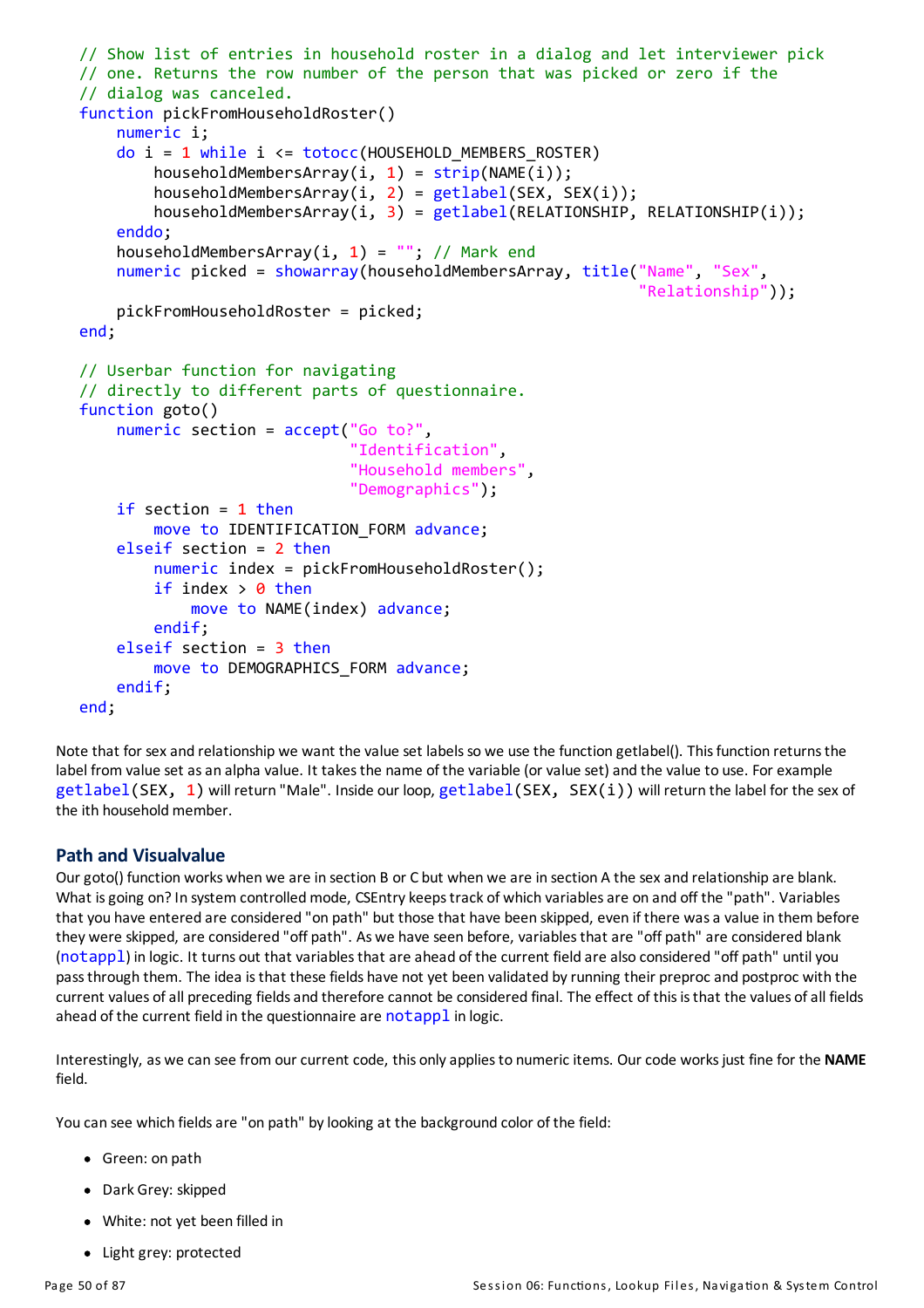```
// Show list of entries in household roster in a dialog and let interviewer pick
// one. Returns the row number of the person that was picked or zero if the
// dialog was canceled.
function pickFromHouseholdRoster()
    numeric i;
    do i = 1 while i <= totocc(HOUSEHOLD MEMBERS ROSTER)
        householdMembersArray(i, 1) = strip(NAME(i));householdMembersArray(i, 2) = getlabel(SEX, SEX(i));householdMembersArray(i, 3) = getlabel(RELATIONSHIP, RELATIONSHIP(i));
    enddo;
    householdMembersArray(i, 1) = ""; // Mark end
    numeric picked = showarray(householdMembersArray, title("Name", "Sex",
                                                             "Relationship"));
    pickFromHouseholdRoster = picked;
end;
// Userbar function for navigating
// directly to different parts of questionnaire.
function goto()
    numeric section = accept("Go to?",
                             "Identification",
                             "Household members",
                             "Demographics");
    if section = 1 then
        move to IDENTIFICATION_FORM advance;
    elseif section = 2 then
        numeric index = pickFromHouseholdRoster();
        if index > 0 then
            move to NAME(index) advance;
        endif;
    elseif section = 3 then
        move to DEMOGRAPHICS_FORM advance;
    endif;
end;
```
Note that for sex and relationship we want the value set labels so we use the function getlabel(). This function returns the label from value set as an alpha value. It takes the name of the variable (or value set) and the value to use. For example getlabel(SEX, 1) will return "Male". Inside our loop, getlabel(SEX, SEX(i)) will return the label for the sex of the ith household member.

## **Path and Visualvalue**

Ourgoto() function works when we are in section B or C but when we are in section A the sexand relationship are blank. What is going on? In system controlled mode, CSEntry keeps track of which variables are on and off the "path". Variables that you have entered are considered "on path" but those that have been skipped, even if there wasa value in them before they were skipped, are considered "off path". As we have seen before, variablesthat are "off path" are considered blank (notappl) in logic. It turns out that variablesthat are ahead of the current field are also considered "off path" untilyou passthrough them. The idea isthat these fields have not yet been validated byrunning their preprocand postproc with the current values of all preceding fields and therefore cannot be considered final. The effect of this is that the values of all fields ahead of the current field in the questionnaire are notappl in logic.

Interestingly, as we can see from our current code, this onlyappliesto numeric items. Our code worksjust fine for the **NAME** field.

You can see which fields are "on path" by looking at the background color of the field:

- Green: on path
- Dark Grey: skipped
- White: not yet been filled in
- Light grey: protected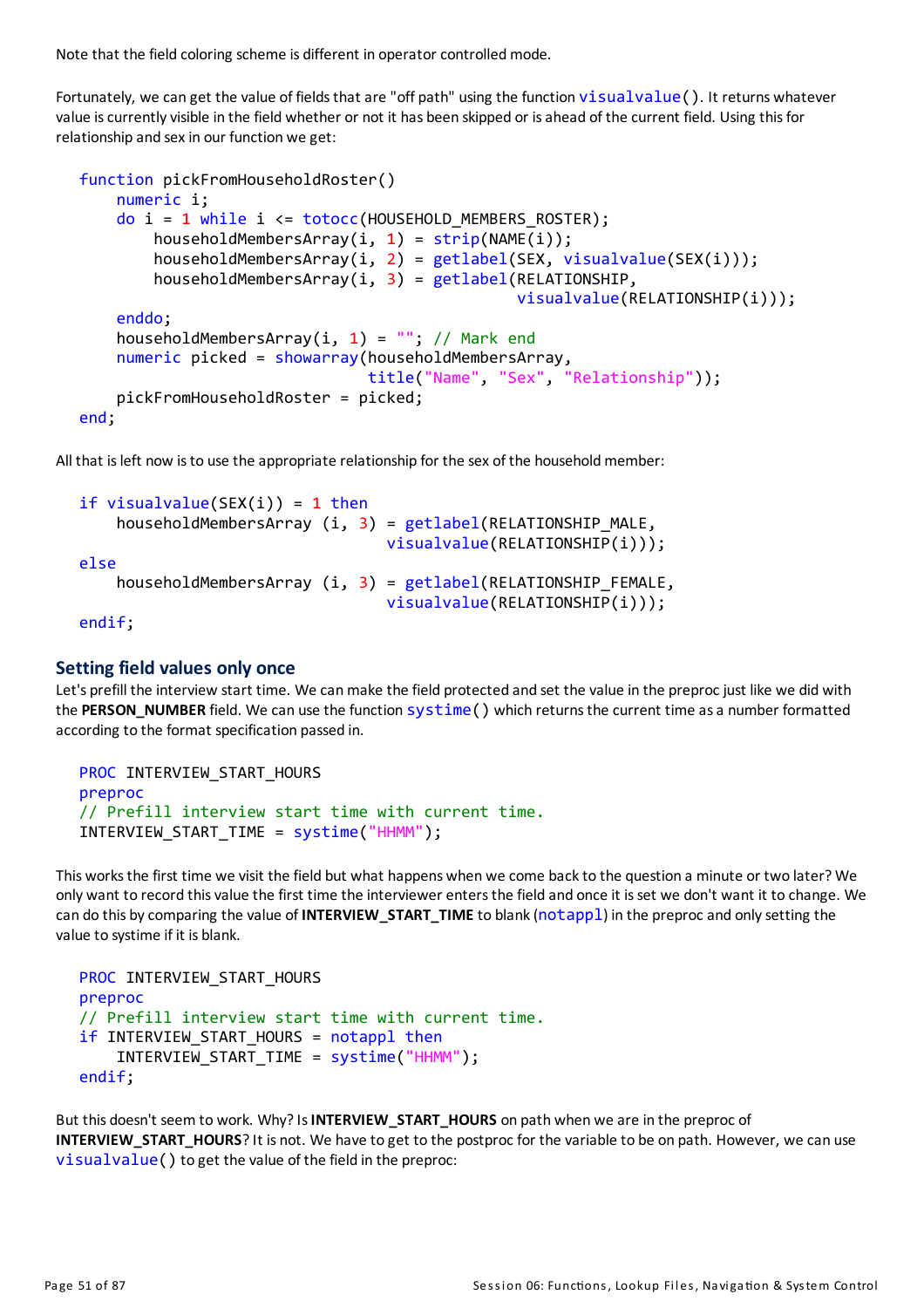Note that the field coloring scheme is different in operator controlled mode.

Fortunately, we can get the value of fields that are "off path" using the function visualvalue(). It returns whatever value is currently visible in the field whether or not it has been skipped or is ahead of the current field. Using this for relationship and sex in our function we get:

```
function pickFromHouseholdRoster()
    numeric i;
    do i = 1 while i <= totocc(HOUSEHOLD_MEMBERS_ROSTER);
        householdMembersArray(i, 1) = strip(NAME(i));
        householdMembersArray(i, 2) = getlabel(SEX, visualvalue(SEX(i)));
        householdMembersArray(i, 3) = getlabel(RELATIONSHIP,visualvalue(RELATIONSHIP(i)));
    enddo;
    householdMembersArray(i, 1) = ""; // Mark end
    numeric picked = showarray(householdMembersArray,
                               title("Name", "Sex", "Relationship"));
    pickFromHouseholdRoster = picked;
end;
```
All that is left now is to use the appropriate relationship for the sex of the household member:

```
if visualvalue(SEX(i)) = 1 then
    householdMembersArray (i, 3) = getlabel(RELATIONSHIP_MALE,
                                 visualvalue(RELATIONSHIP(i)));
else
    householdMembersArray (i, 3) = getlabel(RELATIONSHIP_FEMALE,
                                 visualvalue(RELATIONSHIP(i)));
endif;
```
#### **Setting field values only once**

Let's prefill the interview start time. We can make the field protected and set the value in the preproc just like we did with the **PERSON\_NUMBER** field. We can use the function systime() which returnsthe current time asa number formatted according to the format specification passed in.

```
PROC INTERVIEW_START_HOURS
preproc
// Prefill interview start time with current time.
INTERVIEW_START_TIME = systime("HHMM");
```
This worksthe first time we visit the field but what happens when we come backto the question a minute or two later? We only want to record thisvalue the first time the interviewer entersthe field and once it isset we don't want it to change. We can do this bycomparing the value of **INTERVIEW\_START\_TIME**to blank(notappl) in the preprocand onlysetting the value to systime if it is blank.

```
PROC INTERVIEW_START_HOURS
preproc
// Prefill interview start time with current time.
if INTERVIEW START HOURS = notappl then
    INTERVIEW_START_TIME = systime("HHMM");
endif;
```
But this doesn't seem to work. Why? Is **INTERVIEW START\_HOURS** on path when we are in the preproc of **INTERVIEW\_START\_HOURS**? It is not. We have to get to the postproc for the variable to be on path. However, we can use visualvalue() to get the value of the field in the preproc: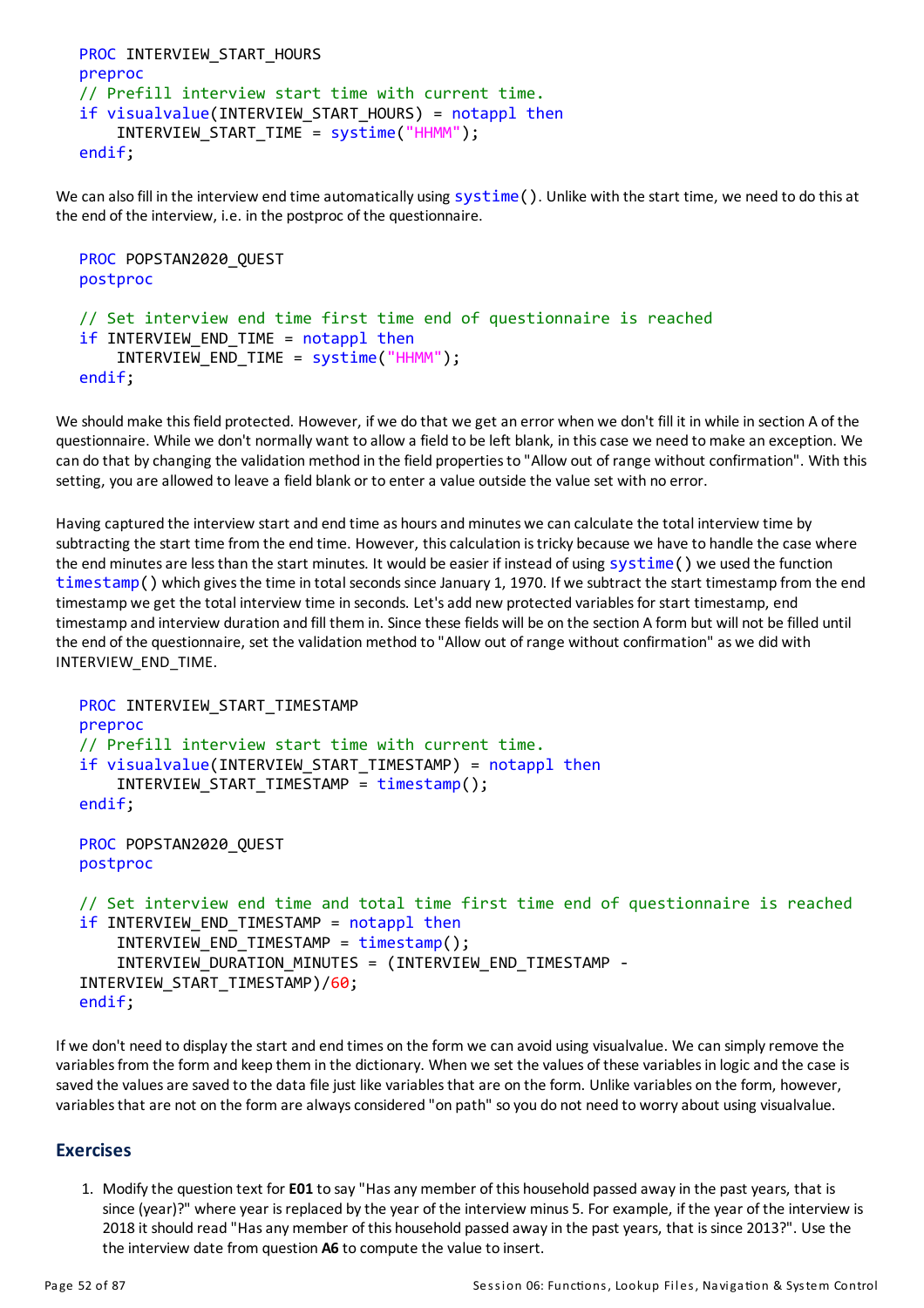```
PROC INTERVIEW START HOURS
preproc
// Prefill interview start time with current time.
if visualvalue(INTERVIEW_START_HOURS) = notappl then
    INTERVIEW_START_TIME = systime("HHMM");
endif;
```
We can also fill in the interview end time automatically using systime(). Unlike with the start time, we need to do this at the end of the interview, i.e. in the postproc of the questionnaire.

```
PROC POPSTAN2020_QUEST
postproc
// Set interview end time first time end of questionnaire is reached
if INTERVIEW END_TIME = notappl then
    INTERVIEW_END_TIME = systime("HHMM");
endif;
```
We should make this field protected. However, if we do that we get an error when we don't fill it in while in section A of the questionnaire. While we don't normally want to allow a field to be left blank, in thiscase we need tomake an exception. We can do that by changing the validation method in the field properties to "Allow out of range without confirmation". With this setting, you are allowed to leave a field blank or to entera value outside the value set with no error.

Having captured the interview start and end time as hoursandminutes we can calculate the total interview time by subtracting the start time from the end time. However, thiscalculation istricky because we have to handle the case where the end minutes are less than the start minutes. It would be easier if instead of using systime() we used the function  $timestamp()$  which gives the time in total seconds since January 1, 1970. If we subtract the start timestamp from the end timestamp we get the total interview time in seconds. Let's add new protected variables for start timestamp, end timestamp and interview duration and fill them in. Since these fields will be on the section A form but will not be filled until the end of the questionnaire, set the validation method to "Allow out of range without confirmation" as we did with INTERVIEW\_END\_TIME.

```
PROC INTERVIEW START TIMESTAMP
preproc
// Prefill interview start time with current time.
if visualvalue(INTERVIEW START TIMESTAMP) = notappl then
    INTERVIEW_START_TIMESTAMP = timestamp();
endif;
PROC POPSTAN2020 QUEST
postproc
// Set interview end time and total time first time end of questionnaire is reached
if INTERVIEW END TIMESTAMP = notappl then
    INTERVIEW_END_TIMESTAMP = timestamp();
    INTERVIEW DURATION MINUTES = (INTERVIEW END TIMESTAMP -
INTERVIEW_START_TIMESTAMP)/60;
endif;
```
If we don't need to displaythe start and end times on the form we can avoid using visualvalue. We can simplyremove the variables from the form and keep them in the dictionary. When we set the values of these variables in logic and the case is saved the values are saved to the data file just like variables that are on the form. Unlike variables on the form, however, variables that are not on the form are always considered "on path" so you do not need to worry about using visualvalue.

#### **Exercises**

1. Modifythe question text for**E01** to say"Hasanymember of this household passed awayin the past years, that is since (year)?" where year is replaced by the year of the interview minus 5. For example, if the year of the interview is 2018 it should read "Hasanymember of this household passed awayin the past years, that issince 2013?". Use the the interview date from question **A6** to compute the value to insert.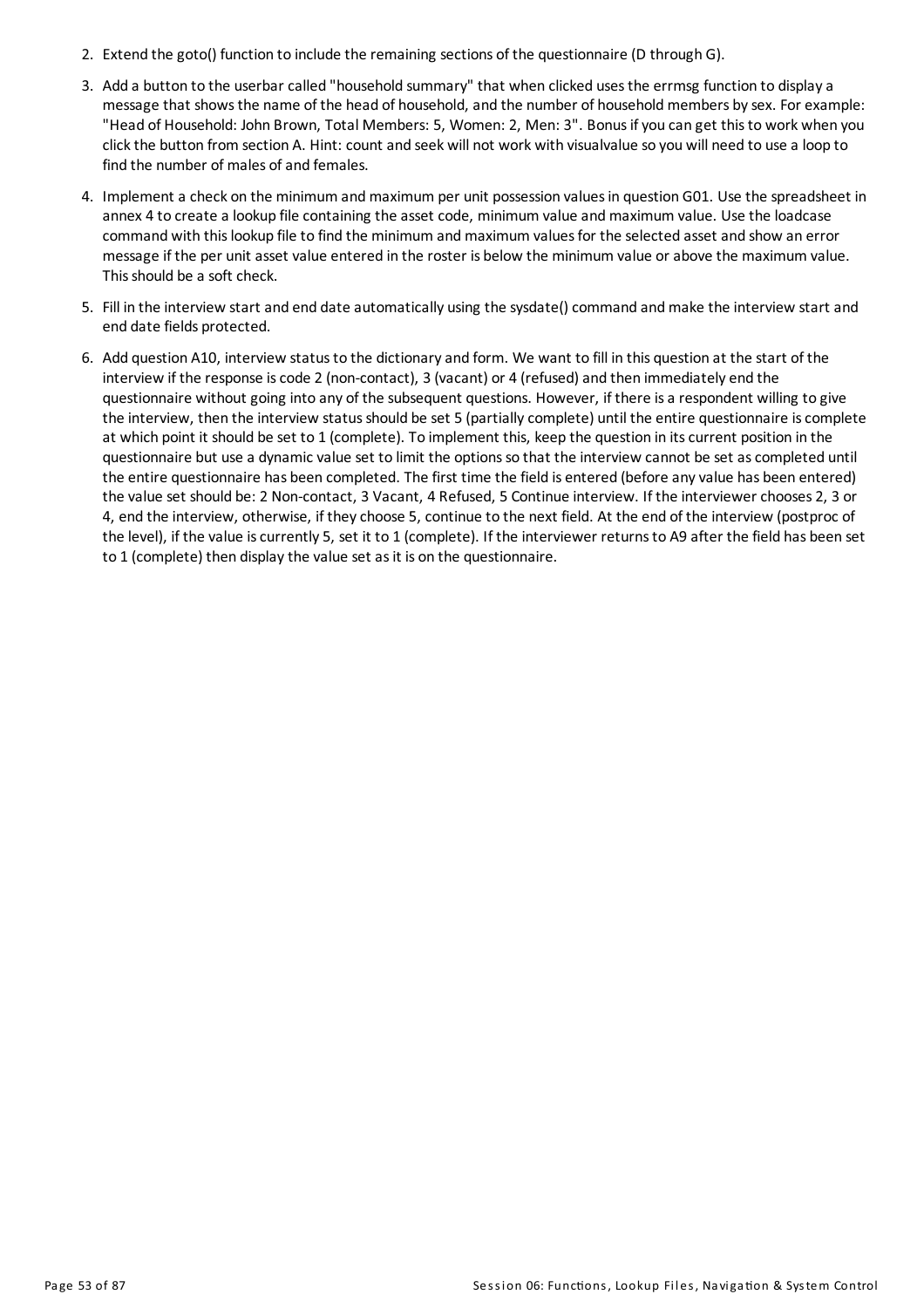- 2. Extend the goto() function to include the remaining sections of the questionnaire (D through G).
- 3. Add a button to the userbar called "household summary" that when clicked usesthe errmsg function to displaya message that showsthe name of the head of household, and the number of householdmembers bysex. For example: "Head of Household: John Brown, Total Members: 5, Women: 2, Men: 3". Bonus if you can get this to work when you click the button from section A. Hint: count and seek will not work with visualvalue so you will need to use a loop to find the number of males of and females.
- 4. Implement a check on the minimum andmaximum per unit possession valuesin question G01. Use the spreadsheet in annex 4 to create a lookup file containing the asset code, minimum value and maximum value. Use the loadcase command with thislookup file to find the minimum andmaximum valuesfor the selected asset and show an error message if the per unit asset value entered in the roster is below the minimum value orabove the maximum value. This should be a soft check.
- 5. Fill in the interview start and end date automatically using the sysdate() command and make the interview start and end date fields protected.
- 6. Add question A10, interview status to the dictionary and form. We want to fill in this question at the start of the interview if the response iscode 2 (non-contact), 3 (vacant) or 4 (refused)and then immediately end the questionnaire without going into any of the subsequent questions. However, if there isa respondent willing to give the interview, then the interview statusshould be set 5 (partiallycomplete) until the entire questionnaire iscomplete at which point it should be set to 1 (complete). To implement this, keep the question in itscurrent position in the questionnaire but use a dynamic value set to limit the optionsso that the interview cannot be set ascompleted until the entire questionnaire has been completed. The first time the field is entered (before anyvalue has been entered) the value set should be: 2 Non-contact, 3 Vacant, 4 Refused, 5 Continue interview. If the interviewer chooses 2, 3 or 4, end the interview, otherwise, if they choose 5, continue to the next field. At the end of the interview (postproc of the level), if the value iscurrently 5, set it to 1 (complete). If the interviewer returnsto A9 after the field has been set to 1 (complete) then display the value set as it is on the questionnaire.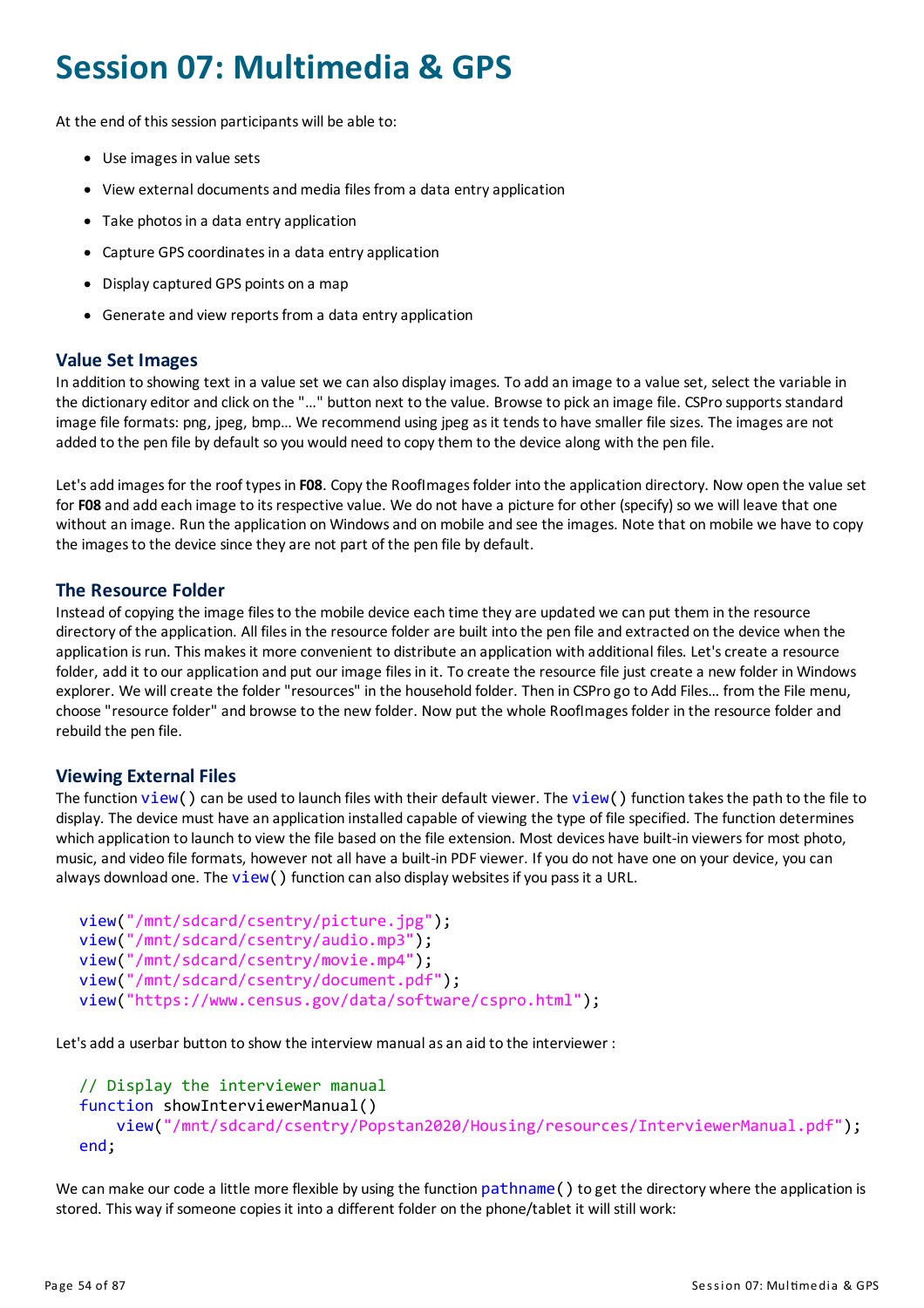# **Session 07: Multimedia & GPS**

At the end of this session participants will be able to:

- Use images in value sets
- View external documents and media files from a data entry application
- Take photos in a data entry application
- Capture GPS coordinates in a data entry application
- Displaycaptured GPS points on a map
- Generate and view reports from a data entry application

#### **Value Set Images**

In addition to showing text in a value set we can also displayimages. To add an image to a value set, select the variable in the dictionary editor and click on the "..." button next to the value. Browse to pick an image file. CSPro supports standard image file formats: png, jpeg, bmp... We recommend using jpeg as it tends to have smaller file sizes. The images are not added to the pen file by default so you would need to copy them to the device along with the pen file.

Let'sadd imagesfor the roof typesin **F08**. Copythe RoofImagesfolder into the application directory. Now open the value set for **F08** and add each image to itsrespective value. We do not have a picture for other (specify) so we will leave that one without an image. Run the application on Windowsand onmobile and see the images. Note that onmobile we have to copy the images to the device since they are not part of the pen file by default.

## **The Resource Folder**

Instead of copying the image files to the mobile device each time they are updated we can put them in the resource directory of the application. All files in the resource folder are built into the pen file and extracted on the device when the application is run. This makes it more convenient to distribute an application with additional files. Let's create a resource folder, add it to our application and put our image files in it. To create the resource file just create a new folder in Windows explorer. We will create the folder "resources" in the household folder. Then in CSPro go to Add Files... from the File menu, choose "resource folder" and browse to the new folder. Now put the whole RoofImages folder in the resource folder and rebuild the pen file.

## **Viewing External Files**

The function  $view()$  can be used to launch files with their default viewer. The  $view()$  function takes the path to the file to display. The device must have an application installed capable of viewing the type of file specified. The function determines which application to launch to view the file based on the file extension. Most devices have built-in viewers for most photo, music, and video file formats, however not all have a built-in PDF viewer. If you do not have one on your device, you can always download one. The  $view()$  function can also display websites if you pass it a URL.

```
view("/mnt/sdcard/csentry/picture.jpg");
view("/mnt/sdcard/csentry/audio.mp3");
view("/mnt/sdcard/csentry/movie.mp4");
view("/mnt/sdcard/csentry/document.pdf");
view("https://www.census.gov/data/software/cspro.html");
```
Let'sadd a userbar button to show the interview manualasan aid to the interviewer :

```
// Display the interviewer manual
function showInterviewerManual()
    view("/mnt/sdcard/csentry/Popstan2020/Housing/resources/InterviewerManual.pdf");
end;
```
We can make our code a little more flexible by using the function pathname() to get the directory where the application is stored. This way if someone copies it into a different folder on the phone/tablet it will still work: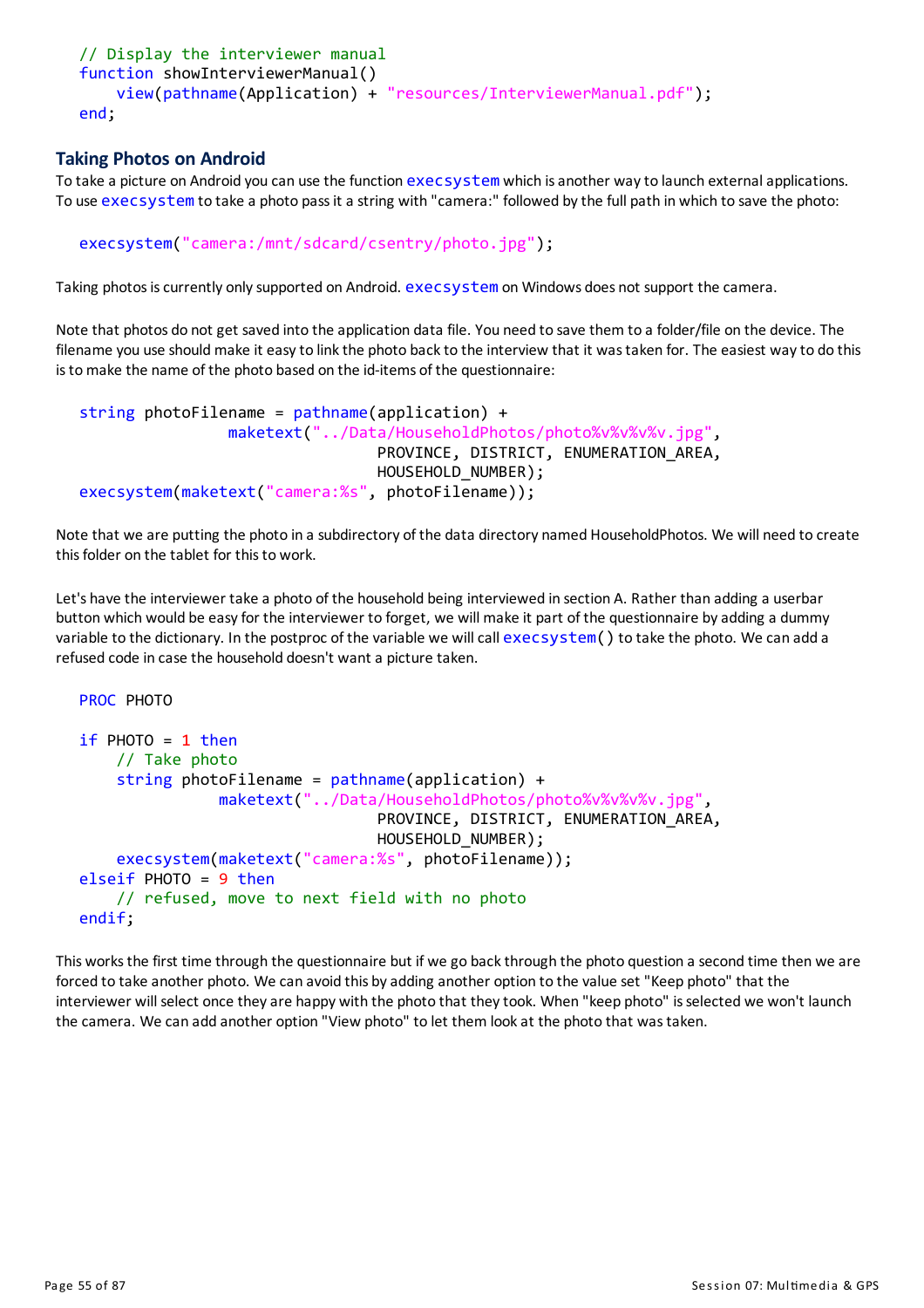```
// Display the interviewer manual
function showInterviewerManual()
    view(pathname(Application) + "resources/InterviewerManual.pdf");
end;
```
# **Taking Photos on Android**

To take a picture on Android you can use the function execsystem which is another way to launch external applications. To use execsystem to take a photo pass it a string with "camera:" followed by the full path in which to save the photo:

```
execsystem("camera:/mnt/sdcard/csentry/photo.jpg");
```
Taking photos is currently only supported on Android. execsystem on Windows does not support the camera.

Note that photos do not get saved into the application data file. You need to save them to a folder/file on the device. The filename you use should make it easy to link the photo back to the interview that it was taken for. The easiest way to do this istomake the name of the photo based on the id-items of the questionnaire:

```
string photoFilename = pathname(application) +
                maketext("../Data/HouseholdPhotos/photo%v%v%v%v.jpg",
                                PROVINCE, DISTRICT, ENUMERATION_AREA,
                                HOUSEHOLD NUMBER);
execsystem(maketext("camera:%s", photoFilename));
```
Note that we are putting the photo in a subdirectory of the data directory named HouseholdPhotos. We will need to create thisfolder on the tablet for thisto work.

Let's have the interviewer take a photo of the household being interviewed in section A. Rather than adding a userbar button which would be easy for the interviewer to forget, we will make it part of the questionnaire by adding a dummy variable to the dictionary. In the postproc of the variable we will call execsystem() to take the photo. We can add a refused code in case the household doesn't want a picture taken.

```
PROC PHOTO
if PHOTO = 1 then// Take photo
    string photoFilename = pathname(application) +
               maketext("../Data/HouseholdPhotos/photo%v%v%v.jpg"
                                PROVINCE, DISTRICT, ENUMERATION_AREA,
                                HOUSEHOLD NUMBER);
    execsystem(maketext("camera:%s", photoFilename));
elseif PHOTO = 9 then
    // refused, move to next field with no photo
endif;
```
This works the first time through the questionnaire but if we go back through the photo question a second time then we are forced to take another photo. We can avoid this by adding another option to the value set "Keep photo" that the interviewer will select once they are happy with the photo that they took. When "keep photo" is selected we won't launch the camera. We can add another option "View photo" to let them lookat the photo that wastaken.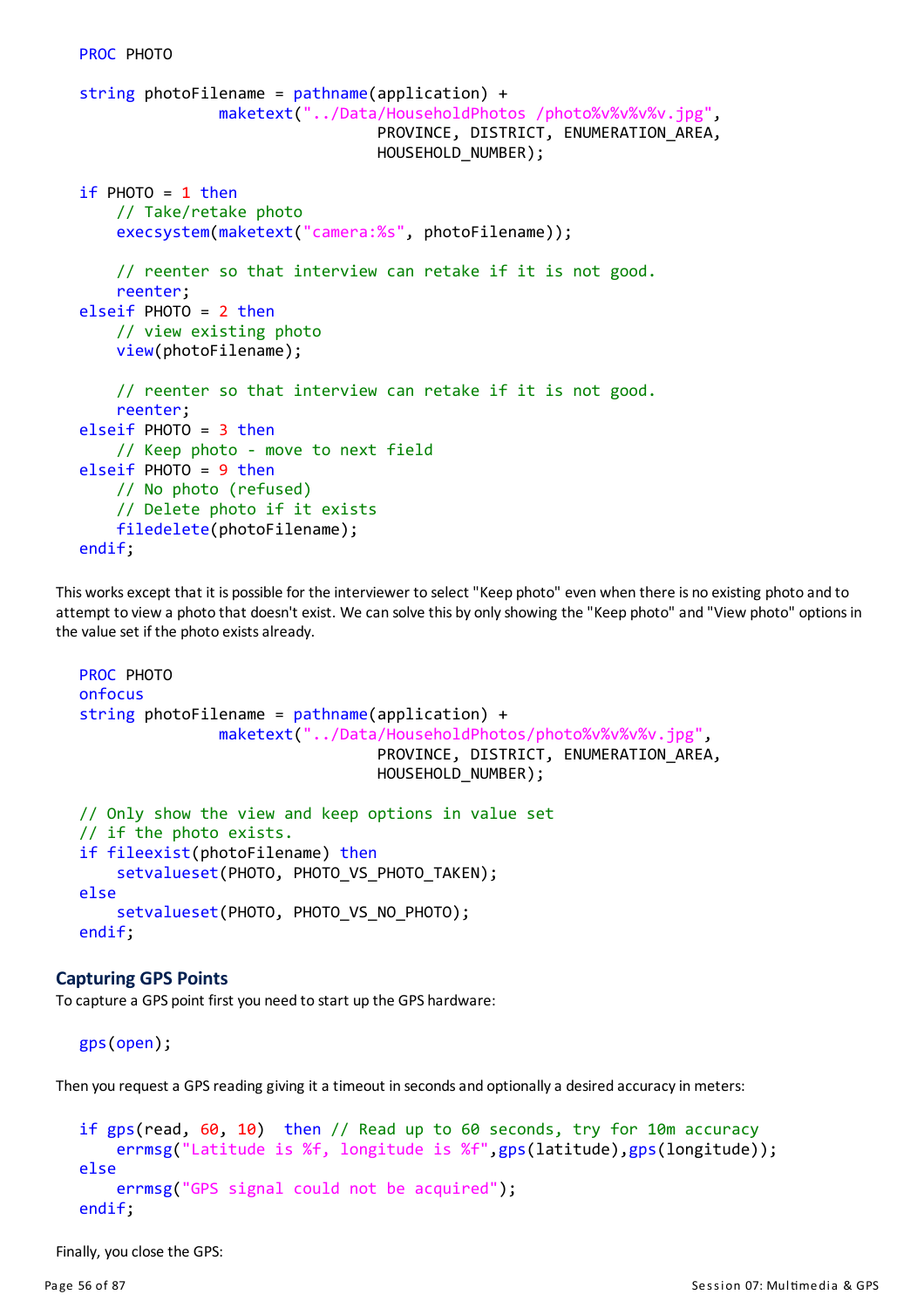```
string photoFilename = pathname(application) +
               maketext("../Data/HouseholdPhotos /photo%v%v%v.jpg",
                                PROVINCE, DISTRICT, ENUMERATION_AREA,
                                HOUSEHOLD NUMBER);
if PHOTO = 1 then// Take/retake photo
   execsystem(maketext("camera:%s", photoFilename));
    // reenter so that interview can retake if it is not good.
   reenter;
elseif PHOTO = 2 then
    // view existing photo
   view(photoFilename);
    // reenter so that interview can retake if it is not good.
    reenter;
elseif PHOTO = 3 then
    // Keep photo - move to next field
elseif PHOTO = 9 then
   // No photo (refused)
   // Delete photo if it exists
   filedelete(photoFilename);
endif;
```
This works except that it is possible for the interviewer to select "Keep photo" even when there is no existing photo and to attempt to view a photo that doesn't exist. We can solve this by onlyshowing the "Keep photo" and "View photo" optionsin the value set if the photo existsalready.

```
PROC PHOTO
onfocus
string photoFilename = pathname(application) +maketext("../Data/HouseholdPhotos/photo%v%v%v.jpg",
                                PROVINCE, DISTRICT, ENUMERATION_AREA,
                                HOUSEHOLD NUMBER);
// Only show the view and keep options in value set
// if the photo exists.
if fileexist(photoFilename) then
    setvalueset(PHOTO, PHOTO_VS_PHOTO_TAKEN);
else
    setvalueset(PHOTO, PHOTO VS NO PHOTO);
endif;
```
#### **Capturing GPS Points**

To capture a GPS point first you need to start up the GPS hardware:

```
gps(open);
```
Then you request a GPS reading giving it a timeout in seconds and optionally a desired accuracy in meters:

```
if gps(read, 60, 10) then // Read up to 60 seconds, try for 10m accuracy
    errmsg("Latitude is %f, longitude is %f",gps(latitude),gps(longitude));
else
    errmsg("GPS signal could not be acquired");
endif;
```
Finally, you close the GPS: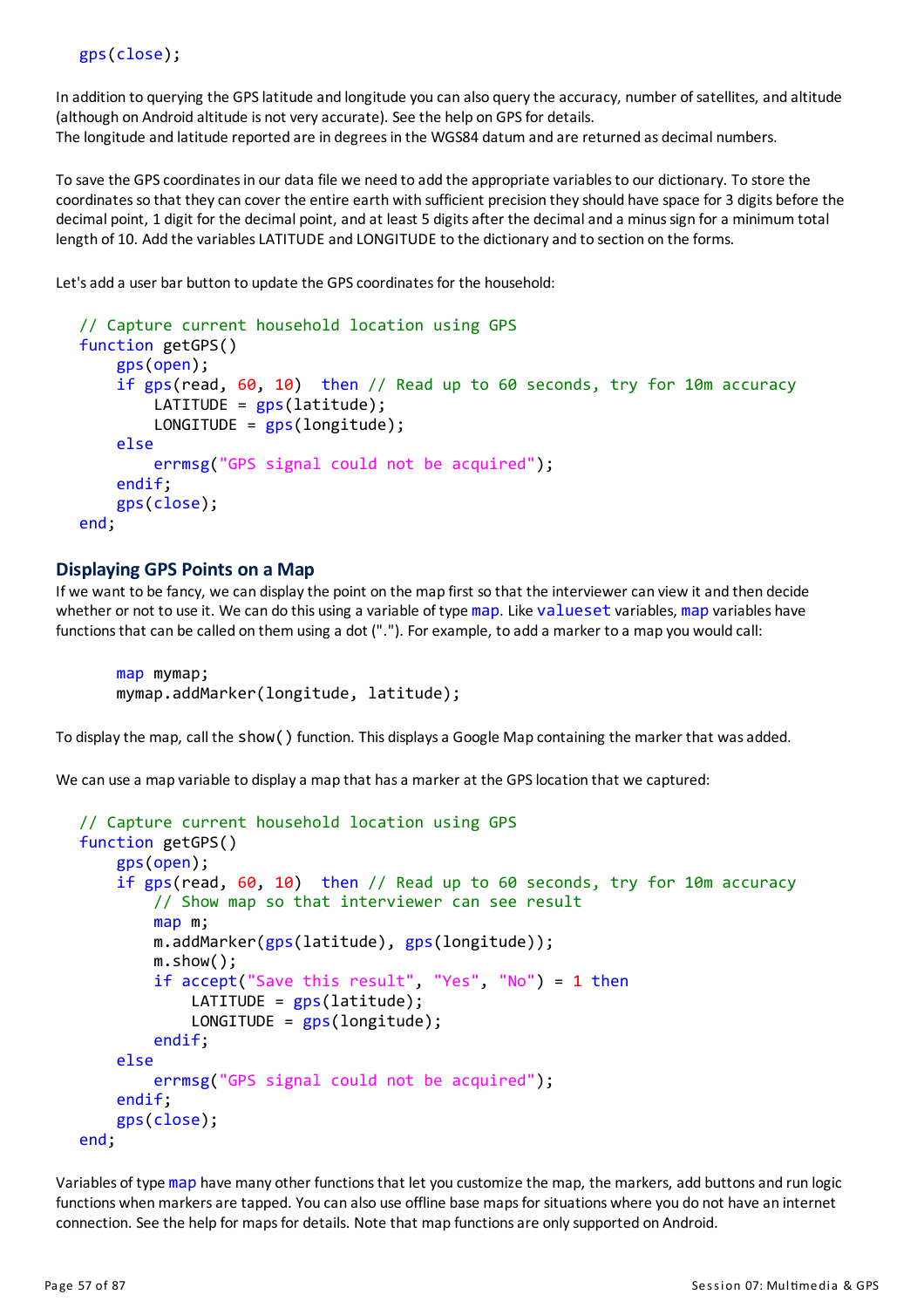In addition to querying the GPS latitude and longitude you can also query the accuracy, number of satellites, and altitude (although on Android altitude is not very accurate). See the help on GPS for details. The longitude and latitude reported are in degrees in the WGS84 datum and are returned as decimal numbers.

To save the GPScoordinatesin our data file we need to add the appropriate variablesto our dictionary. To store the coordinatesso that theycan cover the entire earth with sufficient precision theyshould have space for 3 digits before the decimal point, 1 digit for the decimal point, and at least 5 digits after the decimal and a minus sign for a minimum total length of 10. Add the variables LATITUDE and LONGITUDE to the dictionary and to section on the forms.

Let's add a user bar button to update the GPS coordinates for the household:

```
// Capture current household location using GPS
function getGPS()
    gps(open);
    if gps(read, 60, 10) then // Read up to 60 seconds, try for 10m accuracy
        LATITUDE = gps(latitude);
        LONGITUDE = gps(longitude);else
        errmsg("GPS signal could not be acquired");
    endif;
   gps(close);
end;
```
#### **Displaying GPS Points on a Map**

If we want to be fancy, we can display the point on the map first so that the interviewer can view it and then decide whether or not to use it. We can do this using a variable of type map. Like valueset variables, map variables have functionsthat can be called on them using a dot ("."). For example, to add a marker to a map you would call:

```
map mymap;
mymap.addMarker(longitude, latitude);
```
To displaythe map, call the show() function. This displaysa Google Map containing the marker that wasadded.

We can use a map variable to display a map that has a marker at the GPS location that we captured:

```
// Capture current household location using GPS
function getGPS()
    gps(open);
    if gps(read, 60, 10) then // Read up to 60 seconds, try for 10m accuracy
        // Show map so that interviewer can see result
        map m;
        m.addMarker(gps(latitude), gps(longitude));
        m.show();
        if accept("Save this result", "Yes", "No") = 1 then
            LATITUDE = gps(latitude);
            LONGITUDE = gps(longitude);endif;
    else
        errmsg("GPS signal could not be acquired");
    endif;
    gps(close);
end;
```
Variables of type map have many other functions that let you customize the map, the markers, add buttons and run logic functions when markers are tapped. You can also use offline base maps for situations where you do not have an internet connection. See the help for maps for details. Note that map functions are only supported on Android.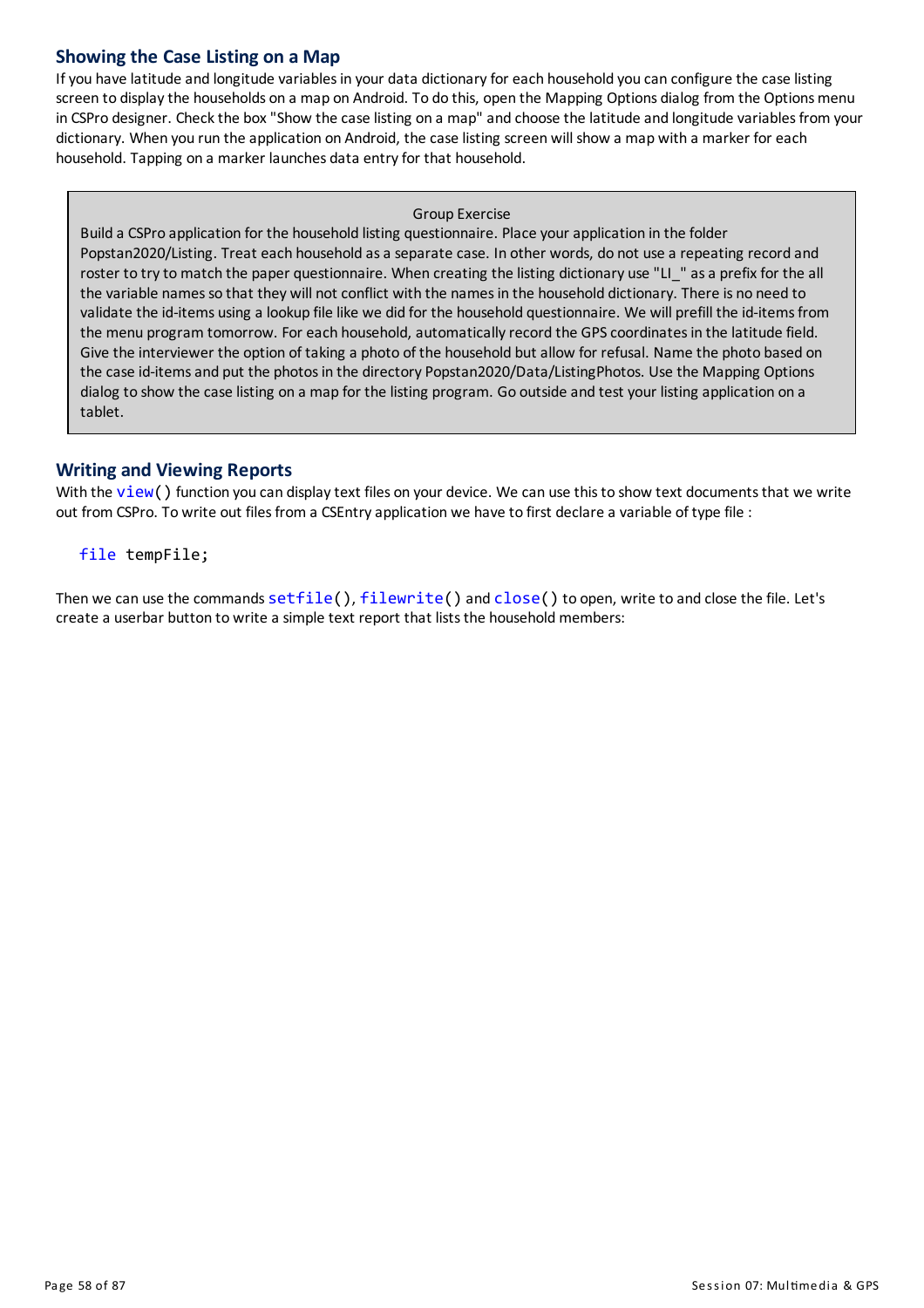# **Showingthe Case Listing on a Map**

If you have latitude and longitude variables in your data dictionary for each household you can configure the case listing screen to display the households on a map on Android. To do this, open the Mapping Options dialog from the Options menu in CSPro designer. Check the box "Show the case listing on a map" and choose the latitude and longitude variables from your dictionary. When you run the application on Android, the case listing screen will show a map with a marker for each household. Tapping on a marker launches data entry for that household.

#### Group Exercise

Build a CSPro application for the household listing questionnaire. Place your application in the folder Popstan2020/Listing. Treat each household as a separate case. In other words, do not use a repeating record and roster to try to match the paper questionnaire. When creating the listing dictionary use "LI\_" as a prefix for the all the variable names so that they will not conflict with the names in the household dictionary. There is no need to validate the id-items using a lookup file like we did for the household questionnaire. We will prefill the id-items from the menu program tomorrow. For each household, automatically record the GPS coordinates in the latitude field. Give the interviewer the option of taking a photo of the household but allow for refusal. Name the photo based on the case id-items and put the photos in the directory Popstan2020/Data/ListingPhotos. Use the Mapping Options dialog to show the case listing on a map for the listing program. Go outside and test your listing application on a tablet.

# **Writing and Viewing Reports**

With the  $view()$  function you can display text files on your device. We can use this to show text documents that we write out from CSPro. To write out files from a CSEntry application we have to first declare a variable of type file :

#### file tempFile;

Then we can use the commands setfile(), filewrite() and close() to open, write to and close the file. Let's create a userbar button to write a simple text report that lists the household members: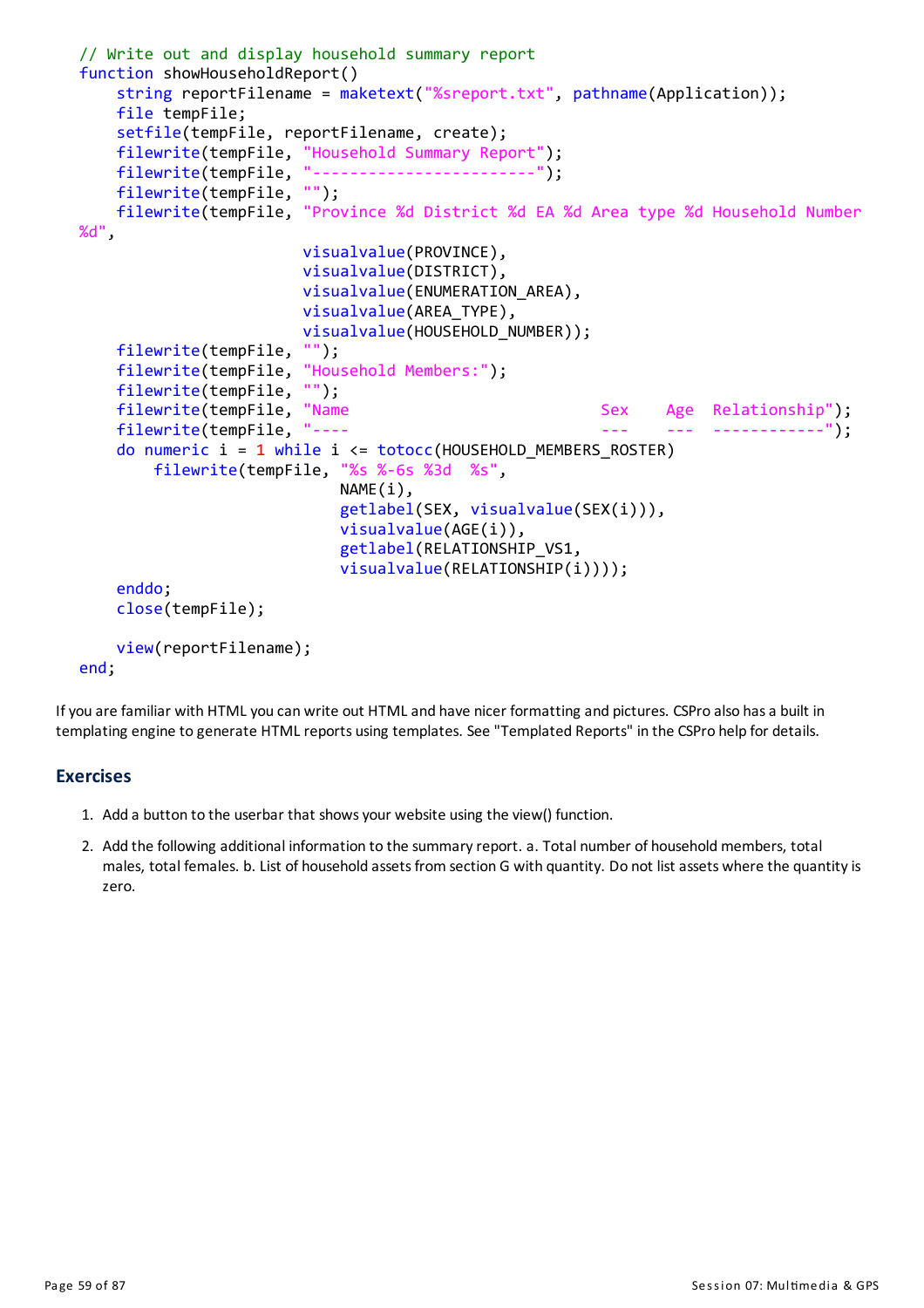```
// Write out and display household summary report
function showHouseholdReport()
    string reportFilename = maketext("%sreport.txt", pathname(Application));
    file tempFile;
    setfile(tempFile, reportFilename, create);
    filewrite(tempFile, "Household Summary Report");
    filewrite(tempFile, "------------------------");
    filewrite(tempFile, "");
    filewrite(tempFile, "Province %d District %d EA %d Area type %d Household Number
%d",
                        visualvalue(PROVINCE),
                        visualvalue(DISTRICT),
                        visualvalue(ENUMERATION_AREA),
                        visualvalue(AREA_TYPE),
                        visualvalue(HOUSEHOLD_NUMBER));
    filewrite(tempFile, "");
    filewrite(tempFile, "Household Members:");
    filewrite(tempFile, "");
    filewrite(tempFile, "Name Sex Age Relationship");<br>filewrite(tempFile, "---- Sex Sex Age Relationship");
    filewrite(tempFile, "---- --- --- ------------");
    do numeric i = 1 while i \leq 1 totocc(HOUSEHOLD MEMBERS ROSTER)
        filewrite(tempFile, "%s %-6s %3d %s",
                            NAME(i),
                             getlabel(SEX, visualvalue(SEX(i))),
                             visualvalue(AGE(i)),
                             getlabel(RELATIONSHIP_VS1,
                             visualvalue(RELATIONSHIP(i))));
    enddo;
    close(tempFile);
    view(reportFilename);
end;
```
If you are familiar with HTML you can write out HTML and have nicer formatting and pictures. CSPro also has a built in templating engine to generate HTML reports using templates. See "Templated Reports" in the CSPro help for details.

## **Exercises**

- 1. Add a button to the userbar that showsyour website using the view() function.
- 2. Add the following additional information to the summary report. a. Total number of household members, total males, total females. b. List of household assets from section G with quantity. Do not list assets where the quantity is zero.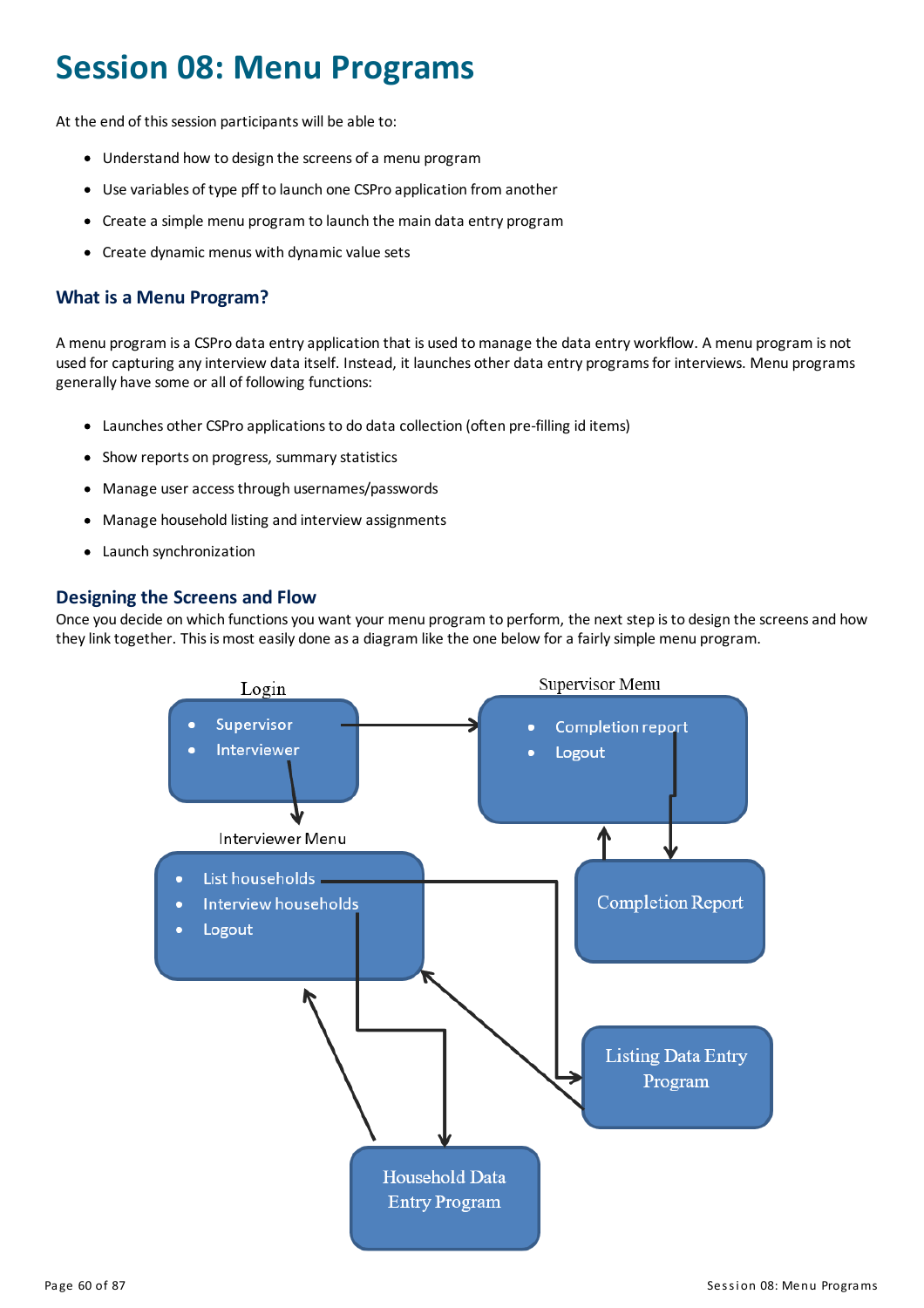# **Session 08: Menu Programs**

At the end of this session participants will be able to:

- Understand how to design the screens of a menu program
- Use variables of type pff to launch one CSPro application from another
- Create a simple menu program to launch the main data entry program
- Create dynamic menus with dynamic value sets

# **What is a Menu Program?**

A menu program is a CSPro data entry application that is used to manage the data entry workflow. A menu program is not used for capturing any interview data itself. Instead, it launches other data entry programs for interviews. Menu programs generally have some or all of following functions:

- Launches other CSPro applicationsto do data collection (often pre-filling id items)
- Show reports on progress, summary statistics
- Manage useraccessthrough usernames/passwords
- Manage household listing and interview assignments
- Launch synchronization

## **Designingthe Screens and Flow**

Once you decide on which functions you want your menu program to perform, the next step is to design the screens and how they link together. This is most easily done as a diagram like the one below for a fairly simple menu program.

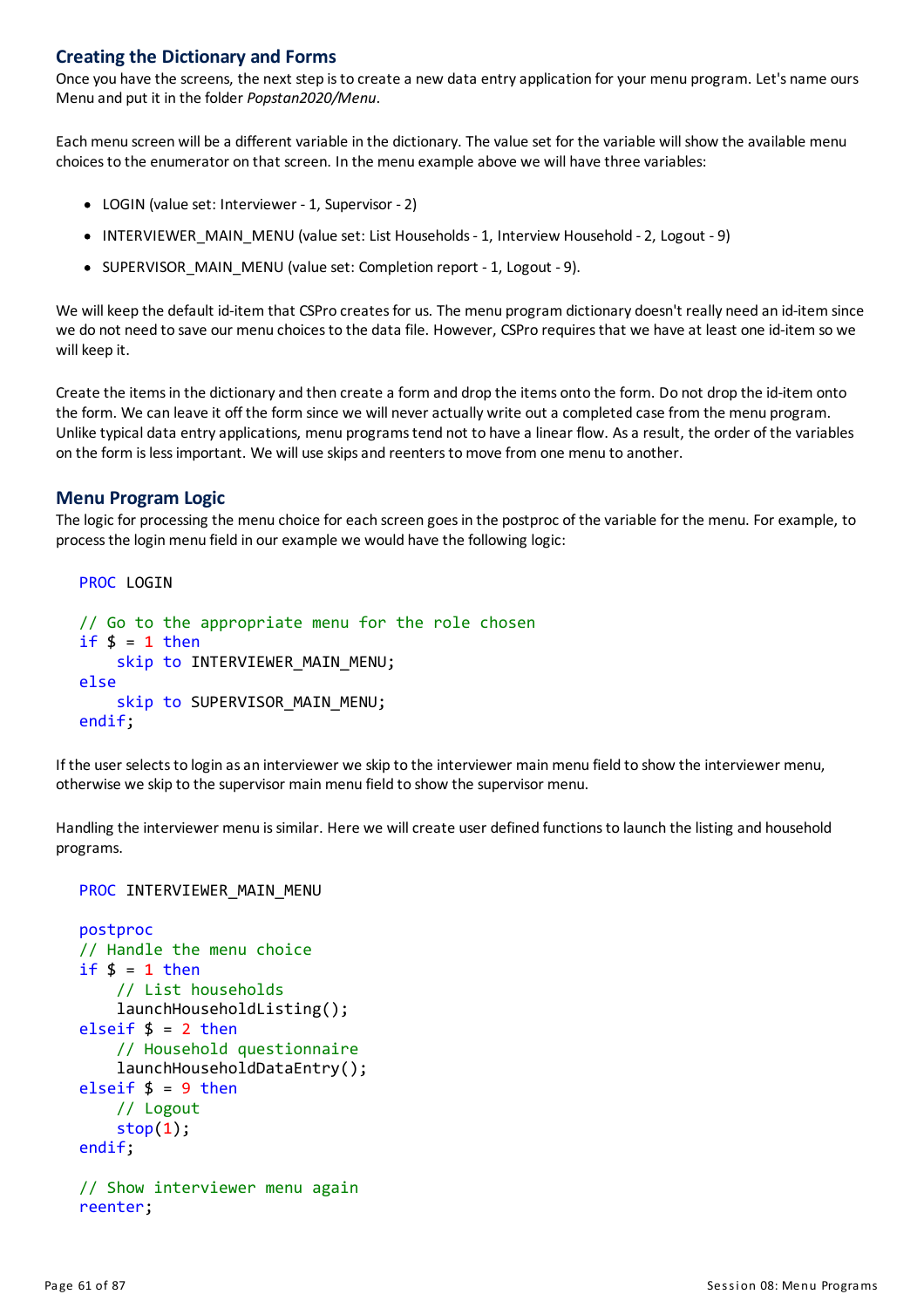# **Creatingthe Dictionary and Forms**

Once you have the screens, the next step isto create a new data entryapplication for your menu program. Let's name ours Menu and put it in the folder *Popstan2020/Menu*.

Eachmenu screen will be a different variable in the dictionary. The value set for the variable will show the available menu choicesto the enumerator on that screen. In the menu example above we will have three variables:

- LOGIN (value set: Interviewer 1, Supervisor 2)
- INTERVIEWER MAIN MENU (value set: List Households 1, Interview Household 2, Logout 9)
- SUPERVISOR MAIN MENU (value set: Completion report 1, Logout 9).

We will keep the default id-item that CSPro creates for us. The menu program dictionary doesn't really need an id-item since we do not need to save our menu choices to the data file. However, CSPro requires that we have at least one id-item so we will keep it.

Create the itemsin the dictionaryand then create a form and drop the items onto the form. Do not drop the id-item onto the form. We can leave it off the form since we will neveractually write out a completed case from the menu program. Unlike typical data entry applications, menu programs tend not to have a linear flow. As a result, the order of the variables on the form islessimportant. We will use skipsand reenterstomove from one menu to another.

#### **Menu Program Logic**

The logic for processing the menu choice for each screen goesin the postproc of the variable for the menu. For example, to processthe loginmenu field in our example we would have the following logic:

```
PROC LOGIN
// Go to the appropriate menu for the role chosen
if \frac{1}{2} = 1 then
    skip to INTERVIEWER MAIN MENU;
else
    skip to SUPERVISOR MAIN MENU;
endif;
```
If the user selects to login as an interviewer we skip to the interviewer main menu field to show the interviewer menu, otherwise we skip to the supervisor main menu field to show the supervisor menu.

Handling the interviewer menu is similar. Here we will create user defined functions to launch the listing and household programs.

#### PROC INTERVIEWER MAIN MENU

```
postproc
// Handle the menu choice
if $ = 1 then
    // List households
    launchHouseholdListing();
elseif $ = 2 then
    // Household questionnaire
    launchHouseholdDataEntry();
elseif $ = 9 then
    // Logout
    stop(1);endif;
// Show interviewer menu again
reenter;
```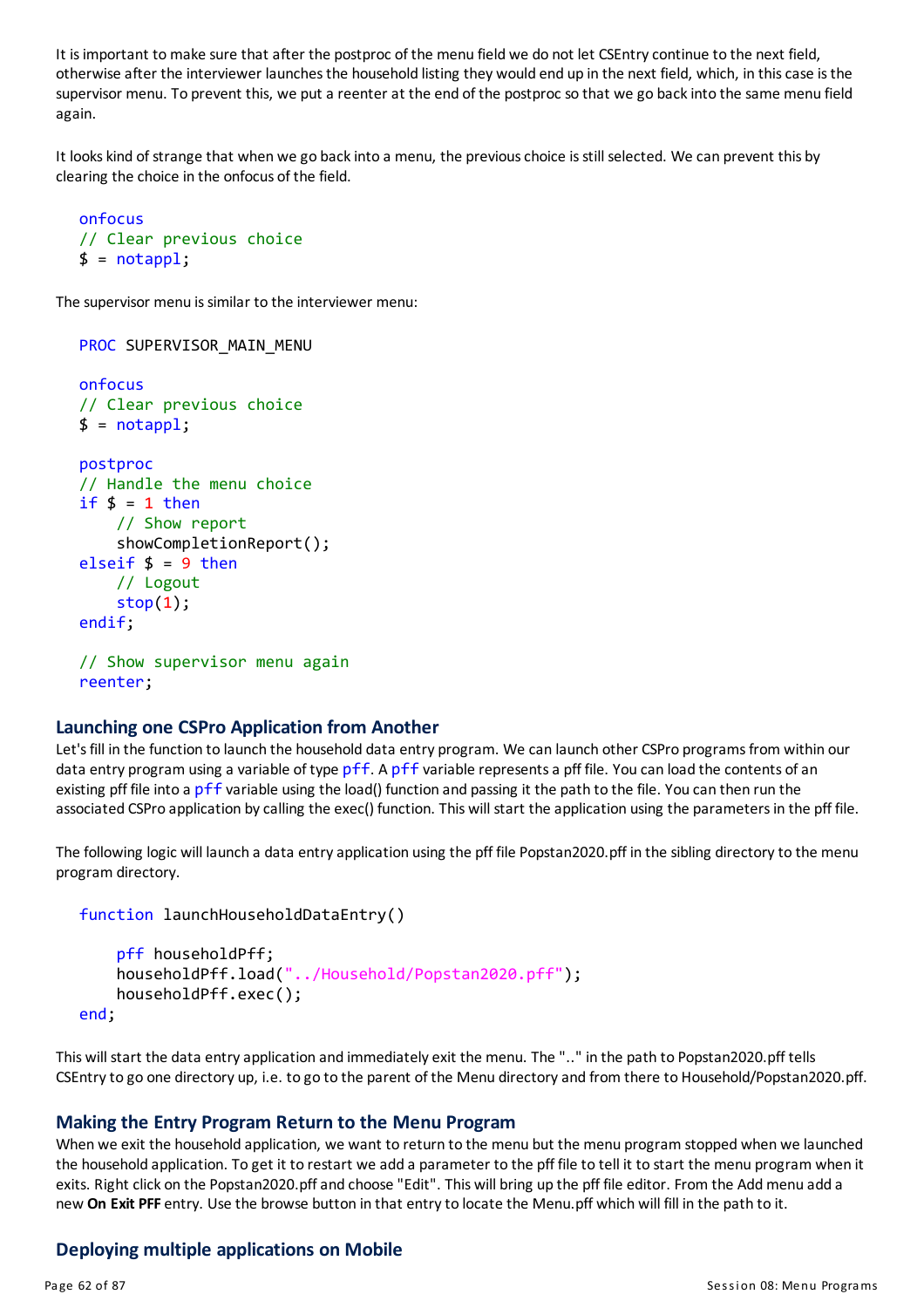It isimportant tomake sure that after the postproc of the menu field we do not let CSEntrycontinue to the next field, otherwise after the interviewer launchesthe household listing they would end up in the next field, which, in thiscase isthe supervisor menu. To prevent this, we put a reenter at the end of the postproc so that we go back into the same menu field again.

It looks kind of strange that when we go back into a menu, the previous choice is still selected. We can prevent this by clearing the choice in the onfocus of the field.

```
onfocus
// Clear previous choice
$ = notapp1;
```
The supervisor menu is similar to the interviewer menu:

```
PROC SUPERVISOR_MAIN_MENU
onfocus
// Clear previous choice
$ = notapp1;postproc
// Handle the menu choice
if $ = 1 then
    // Show report
    showCompletionReport();
elseif $ = 9 then
    // Logout
    stop(1);endif;
// Show supervisor menu again
reenter;
```
#### **Launching one CSPro Application from Another**

Let's fill in the function to launch the household data entry program. We can launch other CSPro programs from within our data entry program using a variable of type pff. A pff variable represents a pff file. You can load the contents of an existing pff file into a pff variable using the load() function and passing it the path to the file. You can then run the associated CSPro application by calling the exec() function. This will start the application using the parameters in the pff file.

The following logic will launch a data entry application using the pff file Popstan2020.pff in the sibling directory to the menu program directory.

```
function launchHouseholdDataEntry()
```

```
pff householdPff;
    householdPff.load("../Household/Popstan2020.pff");
    householdPff.exec();
end;
```
This will start the data entry application and immediately exit the menu. The ".." in the path to Popstan2020.pff tells CSEntryto go one directory up, i.e. to go to the parent of the Menu directoryand from there to Household/Popstan2020.pff.

#### **Makingthe Entry Program Return to the Menu Program**

When we exit the household application, we want to return to the menu but the menu program stopped when we launched the household application. To get it to restart we add a parameter to the pff file to tell it to start the menu program when it exits. Right click on the Popstan2020.pff and choose "Edit". This will bring up the pff file editor. From the Add menu add a new **On Exit PFF** entry. Use the browse button in that entryto locate the Menu.pff which will fill in the path to it.

#### **Deploying multiple applications on Mobile**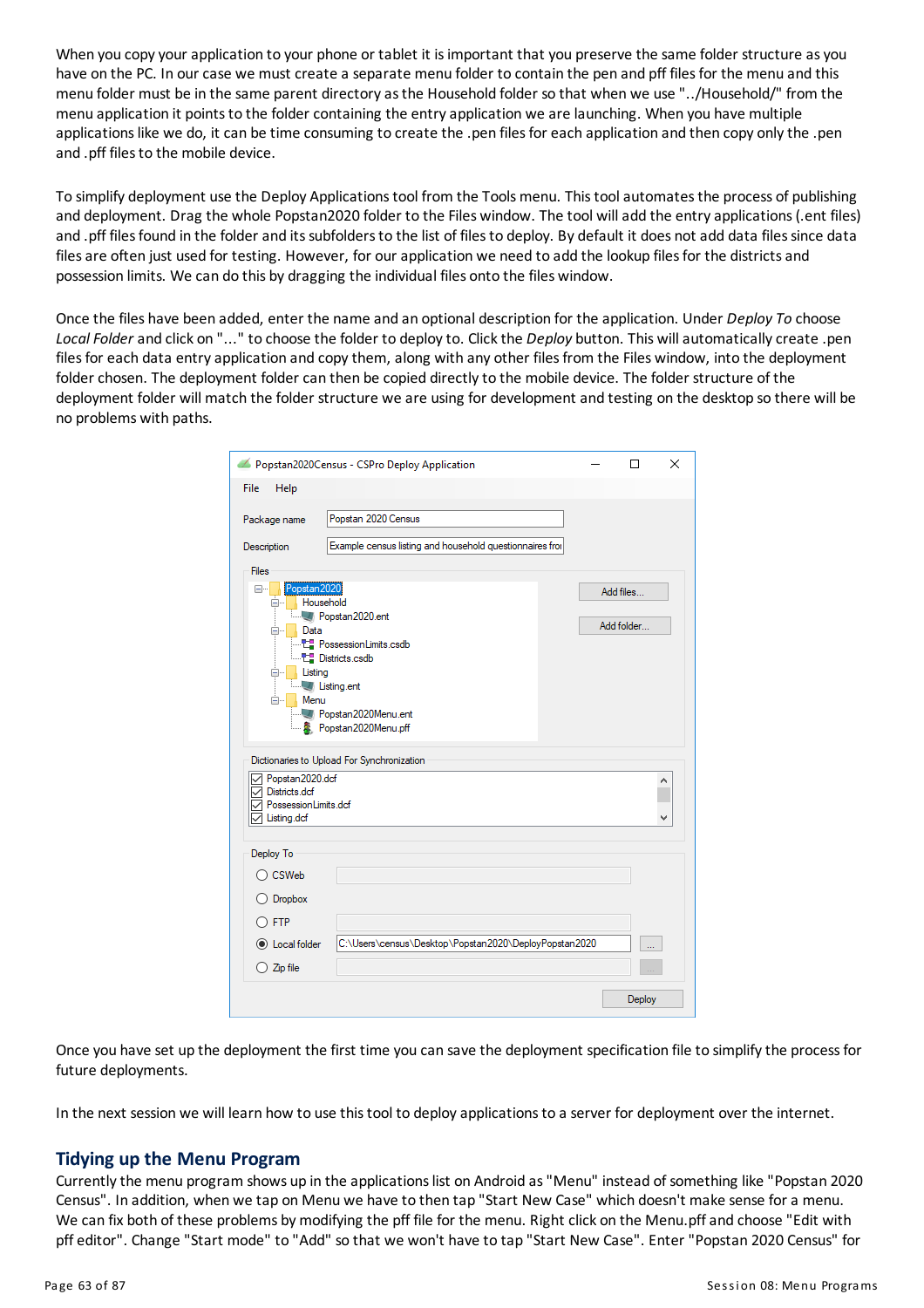When you copy your application to your phone or tablet it is important that you preserve the same folder structure as you have on the PC. In our case we must create a separate menu folder to contain the pen and pff files for the menu and this menu folder must be in the same parent directoryasthe Household folder so that when we use "../Household/" from the menu application it points to the folder containing the entry application we are launching. When you have multiple applications like we do, it can be time consuming to create the .pen files for each application and then copy only the .pen and .pff files to the mobile device.

To simplify deployment use the Deploy Applicationstool from the Toolsmenu. Thistoolautomatesthe process of publishing and deployment. Drag the whole Popstan2020 folder to the Files window. The tool willadd the entryapplications(.ent files) and .pff files found in the folder and its subfolders to the list of files to deploy. By default it does not add data files since data files are often just used for testing. However, for our application we need to add the lookup files for the districts and possession limits. We can do this by dragging the individual files onto the files window.

Once the files have been added, enter the name and an optional description for the application. Under *DeployTo* choose Local Folder and click on "..." to choose the folder to deploy to. Click the *Deploy* button. This will automatically create .pen files for each data entry application and copy them, along with any other files from the Files window, into the deployment folder chosen. The deployment folder can then be copied directlyto the mobile device. The folder structure of the deployment folder will match the folder structure we are using for development and testing on the desktop so there will be no problems with paths.

|                                                                                                                 | Popstan2020Census - CSPro Deploy Application                                               |  | п                       | × |  |  |  |  |
|-----------------------------------------------------------------------------------------------------------------|--------------------------------------------------------------------------------------------|--|-------------------------|---|--|--|--|--|
| File<br>Help                                                                                                    |                                                                                            |  |                         |   |  |  |  |  |
| Package name<br>Description                                                                                     | Popstan 2020 Census<br>Example census listing and household questionnaires fror            |  |                         |   |  |  |  |  |
| <b>Files</b>                                                                                                    |                                                                                            |  |                         |   |  |  |  |  |
| Popstan2020<br>⊟…<br>Household<br>⊟…<br>Data<br><b>⊟</b> …<br>Listing<br>⊟…<br><b>Listing.ent</b><br>Menu<br>Ė- | 7 Popstan2020.ent<br><b>Districts.csdb</b><br>Popstan2020Menu.ent<br>& Popstan2020Menu.pff |  | Add files<br>Add folder |   |  |  |  |  |
|                                                                                                                 | Dictionaries to Upload For Synchronization                                                 |  |                         |   |  |  |  |  |
| Popstan2020.dcf<br>Districts.dcf<br>PossessionLimits.dcf<br>Listing.dcf                                         |                                                                                            |  |                         |   |  |  |  |  |
| Deploy To                                                                                                       |                                                                                            |  |                         |   |  |  |  |  |
| CSWeb                                                                                                           |                                                                                            |  |                         |   |  |  |  |  |
| O Dropbox                                                                                                       |                                                                                            |  |                         |   |  |  |  |  |
| $\Gamma$ FTP                                                                                                    |                                                                                            |  |                         |   |  |  |  |  |
| C Local folder                                                                                                  | C:\Users\census\Desktop\Popstan2020\DeployPopstan2020                                      |  |                         |   |  |  |  |  |
| $\bigcirc$ Zip file                                                                                             |                                                                                            |  |                         |   |  |  |  |  |
|                                                                                                                 |                                                                                            |  | Deploy                  |   |  |  |  |  |

Once you have set up the deployment the first time you can save the deployment specification file to simplifythe processfor future deployments.

In the next session we will learn how to use this tool to deploy applications to a server for deployment over the internet.

## **Tidying up the Menu Program**

Currentlythe menu program shows up in the applicationslist on Android as"Menu" instead of something like "Popstan 2020 Census". In addition, when we tap on Menu we have to then tap "Start New Case" which doesn't make sense for a menu. We can fix both of these problems by modifying the pff file for the menu. Right click on the Menu.pff and choose "Edit with pff editor". Change "Start mode" to "Add" so that we won't have to tap "Start New Case". Enter "Popstan 2020 Census" for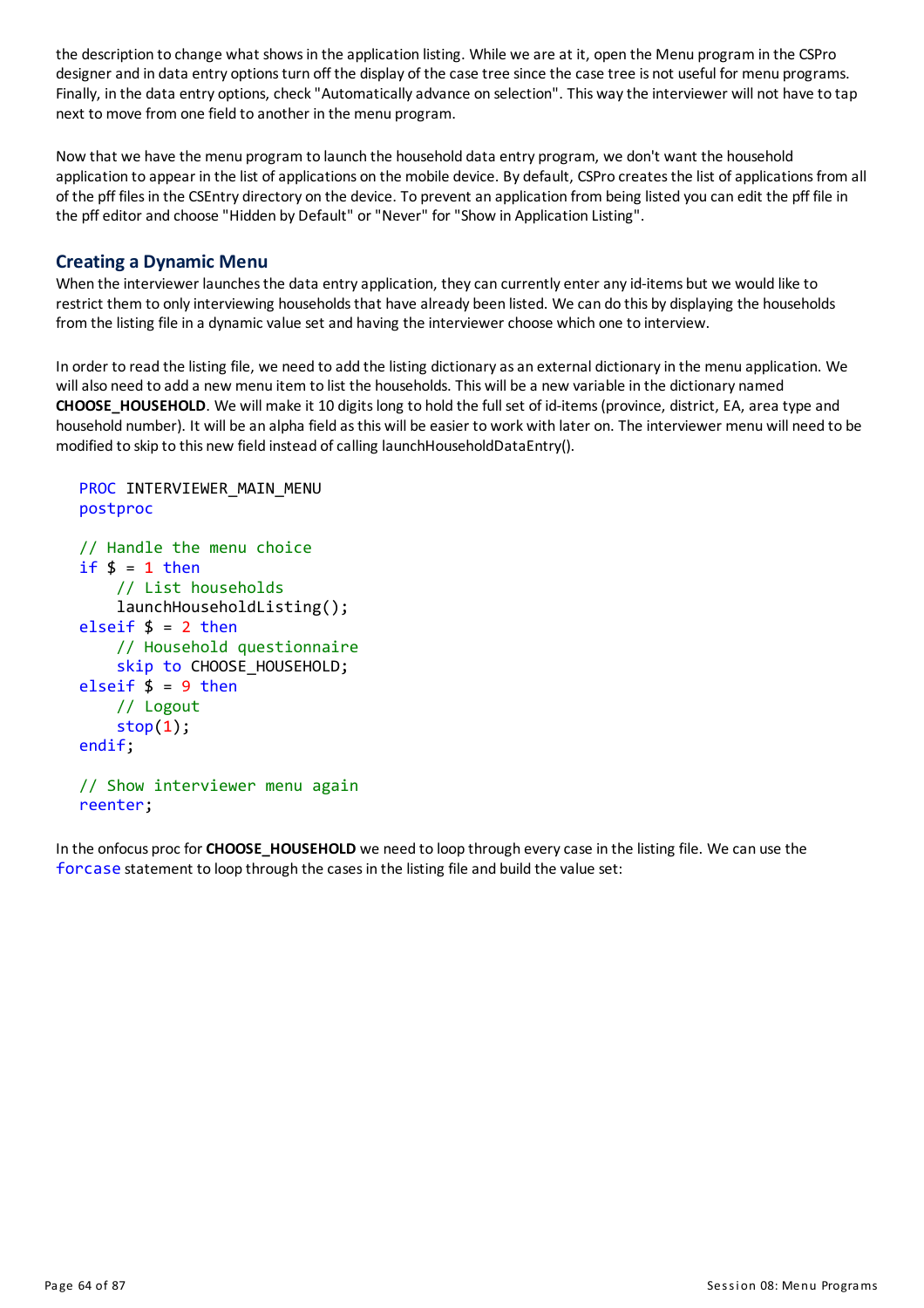the description to change what showsin the application listing. While we are at it, open the Menu program in the CSPro designer and in data entry options turn off the display of the case tree since the case tree is not useful for menu programs. Finally, in the data entry options, check "Automatically advance on selection". This way the interviewer will not have to tap next to move from one field to another in the menu program.

Now that we have the menu program to launch the household data entry program, we don't want the household application to appear in the list of applications on the mobile device. By default, CSPro creates the list of applications from all of the pff filesin the CSEntry directory on the device. To prevent an application from being listed you can edit the pff file in the pff editorand choose "Hidden by Default" or "Never" for "Show in Application Listing".

# **Creating a Dynamic Menu**

When the interviewer launches the data entry application, they can currently enter any id-items but we would like to restrict them to only interviewing households that have already been listed. We can do this by displaying the households from the listing file in a dynamic value set and having the interviewer choose which one to interview.

In order to read the listing file, we need to add the listing dictionary as an external dictionary in the menu application. We willalso need to add a new menu item to list the households. This will be a new variable in the dictionary named **CHOOSE\_HOUSEHOLD**. We will make it 10 digitslong to hold the full set of id-items(province, district, EA, area type and household number). It will be an alpha field asthis will be easier to work with later on. The interviewer menu will need to be modified to skip to this new field instead of calling launchHouseholdDataEntry().

```
PROC INTERVIEWER MAIN MENU
postproc
// Handle the menu choice
if $ = 1 then
    // List households
    launchHouseholdListing();
elseif $ = 2 then
    // Household questionnaire
    skip to CHOOSE HOUSEHOLD;
elseif $ = 9 then
    // Logout
    stop(1);endif;
// Show interviewer menu again
reenter;
```
In the onfocus proc for **CHOOSE\_HOUSEHOLD** we need to loop through everycase in the listing file. We can use the forcase statement to loop through the casesin the listing file and build the value set: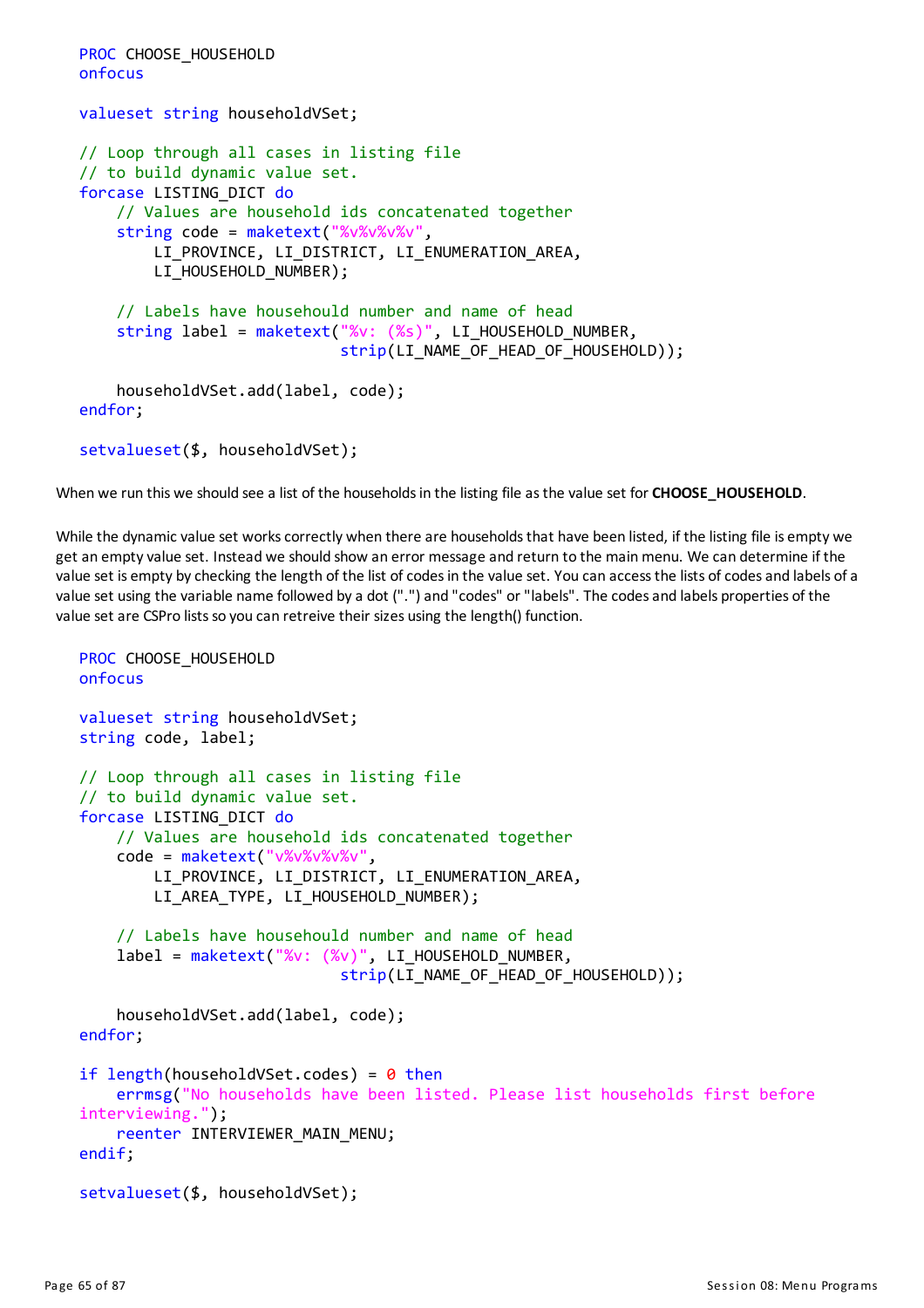```
PROC CHOOSE HOUSEHOLD
onfocus
valueset string householdVSet;
// Loop through all cases in listing file
// to build dynamic value set.
forcase LISTING_DICT do
    // Values are household ids concatenated together
    string code = maketext("%v%v%v",
        LI PROVINCE, LI DISTRICT, LI ENUMERATION AREA,
        LI HOUSEHOLD NUMBER);
    // Labels have househould number and name of head
    string label = maketext("%v: (%s)", LI HOUSEHOLD NUMBER,
                            strip(LI_NAME_OF_HEAD_OF_HOUSEHOLD));
    householdVSet.add(label, code);
endfor;
setvalueset($, householdVSet);
```
When we run this we should see a list of the householdsin the listing file asthe value set for **CHOOSE\_HOUSEHOLD**.

While the dynamic value set works correctly when there are households that have been listed, if the listing file is empty we get an emptyvalue set. Instead we should show an error message and return to the mainmenu. We can determine if the value set is empty by checking the length of the list of codes in the value set. You can access the lists of codes and labels of a value set using the variable name followed by a dot (".") and "codes" or "labels". The codes and labels properties of the value set are CSPro lists so you can retreive their sizes using the length() function.

```
PROC CHOOSE HOUSEHOLD
onfocus
valueset string householdVSet;
string code, label;
// Loop through all cases in listing file
// to build dynamic value set.
forcase LISTING_DICT do
    // Values are household ids concatenated together
    code = maketext("v%v%v%v%v",
        LI_PROVINCE, LI_DISTRICT, LI_ENUMERATION_AREA,
        LI_AREA_TYPE, LI_HOUSEHOLD_NUMBER);
    // Labels have househould number and name of head
    label = maketext("%v: (%v)", LI_HOUSEHOLD_NUMBER,
                            strip(LI_NAME_OF_HEAD_OF_HOUSEHOLD));
    householdVSet.add(label, code);
endfor;
if length(householdVSet.codes) = 0 then
    errmsg("No households have been listed. Please list households first before
interviewing.");
    reenter INTERVIEWER MAIN MENU;
endif;
setvalueset($, householdVSet);
```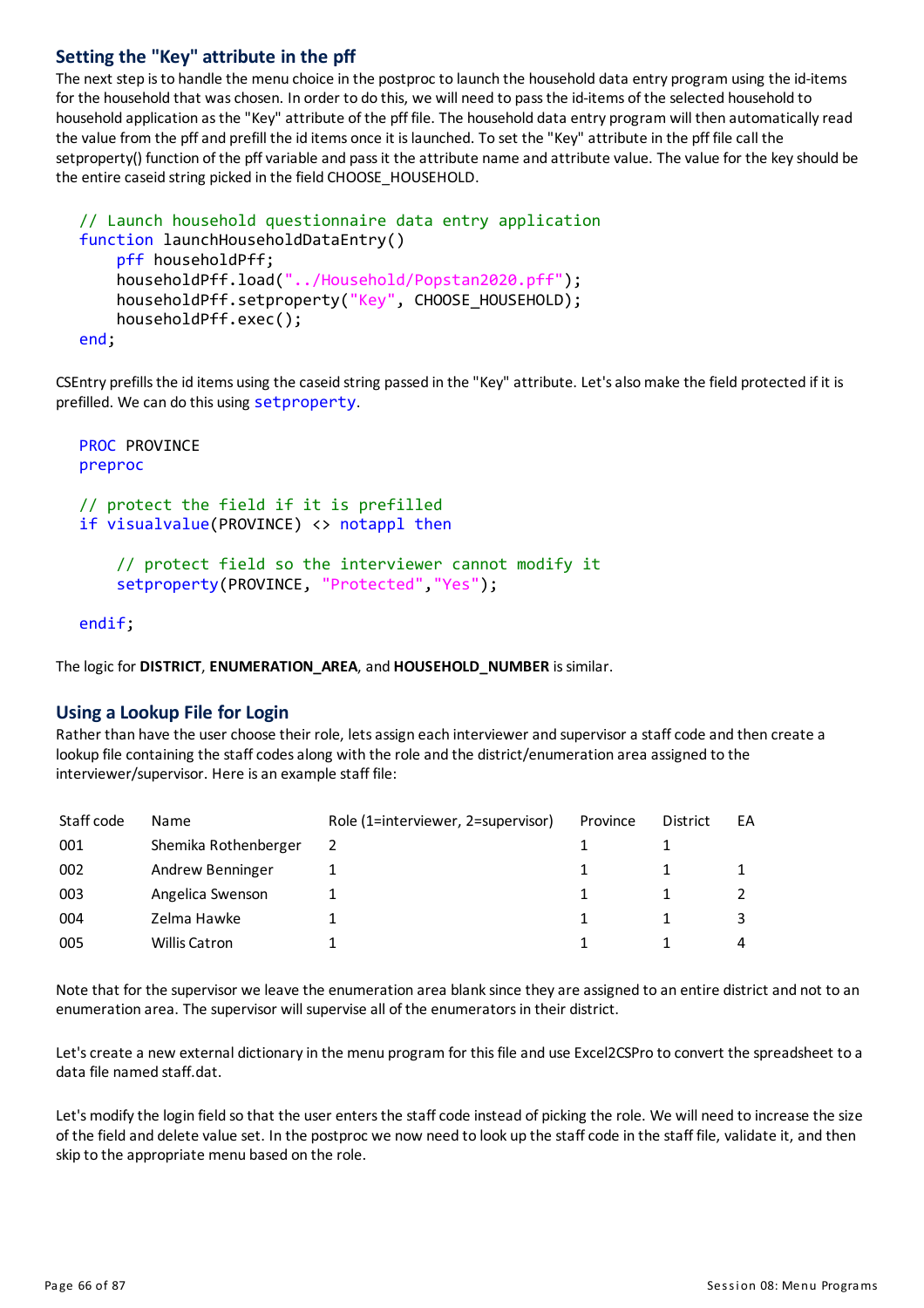# **Settingthe "Key" attribute in the pff**

The next step isto handle the menu choice in the postproc to launch the household data entry program using the id-items for the household that was chosen. In order to do this, we will need to pass the id-items of the selected household to household application asthe "Key" attribute of the pff file. The household data entry program will then automaticallyread the value from the pffand prefill the id items once it islaunched. To set the "Key" attribute in the pff file call the setproperty() function of the pffvariable and passit the attribute name and attribute value. The value for the keyshould be the entire caseid string picked in the field CHOOSE\_HOUSEHOLD.

```
// Launch household questionnaire data entry application
function launchHouseholdDataEntry()
    pff householdPff;
    householdPff.load("../Household/Popstan2020.pff");
    householdPff.setproperty("Key", CHOOSE_HOUSEHOLD);
    householdPff.exec();
end;
```
CSEntry prefills the id items using the caseid string passed in the "Key" attribute. Let's also make the field protected if it is prefilled. We can do this using setproperty.

```
PROC PROVINCE
preproc
// protect the field if it is prefilled
if visualvalue(PROVINCE) <> notappl then
    // protect field so the interviewer cannot modify it
    setproperty(PROVINCE, "Protected","Yes");
```
endif;

The logic for **DISTRICT**, **ENUMERATION\_AREA**, and **HOUSEHOLD\_NUMBER** issimilar.

## **Using a Lookup File for Login**

Rather than have the user choose their role, lets assign each interviewer and supervisor a staff code and then create a lookup file containing the staff codes along with the role and the district/enumeration area assigned to the interviewer/supervisor. Here is an example staff file:

| Staff code | <b>Name</b>          | Role (1=interviewer, 2=supervisor) | Province | District | EA |
|------------|----------------------|------------------------------------|----------|----------|----|
| 001        | Shemika Rothenberger |                                    |          |          |    |
| 002        | Andrew Benninger     |                                    |          |          |    |
| 003        | Angelica Swenson     |                                    |          |          |    |
| 004        | Zelma Hawke          |                                    |          |          |    |
| 005        | <b>Willis Catron</b> |                                    |          |          |    |

Note that for the supervisor we leave the enumeration area blank since they are assigned to an entire district and not to an enumeration area. The supervisor will supervise all of the enumerators in their district.

Let's create a new external dictionary in the menu program for this file and use Excel2CSPro to convert the spreadsheet to a data file named staff.dat.

Let's modify the login field so that the user enters the staff code instead of picking the role. We will need to increase the size of the field and delete value set. In the postproc we now need to look up the staffcode in the staff file, validate it, and then skip to the appropriate menu based on the role.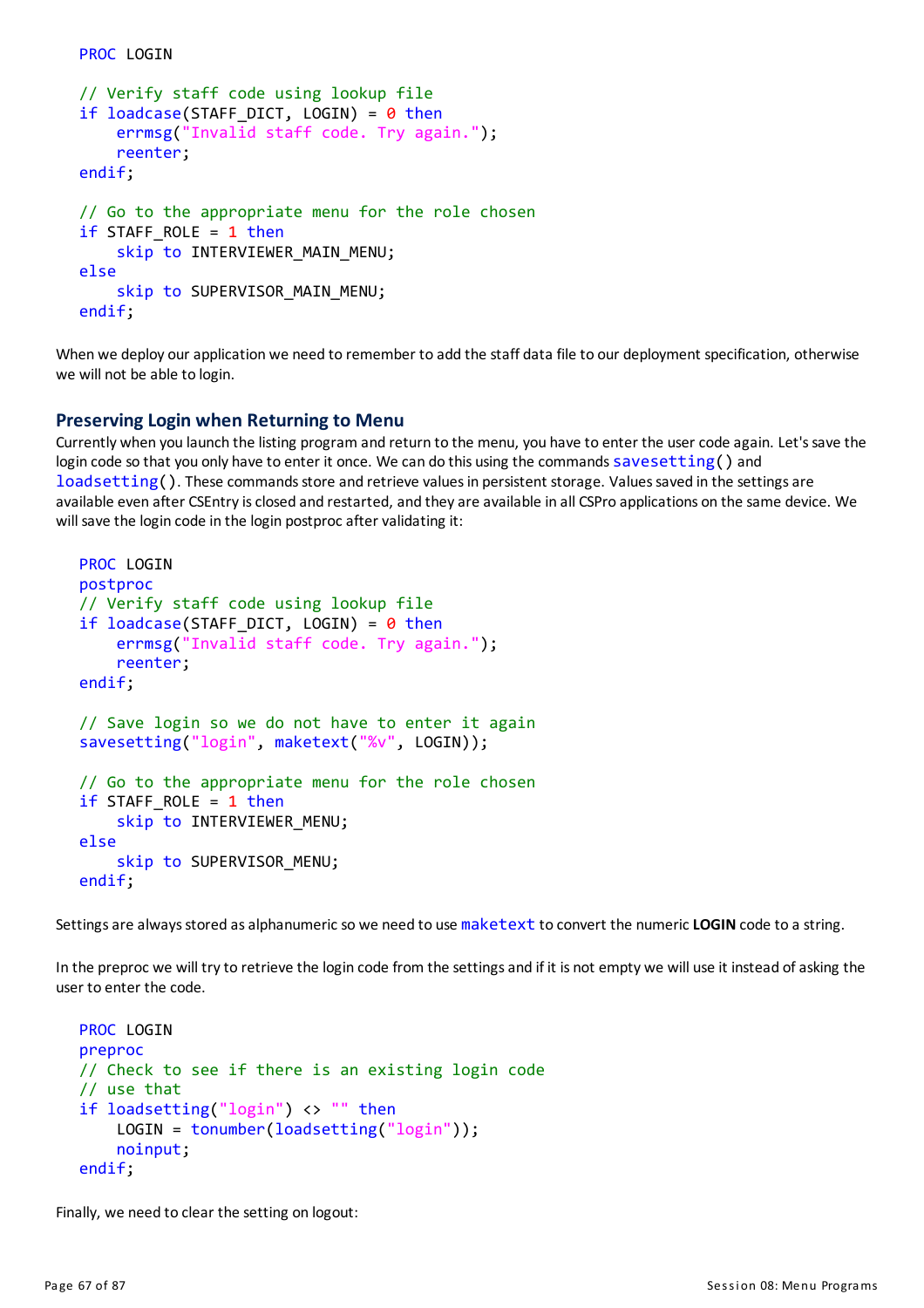```
// Verify staff code using lookup file
if loadcase(STAFF DICT, LOGIN) = 0 then
    errmsg("Invalid staff code. Try again.");
    reenter;
endif;
// Go to the appropriate menu for the role chosen
if STAFF ROLE = 1 then
    skip to INTERVIEWER MAIN MENU;
else
    skip to SUPERVISOR MAIN MENU;
endif;
```
When we deploy our application we need to remember to add the staff data file to our deployment specification, otherwise we will not be able to login.

#### **PreservingLogin when Returningto Menu**

PROC LOGIN

Currently when you launch the listing program and return to the menu, you have to enter the user code again. Let'ssave the login code so that you only have to enter it once. We can do this using the commands savesetting() and loadsetting(). These commands store and retrieve values in persistent storage. Values saved in the settings are available even after CSEntry is closed and restarted, and they are available in all CSPro applications on the same device. We will save the login code in the login postproc after validating it:

```
PROC LOGIN
postproc
// Verify staff code using lookup file
if loadcase(STAFF DICT, LOGIN) = 0 then
    errmsg("Invalid staff code. Try again.");
    reenter;
endif;
// Save login so we do not have to enter it again
savesetting("login", maketext("%v", LOGIN));
// Go to the appropriate menu for the role chosen
if STAFF ROLE = 1 then
    skip to INTERVIEWER_MENU;
else
    skip to SUPERVISOR MENU;
endif;
```
Settings are always stored as alphanumeric so we need to use maketext to convert the numeric LOGIN code to a string.

In the preproc we will try to retrieve the login code from the settings and if it is not empty we will use it instead of asking the user to enter the code.

```
PROC LOGIN
preproc
// Check to see if there is an existing login code
// use that
if loadsetting("login") <> "" then
    LOGIN = tonumber(loadsetting("login"));
    noinput;
endif;
```
Finally, we need to clear the setting on logout: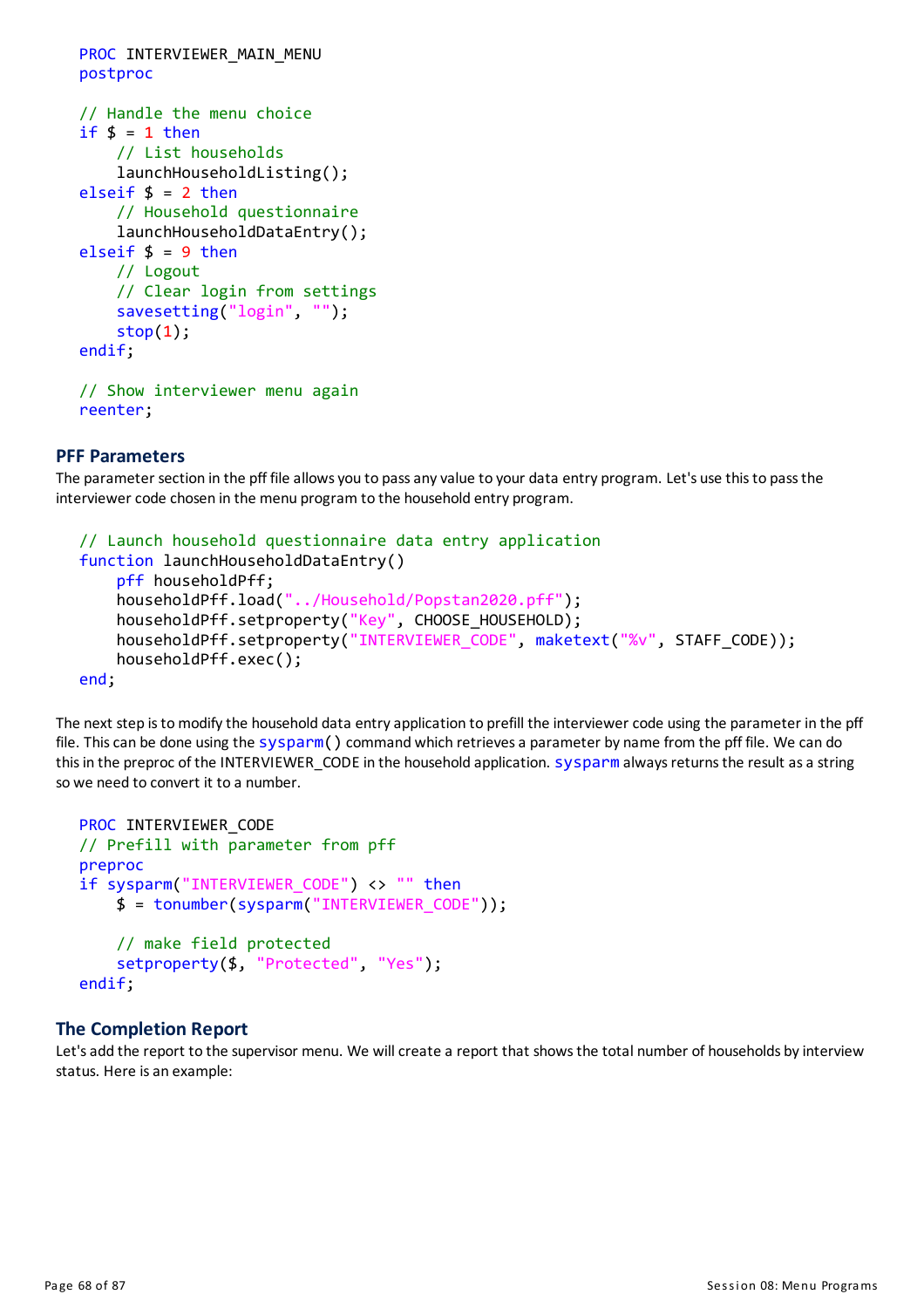```
PROC INTERVIEWER MAIN MENU
postproc
// Handle the menu choice
if $ = 1 then// List households
   launchHouseholdListing();
elseif $ = 2 then
    // Household questionnaire
   launchHouseholdDataEntry();
elseif $ = 9 then
    // Logout
    // Clear login from settings
    savesetting("login", "");
    stop(1);endif;
// Show interviewer menu again
reenter;
```
#### **PFF Parameters**

The parameter section in the pff file allows you to pass any value to your data entry program. Let's use this to pass the interviewer code chosen in the menu program to the household entry program.

```
// Launch household questionnaire data entry application
function launchHouseholdDataEntry()
    pff householdPff;
    householdPff.load("../Household/Popstan2020.pff");
    householdPff.setproperty("Key", CHOOSE HOUSEHOLD);
    householdPff.setproperty("INTERVIEWER_CODE", maketext("%v", STAFF_CODE));
    householdPff.exec();
end;
```
The next step is to modify the household data entry application to prefill the interviewer code using the parameter in the pff file. This can be done using the sysparm() command which retrieves a parameter by name from the pff file. We can do this in the preproc of the INTERVIEWER CODE in the household application. sysparm always returns the result as a string so we need to convert it to a number.

```
PROC INTERVIEWER_CODE
// Prefill with parameter from pff
preproc
if sysparm("INTERVIEWER_CODE") <> "" then
    $ = tonumber(sysparm("INTERVIEWER_CODE"));
    // make field protected
    setproperty($, "Protected", "Yes");
endif;
```
## **The Completion Report**

Let's add the report to the supervisor menu. We will create a report that shows the total number of households by interview status. Here is an example: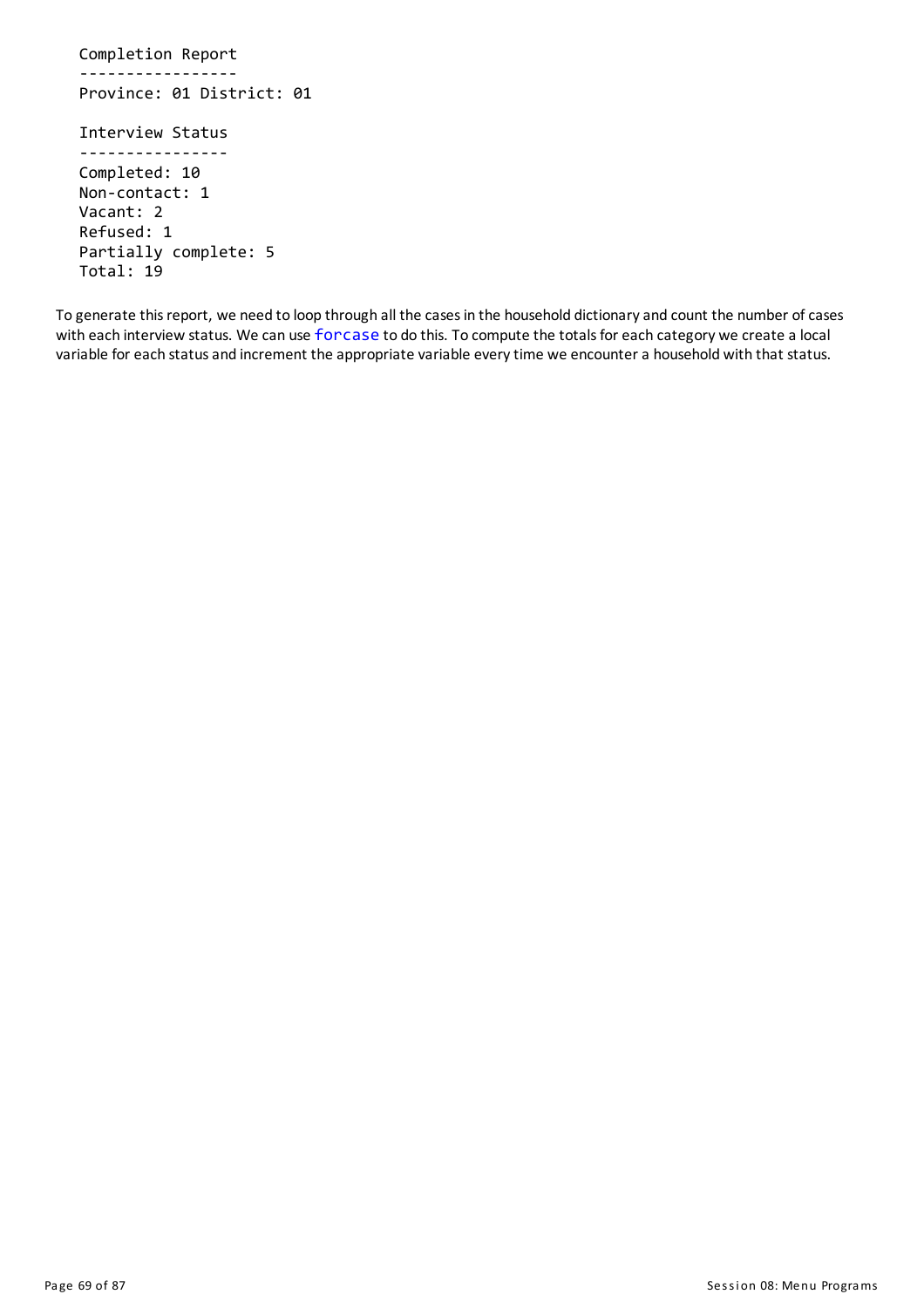Completion Report ----------------- Province: 01 District: 01 Interview Status ---------------- Completed: 10 Non-contact: 1 Vacant: 2 Refused: 1 Partially complete: 5 Total: 19

To generate this report, we need to loop through all the cases in the household dictionary and count the number of cases with each interview status. We can use forcase to do this. To compute the totals for each category we create a local variable for each status and increment the appropriate variable every time we encounter a household with that status.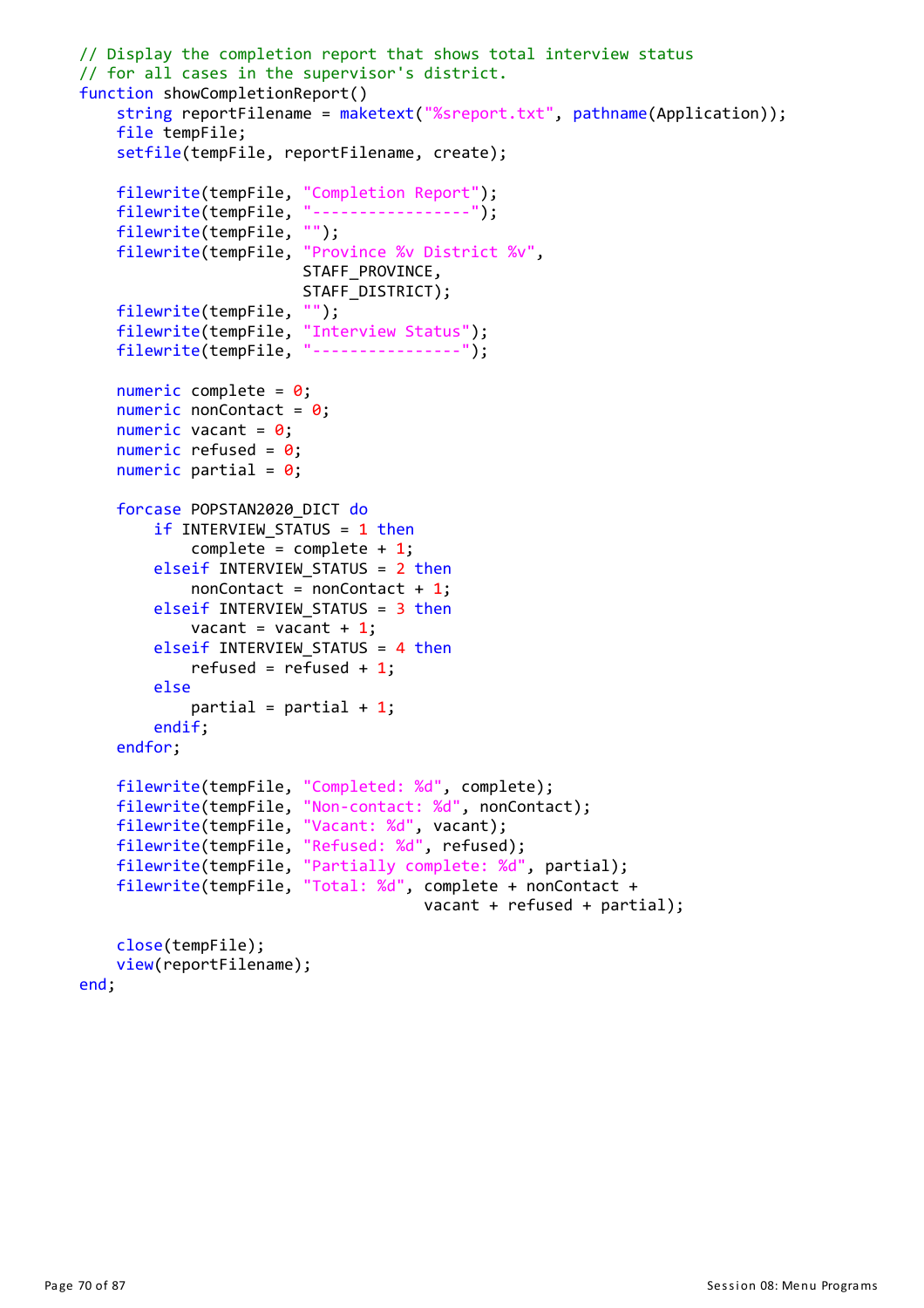```
// Display the completion report that shows total interview status
// for all cases in the supervisor's district.
function showCompletionReport()
    string reportFilename = maketext("%sreport.txt", pathname(Application));
   file tempFile;
    setfile(tempFile, reportFilename, create);
   filewrite(tempFile, "Completion Report");
   filewrite(tempFile, "-----------------");
   filewrite(tempFile, "");
   filewrite(tempFile, "Province %v District %v",
                        STAFF_PROVINCE,
                        STAFF_DISTRICT);
   filewrite(tempFile, "");
    filewrite(tempFile, "Interview Status");
    filewrite(tempFile, "----------------");
    numeric complete = 0;
    numeric nonContact = 0;
    numeric vacant = 0;
    numeric refused = 0;
    numeric partial = 0;
    forcase POPSTAN2020_DICT do
        if INTERVIEW_STATUS = 1 then
            complete = complete + 1;elseif INTERVIEW STATUS = 2 then
            nonContext = nonContext + 1;elseif INTERVIEW STATUS = 3 then
            vacant = vacant + 1;
        elseif INTERVIEW STATUS = 4 then
            refused = refused + 1;
        else
            partial = partial + 1;
        endif;
    endfor;
   filewrite(tempFile, "Completed: %d", complete);
   filewrite(tempFile, "Non-contact: %d", nonContact);
    filewrite(tempFile, "Vacant: %d", vacant);
    filewrite(tempFile, "Refused: %d", refused);
    filewrite(tempFile, "Partially complete: %d", partial);
   filewrite(tempFile, "Total: %d", complete + nonContact +
                                     vacant + refused + partial);
    close(tempFile);
    view(reportFilename);
```
end;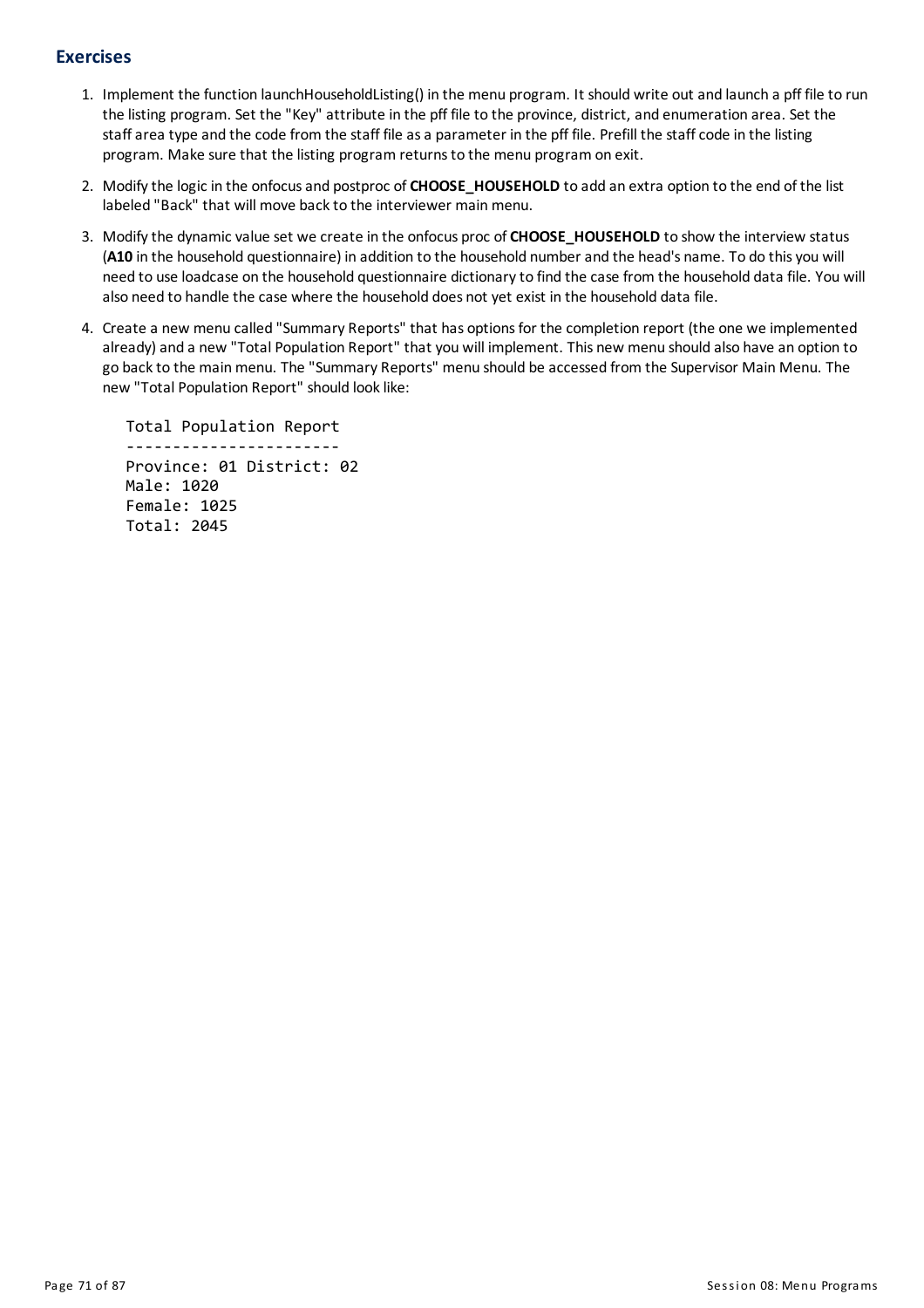# **Exercises**

- 1. Implement the function launchHouseholdListing() in the menu program. It should write out and launch a pff file to run the listing program. Set the "Key" attribute in the pff file to the province, district, and enumeration area. Set the staffarea type and the code from the staff file asa parameter in the pff file. Prefill the staffcode in the listing program. Make sure that the listing program returnsto the menu program on exit.
- 2. Modifythe logic in the onfocusand postproc of **CHOOSE\_HOUSEHOLD** to add an extra option to the end of the list labeled "Back" that will move back to the interviewer main menu.
- 3. Modifythe dynamic value set we create in the onfocus proc of **CHOOSE\_HOUSEHOLD** to show the interview status (A10 in the household questionnaire) in addition to the household number and the head's name. To do this you will need to use loadcase on the household questionnaire dictionaryto find the case from the household data file. You will also need to handle the case where the household does not yet exist in the household data file.
- 4. Create a new menu called "Summary Reports" that has options for the completion report (the one we implemented already) and a new "Total Population Report" that you will implement. This new menu should also have an option to go backto the mainmenu. The "Summary Reports" menu should be accessed from the Supervisor MainMenu. The new "Total Population Report" should look like:

Total Population Report ----------------------- Province: 01 District: 02 Male: 1020 Female: 1025 Total: 2045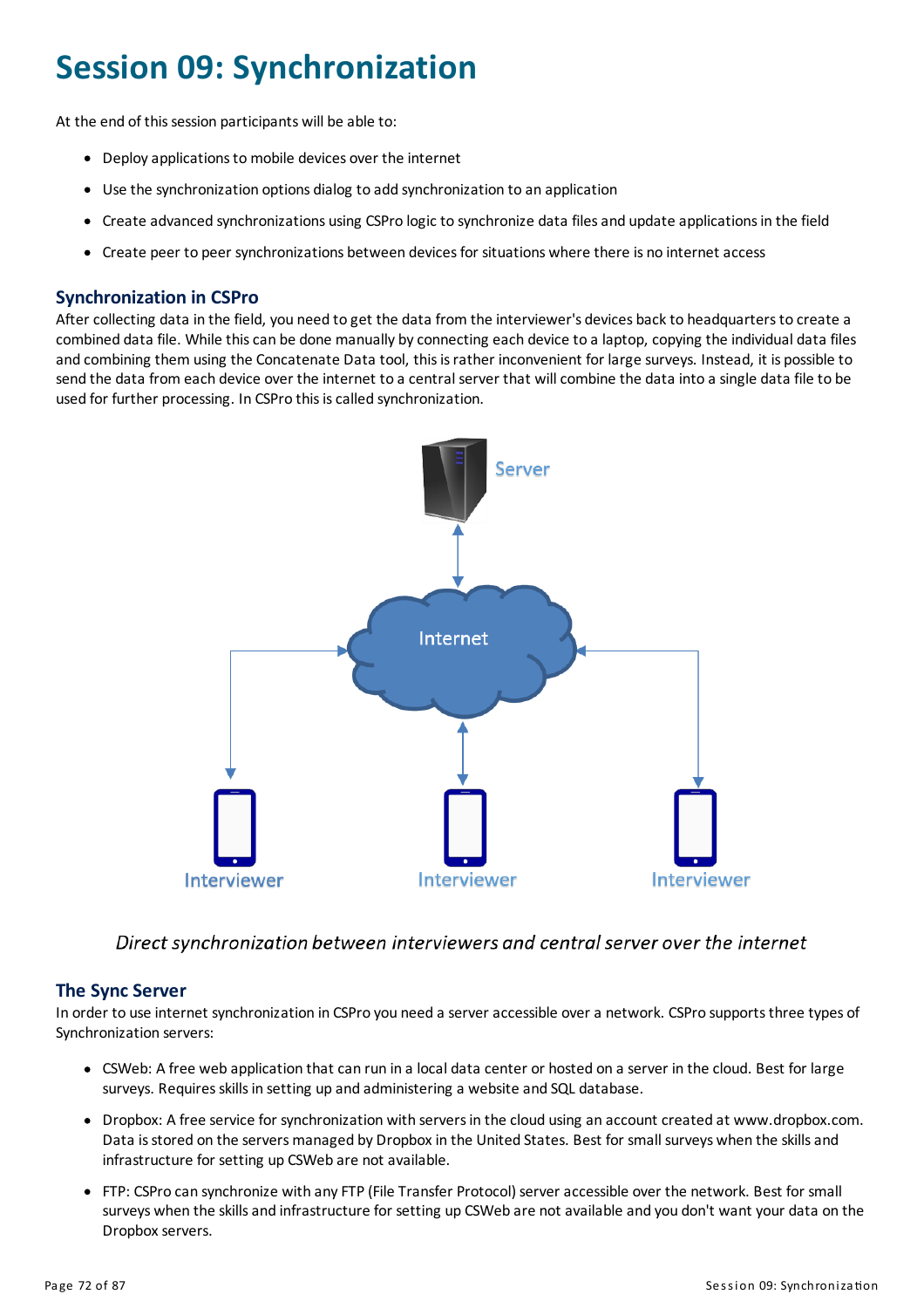# **Session 09: Synchronization**

At the end of this session participants will be able to:

- Deploy applications to mobile devices over the internet
- Use the synchronization options dialog to add synchronization to an application
- Create advanced synchronizations using CSPro logic to synchronize data filesand update applicationsin the field
- Create peer to peer synchronizations between devices for situations where there is no internet access

### **Synchronization in CSPro**

After collecting data in the field, you need to get the data from the interviewer's devices back to headquarters to create a combined data file. While thiscan be done manually byconnecting each device to a laptop, copying the individual data files and combining them using the Concatenate Data tool, thisisrather inconvenient for large surveys. Instead, it is possible to send the data from each device over the internet to a central server that will combine the data into a single data file to be used for further processing. In CSPro this is called synchronization.



Direct synchronization between interviewers and central server over the internet

### **The Sync Server**

In order to use internet synchronization in CSPro you need a server accessible over a network. CSPro supports three types of Synchronization servers:

- CSWeb: A free web application that can run in a local data center or hosted on a server in the cloud. Best for large surveys. Requires skills in setting up and administering a website and SQL database.
- Dropbox: A free service for synchronization with serversin the cloud using an account created at www.dropbox.com. Data is stored on the servers managed by Dropbox in the United States. Best for small surveys when the skills and infrastructure for setting up CSWeb are not available.
- FTP: CSPro can synchronize with anyFTP (File Transfer Protocol) serveraccessible over the network. Best for small surveys when the skills and infrastructure for setting up CSWeb are not available and you don't want your data on the Dropbox servers.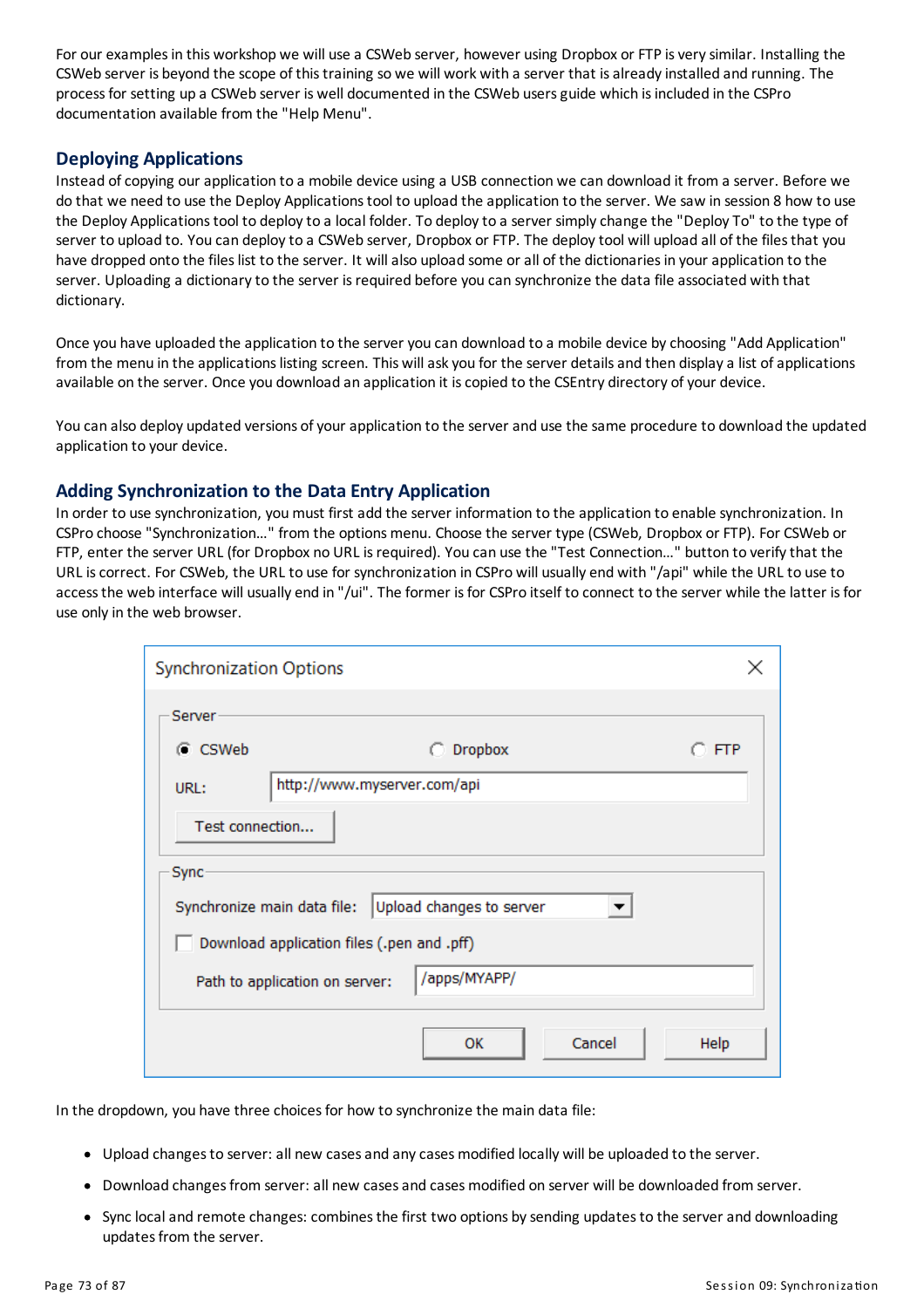For our examples in this workshop we will use a CSWeb server, however using Dropbox or FTP is very similar. Installing the CSWeb server is beyond the scope of this training so we will work with a server that is already installed and running. The processfor setting up a CSWeb server is well documented in the CSWeb usersguide which isincluded in the CSPro documentation available from the "Help Menu".

### **Deploying Applications**

Instead of copying our application to a mobile device using a USB connection we can download it from a server. Before we do that we need to use the Deploy Applicationstool to upload the application to the server. We saw in session 8 how to use the Deploy Applications tool to deploy to a local folder. To deploy to a server simply change the "Deploy To" to the type of server to upload to. You can deploy to a CSWeb server, Dropbox or FTP. The deploy tool will upload all of the files that you have dropped onto the files list to the server. It will also upload some or all of the dictionaries in your application to the server. Uploading a dictionary to the server is required before you can synchronize the data file associated with that dictionary.

Once you have uploaded the application to the server you can download to a mobile device bychoosing "Add Application" from the menu in the applications listing screen. This will ask you for the server details and then display a list of applications available on the server. Once you download an application it iscopied to the CSEntry directory ofyour device.

You can also deploy updated versions of your application to the server and use the same procedure to download the updated application to your device.

#### **AddingSynchronization to the Data Entry Application**

In order to use synchronization, youmust first add the server information to the application to enable synchronization. In CSPro choose "Synchronization…" from the optionsmenu. Choose the server type (CSWeb, Dropbox or FTP). For CSWeb or FTP, enter the server URL (for Dropbox no URL isrequired). You can use the "Test Connection…" button to verifythat the URL iscorrect. For CSWeb, the URL to use for synchronization in CSPro will usually end with "/api" while the URL to use to access the web interface will usually end in "/ui". The former is for CSPro itself to connect to the server while the latter is for use only in the web browser.

| <b>Synchronization Options</b>                          | ×              |  |  |  |  |  |  |  |  |  |  |
|---------------------------------------------------------|----------------|--|--|--|--|--|--|--|--|--|--|
| Server-                                                 |                |  |  |  |  |  |  |  |  |  |  |
| C CSWeb<br><b>Dropbox</b>                               | O FTP.         |  |  |  |  |  |  |  |  |  |  |
| http://www.myserver.com/api<br>URL:                     |                |  |  |  |  |  |  |  |  |  |  |
| Test connection                                         |                |  |  |  |  |  |  |  |  |  |  |
| Sync                                                    |                |  |  |  |  |  |  |  |  |  |  |
| Upload changes to server<br>Synchronize main data file: |                |  |  |  |  |  |  |  |  |  |  |
| Download application files (.pen and .pff)              |                |  |  |  |  |  |  |  |  |  |  |
| /apps/MYAPP/<br>Path to application on server:          |                |  |  |  |  |  |  |  |  |  |  |
| ок                                                      | Cancel<br>Help |  |  |  |  |  |  |  |  |  |  |

In the dropdown, you have three choices for how to synchronize the main data file:

- Upload changesto server: all new casesand anycasesmodified locally will be uploaded to the server.
- Download changes from server: all new cases and cases modified on server will be downloaded from server.
- Sync local and remote changes: combines the first two options by sending updates to the server and downloading updates from the server.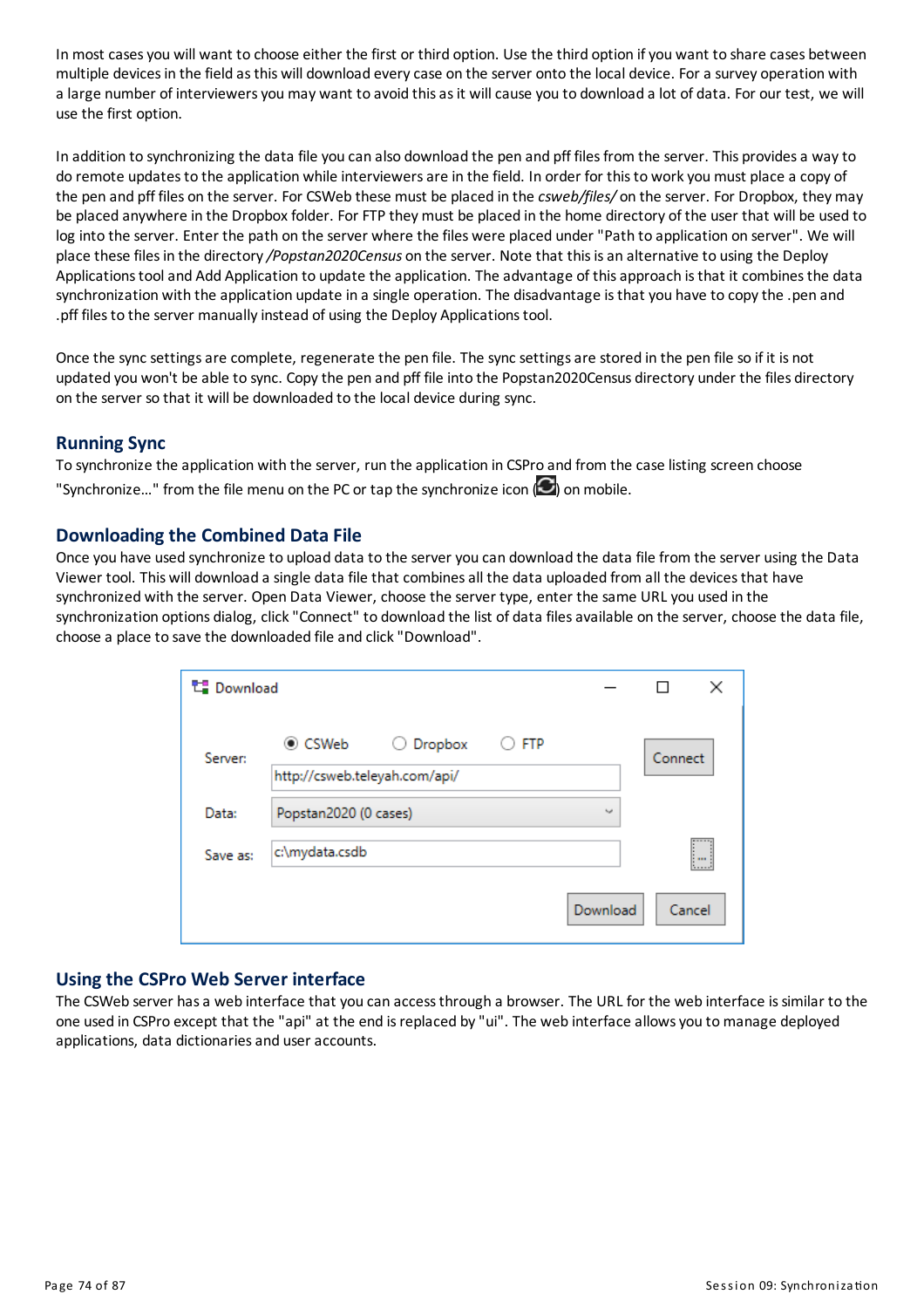In most cases you will want to choose either the first or third option. Use the third option if you want to share cases between multiple devices in the field as this will download every case on the server onto the local device. For a survey operation with a large number of interviewers you may want to avoid this as it will cause you to download a lot of data. For our test, we will use the first option.

In addition to synchronizing the data file you can also download the pen and pff files from the server. This provides a way to do remote updates to the application while interviewers are in the field. In order for this to work you must place a copy of the pen and pff files on the server. For CSWeb these must be placed in the *csweb/files/* on the server. For Dropbox, theymay be placed anywhere in the Dropbox folder. For FTP they must be placed in the home directory of the user that will be used to log into the server. Enter the path on the server where the files were placed under "Path to application on server". We will place these filesin the directory*/Popstan2020Census* on the server. Note that thisisan alternative to using the Deploy Applications tool and Add Application to update the application. The advantage of this approach is that it combines the data synchronization with the application update in a single operation. The disadvantage is that you have to copy the .pen and .pff files to the server manually instead of using the Deploy Applications tool.

Once the sync settings are complete, regenerate the pen file. The sync settings are stored in the pen file so if it is not updated you won't be able to sync. Copythe pen and pff file into the Popstan2020Census directory under the files directory on the server so that it will be downloaded to the local device during sync.

# **Running Sync**

To synchronize the application with the server, run the application in CSPro and from the case listing screen choose "Synchronize..." from the file menu on the PC or tap the synchronize icon  $\langle \bullet \rangle$  on mobile.

# **Downloadingthe Combined Data File**

Once you have used synchronize to upload data to the server you can download the data file from the server using the Data Viewer tool. This will download a single data file that combinesall the data uploaded from all the devicesthat have synchronized with the server. Open Data Viewer, choose the server type, enter the same URL you used in the synchronization options dialog, click "Connect" to download the list of data files available on the server, choose the data file, choose a place to save the downloaded file and click"Download".

| <b>】Download</b> |                               |              |            |            |         |
|------------------|-------------------------------|--------------|------------|------------|---------|
| Server:          | $\odot$ CSWeb                 | Dropbox<br>O | <b>FTP</b> |            | Connect |
|                  | http://csweb.teleyah.com/api/ |              |            |            |         |
| Data:            | Popstan2020 (0 cases)         |              |            | <b>Not</b> |         |
| Save as:         | c:\mydata.csdb                |              |            |            | I.,     |
|                  |                               |              |            | Download   | Cancel  |

# **Usingthe CSPro Web Server interface**

The CSWeb server has a web interface that you can access through a browser. The URL for the web interface is similar to the one used in CSPro except that the "api" at the end isreplaced by"ui". The web interface allowsyou tomanage deployed applications, data dictionaries and user accounts.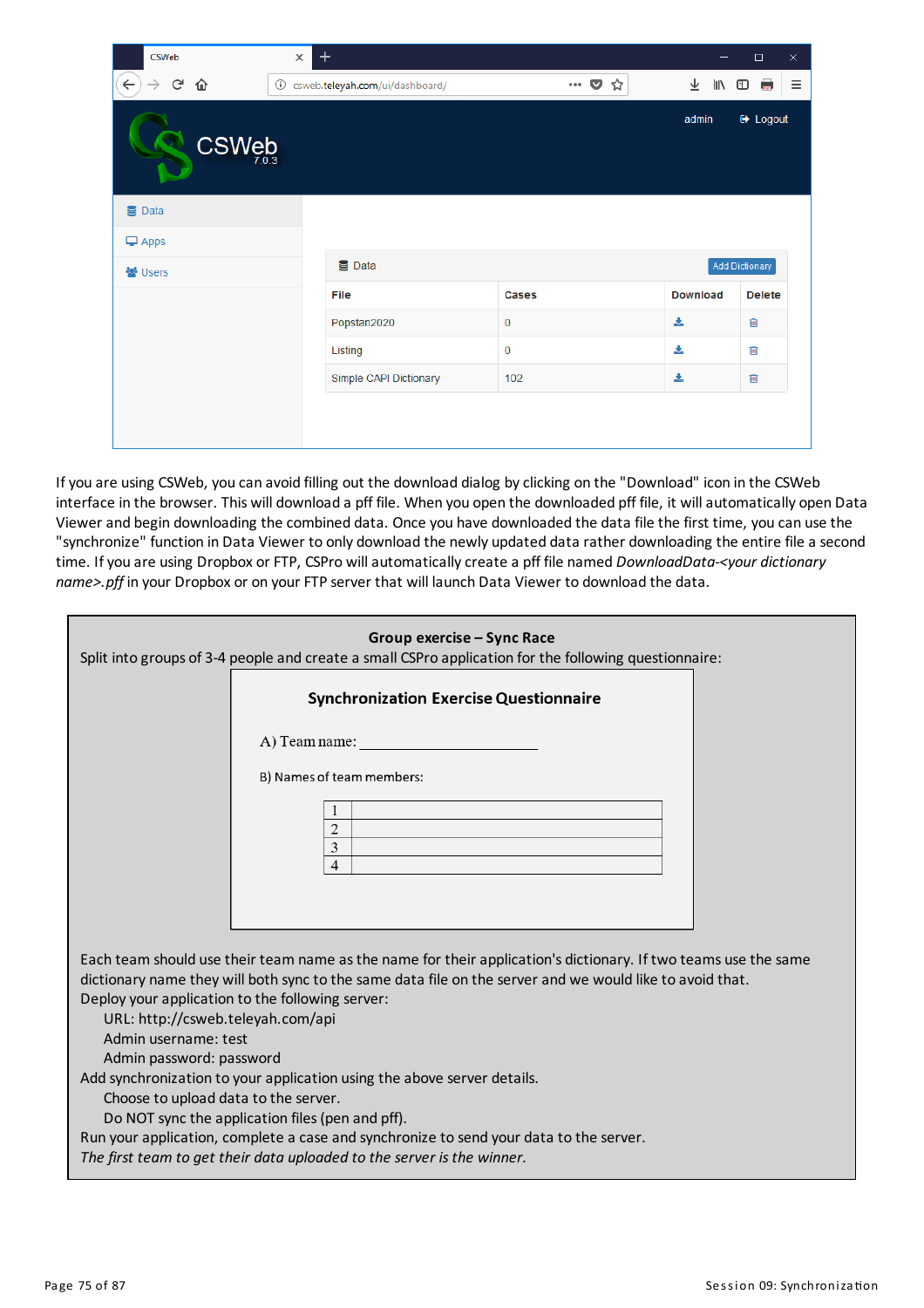| <b>CSWeb</b>                            | $\pm$<br>$\times$                    |                           |                 | $\times$<br>$\Box$ |
|-----------------------------------------|--------------------------------------|---------------------------|-----------------|--------------------|
| $\leftarrow$<br>G<br>⇧<br>$\rightarrow$ | csweb.teleyah.com/ui/dashboard/<br>⊙ | $\overline{\tau}$<br>IN O | Ξ<br><b>BBC</b> |                    |
| CSWeb                                   |                                      |                           | admin           | <b>■</b> Logout    |
| <b>S</b> Data                           |                                      |                           |                 |                    |
| $\Box$ Apps                             |                                      |                           |                 |                    |
| ₩ Users                                 | <b>B</b> Data                        |                           |                 | Add Dictionary     |
|                                         | File                                 | Cases                     | <b>Download</b> | <b>Delete</b>      |
|                                         | Popstan2020                          | $\mathbf 0$               | 盂               | 圙                  |
|                                         | Listing                              | $\bf{0}$                  | 斐               | 會                  |
|                                         | Simple CAPI Dictionary               | 102                       | 盂               | 會                  |
|                                         |                                      |                           |                 |                    |
|                                         |                                      |                           |                 |                    |

Ifyou are using CSWeb, you can avoid filling out the download dialog byclicking on the "Download" icon in the CSWeb interface in the browser. This will download a pff file. When you open the downloaded pff file, it will automatically open Data Viewer and begin downloading the combined data. Once you have downloaded the data file the first time, you can use the "synchronize" function in Data Viewer to only download the newly updated data rather downloading the entire file a second time. Ifyou are using Dropbox or FTP, CSPro willautomaticallycreate a pff file named *DownloadData-<your dictionary name>.pff* in your Dropbox or on your FTP server that will launch Data Viewer to download the data.

|                                                                                       | Group exercise - Sync Race<br>Split into groups of 3-4 people and create a small CSPro application for the following questionnaire: |
|---------------------------------------------------------------------------------------|-------------------------------------------------------------------------------------------------------------------------------------|
|                                                                                       | <b>Synchronization Exercise Questionnaire</b>                                                                                       |
|                                                                                       | A) Team name:                                                                                                                       |
|                                                                                       | B) Names of team members:                                                                                                           |
|                                                                                       | 1                                                                                                                                   |
|                                                                                       | $\overline{2}$<br>3                                                                                                                 |
|                                                                                       | $\overline{4}$                                                                                                                      |
|                                                                                       |                                                                                                                                     |
|                                                                                       |                                                                                                                                     |
|                                                                                       | Each team should use their team name as the name for their application's dictionary. If two teams use the same                      |
|                                                                                       | dictionary name they will both sync to the same data file on the server and we would like to avoid that.                            |
| Deploy your application to the following server:<br>URL: http://csweb.teleyah.com/api |                                                                                                                                     |
| Admin username: test                                                                  |                                                                                                                                     |
| Admin password: password                                                              |                                                                                                                                     |
| Add synchronization to your application using the above server details.               |                                                                                                                                     |
| Choose to upload data to the server.                                                  |                                                                                                                                     |
| Do NOT sync the application files (pen and pff).                                      |                                                                                                                                     |
|                                                                                       | Run your application, complete a case and synchronize to send your data to the server.                                              |
| The first team to get their data uploaded to the server is the winner.                |                                                                                                                                     |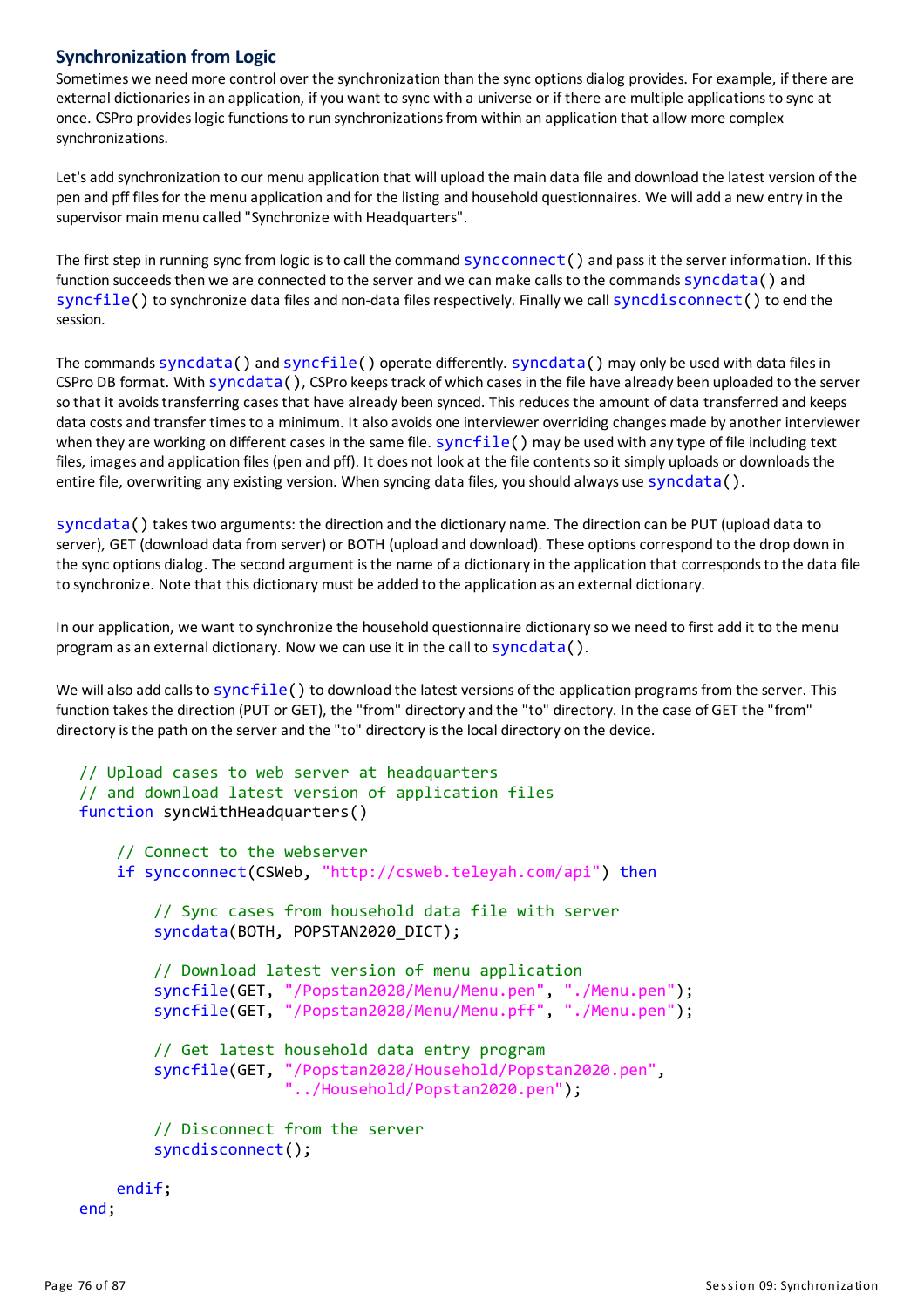# **Synchronization from Logic**

Sometimes we need more control over the synchronization than the sync options dialog provides. For example, if there are external dictionaries in an application, if you want to sync with a universe or if there are multiple applications to sync at once. CSPro provideslogic functionsto run synchronizationsfrom within an application that allow more complex synchronizations.

Let's add synchronization to our menu application that will upload the main data file and download the latest version of the pen and pff files for the menu application and for the listing and household questionnaires. We will add a new entry in the supervisor main menu called "Synchronize with Headquarters".

The first step in running sync from logic isto call the command syncconnect() and passit the server information. If this function succeeds then we are connected to the server and we can make calls to the commands syncdata() and syncfile() to synchronize data files and non-data files respectively. Finally we call syncdisconnect() to end the session.

The commands syncdata() and syncfile() operate differently. syncdata() may only be used with data filesin CSPro DB format. With syncdata(), CSPro keepstrack of which casesin the file have already been uploaded to the server so that it avoids transferring cases that have already been synced. This reduces the amount of data transferred and keeps data costs and transfer times to a minimum. It also avoids one interviewer overriding changes made by another interviewer when they are working on different cases in the same file. syncfile() may be used with any type of file including text files, images and application files (pen and pff). It does not look at the file contents so it simply uploads or downloads the entire file, overwriting any existing version. When syncing data files, you should always use syncdata().

syncdata() takestwo arguments: the direction and the dictionary name. The direction can be PUT(upload data to server), GET (download data from server) or BOTH (upload and download). These options correspond to the drop down in the sync options dialog. The second argument is the name of a dictionary in the application that corresponds to the data file to synchronize. Note that this dictionary must be added to the application as an external dictionary.

In ourapplication, we want to synchronize the household questionnaire dictionaryso we need to first add it to the menu program as an external dictionary. Now we can use it in the call to syncdata().

We will also add calls to syncfile() to download the latest versions of the application programs from the server. This function takes the direction (PUT or GET), the "from" directory and the "to" directory. In the case of GET the "from" directory is the path on the server and the "to" directory is the local directory on the device.

```
// Upload cases to web server at headquarters
// and download latest version of application files
function syncWithHeadquarters()
    // Connect to the webserver
    if syncconnect(CSWeb, "http://csweb.teleyah.com/api") then
        // Sync cases from household data file with server
        syncdata(BOTH, POPSTAN2020_DICT);
        // Download latest version of menu application
        syncfile(GET, "/Popstan2020/Menu/Menu.pen", "./Menu.pen");
        syncfile(GET, "/Popstan2020/Menu/Menu.pff", "./Menu.pen");
        // Get latest household data entry program
        syncfile(GET, "/Popstan2020/Household/Popstan2020.pen",
                       "../Household/Popstan2020.pen");
        // Disconnect from the server
        syncdisconnect();
    endif;
end;
```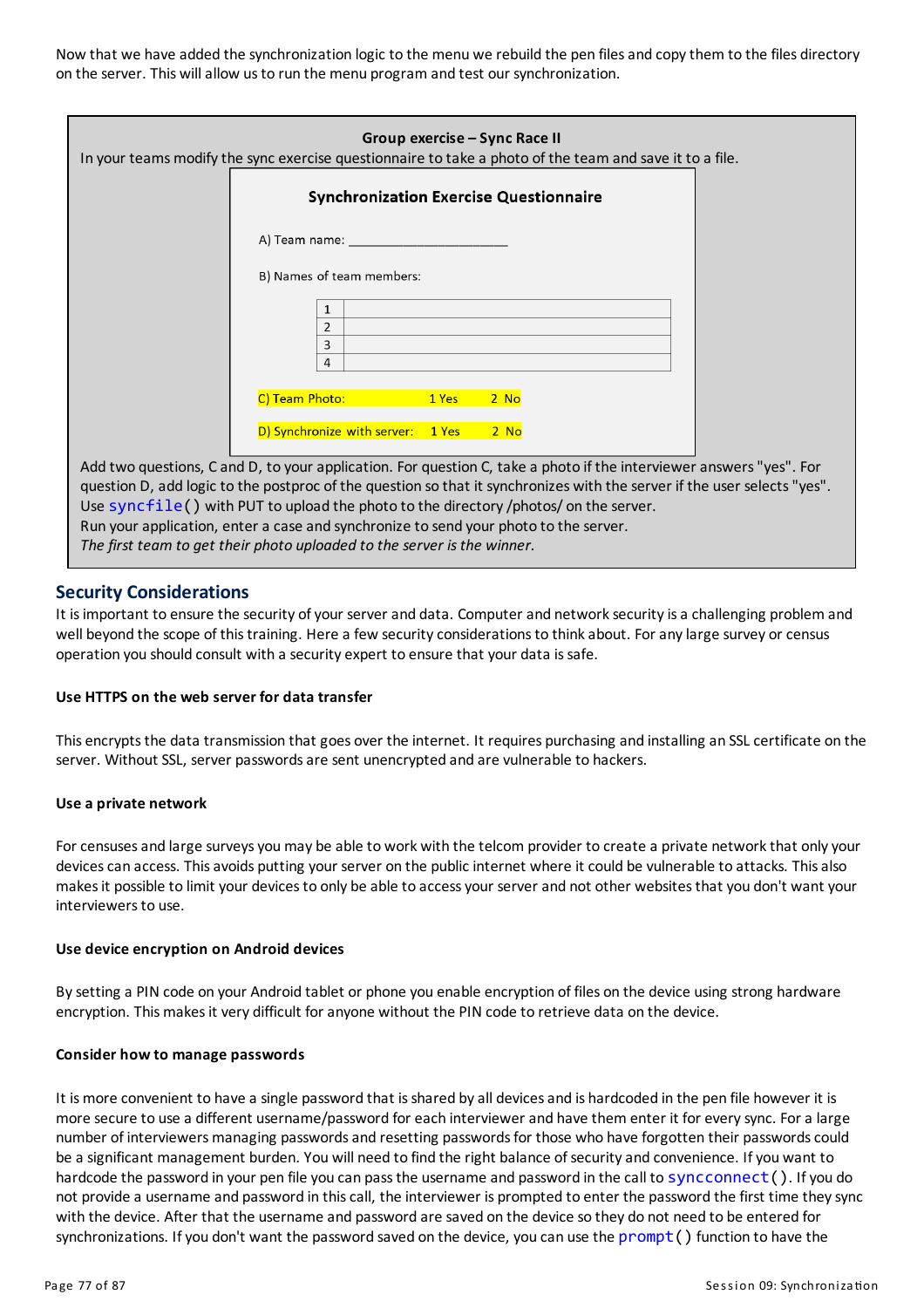Now that we have added the synchronization logic to the menu we rebuild the pen files and copy them to the files directory on the server. This willallow usto run the menu program and test our synchronization.

| Group exercise – Sync Race II<br>In your teams modify the sync exercise questionnaire to take a photo of the team and save it to a file.                                                                                                                                                                                                                                                                                                                                                                     |  |
|--------------------------------------------------------------------------------------------------------------------------------------------------------------------------------------------------------------------------------------------------------------------------------------------------------------------------------------------------------------------------------------------------------------------------------------------------------------------------------------------------------------|--|
| <b>Synchronization Exercise Questionnaire</b>                                                                                                                                                                                                                                                                                                                                                                                                                                                                |  |
| A) Team name: The contract of the state of the state of the state of the state of the state of the state of the                                                                                                                                                                                                                                                                                                                                                                                              |  |
| B) Names of team members:                                                                                                                                                                                                                                                                                                                                                                                                                                                                                    |  |
| 1<br>2<br>3<br>4                                                                                                                                                                                                                                                                                                                                                                                                                                                                                             |  |
| C) Team Photo:<br>1 Yes<br>$2$ No                                                                                                                                                                                                                                                                                                                                                                                                                                                                            |  |
| D) Synchronize with server: 1 Yes<br>$2$ No                                                                                                                                                                                                                                                                                                                                                                                                                                                                  |  |
| Add two questions, C and D, to your application. For question C, take a photo if the interviewer answers "yes". For<br>question D, add logic to the postproc of the question so that it synchronizes with the server if the user selects "yes".<br>Use $syncfile()$ with PUT to upload the photo to the directory /photos/ on the server.<br>Run your application, enter a case and synchronize to send your photo to the server.<br>The first team to get their photo uploaded to the server is the winner. |  |

#### **Security Considerations**

It is important to ensure the security of your server and data. Computer and network security is a challenging problem and well beyond the scope of this training. Here a few security considerations to think about. For any large survey or census operation you should consult with a security expert to ensure that your data issafe.

#### **Use HTTPS on the web server for data transfer**

This encrypts the data transmission that goes over the internet. It requires purchasing and installing an SSL certificate on the server. Without SSL, server passwords are sent unencrypted and are vulnerable to hackers.

#### **Use a private network**

For censuses and large surveys you may be able to work with the telcom provider to create a private network that only your devices can access. This avoids putting your server on the public internet where it could be vulnerable to attacks. This also makesit possible to limit your devicesto only be able to accessyour serverand not other websitesthat you don't want your interviewers to use.

#### **Use device encryption on Android devices**

Bysetting a PIN code on your Android tablet or phone you enable encryption of files on the device using strong hardware encryption. This makes it very difficult for anyone without the PIN code to retrieve data on the device.

#### **Consider how to manage passwords**

It is more convenient to have a single password that is shared by all devices and is hardcoded in the pen file however it is more secure to use a different username/password for each interviewer and have them enter it for every sync. For a large number of interviewers managing passwords and resetting passwords for those who have forgotten their passwords could be a significant management burden. You will need to find the right balance of security and convenience. If you want to hardcode the password in your pen file you can pass the username and password in the call to syncconnect (). If you do not provide a username and password in thiscall, the interviewer is prompted to enter the password the first time theysync with the device. After that the username and password are saved on the device so they do not need to be entered for synchronizations. If you don't want the password saved on the device, you can use the  $prompt()$  function to have the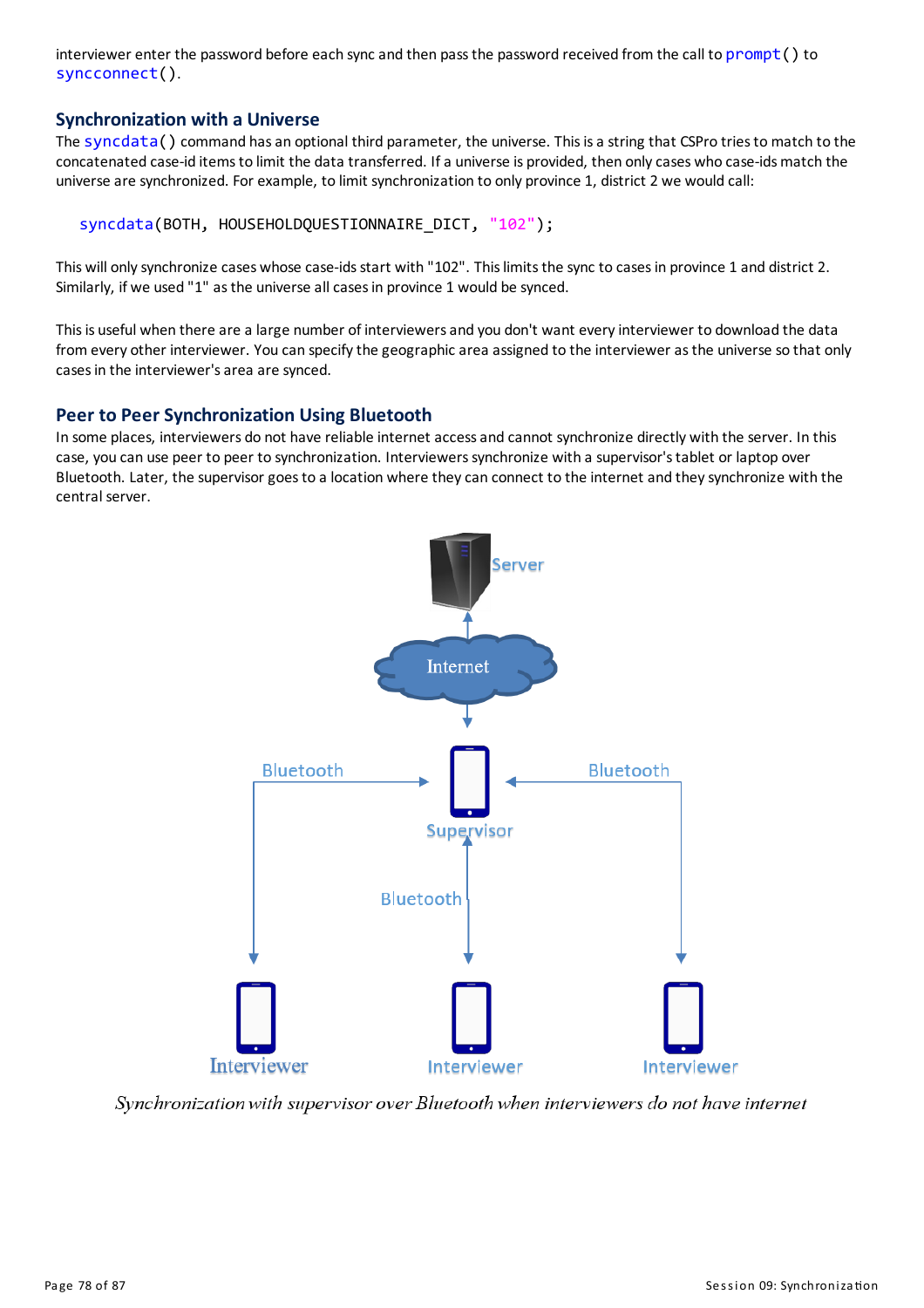interviewer enter the password before each syncand then pass the password received from the call to prompt () to syncconnect().

### **Synchronization with a Universe**

The syncdata() command has an optional third parameter, the universe. This is a string that CSPro tries to match to the concatenated case-id items to limit the data transferred. If a universe is provided, then only cases who case-ids match the universe are synchronized. For example, to limit synchronization to only province 1, district 2 we would call:

```
syncdata(BOTH, HOUSEHOLDQUESTIONNAIRE DICT, "102");
```
This will only synchronize cases whose case-ids start with "102". This limits the sync to cases in province 1 and district 2. Similarly, if we used "1" as the universe all cases in province 1 would be synced.

This is useful when there are a large number of interviewers and you don't want every interviewer to download the data from every other interviewer. You can specify the geographic area assigned to the interviewer as the universe so that only casesin the interviewer'sarea are synced.

### **Peer to Peer Synchronization Using Bluetooth**

In some places, interviewers do not have reliable internet accessand cannot synchronize directly with the server. In this case, you can use peer to peer to synchronization. Interviewerssynchronize with a supervisor'stablet or laptop over Bluetooth. Later, the supervisor goes to a location where they can connect to the internet and they synchronize with the central server.



Synchronization with supervisor over Bluetooth when interviewers do not have internet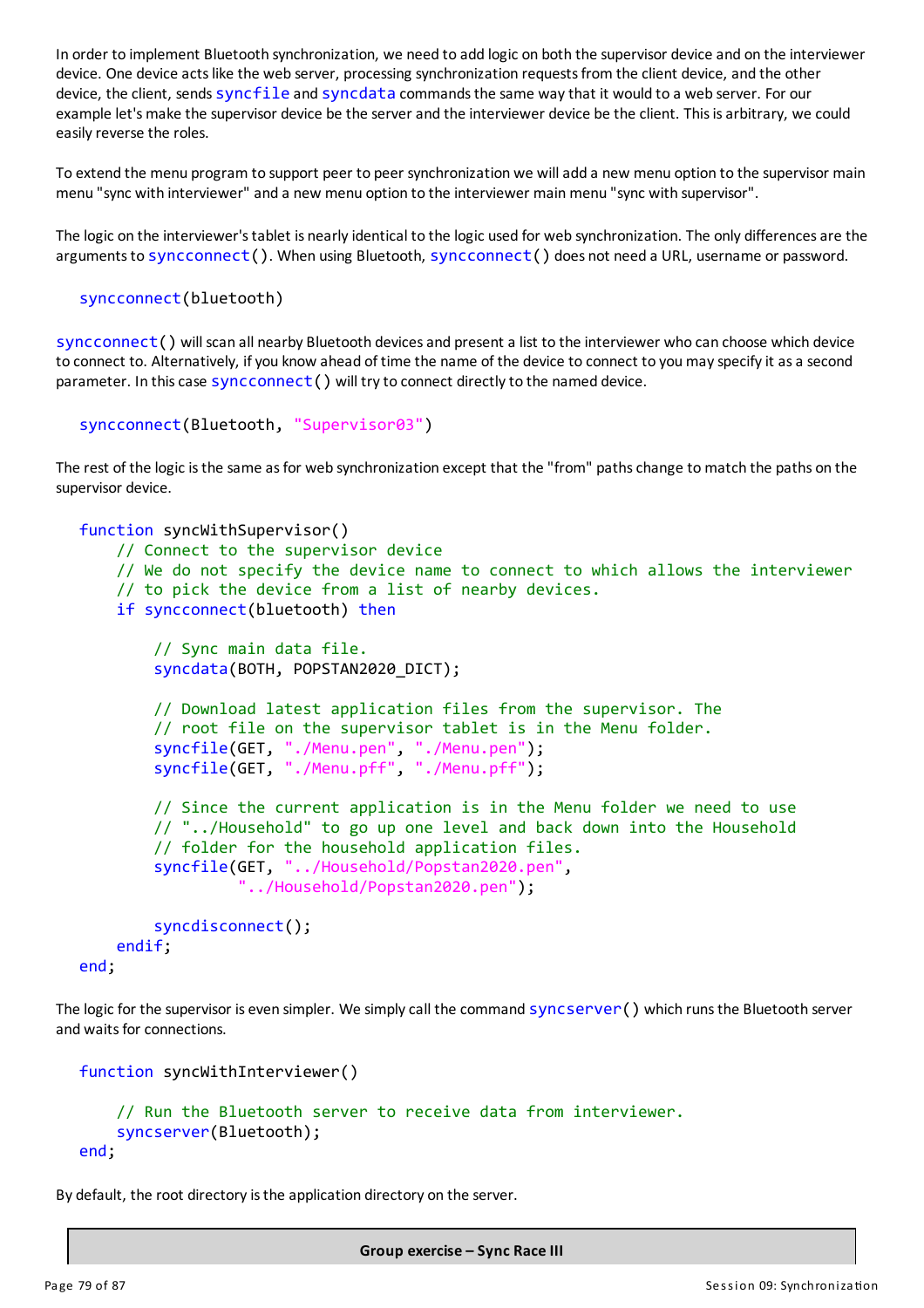In order to implement Bluetooth synchronization, we need to add logic on both the supervisor device and on the interviewer device. One device actslike the web server, processing synchronization requestsfrom the client device, and the other device, the client, sends syncfile and syncdata commands the same way that it would to a web server. For our example let's make the supervisor device be the server and the interviewer device be the client. This is arbitrary, we could easily reverse the roles.

To extend the menu program to support peer to peer synchronization we willadd a new menu option to the supervisor main menu "sync with interviewer" and a new menu option to the interviewer mainmenu "sync with supervisor".

The logic on the interviewer's tablet is nearly identical to the logic used for web synchronization. The only differences are the arguments to syncconnect (). When using Bluetooth, syncconnect () does not need a URL, username or password.

```
syncconnect(bluetooth)
```
syncconnect() will scan all nearby Bluetooth devicesand present a list to the interviewer who can choose which device to connect to. Alternatively, if you know ahead of time the name of the device to connect to you may specify it as a second parameter. In this case syncconnect () will try to connect directly to the named device.

```
syncconnect(Bluetooth, "Supervisor03")
```
The rest of the logic is the same as for web synchronization except that the "from" paths change to match the paths on the supervisor device.

```
function syncWithSupervisor()
    // Connect to the supervisor device
    // We do not specify the device name to connect to which allows the interviewer
    // to pick the device from a list of nearby devices.
    if syncconnect(bluetooth) then
        // Sync main data file.
        syncdata(BOTH, POPSTAN2020_DICT);
        // Download latest application files from the supervisor. The
        // root file on the supervisor tablet is in the Menu folder.
        syncfile(GET, "./Menu.pen", "./Menu.pen");
        syncfile(GET, "./Menu.pff", "./Menu.pff");
        // Since the current application is in the Menu folder we need to use
        // "../Household" to go up one level and back down into the Household
        // folder for the household application files.
        syncfile(GET, "../Household/Popstan2020.pen",
                 "../Household/Popstan2020.pen");
        syncdisconnect();
    endif;
```

```
end;
```
The logic for the supervisor is even simpler. We simply call the command syncserver() which runs the Bluetooth server and waits for connections.

```
function syncWithInterviewer()
    // Run the Bluetooth server to receive data from interviewer.
    syncserver(Bluetooth);
end;
```
By default, the root directory is the application directory on the server.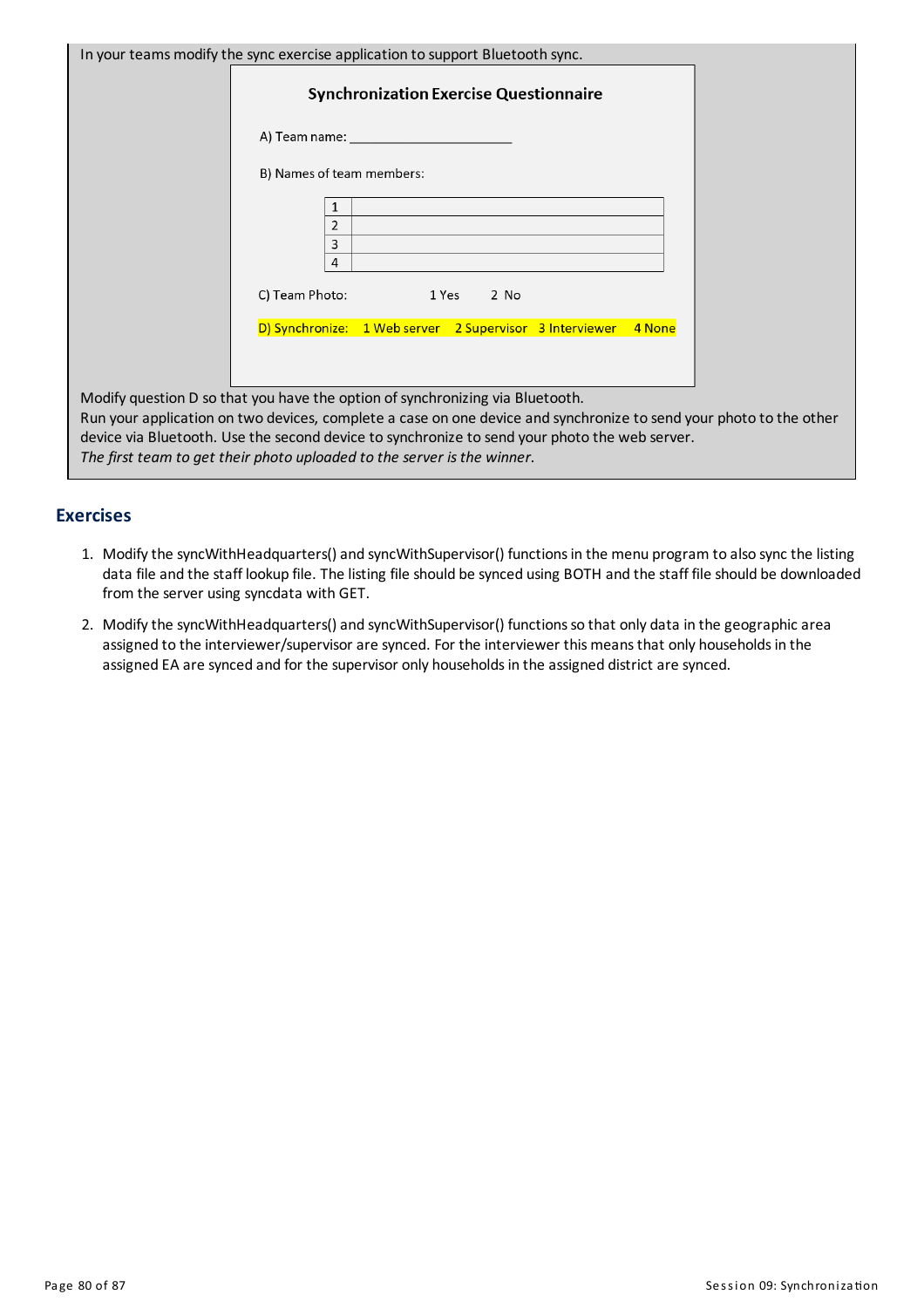| In your teams modify the sync exercise application to support Bluetooth sync.                                                                                                                       |
|-----------------------------------------------------------------------------------------------------------------------------------------------------------------------------------------------------|
| <b>Synchronization Exercise Questionnaire</b>                                                                                                                                                       |
| A) Team name: the controller and the controller and the controller and the controller and the controller and t                                                                                      |
| B) Names of team members:                                                                                                                                                                           |
| 1<br>2                                                                                                                                                                                              |
| 3<br>4                                                                                                                                                                                              |
| C) Team Photo:<br>1 Yes<br>$2$ No                                                                                                                                                                   |
| D) Synchronize: 1 Web server 2 Supervisor 3 Interviewer<br>4 None                                                                                                                                   |
|                                                                                                                                                                                                     |
| Modify question D so that you have the option of synchronizing via Bluetooth.<br>Run your application on two devices, complete a case on one device and synchronize to send your photo to the other |
| device via Bluetooth. Use the second device to synchronize to send your photo the web server.<br>The first team to get their photo uploaded to the server is the winner.                            |
|                                                                                                                                                                                                     |

### **Exercises**

- 1. Modifythe syncWithHeadquarters()and syncWithSupervisor() functionsin the menu program to also sync the listing data file and the staff lookup file. The listing file should be synced using BOTH and the staff file should be downloaded from the server using syncdata with GET.
- 2. Modify the syncWithHeadquarters() and syncWithSupervisor() functions so that only data in the geographic area assigned to the interviewer/supervisor are synced. For the interviewer this means that only households in the assigned EA are synced and for the supervisor only households in the assigned district are synced.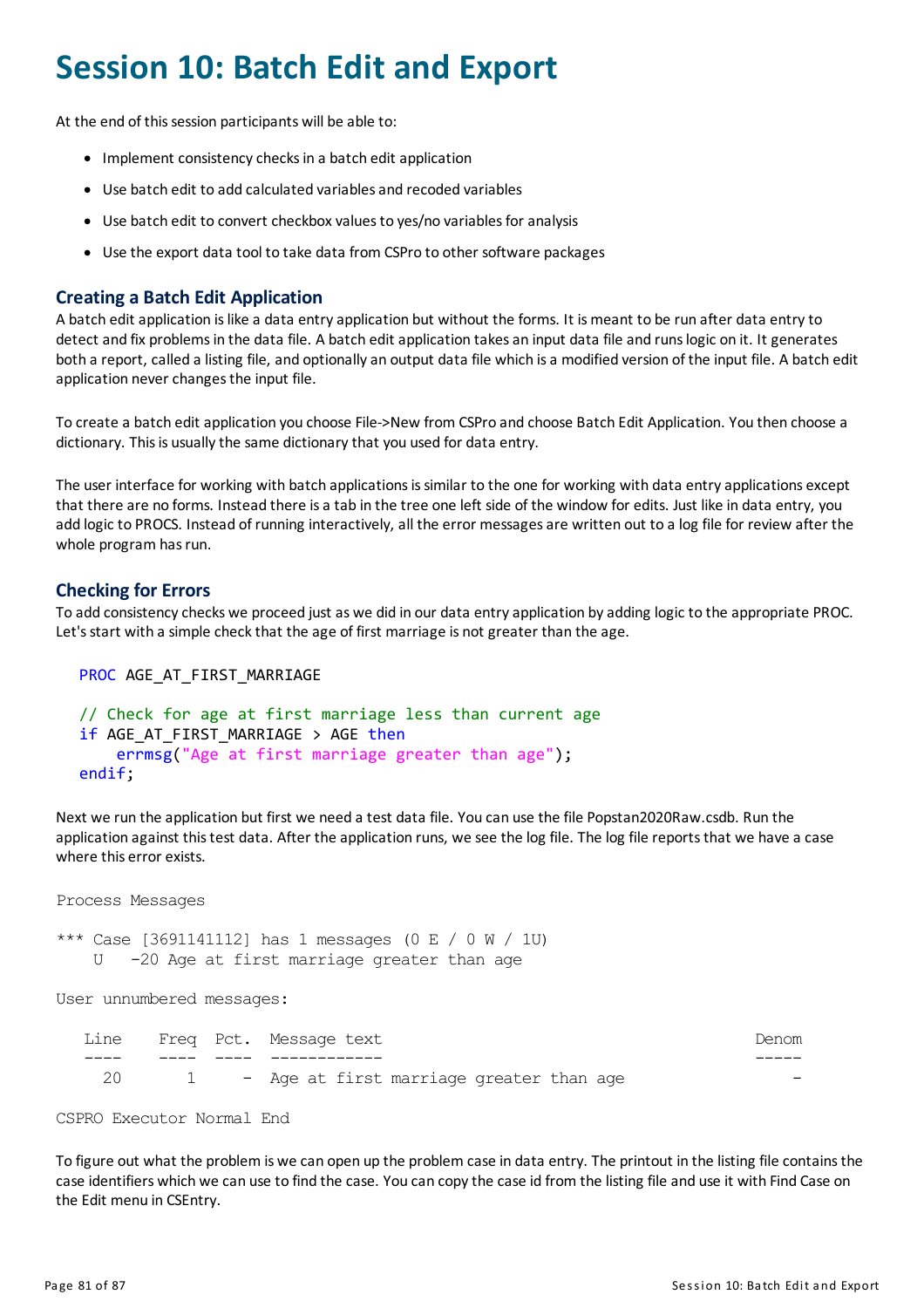# **Session 10: Batch Edit and Export**

At the end of this session participants will be able to:

- Implement consistency checks in a batch edit application
- Use batch edit to add calculated variables and recoded variables
- Use batch edit to convert checkbox values to yes/no variables for analysis
- Use the export data tool to take data from CSPro to other software packages

# **Creating a Batch Edit Application**

A batch edit application is like a data entry application but without the forms. It is meant to be run after data entry to detect and fix problems in the data file. A batch edit application takes an input data file and runs logic on it. It generates both a report, called a listing file, and optionally an output data file which is a modified version of the input file. A batch edit application never changes the input file.

To create a batch edit application you choose File->New from CSPro and choose Batch Edit Application. You then choose a dictionary. This is usually the same dictionary that you used for data entry.

The user interface for working with batch applications is similar to the one for working with data entry applications except that there are no forms. Instead there isa tab in the tree one left side of the window for edits. Just like in data entry, you add logic to PROCS. Instead of running interactively, all the error messages are written out to a log file for review after the whole program has run.

### **Checking for Errors**

To add consistency checks we proceed just as we did in our data entry application by adding logic to the appropriate PROC. Let's start with a simple check that the age of first marriage is not greater than the age.

```
PROC AGE AT FIRST MARRIAGE
```

```
// Check for age at first marriage less than current age
if AGE AT FIRST MARRIAGE > AGE then
    errmsg("Age at first marriage greater than age");
endif;
```
Next we run the application but first we need a test data file. You can use the file Popstan2020Raw.csdb. Run the application against thistest data. After the application runs, we see the log file. The log file reportsthat we have a case where this error exists.

Process Messages

\*\*\* Case [3691141112] has 1 messages (0 E / 0 W / 1U) U -20 Age at first marriage greater than age

User unnumbered messages:

| Denom |  |                                            | Line Freq Pct. Message text |  |      |
|-------|--|--------------------------------------------|-----------------------------|--|------|
|       |  |                                            |                             |  |      |
|       |  | 1 - Age at first marriage greater than age |                             |  | - 20 |

CSPRO Executor Normal End

To figure out what the problem is we can open up the problem case in data entry. The printout in the listing file containsthe case identifiers which we can use to find the case. You can copythe case id from the listing file and use it with Find Case on the Edit menu in CSEntry.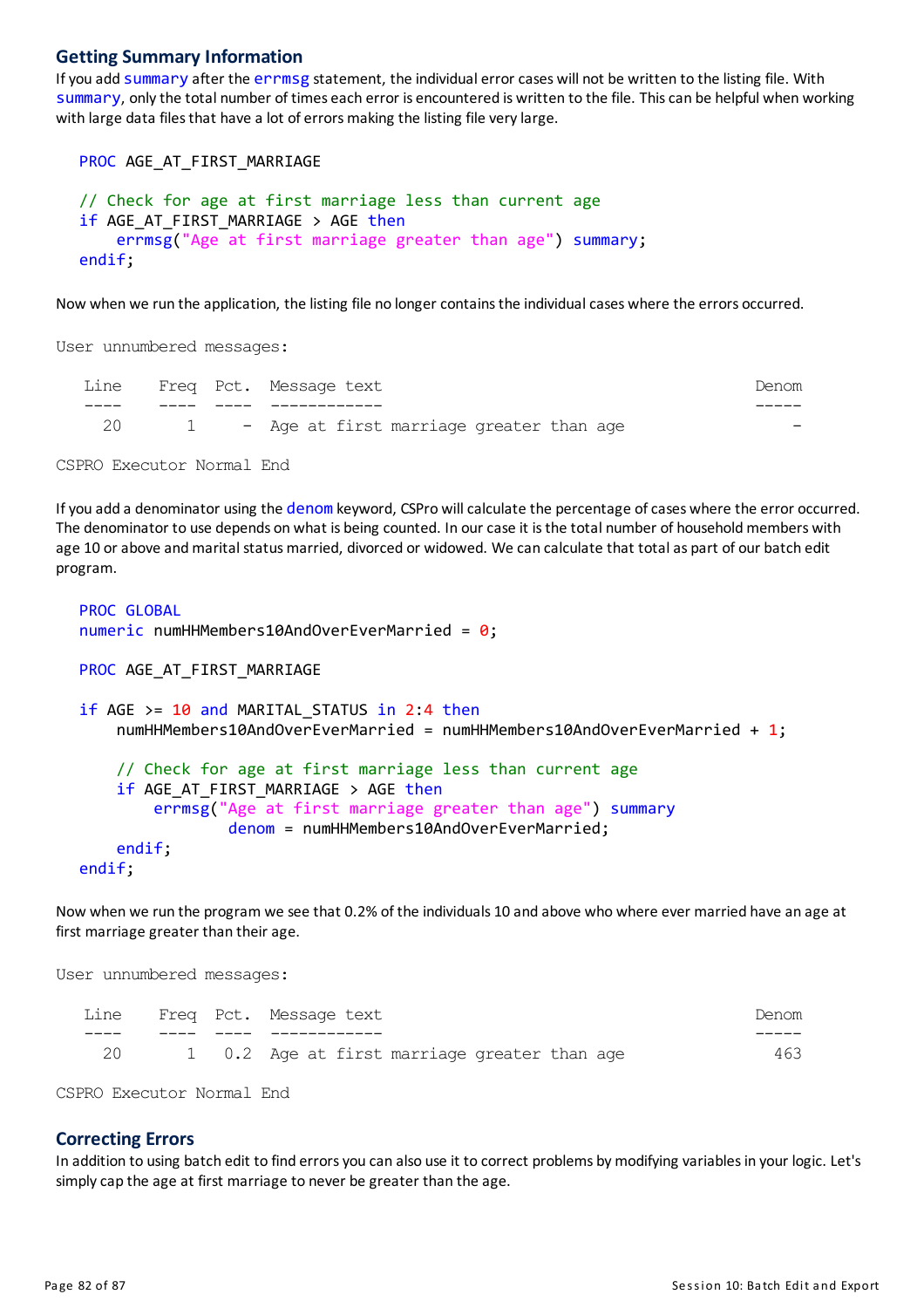#### **Getting Summary Information**

If you add summary after the errmsg statement, the individual error cases will not be written to the listing file. With summary, onlythe total number of times each error is encountered is written to the file. Thiscan be helpful when working with large data files that have a lot of errors making the listing file very large.

PROC AGE\_AT\_FIRST\_MARRIAGE

```
// Check for age at first marriage less than current age
if AGE_AT_FIRST_MARRIAGE > AGE then
    errmsg("Age at first marriage greater than age") summary;
endif;
```
Now when we run the application, the listing file no longer contains the individual cases where the errors occurred.

User unnumbered messages:

|    |  | Line Freq Pct. Message text                |  |  |  |  |
|----|--|--------------------------------------------|--|--|--|--|
|    |  |                                            |  |  |  |  |
| 20 |  | 1 - Age at first marriage greater than age |  |  |  |  |

CSPRO Executor Normal End

If you add a denominator using the denom keyword, CSPro will calculate the percentage of cases where the error occurred. The denominator to use depends on what is being counted. In our case it is the total number of household members with age 10 or above and marital status married, divorced or widowed. We can calculate that total as part of our batch edit program.

```
PROC GLOBAL
numeric numHHMembers10AndOverEverMarried = 0;
```

```
PROC AGE AT FIRST MARRIAGE
```

```
if AGE >= 10 and MARITAL STATUS in 2:4 then
    numHHMembers10AndOverEverMarried = numHHMembers10AndOverEverMarried + 1;
    // Check for age at first marriage less than current age
    if AGE_AT_FIRST_MARRIAGE > AGE then
        errmsg("Age at first marriage greater than age") summary
                denom = numHHMembers10AndOverEverMarried;
    endif;
endif;
```
Now when we run the program we see that 0.2% of the individuals 10 and above who where ever married have an age at first marriage greater than their age.

User unnumbered messages:

|     |  | Line Freq Pct. Message text                  | Denom |
|-----|--|----------------------------------------------|-------|
|     |  |                                              |       |
| -20 |  | 1 0.2 Age at first marriage greater than age | 463   |

CSPRO Executor Normal End

#### **Correcting Errors**

In addition to using batch edit to find errorsyou can also use it to correct problems bymodifying variablesin your logic. Let's simply cap the age at first marriage to never be greater than the age.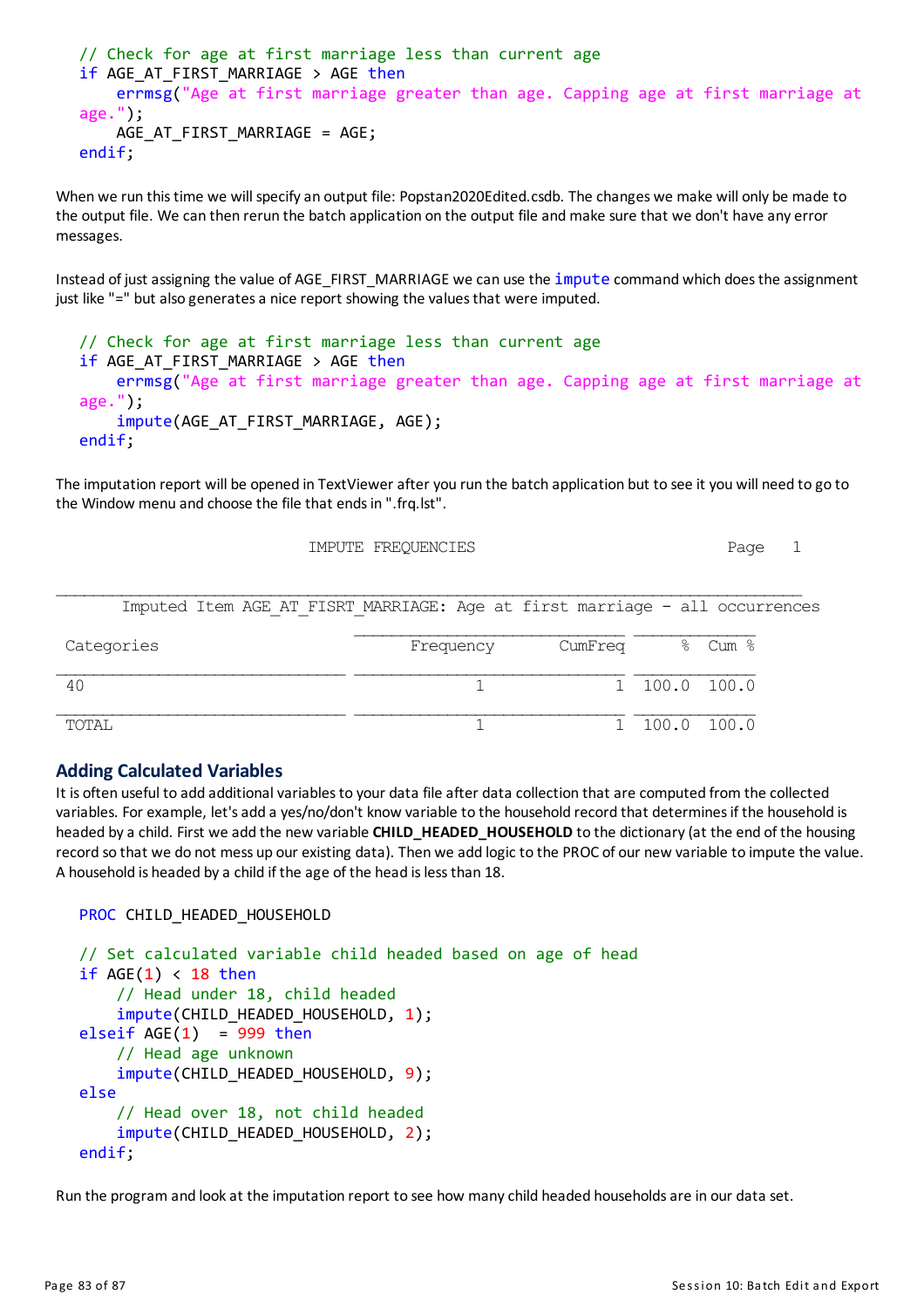```
// Check for age at first marriage less than current age
if AGE AT FIRST MARRIAGE > AGE then
    errmsg("Age at first marriage greater than age. Capping age at first marriage at
age.");
   AGE AT FIRST MARRIAGE = AGE;
endif;
```
When we run this time we will specify an output file: Popstan2020Edited.csdb. The changes we make will only be made to the output file. We can then rerun the batch application on the output file andmake sure that we don't have any error messages.

Instead of just assigning the value of AGE\_FIRST\_MARRIAGE we can use the *impute command which does the assignment* just like "=" but also generates a nice report showing the values that were imputed.

```
// Check for age at first marriage less than current age
if AGE AT FIRST MARRIAGE > AGE then
    errmsg("Age at first marriage greater than age. Capping age at first marriage at
age.");
    impute(AGE AT FIRST MARRIAGE, AGE);
endif;
```
The imputation report will be opened in TextViewer after you run the batch application but to see it you will need to go to the Window menu and choose the file that endsin ".frq.lst".

IMPUTE FREQUENCIES Page 1

| Frequency | CumFreq | 응 Cum 응                                                                                                                     |
|-----------|---------|-----------------------------------------------------------------------------------------------------------------------------|
|           |         |                                                                                                                             |
|           |         |                                                                                                                             |
|           |         |                                                                                                                             |
|           |         |                                                                                                                             |
|           |         | Imputed Item AGE AT FISRT MARRIAGE: Age at first marriage - all occurrences<br>$1\quad 100.0\quad 100.0$<br>$100.0$ $100.0$ |

### **Adding Calculated Variables**

It is often useful to add additional variables to your data file after data collection that are computed from the collected variables. For example, let's add a yes/no/don't know variable to the household record that determines if the household is headed by a child. First we add the new variable **CHILD\_HEADED\_HOUSEHOLD** to the dictionary (at the end of the housing record so that we do not mess up our existing data). Then we add logic to the PROC of our new variable to impute the value. A household is headed bya child if the age of the head islessthan 18.

```
PROC CHILD HEADED HOUSEHOLD
```

```
// Set calculated variable child headed based on age of head
if AGE(1) < 18 then
    // Head under 18, child headed
    impute(CHILD HEADED HOUSEHOLD, 1);
elseif AGE(1) = 999 then
    // Head age unknown
    impute(CHILD_HEADED_HOUSEHOLD, 9);
else
    // Head over 18, not child headed
    impute(CHILD HEADED HOUSEHOLD, 2);
endif;
```
Run the program and look at the imputation report to see how many child headed households are in our data set.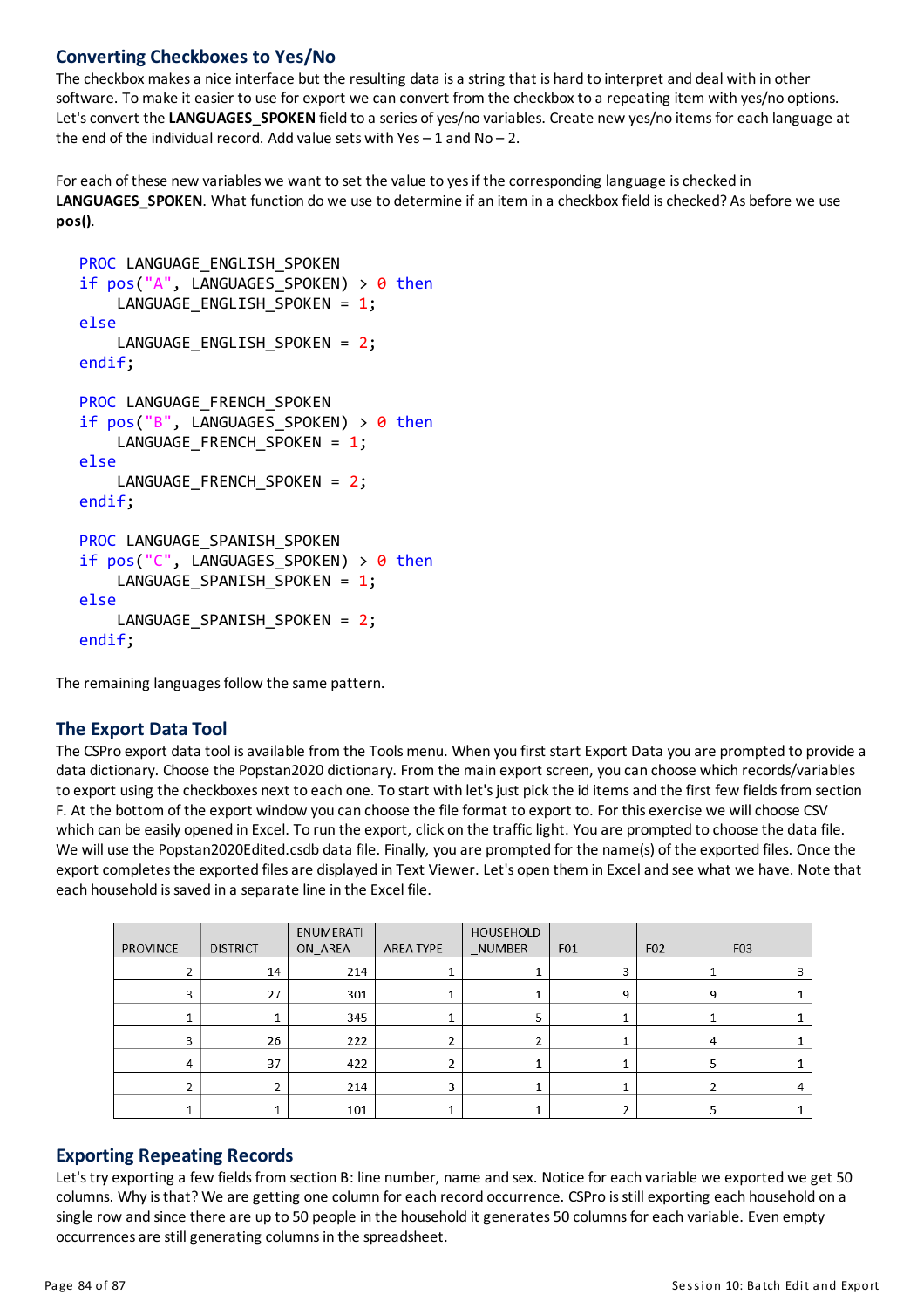# **Converting Checkboxes to Yes/No**

The checkbox makes a nice interface but the resulting data is a string that is hard to interpret and deal with in other software. To make it easier to use for export we can convert from the checkbox to a repeating item with yes/no options. Let's convert the LANGUAGES\_SPOKEN field to a series of yes/no variables. Create new yes/no items for each language at the end of the individual record. Add value sets with Yes  $-1$  and No  $-2$ .

For each of these new variables we want to set the value to yes if the corresponding language is checked in LANGUAGES\_SPOKEN. What function do we use to determine if an item in a checkbox field is checked? As before we use **pos()**.

```
PROC LANGUAGE ENGLISH SPOKEN
if pos("A", LANGUAGES SPOKEN) > \theta then
    LANGUAGE_ENGLISH_SPOKEN = 1;
else
    LANGUAGE ENGLISH SPOKEN = 2;
endif;
PROC LANGUAGE FRENCH SPOKEN
if pos("B", LANGUAGES SPOKEN) > 0 then
    LANGUAGE_FRENCH_SPOKEN = 1;
else
    LANGUAGE_FRENCH_SPOKEN = 2;
endif;
PROC LANGUAGE SPANISH SPOKEN
if pos("C", LANGUAGES_SPOKEN) > 0 then
    LANGUAGE_SPANISH_SPOKEN = 1;
else
    LANGUAGE SPANISH SPOKEN = 2;
endif;
```
The remaining languages follow the same pattern.

### **The Export Data Tool**

The CSPro export data tool is available from the Tools menu. When you first start Export Data you are prompted to provide a data dictionary. Choose the Popstan2020 dictionary. From the main export screen, you can choose which records/variables to export using the checkboxes next to each one. To start with let's just pick the id items and the first few fields from section F. At the bottom of the export window you can choose the file format to export to. For this exercise we will choose CSV which can be easily opened in Excel. To run the export, click on the traffic light. You are prompted to choose the data file. We will use the Popstan2020Edited.csdb data file. Finally, you are prompted for the name(s) of the exported files. Once the export completes the exported files are displayed in Text Viewer. Let's open them in Excel and see what we have. Note that each household is saved in a separate line in the Excel file.

|          |                 | ENUMERATI |           | HOUSEHOLD     |     |                 |                  |
|----------|-----------------|-----------|-----------|---------------|-----|-----------------|------------------|
| PROVINCE | <b>DISTRICT</b> | ON AREA   | AREA TYPE | <b>NUMBER</b> | F01 | F <sub>02</sub> | F <sub>0</sub> 3 |
|          | 14              | 214       |           |               | 3   |                 |                  |
| 3.       | 27              | 301       | ┻         |               | 9   | 9               |                  |
|          |                 | 345       |           |               |     |                 |                  |
|          | 26              | 222       | J.        |               |     | 4               |                  |
| 4        | 37              | 422       | 2         |               |     |                 |                  |
|          |                 | 214       | 3         |               |     |                 |                  |
|          |                 | 101       |           |               |     |                 |                  |

### **Exporting Repeating Records**

Let's try exporting a few fields from section B: line number, name and sex. Notice for each variable we exported we get 50 columns. Why is that? We are getting one column for each record occurrence. CSPro is still exporting each household on a single row and since there are up to 50 people in the household it generates 50 columns for each variable. Even empty occurrences are still generating columns in the spreadsheet.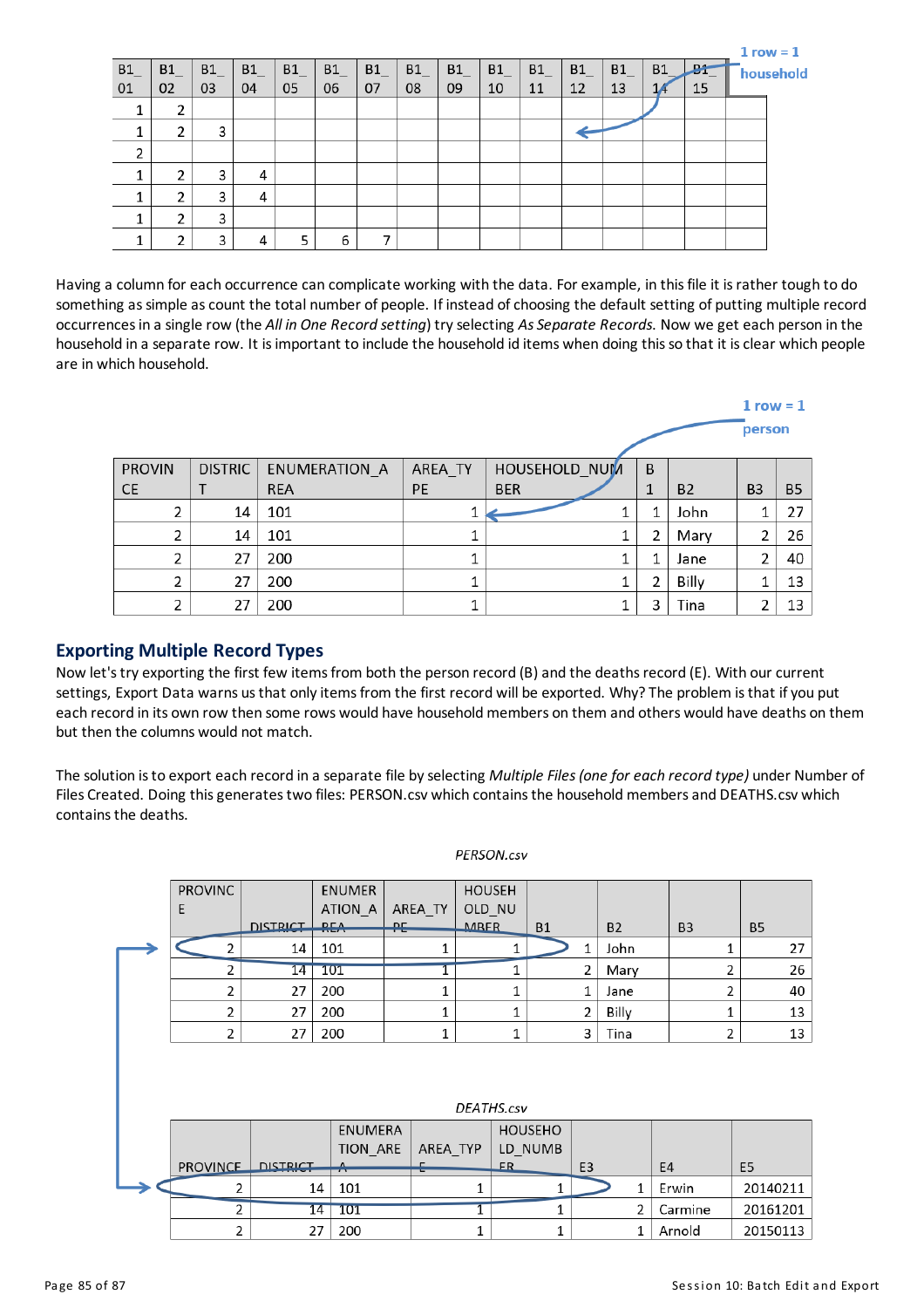|                |    |    |    |    |    |    |    |    |    |    |    |    |    |    | $1$ row = $1$  |  |
|----------------|----|----|----|----|----|----|----|----|----|----|----|----|----|----|----------------|--|
| B <sub>1</sub> | B1 | B1 | B1 | B1 | B1 | B1 | B1 | B1 | B1 | B1 | B1 | B1 | B1 | æ  | -<br>household |  |
| 01             | 02 | 03 | 04 | 05 | 06 | 07 | 08 | 09 | 10 | 11 | 12 | 13 |    | 15 |                |  |
|                |    |    |    |    |    |    |    |    |    |    |    |    |    |    |                |  |
|                |    | 3  |    |    |    |    |    |    |    |    |    |    |    |    |                |  |
| ∍              |    |    |    |    |    |    |    |    |    |    |    |    |    |    |                |  |
|                |    | 3  | 4  |    |    |    |    |    |    |    |    |    |    |    |                |  |
|                |    | 3  | 4  |    |    |    |    |    |    |    |    |    |    |    |                |  |
|                |    | 3  |    |    |    |    |    |    |    |    |    |    |    |    |                |  |
|                |    | 3  | 4  |    | 6  |    |    |    |    |    |    |    |    |    |                |  |

Having a column for each occurrence can complicate working with the data. For example, in this file it is rather tough to do something as simple as count the total number of people. If instead of choosing the default setting of putting multiple record occurrencesin a single row (the *All in One Record setting*) tryselecting *AsSeparate Records*. Now we get each person in the household in a separate row. It isimportant to include the household id items when doing thisso that it isclear which people are in which household.

|                |                |               |         |               |   |           | $1$ row = $1$  |           |
|----------------|----------------|---------------|---------|---------------|---|-----------|----------------|-----------|
|                |                |               |         |               |   |           | person         |           |
| <b>PROVIN</b>  | <b>DISTRIC</b> | ENUMERATION A | AREA_TY | HOUSEHOLD NUM | B |           |                |           |
| <b>CE</b>      |                | <b>REA</b>    | PE      | <b>BER</b>    | 1 | <b>B2</b> | B <sub>3</sub> | <b>B5</b> |
| 2              | 14             | 101           |         |               | 1 | John      |                | 27        |
| 2              | 14             | 101           | 1       |               | 2 | Mary      | 2              | 26        |
| 2              | 27             | 200           | 1       |               | 1 | Jane      | 2              | 40        |
| $\overline{2}$ | 27             | 200           | и       |               | 2 | Billy     |                | 13        |
| $\mathbf{a}$   | 27             | 200           |         |               | 3 | Tina      | ∍              | 13        |

#### **Exporting Multiple Record Types**

Now let's try exporting the first few items from both the person record (B) and the deaths record (E). With our current settings, Export Data warns us that only items from the first record will be exported. Why? The problem is that if you put each record in its own row then some rows would have household members on them and others would have deaths on them but then the columns would not match.

The solution isto export each record in a separate file byselecting *Multiple Files(one foreach record type)* under Number of Files Created. Doing thisgeneratestwo files: PERSON.csv which containsthe householdmembersand DEATHS.csv which containsthe deaths.

|  | <b>PROVINC</b>  |                 | <b>ENUMER</b>   |         | <b>HOUSEH</b> |              |                |                |           |                |                |          |
|--|-----------------|-----------------|-----------------|---------|---------------|--------------|----------------|----------------|-----------|----------------|----------------|----------|
|  | E               |                 | ATION A         | AREA TY | OLD NU        |              |                |                |           |                |                |          |
|  |                 | <b>DISTRICT</b> | RFA             | ᄘ       | <b>MRFR</b>   |              | <b>B1</b>      |                | <b>B2</b> | B <sub>3</sub> | <b>B5</b>      |          |
|  | 2               | 14              | 101             |         |               | 1            |                | 1              | John      |                | 1              | 27       |
|  | 2               | 14              | 101             |         |               | 1            |                | 2              | Mary      |                | 2              | 26       |
|  | 2               | 27              | 200             | 1       |               | $\mathbf{1}$ |                | 1              | Jane      |                | 2              | 40       |
|  | $\overline{2}$  | 27<br>200       |                 | 1       |               | 1            | $\overline{2}$ |                | Billy     |                | 1              | 13       |
|  | 2               | 27              | 200             | 1       |               | 1            |                | 3              | Tina      |                | 2              | 13       |
|  |                 |                 |                 |         |               |              |                |                |           |                |                |          |
|  |                 |                 |                 |         |               |              |                |                |           |                |                |          |
|  |                 |                 |                 |         |               |              |                |                |           |                |                |          |
|  | DEATHS.csv      |                 |                 |         |               |              |                |                |           |                |                |          |
|  |                 |                 | <b>ENUMERA</b>  |         |               |              | <b>HOUSEHO</b> |                |           |                |                |          |
|  |                 |                 | <b>TION ARE</b> |         | AREA TYP      | LD NUMB      |                |                |           |                |                |          |
|  | <b>PROVINCE</b> | <b>DISTRICT</b> | ᠰ               | п<br>-  |               | FR.          |                | E <sub>3</sub> |           | E4             | E <sub>5</sub> |          |
|  | 2               | 14              | 101             |         | 1             |              | 1              |                | 1         | Erwin          |                | 20140211 |
|  | 2               | 14              | 101             |         | 1             |              | 1              |                | 2         | Carmine        |                | 20161201 |
|  | 2               | 27              | 200             |         |               |              | 1              |                | 1         | Arnold         |                | 20150113 |

#### PERSON.csv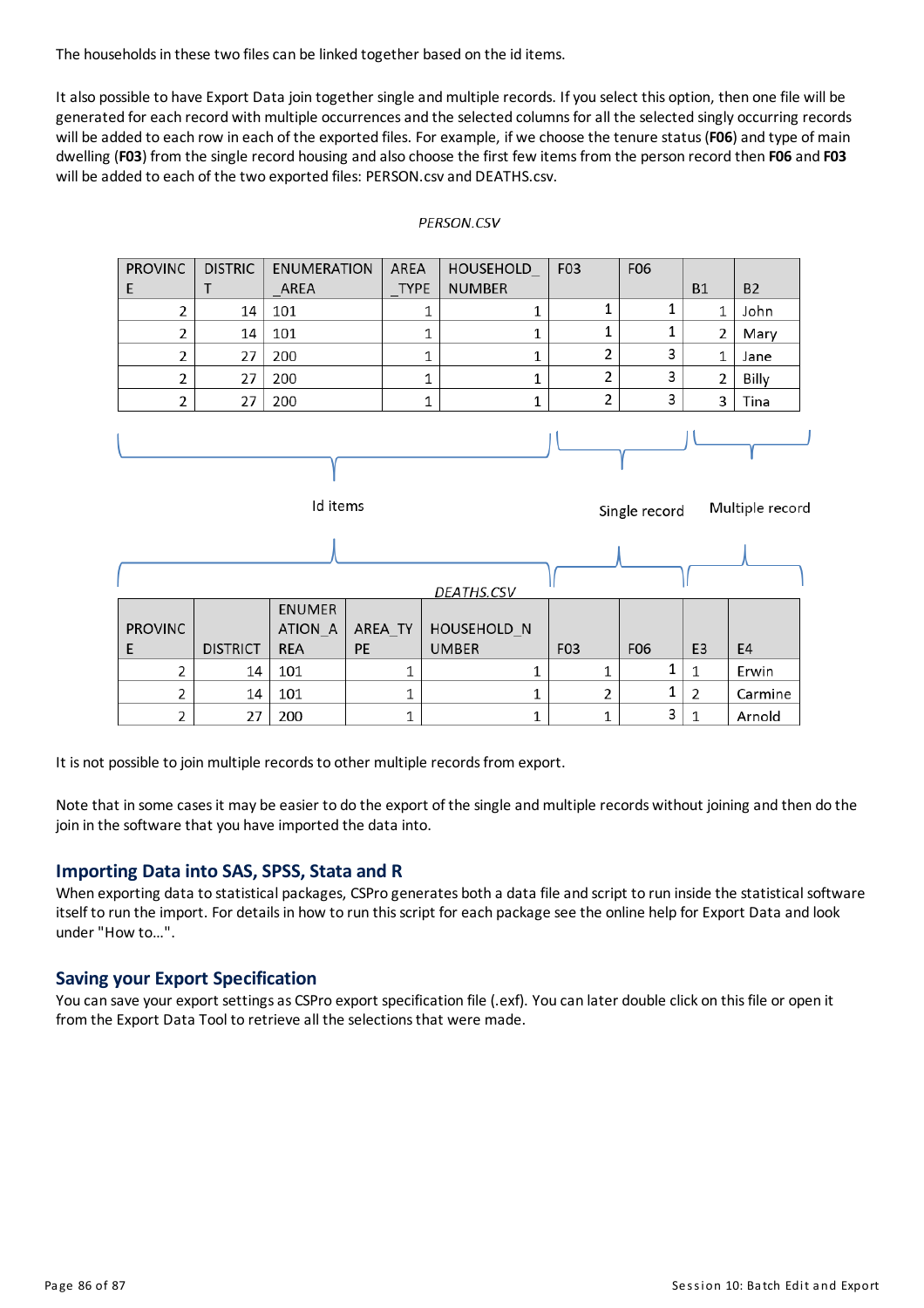The households in these two files can be linked together based on the id items.

It also possible to have Export Data join together single and multiple records. If you select this option, then one file will be generated for each record withmultiple occurrencesand the selected columnsforall the selected singly occurring records will be added to each row in each of the exported files. For example, if we choose the tenure status (FO6) and type of main dwelling (**F03**) from the single record housing and also choose the first few itemsfrom the person record then **F06** and **F03** will be added to each of the two exported files: PERSON.csvand DEATHS.csv.

#### AREA **PROVINC DISTRIC ENUMERATION HOUSEHOLD** F<sub>03</sub> F06 E T AREA **TYPE NUMBER B1 B2**  $\overline{2}$ 1 1 14 101 1 1 1 John 1  $\mathbf 1$  $\overline{2}$  $\mathbf{1}$ 101  $\mathbf{1}$  $\overline{2}$ 14 Mary  $\overline{2}$  $\mathbf 1$ 2 3  $\mathbf 1$  $\,1\,$ 27 200 Jane 2 з  $\overline{2}$ 27 200 1 1 2 Billy  $\overline{2}$ 3  $\overline{2}$ 27 200  $\mathbf 1$  $\mathbf{1}$ 3 Tina Id items Multiple record Single record DEATHS.CSV **ENUMER PROVINC** ATION A AREA\_TY HOUSEHOLD N

#### PERSON.CSV

It is not possible to join multiple records to other multiple records from export.

**REA** 

101

101

200

PE

Note that in some cases it may be easier to do the export of the single and multiple records without joining and then do the join in the software that you have imported the data into.

**UMBER** 

1

 $\mathbf{1}$ 

 $\mathbf 1$ 

F<sub>0</sub>3

1

 $\mathbf{1}$ 

 $\mathbf 1$ 

F06

1

 $\overline{2}$ 

1

E3

 $\overline{2}$ 

1  $\mathbf 1$ 

1

3  $\mathbf 1$  E4

Erwin

Carmine

Arnold

#### **Importing Data into SAS, SPSS, Stata and R**

**DISTRICT** 

14

14

27

 $\overline{2}$ 

 $\overline{2}$ 

2

When exporting data to statistical packages, CSPro generates both a data file and script to run inside the statistical software itself to run the import. For details in how to run this script for each package see the online help for Export Data and look under "How to…".

#### **Saving your Export Specification**

E

You can save your export settings as CSPro export specification file (.exf). You can later double click on this file or open it from the Export Data Tool to retrieve all the selections that were made.